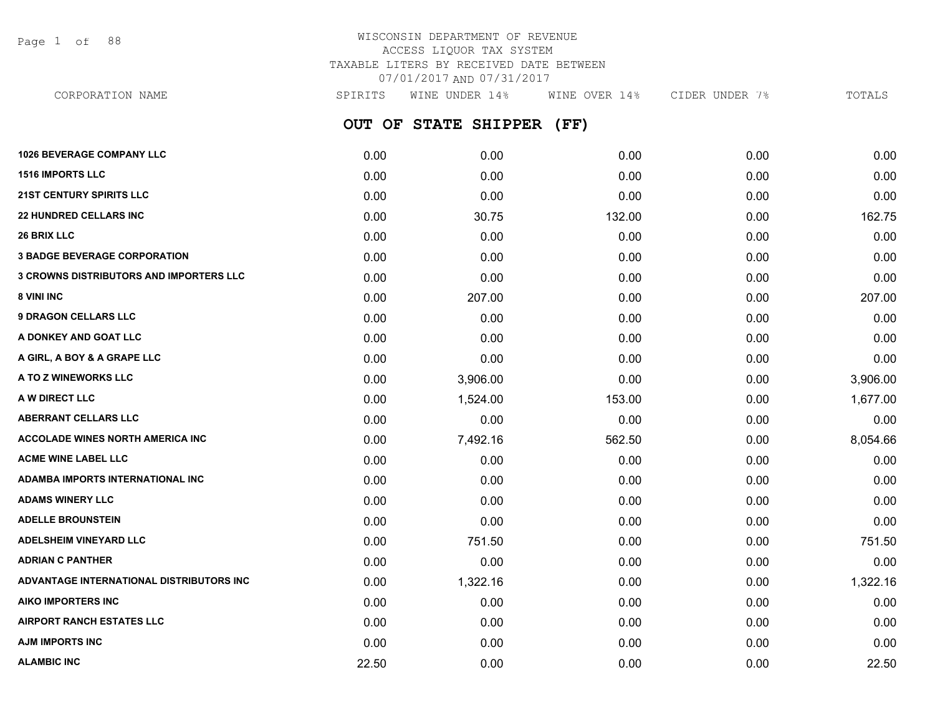Page 1 of 88

# WISCONSIN DEPARTMENT OF REVENUE ACCESS LIQUOR TAX SYSTEM TAXABLE LITERS BY RECEIVED DATE BETWEEN 07/01/2017 AND 07/31/2017

**OUT OF STATE SHIPPER (FF) 1026 BEVERAGE COMPANY LLC** 0.00 0.00 0.00 0.00 0.00 **1516 IMPORTS LLC** 0.00 0.00 0.00 0.00 0.00 **21ST CENTURY SPIRITS LLC** 0.00 0.00 0.00 0.00 0.00 **22 HUNDRED CELLARS INC** 162.75 132.00 30.75 132.00 30.75 132.00 0.00 162.75 CORPORATION NAME SPIRITS WINE UNDER 14% WINE OVER 14% CIDER UNDER 7% TOTALS

**26 BRIX LLC** 0.00 0.00 0.00 0.00 0.00 **3 BADGE BEVERAGE CORPORATION** 0.00 0.00 0.00 0.00 0.00 **3 CROWNS DISTRIBUTORS AND IMPORTERS LLC** 0.00 0.00 0.00 0.00 0.00 **8 VINI INC** 6.00 **207.00 0.00 0.00 0.00 0.00 0.00 0.00 0.00 0.00 207.00 9 DRAGON CELLARS LLC** 0.00 0.00 0.00 0.00 0.00 **A DONKEY AND GOAT LLC** 0.00 0.00 0.00 0.00 0.00 **A GIRL, A BOY & A GRAPE LLC** 0.00 0.00 0.00 0.00 0.00 **A TO Z WINEWORKS LLC** 0.00 3,906.00 0.00 3,906.00 **A W DIRECT LLC** 0.00 1,524.00 153.00 0.00 1,677.00 **ABERRANT CELLARS LLC** 0.00 0.00 0.00 0.00 0.00 **ACCOLADE WINES NORTH AMERICA INC 10.00 1.492.16** 562.50 **562.50** 0.00 8.054.66 **ACME WINE LABEL LLC** 0.00 0.00 0.00 0.00 0.00 **ADAMBA IMPORTS INTERNATIONAL INC** 0.00 0.00 0.00 0.00 0.00 **ADAMS WINERY LLC** 0.00 0.00 0.00 0.00 0.00 **ADELLE BROUNSTEIN** 0.00 0.00 0.00 0.00 0.00 **ADELSHEIM VINEYARD LLC** 0.00 751.50 0.00 0.00 751.50 **ADRIAN C PANTHER** 0.00 0.00 0.00 0.00 0.00 **ADVANTAGE INTERNATIONAL DISTRIBUTORS INC** 0.00 1,322.16 0.00 0.00 1,322.16 **AIKO IMPORTERS INC** 0.00 0.00 0.00 0.00 0.00

**AIRPORT RANCH ESTATES LLC** 0.00 0.00 0.00 0.00 0.00 **AJM IMPORTS INC** 0.00 0.00 0.00 0.00 0.00 **ALAMBIC INC** 22.50 0.00 0.00 0.00 22.50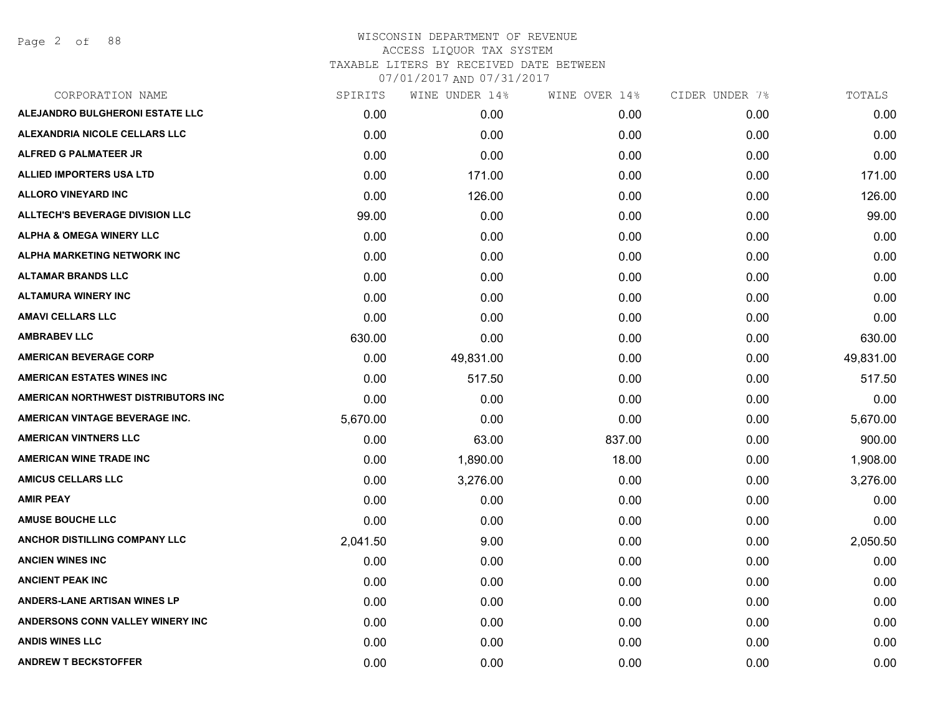Page 2 of 88

| CORPORATION NAME                       | SPIRITS  | WINE UNDER 14% | WINE OVER 14% | CIDER UNDER 7% | TOTALS    |
|----------------------------------------|----------|----------------|---------------|----------------|-----------|
| ALEJANDRO BULGHERONI ESTATE LLC        | 0.00     | 0.00           | 0.00          | 0.00           | 0.00      |
| <b>ALEXANDRIA NICOLE CELLARS LLC</b>   | 0.00     | 0.00           | 0.00          | 0.00           | 0.00      |
| ALFRED G PALMATEER JR                  | 0.00     | 0.00           | 0.00          | 0.00           | 0.00      |
| ALLIED IMPORTERS USA LTD               | 0.00     | 171.00         | 0.00          | 0.00           | 171.00    |
| <b>ALLORO VINEYARD INC</b>             | 0.00     | 126.00         | 0.00          | 0.00           | 126.00    |
| <b>ALLTECH'S BEVERAGE DIVISION LLC</b> | 99.00    | 0.00           | 0.00          | 0.00           | 99.00     |
| <b>ALPHA &amp; OMEGA WINERY LLC</b>    | 0.00     | 0.00           | 0.00          | 0.00           | 0.00      |
| ALPHA MARKETING NETWORK INC            | 0.00     | 0.00           | 0.00          | 0.00           | 0.00      |
| <b>ALTAMAR BRANDS LLC</b>              | 0.00     | 0.00           | 0.00          | 0.00           | 0.00      |
| <b>ALTAMURA WINERY INC</b>             | 0.00     | 0.00           | 0.00          | 0.00           | 0.00      |
| <b>AMAVI CELLARS LLC</b>               | 0.00     | 0.00           | 0.00          | 0.00           | 0.00      |
| <b>AMBRABEV LLC</b>                    | 630.00   | 0.00           | 0.00          | 0.00           | 630.00    |
| <b>AMERICAN BEVERAGE CORP</b>          | 0.00     | 49,831.00      | 0.00          | 0.00           | 49,831.00 |
| <b>AMERICAN ESTATES WINES INC</b>      | 0.00     | 517.50         | 0.00          | 0.00           | 517.50    |
| AMERICAN NORTHWEST DISTRIBUTORS INC    | 0.00     | 0.00           | 0.00          | 0.00           | 0.00      |
| AMERICAN VINTAGE BEVERAGE INC.         | 5,670.00 | 0.00           | 0.00          | 0.00           | 5,670.00  |
| <b>AMERICAN VINTNERS LLC</b>           | 0.00     | 63.00          | 837.00        | 0.00           | 900.00    |
| <b>AMERICAN WINE TRADE INC</b>         | 0.00     | 1,890.00       | 18.00         | 0.00           | 1,908.00  |
| <b>AMICUS CELLARS LLC</b>              | 0.00     | 3,276.00       | 0.00          | 0.00           | 3,276.00  |
| <b>AMIR PEAY</b>                       | 0.00     | 0.00           | 0.00          | 0.00           | 0.00      |
| <b>AMUSE BOUCHE LLC</b>                | 0.00     | 0.00           | 0.00          | 0.00           | 0.00      |
| <b>ANCHOR DISTILLING COMPANY LLC</b>   | 2,041.50 | 9.00           | 0.00          | 0.00           | 2,050.50  |
| <b>ANCIEN WINES INC</b>                | 0.00     | 0.00           | 0.00          | 0.00           | 0.00      |
| <b>ANCIENT PEAK INC</b>                | 0.00     | 0.00           | 0.00          | 0.00           | 0.00      |
| <b>ANDERS-LANE ARTISAN WINES LP</b>    | 0.00     | 0.00           | 0.00          | 0.00           | 0.00      |
| ANDERSONS CONN VALLEY WINERY INC       | 0.00     | 0.00           | 0.00          | 0.00           | 0.00      |
| <b>ANDIS WINES LLC</b>                 | 0.00     | 0.00           | 0.00          | 0.00           | 0.00      |
| <b>ANDREW T BECKSTOFFER</b>            | 0.00     | 0.00           | 0.00          | 0.00           | 0.00      |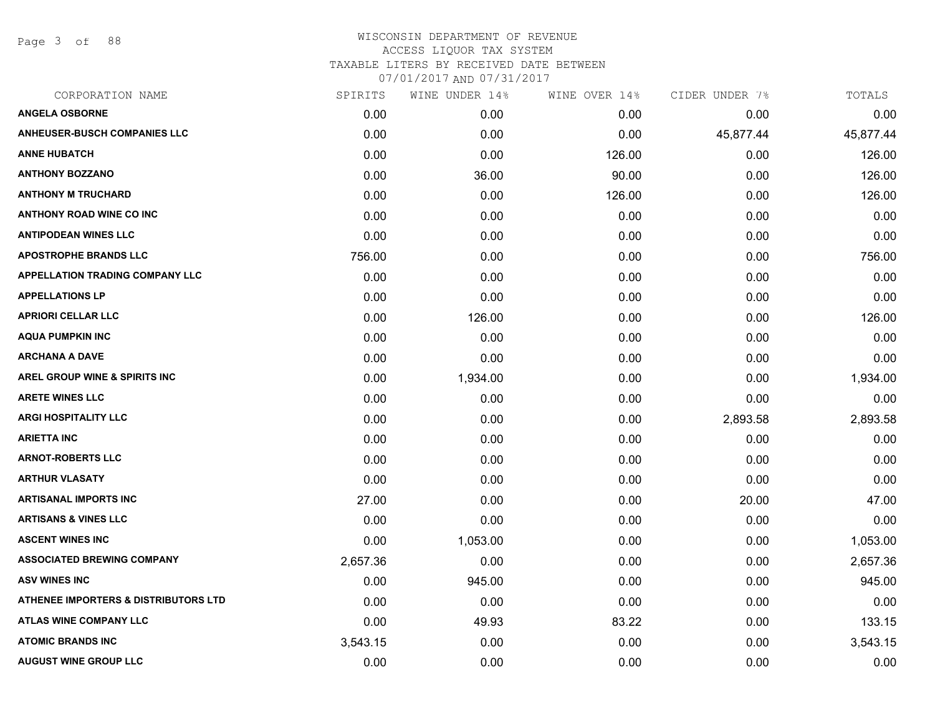Page 3 of 88

| SPIRITS  | WINE UNDER 14% | WINE OVER 14% | CIDER UNDER 7% | TOTALS    |
|----------|----------------|---------------|----------------|-----------|
| 0.00     | 0.00           | 0.00          | 0.00           | 0.00      |
| 0.00     | 0.00           | 0.00          | 45,877.44      | 45,877.44 |
| 0.00     | 0.00           | 126.00        | 0.00           | 126.00    |
| 0.00     | 36.00          | 90.00         | 0.00           | 126.00    |
| 0.00     | 0.00           | 126.00        | 0.00           | 126.00    |
| 0.00     | 0.00           | 0.00          | 0.00           | 0.00      |
| 0.00     | 0.00           | 0.00          | 0.00           | 0.00      |
| 756.00   | 0.00           | 0.00          | 0.00           | 756.00    |
| 0.00     | 0.00           | 0.00          | 0.00           | 0.00      |
| 0.00     | 0.00           | 0.00          | 0.00           | 0.00      |
| 0.00     | 126.00         | 0.00          | 0.00           | 126.00    |
| 0.00     | 0.00           | 0.00          | 0.00           | 0.00      |
| 0.00     | 0.00           | 0.00          | 0.00           | 0.00      |
| 0.00     | 1,934.00       | 0.00          | 0.00           | 1,934.00  |
| 0.00     | 0.00           | 0.00          | 0.00           | 0.00      |
| 0.00     | 0.00           | 0.00          | 2,893.58       | 2,893.58  |
| 0.00     | 0.00           | 0.00          | 0.00           | 0.00      |
| 0.00     | 0.00           | 0.00          | 0.00           | 0.00      |
| 0.00     | 0.00           | 0.00          | 0.00           | 0.00      |
| 27.00    | 0.00           | 0.00          | 20.00          | 47.00     |
| 0.00     | 0.00           | 0.00          | 0.00           | 0.00      |
| 0.00     | 1,053.00       | 0.00          | 0.00           | 1,053.00  |
| 2,657.36 | 0.00           | 0.00          | 0.00           | 2,657.36  |
| 0.00     | 945.00         | 0.00          | 0.00           | 945.00    |
| 0.00     | 0.00           | 0.00          | 0.00           | 0.00      |
| 0.00     | 49.93          | 83.22         | 0.00           | 133.15    |
| 3,543.15 | 0.00           | 0.00          | 0.00           | 3,543.15  |
| 0.00     | 0.00           | 0.00          | 0.00           | 0.00      |
|          |                |               |                |           |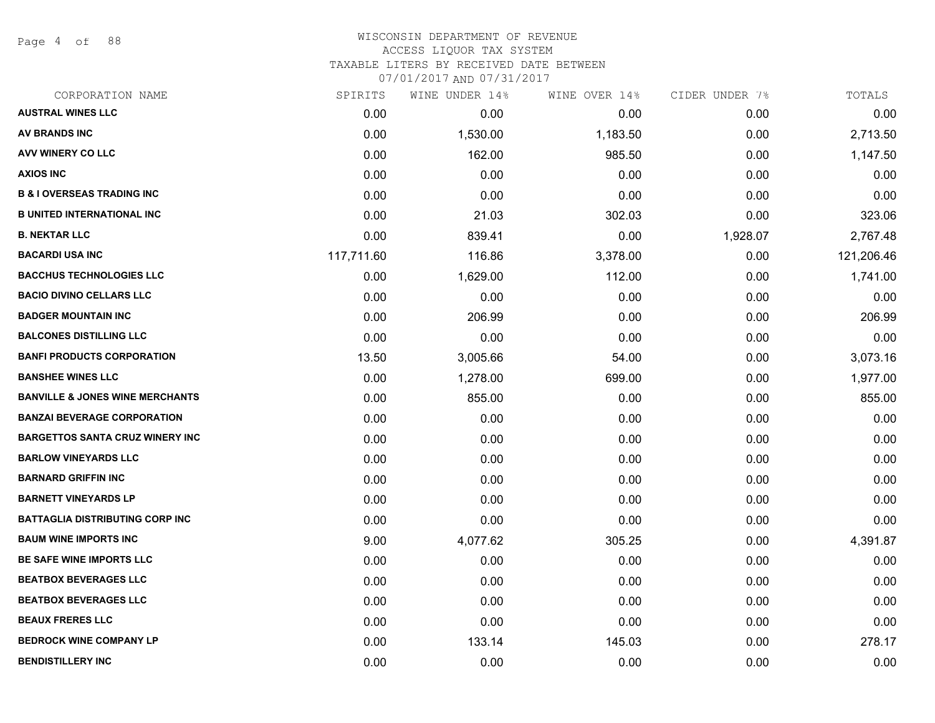Page 4 of 88

## WISCONSIN DEPARTMENT OF REVENUE ACCESS LIQUOR TAX SYSTEM TAXABLE LITERS BY RECEIVED DATE BETWEEN

| CORPORATION NAME                           | SPIRITS    | WINE UNDER 14% | WINE OVER 14% | CIDER UNDER 7% | TOTALS     |
|--------------------------------------------|------------|----------------|---------------|----------------|------------|
| <b>AUSTRAL WINES LLC</b>                   | 0.00       | 0.00           | 0.00          | 0.00           | 0.00       |
| <b>AV BRANDS INC</b>                       | 0.00       | 1,530.00       | 1,183.50      | 0.00           | 2,713.50   |
| AVV WINERY CO LLC                          | 0.00       | 162.00         | 985.50        | 0.00           | 1,147.50   |
| <b>AXIOS INC</b>                           | 0.00       | 0.00           | 0.00          | 0.00           | 0.00       |
| <b>B &amp; I OVERSEAS TRADING INC</b>      | 0.00       | 0.00           | 0.00          | 0.00           | 0.00       |
| <b>B UNITED INTERNATIONAL INC</b>          | 0.00       | 21.03          | 302.03        | 0.00           | 323.06     |
| <b>B. NEKTAR LLC</b>                       | 0.00       | 839.41         | 0.00          | 1,928.07       | 2,767.48   |
| <b>BACARDI USA INC</b>                     | 117,711.60 | 116.86         | 3,378.00      | 0.00           | 121,206.46 |
| <b>BACCHUS TECHNOLOGIES LLC</b>            | 0.00       | 1,629.00       | 112.00        | 0.00           | 1,741.00   |
| <b>BACIO DIVINO CELLARS LLC</b>            | 0.00       | 0.00           | 0.00          | 0.00           | 0.00       |
| <b>BADGER MOUNTAIN INC</b>                 | 0.00       | 206.99         | 0.00          | 0.00           | 206.99     |
| <b>BALCONES DISTILLING LLC</b>             | 0.00       | 0.00           | 0.00          | 0.00           | 0.00       |
| <b>BANFI PRODUCTS CORPORATION</b>          | 13.50      | 3,005.66       | 54.00         | 0.00           | 3,073.16   |
| <b>BANSHEE WINES LLC</b>                   | 0.00       | 1,278.00       | 699.00        | 0.00           | 1,977.00   |
| <b>BANVILLE &amp; JONES WINE MERCHANTS</b> | 0.00       | 855.00         | 0.00          | 0.00           | 855.00     |
| <b>BANZAI BEVERAGE CORPORATION</b>         | 0.00       | 0.00           | 0.00          | 0.00           | 0.00       |
| <b>BARGETTOS SANTA CRUZ WINERY INC</b>     | 0.00       | 0.00           | 0.00          | 0.00           | 0.00       |
| <b>BARLOW VINEYARDS LLC</b>                | 0.00       | 0.00           | 0.00          | 0.00           | 0.00       |
| <b>BARNARD GRIFFIN INC</b>                 | 0.00       | 0.00           | 0.00          | 0.00           | 0.00       |
| <b>BARNETT VINEYARDS LP</b>                | 0.00       | 0.00           | 0.00          | 0.00           | 0.00       |
| BATTAGLIA DISTRIBUTING CORP INC            | 0.00       | 0.00           | 0.00          | 0.00           | 0.00       |
| <b>BAUM WINE IMPORTS INC</b>               | 9.00       | 4,077.62       | 305.25        | 0.00           | 4,391.87   |
| <b>BE SAFE WINE IMPORTS LLC</b>            | 0.00       | 0.00           | 0.00          | 0.00           | 0.00       |
| <b>BEATBOX BEVERAGES LLC</b>               | 0.00       | 0.00           | 0.00          | 0.00           | 0.00       |
| <b>BEATBOX BEVERAGES LLC</b>               | 0.00       | 0.00           | 0.00          | 0.00           | 0.00       |
| <b>BEAUX FRERES LLC</b>                    | 0.00       | 0.00           | 0.00          | 0.00           | 0.00       |
| <b>BEDROCK WINE COMPANY LP</b>             | 0.00       | 133.14         | 145.03        | 0.00           | 278.17     |
| <b>BENDISTILLERY INC</b>                   | 0.00       | 0.00           | 0.00          | 0.00           | 0.00       |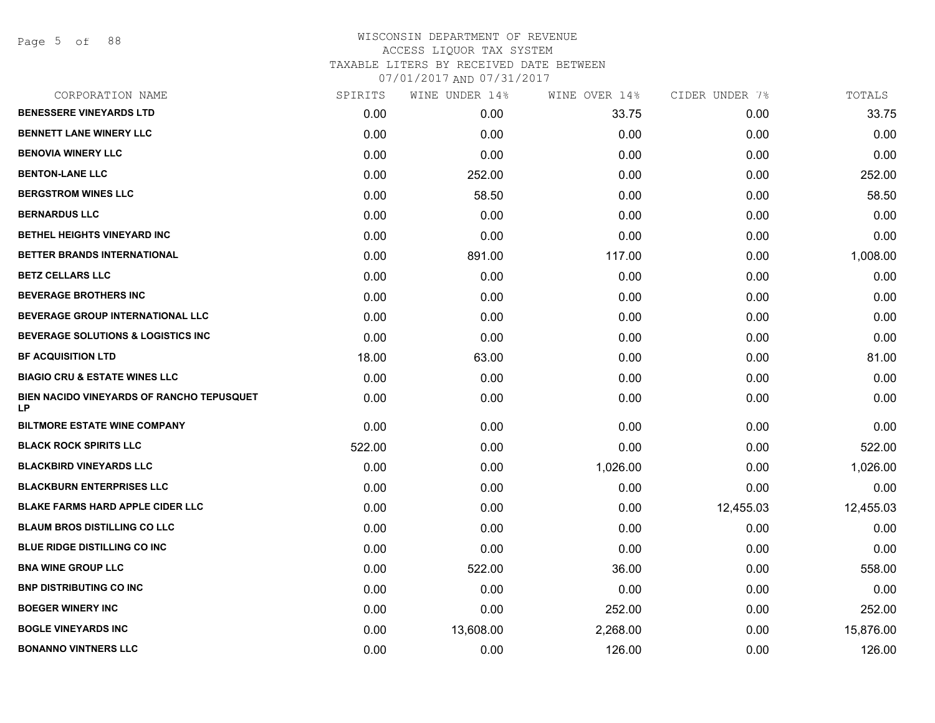Page 5 of 88

| CORPORATION NAME                                | SPIRITS | WINE UNDER 14% | WINE OVER 14% | CIDER UNDER 7% | TOTALS    |
|-------------------------------------------------|---------|----------------|---------------|----------------|-----------|
| <b>BENESSERE VINEYARDS LTD</b>                  | 0.00    | 0.00           | 33.75         | 0.00           | 33.75     |
| <b>BENNETT LANE WINERY LLC</b>                  | 0.00    | 0.00           | 0.00          | 0.00           | 0.00      |
| <b>BENOVIA WINERY LLC</b>                       | 0.00    | 0.00           | 0.00          | 0.00           | 0.00      |
| <b>BENTON-LANE LLC</b>                          | 0.00    | 252.00         | 0.00          | 0.00           | 252.00    |
| <b>BERGSTROM WINES LLC</b>                      | 0.00    | 58.50          | 0.00          | 0.00           | 58.50     |
| <b>BERNARDUS LLC</b>                            | 0.00    | 0.00           | 0.00          | 0.00           | 0.00      |
| <b>BETHEL HEIGHTS VINEYARD INC</b>              | 0.00    | 0.00           | 0.00          | 0.00           | 0.00      |
| BETTER BRANDS INTERNATIONAL                     | 0.00    | 891.00         | 117.00        | 0.00           | 1,008.00  |
| <b>BETZ CELLARS LLC</b>                         | 0.00    | 0.00           | 0.00          | 0.00           | 0.00      |
| <b>BEVERAGE BROTHERS INC</b>                    | 0.00    | 0.00           | 0.00          | 0.00           | 0.00      |
| <b>BEVERAGE GROUP INTERNATIONAL LLC</b>         | 0.00    | 0.00           | 0.00          | 0.00           | 0.00      |
| <b>BEVERAGE SOLUTIONS &amp; LOGISTICS INC</b>   | 0.00    | 0.00           | 0.00          | 0.00           | 0.00      |
| <b>BF ACQUISITION LTD</b>                       | 18.00   | 63.00          | 0.00          | 0.00           | 81.00     |
| <b>BIAGIO CRU &amp; ESTATE WINES LLC</b>        | 0.00    | 0.00           | 0.00          | 0.00           | 0.00      |
| BIEN NACIDO VINEYARDS OF RANCHO TEPUSQUET<br>LP | 0.00    | 0.00           | 0.00          | 0.00           | 0.00      |
| <b>BILTMORE ESTATE WINE COMPANY</b>             | 0.00    | 0.00           | 0.00          | 0.00           | 0.00      |
| <b>BLACK ROCK SPIRITS LLC</b>                   | 522.00  | 0.00           | 0.00          | 0.00           | 522.00    |
| <b>BLACKBIRD VINEYARDS LLC</b>                  | 0.00    | 0.00           | 1,026.00      | 0.00           | 1,026.00  |
| <b>BLACKBURN ENTERPRISES LLC</b>                | 0.00    | 0.00           | 0.00          | 0.00           | 0.00      |
| <b>BLAKE FARMS HARD APPLE CIDER LLC</b>         | 0.00    | 0.00           | 0.00          | 12,455.03      | 12,455.03 |
| <b>BLAUM BROS DISTILLING CO LLC</b>             | 0.00    | 0.00           | 0.00          | 0.00           | 0.00      |
| <b>BLUE RIDGE DISTILLING CO INC</b>             | 0.00    | 0.00           | 0.00          | 0.00           | 0.00      |
| <b>BNA WINE GROUP LLC</b>                       | 0.00    | 522.00         | 36.00         | 0.00           | 558.00    |
| <b>BNP DISTRIBUTING CO INC</b>                  | 0.00    | 0.00           | 0.00          | 0.00           | 0.00      |
| <b>BOEGER WINERY INC</b>                        | 0.00    | 0.00           | 252.00        | 0.00           | 252.00    |
| <b>BOGLE VINEYARDS INC</b>                      | 0.00    | 13,608.00      | 2,268.00      | 0.00           | 15,876.00 |
| <b>BONANNO VINTNERS LLC</b>                     | 0.00    | 0.00           | 126.00        | 0.00           | 126.00    |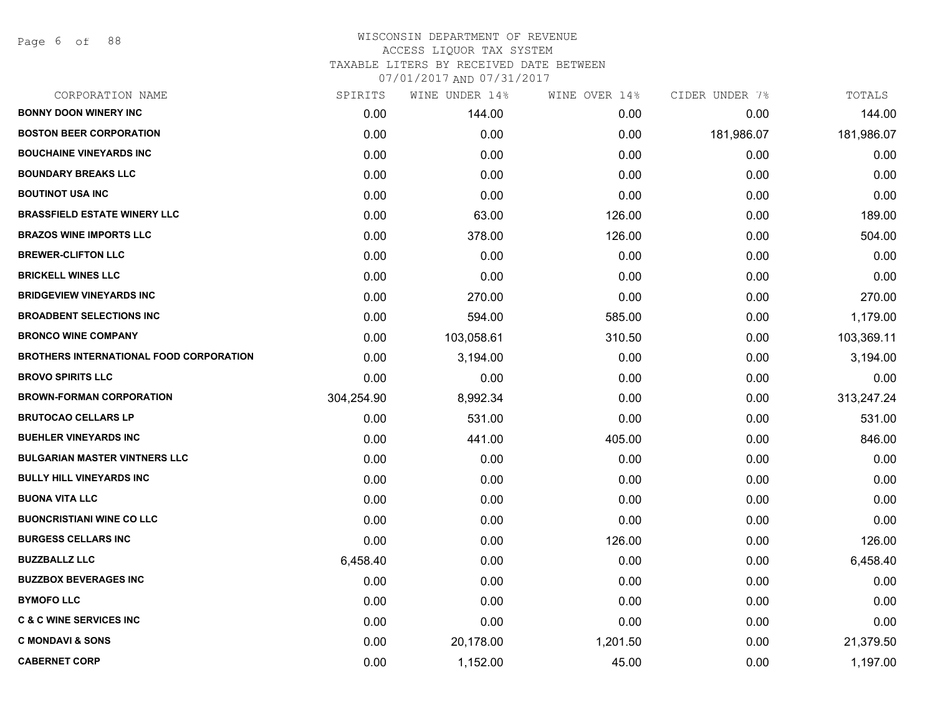Page 6 of 88

| CORPORATION NAME                               | SPIRITS    | WINE UNDER 14% | WINE OVER 14% | CIDER UNDER 7% | TOTALS     |
|------------------------------------------------|------------|----------------|---------------|----------------|------------|
| <b>BONNY DOON WINERY INC</b>                   | 0.00       | 144.00         | 0.00          | 0.00           | 144.00     |
| <b>BOSTON BEER CORPORATION</b>                 | 0.00       | 0.00           | 0.00          | 181,986.07     | 181,986.07 |
| <b>BOUCHAINE VINEYARDS INC</b>                 | 0.00       | 0.00           | 0.00          | 0.00           | 0.00       |
| <b>BOUNDARY BREAKS LLC</b>                     | 0.00       | 0.00           | 0.00          | 0.00           | 0.00       |
| <b>BOUTINOT USA INC</b>                        | 0.00       | 0.00           | 0.00          | 0.00           | 0.00       |
| <b>BRASSFIELD ESTATE WINERY LLC</b>            | 0.00       | 63.00          | 126.00        | 0.00           | 189.00     |
| <b>BRAZOS WINE IMPORTS LLC</b>                 | 0.00       | 378.00         | 126.00        | 0.00           | 504.00     |
| <b>BREWER-CLIFTON LLC</b>                      | 0.00       | 0.00           | 0.00          | 0.00           | 0.00       |
| <b>BRICKELL WINES LLC</b>                      | 0.00       | 0.00           | 0.00          | 0.00           | 0.00       |
| <b>BRIDGEVIEW VINEYARDS INC</b>                | 0.00       | 270.00         | 0.00          | 0.00           | 270.00     |
| <b>BROADBENT SELECTIONS INC</b>                | 0.00       | 594.00         | 585.00        | 0.00           | 1,179.00   |
| <b>BRONCO WINE COMPANY</b>                     | 0.00       | 103,058.61     | 310.50        | 0.00           | 103,369.11 |
| <b>BROTHERS INTERNATIONAL FOOD CORPORATION</b> | 0.00       | 3,194.00       | 0.00          | 0.00           | 3,194.00   |
| <b>BROVO SPIRITS LLC</b>                       | 0.00       | 0.00           | 0.00          | 0.00           | 0.00       |
| <b>BROWN-FORMAN CORPORATION</b>                | 304,254.90 | 8,992.34       | 0.00          | 0.00           | 313,247.24 |
| <b>BRUTOCAO CELLARS LP</b>                     | 0.00       | 531.00         | 0.00          | 0.00           | 531.00     |
| <b>BUEHLER VINEYARDS INC</b>                   | 0.00       | 441.00         | 405.00        | 0.00           | 846.00     |
| <b>BULGARIAN MASTER VINTNERS LLC</b>           | 0.00       | 0.00           | 0.00          | 0.00           | 0.00       |
| <b>BULLY HILL VINEYARDS INC</b>                | 0.00       | 0.00           | 0.00          | 0.00           | 0.00       |
| <b>BUONA VITA LLC</b>                          | 0.00       | 0.00           | 0.00          | 0.00           | 0.00       |
| <b>BUONCRISTIANI WINE CO LLC</b>               | 0.00       | 0.00           | 0.00          | 0.00           | 0.00       |
| <b>BURGESS CELLARS INC</b>                     | 0.00       | 0.00           | 126.00        | 0.00           | 126.00     |
| <b>BUZZBALLZ LLC</b>                           | 6,458.40   | 0.00           | 0.00          | 0.00           | 6,458.40   |
| <b>BUZZBOX BEVERAGES INC</b>                   | 0.00       | 0.00           | 0.00          | 0.00           | 0.00       |
| <b>BYMOFO LLC</b>                              | 0.00       | 0.00           | 0.00          | 0.00           | 0.00       |
| <b>C &amp; C WINE SERVICES INC</b>             | 0.00       | 0.00           | 0.00          | 0.00           | 0.00       |
| <b>C MONDAVI &amp; SONS</b>                    | 0.00       | 20,178.00      | 1,201.50      | 0.00           | 21,379.50  |
| <b>CABERNET CORP</b>                           | 0.00       | 1,152.00       | 45.00         | 0.00           | 1,197.00   |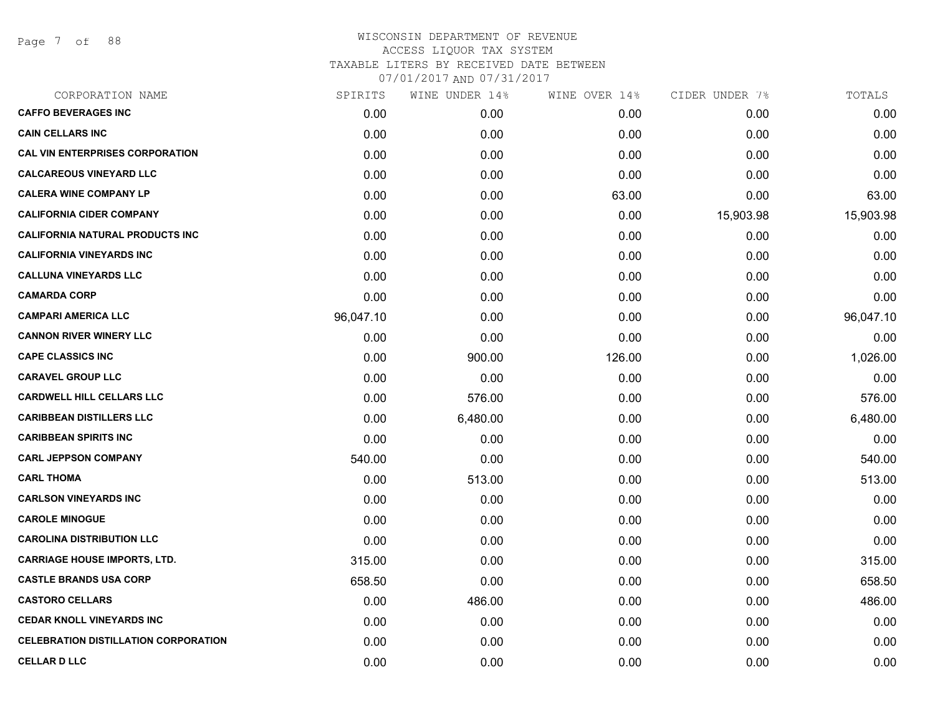Page 7 of 88

| CORPORATION NAME                            | SPIRITS   | WINE UNDER 14% | WINE OVER 14% | CIDER UNDER 7% | TOTALS    |
|---------------------------------------------|-----------|----------------|---------------|----------------|-----------|
| <b>CAFFO BEVERAGES INC</b>                  | 0.00      | 0.00           | 0.00          | 0.00           | 0.00      |
| <b>CAIN CELLARS INC</b>                     | 0.00      | 0.00           | 0.00          | 0.00           | 0.00      |
| <b>CAL VIN ENTERPRISES CORPORATION</b>      | 0.00      | 0.00           | 0.00          | 0.00           | 0.00      |
| <b>CALCAREOUS VINEYARD LLC</b>              | 0.00      | 0.00           | 0.00          | 0.00           | 0.00      |
| <b>CALERA WINE COMPANY LP</b>               | 0.00      | 0.00           | 63.00         | 0.00           | 63.00     |
| <b>CALIFORNIA CIDER COMPANY</b>             | 0.00      | 0.00           | 0.00          | 15,903.98      | 15,903.98 |
| <b>CALIFORNIA NATURAL PRODUCTS INC</b>      | 0.00      | 0.00           | 0.00          | 0.00           | 0.00      |
| <b>CALIFORNIA VINEYARDS INC</b>             | 0.00      | 0.00           | 0.00          | 0.00           | 0.00      |
| <b>CALLUNA VINEYARDS LLC</b>                | 0.00      | 0.00           | 0.00          | 0.00           | 0.00      |
| <b>CAMARDA CORP</b>                         | 0.00      | 0.00           | 0.00          | 0.00           | 0.00      |
| <b>CAMPARI AMERICA LLC</b>                  | 96,047.10 | 0.00           | 0.00          | 0.00           | 96,047.10 |
| <b>CANNON RIVER WINERY LLC</b>              | 0.00      | 0.00           | 0.00          | 0.00           | 0.00      |
| <b>CAPE CLASSICS INC</b>                    | 0.00      | 900.00         | 126.00        | 0.00           | 1,026.00  |
| <b>CARAVEL GROUP LLC</b>                    | 0.00      | 0.00           | 0.00          | 0.00           | 0.00      |
| <b>CARDWELL HILL CELLARS LLC</b>            | 0.00      | 576.00         | 0.00          | 0.00           | 576.00    |
| <b>CARIBBEAN DISTILLERS LLC</b>             | 0.00      | 6,480.00       | 0.00          | 0.00           | 6,480.00  |
| <b>CARIBBEAN SPIRITS INC</b>                | 0.00      | 0.00           | 0.00          | 0.00           | 0.00      |
| <b>CARL JEPPSON COMPANY</b>                 | 540.00    | 0.00           | 0.00          | 0.00           | 540.00    |
| <b>CARL THOMA</b>                           | 0.00      | 513.00         | 0.00          | 0.00           | 513.00    |
| <b>CARLSON VINEYARDS INC</b>                | 0.00      | 0.00           | 0.00          | 0.00           | 0.00      |
| <b>CAROLE MINOGUE</b>                       | 0.00      | 0.00           | 0.00          | 0.00           | 0.00      |
| <b>CAROLINA DISTRIBUTION LLC</b>            | 0.00      | 0.00           | 0.00          | 0.00           | 0.00      |
| <b>CARRIAGE HOUSE IMPORTS, LTD.</b>         | 315.00    | 0.00           | 0.00          | 0.00           | 315.00    |
| <b>CASTLE BRANDS USA CORP</b>               | 658.50    | 0.00           | 0.00          | 0.00           | 658.50    |
| <b>CASTORO CELLARS</b>                      | 0.00      | 486.00         | 0.00          | 0.00           | 486.00    |
| <b>CEDAR KNOLL VINEYARDS INC</b>            | 0.00      | 0.00           | 0.00          | 0.00           | 0.00      |
| <b>CELEBRATION DISTILLATION CORPORATION</b> | 0.00      | 0.00           | 0.00          | 0.00           | 0.00      |
| <b>CELLAR D LLC</b>                         | 0.00      | 0.00           | 0.00          | 0.00           | 0.00      |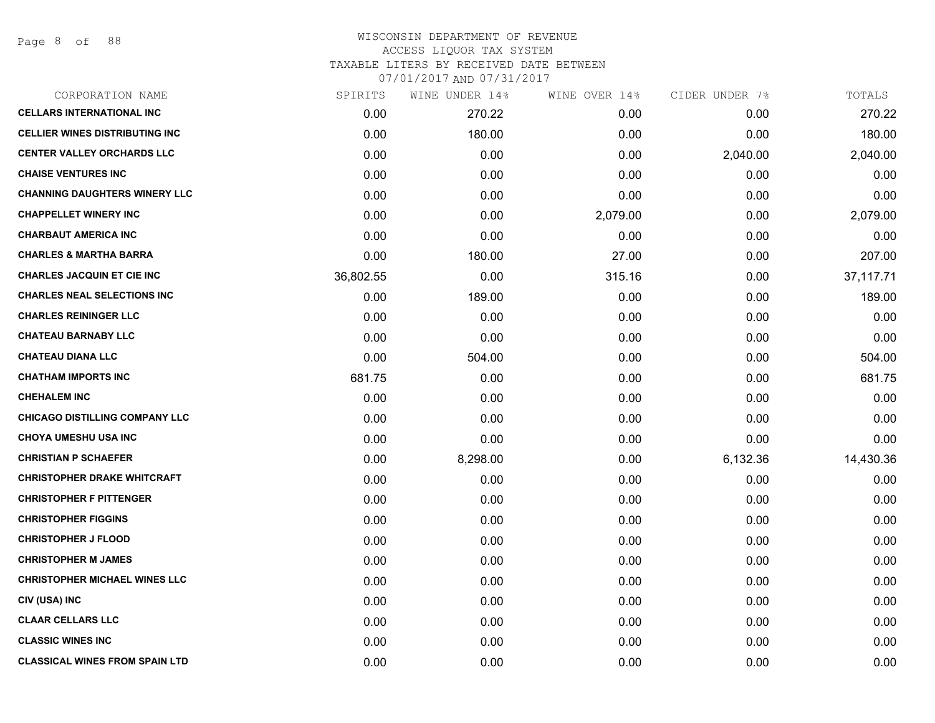# WISCONSIN DEPARTMENT OF REVENUE ACCESS LIQUOR TAX SYSTEM TAXABLE LITERS BY RECEIVED DATE BETWEEN

| CORPORATION NAME                       | SPIRITS   | WINE UNDER 14% | WINE OVER 14% | CIDER UNDER 7% | TOTALS    |
|----------------------------------------|-----------|----------------|---------------|----------------|-----------|
| <b>CELLARS INTERNATIONAL INC</b>       | 0.00      | 270.22         | 0.00          | 0.00           | 270.22    |
| <b>CELLIER WINES DISTRIBUTING INC.</b> | 0.00      | 180.00         | 0.00          | 0.00           | 180.00    |
| <b>CENTER VALLEY ORCHARDS LLC</b>      | 0.00      | 0.00           | 0.00          | 2,040.00       | 2,040.00  |
| <b>CHAISE VENTURES INC</b>             | 0.00      | 0.00           | 0.00          | 0.00           | 0.00      |
| <b>CHANNING DAUGHTERS WINERY LLC</b>   | 0.00      | 0.00           | 0.00          | 0.00           | 0.00      |
| <b>CHAPPELLET WINERY INC</b>           | 0.00      | 0.00           | 2,079.00      | 0.00           | 2,079.00  |
| <b>CHARBAUT AMERICA INC</b>            | 0.00      | 0.00           | 0.00          | 0.00           | 0.00      |
| <b>CHARLES &amp; MARTHA BARRA</b>      | 0.00      | 180.00         | 27.00         | 0.00           | 207.00    |
| <b>CHARLES JACQUIN ET CIE INC</b>      | 36,802.55 | 0.00           | 315.16        | 0.00           | 37,117.71 |
| <b>CHARLES NEAL SELECTIONS INC</b>     | 0.00      | 189.00         | 0.00          | 0.00           | 189.00    |
| <b>CHARLES REININGER LLC</b>           | 0.00      | 0.00           | 0.00          | 0.00           | 0.00      |
| <b>CHATEAU BARNABY LLC</b>             | 0.00      | 0.00           | 0.00          | 0.00           | 0.00      |
| <b>CHATEAU DIANA LLC</b>               | 0.00      | 504.00         | 0.00          | 0.00           | 504.00    |
| <b>CHATHAM IMPORTS INC</b>             | 681.75    | 0.00           | 0.00          | 0.00           | 681.75    |
| <b>CHEHALEM INC</b>                    | 0.00      | 0.00           | 0.00          | 0.00           | 0.00      |
| <b>CHICAGO DISTILLING COMPANY LLC</b>  | 0.00      | 0.00           | 0.00          | 0.00           | 0.00      |
| <b>CHOYA UMESHU USA INC</b>            | 0.00      | 0.00           | 0.00          | 0.00           | 0.00      |
| <b>CHRISTIAN P SCHAEFER</b>            | 0.00      | 8,298.00       | 0.00          | 6,132.36       | 14,430.36 |
| <b>CHRISTOPHER DRAKE WHITCRAFT</b>     | 0.00      | 0.00           | 0.00          | 0.00           | 0.00      |
| <b>CHRISTOPHER F PITTENGER</b>         | 0.00      | 0.00           | 0.00          | 0.00           | 0.00      |
| <b>CHRISTOPHER FIGGINS</b>             | 0.00      | 0.00           | 0.00          | 0.00           | 0.00      |
| <b>CHRISTOPHER J FLOOD</b>             | 0.00      | 0.00           | 0.00          | 0.00           | 0.00      |
| <b>CHRISTOPHER M JAMES</b>             | 0.00      | 0.00           | 0.00          | 0.00           | 0.00      |
| <b>CHRISTOPHER MICHAEL WINES LLC</b>   | 0.00      | 0.00           | 0.00          | 0.00           | 0.00      |
| CIV (USA) INC                          | 0.00      | 0.00           | 0.00          | 0.00           | 0.00      |
| <b>CLAAR CELLARS LLC</b>               | 0.00      | 0.00           | 0.00          | 0.00           | 0.00      |
| <b>CLASSIC WINES INC</b>               | 0.00      | 0.00           | 0.00          | 0.00           | 0.00      |
| <b>CLASSICAL WINES FROM SPAIN LTD</b>  | 0.00      | 0.00           | 0.00          | 0.00           | 0.00      |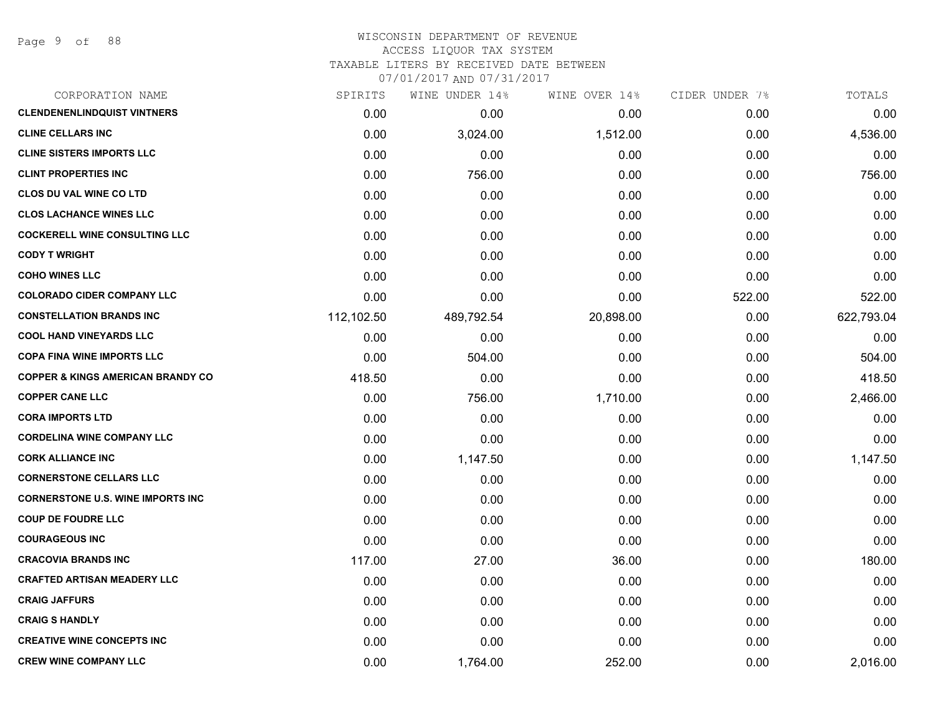# WISCONSIN DEPARTMENT OF REVENUE ACCESS LIQUOR TAX SYSTEM TAXABLE LITERS BY RECEIVED DATE BETWEEN

| CORPORATION NAME                             | SPIRITS    | WINE UNDER 14% | WINE OVER 14% | CIDER UNDER 7% | TOTALS     |
|----------------------------------------------|------------|----------------|---------------|----------------|------------|
| <b>CLENDENENLINDQUIST VINTNERS</b>           | 0.00       | 0.00           | 0.00          | 0.00           | 0.00       |
| <b>CLINE CELLARS INC</b>                     | 0.00       | 3,024.00       | 1,512.00      | 0.00           | 4,536.00   |
| <b>CLINE SISTERS IMPORTS LLC</b>             | 0.00       | 0.00           | 0.00          | 0.00           | 0.00       |
| <b>CLINT PROPERTIES INC</b>                  | 0.00       | 756.00         | 0.00          | 0.00           | 756.00     |
| CLOS DU VAL WINE CO LTD                      | 0.00       | 0.00           | 0.00          | 0.00           | 0.00       |
| <b>CLOS LACHANCE WINES LLC</b>               | 0.00       | 0.00           | 0.00          | 0.00           | 0.00       |
| <b>COCKERELL WINE CONSULTING LLC</b>         | 0.00       | 0.00           | 0.00          | 0.00           | 0.00       |
| <b>CODY T WRIGHT</b>                         | 0.00       | 0.00           | 0.00          | 0.00           | 0.00       |
| <b>COHO WINES LLC</b>                        | 0.00       | 0.00           | 0.00          | 0.00           | 0.00       |
| <b>COLORADO CIDER COMPANY LLC</b>            | 0.00       | 0.00           | 0.00          | 522.00         | 522.00     |
| <b>CONSTELLATION BRANDS INC</b>              | 112,102.50 | 489,792.54     | 20,898.00     | 0.00           | 622,793.04 |
| <b>COOL HAND VINEYARDS LLC</b>               | 0.00       | 0.00           | 0.00          | 0.00           | 0.00       |
| <b>COPA FINA WINE IMPORTS LLC</b>            | 0.00       | 504.00         | 0.00          | 0.00           | 504.00     |
| <b>COPPER &amp; KINGS AMERICAN BRANDY CO</b> | 418.50     | 0.00           | 0.00          | 0.00           | 418.50     |
| <b>COPPER CANE LLC</b>                       | 0.00       | 756.00         | 1,710.00      | 0.00           | 2,466.00   |
| <b>CORA IMPORTS LTD</b>                      | 0.00       | 0.00           | 0.00          | 0.00           | 0.00       |
| <b>CORDELINA WINE COMPANY LLC</b>            | 0.00       | 0.00           | 0.00          | 0.00           | 0.00       |
| <b>CORK ALLIANCE INC</b>                     | 0.00       | 1,147.50       | 0.00          | 0.00           | 1,147.50   |
| <b>CORNERSTONE CELLARS LLC</b>               | 0.00       | 0.00           | 0.00          | 0.00           | 0.00       |
| <b>CORNERSTONE U.S. WINE IMPORTS INC</b>     | 0.00       | 0.00           | 0.00          | 0.00           | 0.00       |
| <b>COUP DE FOUDRE LLC</b>                    | 0.00       | 0.00           | 0.00          | 0.00           | 0.00       |
| <b>COURAGEOUS INC</b>                        | 0.00       | 0.00           | 0.00          | 0.00           | 0.00       |
| <b>CRACOVIA BRANDS INC</b>                   | 117.00     | 27.00          | 36.00         | 0.00           | 180.00     |
| <b>CRAFTED ARTISAN MEADERY LLC</b>           | 0.00       | 0.00           | 0.00          | 0.00           | 0.00       |
| <b>CRAIG JAFFURS</b>                         | 0.00       | 0.00           | 0.00          | 0.00           | 0.00       |
| <b>CRAIG S HANDLY</b>                        | 0.00       | 0.00           | 0.00          | 0.00           | 0.00       |
| <b>CREATIVE WINE CONCEPTS INC</b>            | 0.00       | 0.00           | 0.00          | 0.00           | 0.00       |
| <b>CREW WINE COMPANY LLC</b>                 | 0.00       | 1,764.00       | 252.00        | 0.00           | 2,016.00   |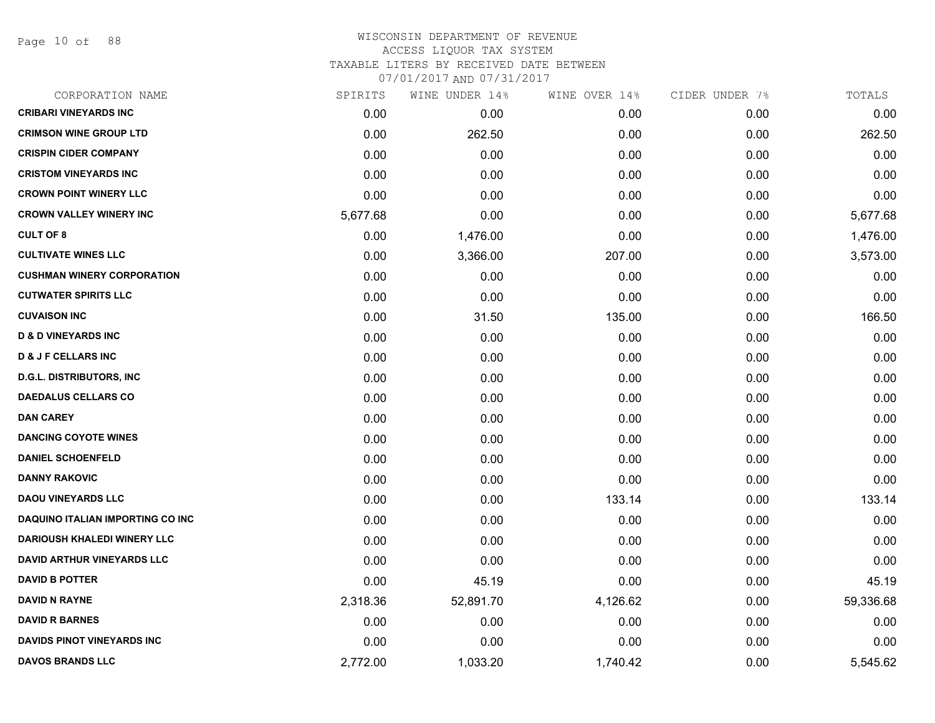Page 10 of 88

# WISCONSIN DEPARTMENT OF REVENUE ACCESS LIQUOR TAX SYSTEM TAXABLE LITERS BY RECEIVED DATE BETWEEN

| CORPORATION NAME                        | SPIRITS  | WINE UNDER 14% | WINE OVER 14% | CIDER UNDER 7% | TOTALS    |
|-----------------------------------------|----------|----------------|---------------|----------------|-----------|
| <b>CRIBARI VINEYARDS INC</b>            | 0.00     | 0.00           | 0.00          | 0.00           | 0.00      |
| <b>CRIMSON WINE GROUP LTD</b>           | 0.00     | 262.50         | 0.00          | 0.00           | 262.50    |
| <b>CRISPIN CIDER COMPANY</b>            | 0.00     | 0.00           | 0.00          | 0.00           | 0.00      |
| <b>CRISTOM VINEYARDS INC</b>            | 0.00     | 0.00           | 0.00          | 0.00           | 0.00      |
| <b>CROWN POINT WINERY LLC</b>           | 0.00     | 0.00           | 0.00          | 0.00           | 0.00      |
| <b>CROWN VALLEY WINERY INC</b>          | 5,677.68 | 0.00           | 0.00          | 0.00           | 5,677.68  |
| <b>CULT OF 8</b>                        | 0.00     | 1,476.00       | 0.00          | 0.00           | 1,476.00  |
| <b>CULTIVATE WINES LLC</b>              | 0.00     | 3,366.00       | 207.00        | 0.00           | 3,573.00  |
| <b>CUSHMAN WINERY CORPORATION</b>       | 0.00     | 0.00           | 0.00          | 0.00           | 0.00      |
| <b>CUTWATER SPIRITS LLC</b>             | 0.00     | 0.00           | 0.00          | 0.00           | 0.00      |
| <b>CUVAISON INC</b>                     | 0.00     | 31.50          | 135.00        | 0.00           | 166.50    |
| <b>D &amp; D VINEYARDS INC</b>          | 0.00     | 0.00           | 0.00          | 0.00           | 0.00      |
| <b>D &amp; J F CELLARS INC</b>          | 0.00     | 0.00           | 0.00          | 0.00           | 0.00      |
| <b>D.G.L. DISTRIBUTORS, INC.</b>        | 0.00     | 0.00           | 0.00          | 0.00           | 0.00      |
| <b>DAEDALUS CELLARS CO</b>              | 0.00     | 0.00           | 0.00          | 0.00           | 0.00      |
| <b>DAN CAREY</b>                        | 0.00     | 0.00           | 0.00          | 0.00           | 0.00      |
| <b>DANCING COYOTE WINES</b>             | 0.00     | 0.00           | 0.00          | 0.00           | 0.00      |
| <b>DANIEL SCHOENFELD</b>                | 0.00     | 0.00           | 0.00          | 0.00           | 0.00      |
| <b>DANNY RAKOVIC</b>                    | 0.00     | 0.00           | 0.00          | 0.00           | 0.00      |
| <b>DAOU VINEYARDS LLC</b>               | 0.00     | 0.00           | 133.14        | 0.00           | 133.14    |
| <b>DAQUINO ITALIAN IMPORTING CO INC</b> | 0.00     | 0.00           | 0.00          | 0.00           | 0.00      |
| <b>DARIOUSH KHALEDI WINERY LLC</b>      | 0.00     | 0.00           | 0.00          | 0.00           | 0.00      |
| <b>DAVID ARTHUR VINEYARDS LLC</b>       | 0.00     | 0.00           | 0.00          | 0.00           | 0.00      |
| <b>DAVID B POTTER</b>                   | 0.00     | 45.19          | 0.00          | 0.00           | 45.19     |
| <b>DAVID N RAYNE</b>                    | 2,318.36 | 52,891.70      | 4,126.62      | 0.00           | 59,336.68 |
| <b>DAVID R BARNES</b>                   | 0.00     | 0.00           | 0.00          | 0.00           | 0.00      |
| <b>DAVIDS PINOT VINEYARDS INC</b>       | 0.00     | 0.00           | 0.00          | 0.00           | 0.00      |
| <b>DAVOS BRANDS LLC</b>                 | 2,772.00 | 1,033.20       | 1,740.42      | 0.00           | 5,545.62  |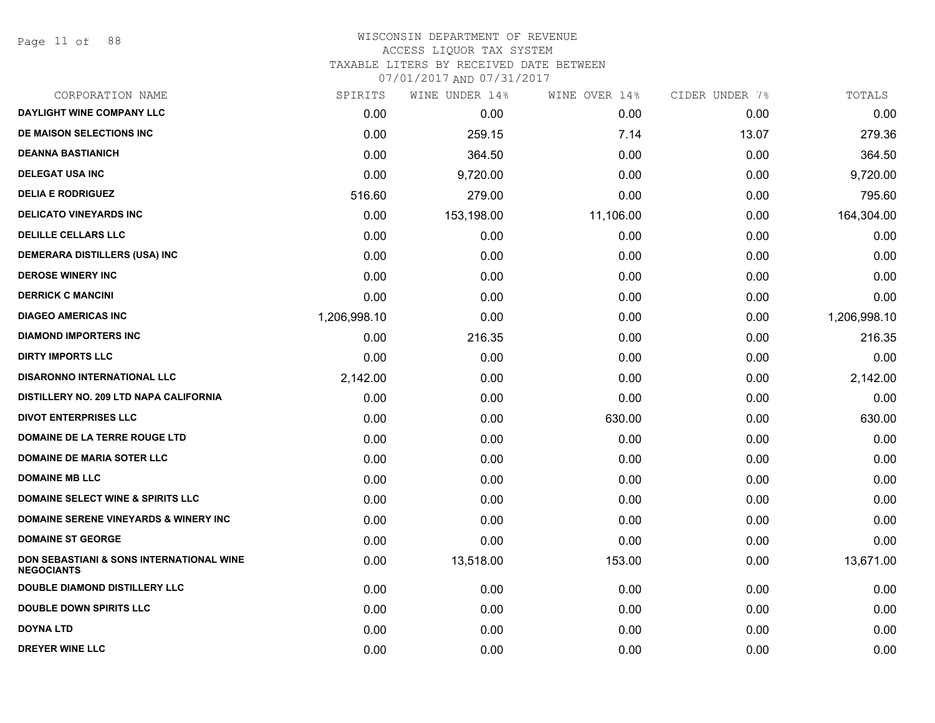Page 11 of 88

### WISCONSIN DEPARTMENT OF REVENUE ACCESS LIQUOR TAX SYSTEM

TAXABLE LITERS BY RECEIVED DATE BETWEEN

| CORPORATION NAME                                                         | SPIRITS      | WINE UNDER 14% | WINE OVER 14% | CIDER UNDER 7% | TOTALS       |
|--------------------------------------------------------------------------|--------------|----------------|---------------|----------------|--------------|
| DAYLIGHT WINE COMPANY LLC                                                | 0.00         | 0.00           | 0.00          | 0.00           | 0.00         |
| DE MAISON SELECTIONS INC                                                 | 0.00         | 259.15         | 7.14          | 13.07          | 279.36       |
| <b>DEANNA BASTIANICH</b>                                                 | 0.00         | 364.50         | 0.00          | 0.00           | 364.50       |
| <b>DELEGAT USA INC</b>                                                   | 0.00         | 9,720.00       | 0.00          | 0.00           | 9,720.00     |
| <b>DELIA E RODRIGUEZ</b>                                                 | 516.60       | 279.00         | 0.00          | 0.00           | 795.60       |
| <b>DELICATO VINEYARDS INC</b>                                            | 0.00         | 153,198.00     | 11,106.00     | 0.00           | 164,304.00   |
| <b>DELILLE CELLARS LLC</b>                                               | 0.00         | 0.00           | 0.00          | 0.00           | 0.00         |
| <b>DEMERARA DISTILLERS (USA) INC</b>                                     | 0.00         | 0.00           | 0.00          | 0.00           | 0.00         |
| <b>DEROSE WINERY INC</b>                                                 | 0.00         | 0.00           | 0.00          | 0.00           | 0.00         |
| <b>DERRICK C MANCINI</b>                                                 | 0.00         | 0.00           | 0.00          | 0.00           | 0.00         |
| <b>DIAGEO AMERICAS INC</b>                                               | 1,206,998.10 | 0.00           | 0.00          | 0.00           | 1,206,998.10 |
| <b>DIAMOND IMPORTERS INC</b>                                             | 0.00         | 216.35         | 0.00          | 0.00           | 216.35       |
| <b>DIRTY IMPORTS LLC</b>                                                 | 0.00         | 0.00           | 0.00          | 0.00           | 0.00         |
| <b>DISARONNO INTERNATIONAL LLC</b>                                       | 2,142.00     | 0.00           | 0.00          | 0.00           | 2,142.00     |
| DISTILLERY NO. 209 LTD NAPA CALIFORNIA                                   | 0.00         | 0.00           | 0.00          | 0.00           | 0.00         |
| <b>DIVOT ENTERPRISES LLC</b>                                             | 0.00         | 0.00           | 630.00        | 0.00           | 630.00       |
| DOMAINE DE LA TERRE ROUGE LTD                                            | 0.00         | 0.00           | 0.00          | 0.00           | 0.00         |
| <b>DOMAINE DE MARIA SOTER LLC</b>                                        | 0.00         | 0.00           | 0.00          | 0.00           | 0.00         |
| <b>DOMAINE MB LLC</b>                                                    | 0.00         | 0.00           | 0.00          | 0.00           | 0.00         |
| <b>DOMAINE SELECT WINE &amp; SPIRITS LLC</b>                             | 0.00         | 0.00           | 0.00          | 0.00           | 0.00         |
| <b>DOMAINE SERENE VINEYARDS &amp; WINERY INC</b>                         | 0.00         | 0.00           | 0.00          | 0.00           | 0.00         |
| <b>DOMAINE ST GEORGE</b>                                                 | 0.00         | 0.00           | 0.00          | 0.00           | 0.00         |
| <b>DON SEBASTIANI &amp; SONS INTERNATIONAL WINE</b><br><b>NEGOCIANTS</b> | 0.00         | 13,518.00      | 153.00        | 0.00           | 13,671.00    |
| <b>DOUBLE DIAMOND DISTILLERY LLC</b>                                     | 0.00         | 0.00           | 0.00          | 0.00           | 0.00         |
| <b>DOUBLE DOWN SPIRITS LLC</b>                                           | 0.00         | 0.00           | 0.00          | 0.00           | 0.00         |
| <b>DOYNA LTD</b>                                                         | 0.00         | 0.00           | 0.00          | 0.00           | 0.00         |
| <b>DREYER WINE LLC</b>                                                   | 0.00         | 0.00           | 0.00          | 0.00           | 0.00         |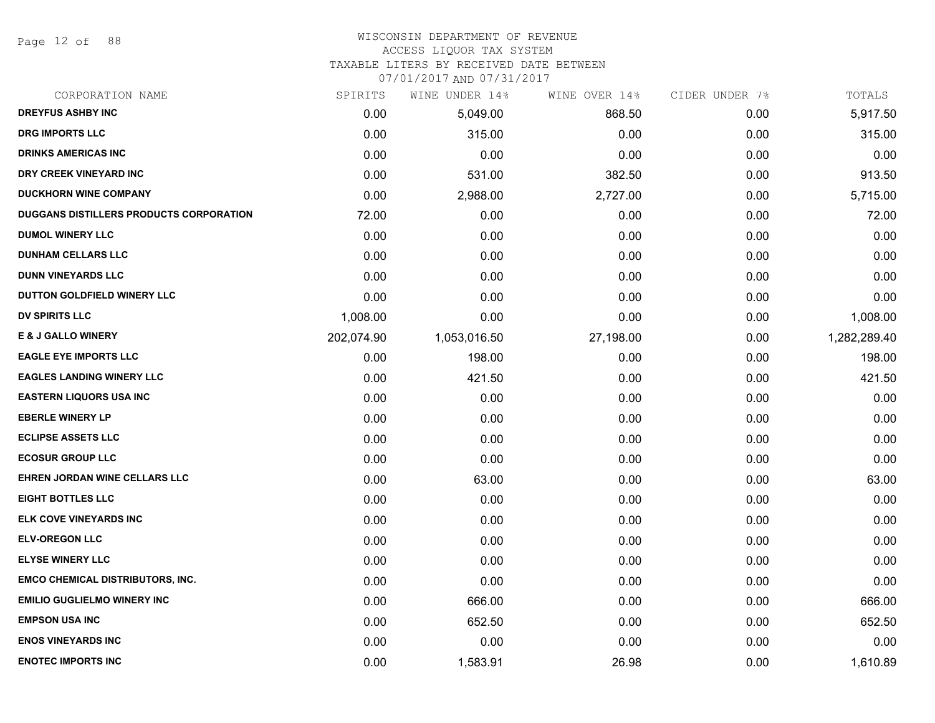Page 12 of 88

# WISCONSIN DEPARTMENT OF REVENUE

#### ACCESS LIQUOR TAX SYSTEM

TAXABLE LITERS BY RECEIVED DATE BETWEEN

| CORPORATION NAME                               | SPIRITS    | WINE UNDER 14% | WINE OVER 14% | CIDER UNDER 7% | TOTALS       |
|------------------------------------------------|------------|----------------|---------------|----------------|--------------|
| <b>DREYFUS ASHBY INC</b>                       | 0.00       | 5,049.00       | 868.50        | 0.00           | 5,917.50     |
| <b>DRG IMPORTS LLC</b>                         | 0.00       | 315.00         | 0.00          | 0.00           | 315.00       |
| <b>DRINKS AMERICAS INC</b>                     | 0.00       | 0.00           | 0.00          | 0.00           | 0.00         |
| DRY CREEK VINEYARD INC                         | 0.00       | 531.00         | 382.50        | 0.00           | 913.50       |
| <b>DUCKHORN WINE COMPANY</b>                   | 0.00       | 2,988.00       | 2,727.00      | 0.00           | 5,715.00     |
| <b>DUGGANS DISTILLERS PRODUCTS CORPORATION</b> | 72.00      | 0.00           | 0.00          | 0.00           | 72.00        |
| <b>DUMOL WINERY LLC</b>                        | 0.00       | 0.00           | 0.00          | 0.00           | 0.00         |
| <b>DUNHAM CELLARS LLC</b>                      | 0.00       | 0.00           | 0.00          | 0.00           | 0.00         |
| <b>DUNN VINEYARDS LLC</b>                      | 0.00       | 0.00           | 0.00          | 0.00           | 0.00         |
| DUTTON GOLDFIELD WINERY LLC                    | 0.00       | 0.00           | 0.00          | 0.00           | 0.00         |
| <b>DV SPIRITS LLC</b>                          | 1,008.00   | 0.00           | 0.00          | 0.00           | 1,008.00     |
| <b>E &amp; J GALLO WINERY</b>                  | 202,074.90 | 1,053,016.50   | 27,198.00     | 0.00           | 1,282,289.40 |
| <b>EAGLE EYE IMPORTS LLC</b>                   | 0.00       | 198.00         | 0.00          | 0.00           | 198.00       |
| <b>EAGLES LANDING WINERY LLC</b>               | 0.00       | 421.50         | 0.00          | 0.00           | 421.50       |
| <b>EASTERN LIQUORS USA INC</b>                 | 0.00       | 0.00           | 0.00          | 0.00           | 0.00         |
| <b>EBERLE WINERY LP</b>                        | 0.00       | 0.00           | 0.00          | 0.00           | 0.00         |
| <b>ECLIPSE ASSETS LLC</b>                      | 0.00       | 0.00           | 0.00          | 0.00           | 0.00         |
| <b>ECOSUR GROUP LLC</b>                        | 0.00       | 0.00           | 0.00          | 0.00           | 0.00         |
| EHREN JORDAN WINE CELLARS LLC                  | 0.00       | 63.00          | 0.00          | 0.00           | 63.00        |
| <b>EIGHT BOTTLES LLC</b>                       | 0.00       | 0.00           | 0.00          | 0.00           | 0.00         |
| ELK COVE VINEYARDS INC                         | 0.00       | 0.00           | 0.00          | 0.00           | 0.00         |
| <b>ELV-OREGON LLC</b>                          | 0.00       | 0.00           | 0.00          | 0.00           | 0.00         |
| <b>ELYSE WINERY LLC</b>                        | 0.00       | 0.00           | 0.00          | 0.00           | 0.00         |
| <b>EMCO CHEMICAL DISTRIBUTORS, INC.</b>        | 0.00       | 0.00           | 0.00          | 0.00           | 0.00         |
| <b>EMILIO GUGLIELMO WINERY INC</b>             | 0.00       | 666.00         | 0.00          | 0.00           | 666.00       |
| <b>EMPSON USA INC</b>                          | 0.00       | 652.50         | 0.00          | 0.00           | 652.50       |
| <b>ENOS VINEYARDS INC</b>                      | 0.00       | 0.00           | 0.00          | 0.00           | 0.00         |
| <b>ENOTEC IMPORTS INC</b>                      | 0.00       | 1,583.91       | 26.98         | 0.00           | 1,610.89     |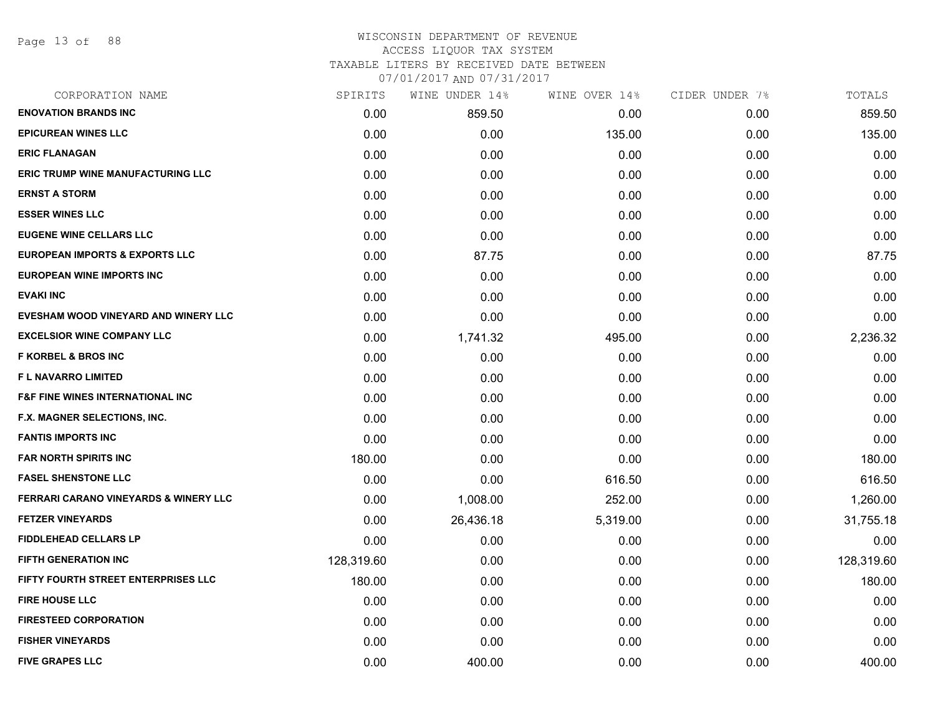Page 13 of 88

### WISCONSIN DEPARTMENT OF REVENUE ACCESS LIQUOR TAX SYSTEM TAXABLE LITERS BY RECEIVED DATE BETWEEN

| CORPORATION NAME                                 | SPIRITS    | WINE UNDER 14% | WINE OVER 14% | CIDER UNDER 7% | TOTALS     |
|--------------------------------------------------|------------|----------------|---------------|----------------|------------|
| <b>ENOVATION BRANDS INC</b>                      | 0.00       | 859.50         | 0.00          | 0.00           | 859.50     |
| <b>EPICUREAN WINES LLC</b>                       | 0.00       | 0.00           | 135.00        | 0.00           | 135.00     |
| <b>ERIC FLANAGAN</b>                             | 0.00       | 0.00           | 0.00          | 0.00           | 0.00       |
| <b>ERIC TRUMP WINE MANUFACTURING LLC</b>         | 0.00       | 0.00           | 0.00          | 0.00           | 0.00       |
| <b>ERNST A STORM</b>                             | 0.00       | 0.00           | 0.00          | 0.00           | 0.00       |
| <b>ESSER WINES LLC</b>                           | 0.00       | 0.00           | 0.00          | 0.00           | 0.00       |
| <b>EUGENE WINE CELLARS LLC</b>                   | 0.00       | 0.00           | 0.00          | 0.00           | 0.00       |
| <b>EUROPEAN IMPORTS &amp; EXPORTS LLC</b>        | 0.00       | 87.75          | 0.00          | 0.00           | 87.75      |
| <b>EUROPEAN WINE IMPORTS INC</b>                 | 0.00       | 0.00           | 0.00          | 0.00           | 0.00       |
| <b>EVAKI INC</b>                                 | 0.00       | 0.00           | 0.00          | 0.00           | 0.00       |
| EVESHAM WOOD VINEYARD AND WINERY LLC             | 0.00       | 0.00           | 0.00          | 0.00           | 0.00       |
| <b>EXCELSIOR WINE COMPANY LLC</b>                | 0.00       | 1,741.32       | 495.00        | 0.00           | 2,236.32   |
| <b>F KORBEL &amp; BROS INC</b>                   | 0.00       | 0.00           | 0.00          | 0.00           | 0.00       |
| <b>FL NAVARRO LIMITED</b>                        | 0.00       | 0.00           | 0.00          | 0.00           | 0.00       |
| <b>F&amp;F FINE WINES INTERNATIONAL INC</b>      | 0.00       | 0.00           | 0.00          | 0.00           | 0.00       |
| F.X. MAGNER SELECTIONS, INC.                     | 0.00       | 0.00           | 0.00          | 0.00           | 0.00       |
| <b>FANTIS IMPORTS INC</b>                        | 0.00       | 0.00           | 0.00          | 0.00           | 0.00       |
| <b>FAR NORTH SPIRITS INC</b>                     | 180.00     | 0.00           | 0.00          | 0.00           | 180.00     |
| <b>FASEL SHENSTONE LLC</b>                       | 0.00       | 0.00           | 616.50        | 0.00           | 616.50     |
| <b>FERRARI CARANO VINEYARDS &amp; WINERY LLC</b> | 0.00       | 1,008.00       | 252.00        | 0.00           | 1,260.00   |
| <b>FETZER VINEYARDS</b>                          | 0.00       | 26,436.18      | 5,319.00      | 0.00           | 31,755.18  |
| <b>FIDDLEHEAD CELLARS LP</b>                     | 0.00       | 0.00           | 0.00          | 0.00           | 0.00       |
| <b>FIFTH GENERATION INC</b>                      | 128,319.60 | 0.00           | 0.00          | 0.00           | 128,319.60 |
| FIFTY FOURTH STREET ENTERPRISES LLC              | 180.00     | 0.00           | 0.00          | 0.00           | 180.00     |
| <b>FIRE HOUSE LLC</b>                            | 0.00       | 0.00           | 0.00          | 0.00           | 0.00       |
| <b>FIRESTEED CORPORATION</b>                     | 0.00       | 0.00           | 0.00          | 0.00           | 0.00       |
| <b>FISHER VINEYARDS</b>                          | 0.00       | 0.00           | 0.00          | 0.00           | 0.00       |
| <b>FIVE GRAPES LLC</b>                           | 0.00       | 400.00         | 0.00          | 0.00           | 400.00     |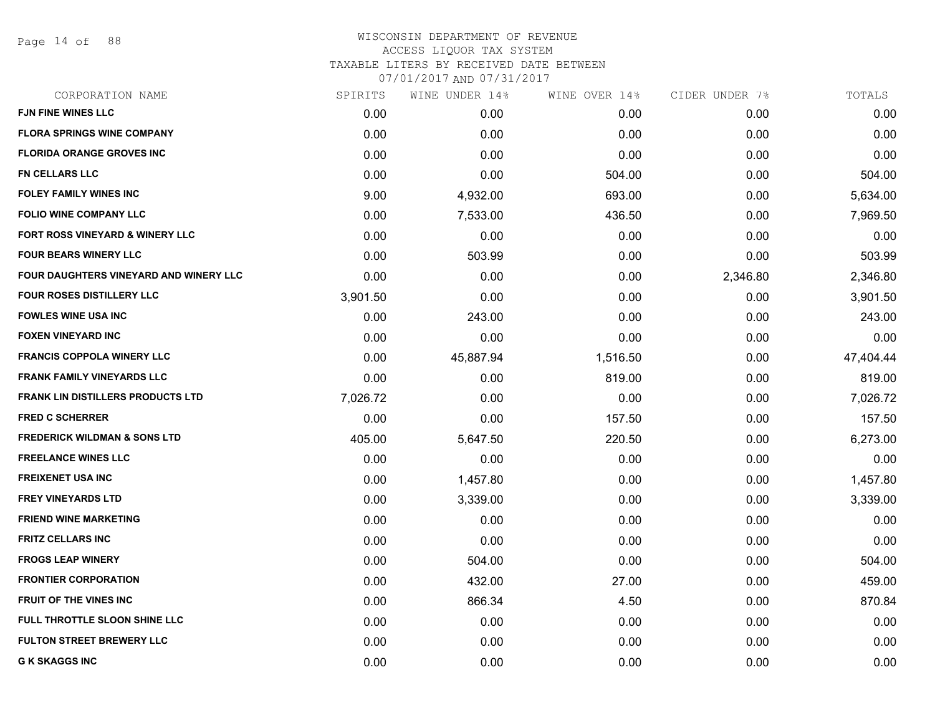Page 14 of 88

| CORPORATION NAME                         | SPIRITS  | WINE UNDER 14% | WINE OVER 14% | CIDER UNDER 7% | TOTALS    |
|------------------------------------------|----------|----------------|---------------|----------------|-----------|
| <b>FJN FINE WINES LLC</b>                | 0.00     | 0.00           | 0.00          | 0.00           | 0.00      |
| <b>FLORA SPRINGS WINE COMPANY</b>        | 0.00     | 0.00           | 0.00          | 0.00           | 0.00      |
| <b>FLORIDA ORANGE GROVES INC</b>         | 0.00     | 0.00           | 0.00          | 0.00           | 0.00      |
| <b>FN CELLARS LLC</b>                    | 0.00     | 0.00           | 504.00        | 0.00           | 504.00    |
| <b>FOLEY FAMILY WINES INC</b>            | 9.00     | 4,932.00       | 693.00        | 0.00           | 5,634.00  |
| <b>FOLIO WINE COMPANY LLC</b>            | 0.00     | 7,533.00       | 436.50        | 0.00           | 7,969.50  |
| FORT ROSS VINEYARD & WINERY LLC          | 0.00     | 0.00           | 0.00          | 0.00           | 0.00      |
| <b>FOUR BEARS WINERY LLC</b>             | 0.00     | 503.99         | 0.00          | 0.00           | 503.99    |
| FOUR DAUGHTERS VINEYARD AND WINERY LLC   | 0.00     | 0.00           | 0.00          | 2,346.80       | 2,346.80  |
| <b>FOUR ROSES DISTILLERY LLC</b>         | 3,901.50 | 0.00           | 0.00          | 0.00           | 3,901.50  |
| <b>FOWLES WINE USA INC</b>               | 0.00     | 243.00         | 0.00          | 0.00           | 243.00    |
| <b>FOXEN VINEYARD INC</b>                | 0.00     | 0.00           | 0.00          | 0.00           | 0.00      |
| <b>FRANCIS COPPOLA WINERY LLC</b>        | 0.00     | 45,887.94      | 1,516.50      | 0.00           | 47,404.44 |
| <b>FRANK FAMILY VINEYARDS LLC</b>        | 0.00     | 0.00           | 819.00        | 0.00           | 819.00    |
| <b>FRANK LIN DISTILLERS PRODUCTS LTD</b> | 7,026.72 | 0.00           | 0.00          | 0.00           | 7,026.72  |
| <b>FRED C SCHERRER</b>                   | 0.00     | 0.00           | 157.50        | 0.00           | 157.50    |
| <b>FREDERICK WILDMAN &amp; SONS LTD</b>  | 405.00   | 5,647.50       | 220.50        | 0.00           | 6,273.00  |
| <b>FREELANCE WINES LLC</b>               | 0.00     | 0.00           | 0.00          | 0.00           | 0.00      |
| <b>FREIXENET USA INC</b>                 | 0.00     | 1,457.80       | 0.00          | 0.00           | 1,457.80  |
| <b>FREY VINEYARDS LTD</b>                | 0.00     | 3,339.00       | 0.00          | 0.00           | 3,339.00  |
| <b>FRIEND WINE MARKETING</b>             | 0.00     | 0.00           | 0.00          | 0.00           | 0.00      |
| <b>FRITZ CELLARS INC</b>                 | 0.00     | 0.00           | 0.00          | 0.00           | 0.00      |
| <b>FROGS LEAP WINERY</b>                 | 0.00     | 504.00         | 0.00          | 0.00           | 504.00    |
| <b>FRONTIER CORPORATION</b>              | 0.00     | 432.00         | 27.00         | 0.00           | 459.00    |
| FRUIT OF THE VINES INC                   | 0.00     | 866.34         | 4.50          | 0.00           | 870.84    |
| FULL THROTTLE SLOON SHINE LLC            | 0.00     | 0.00           | 0.00          | 0.00           | 0.00      |
| <b>FULTON STREET BREWERY LLC</b>         | 0.00     | 0.00           | 0.00          | 0.00           | 0.00      |
| <b>G K SKAGGS INC</b>                    | 0.00     | 0.00           | 0.00          | 0.00           | 0.00      |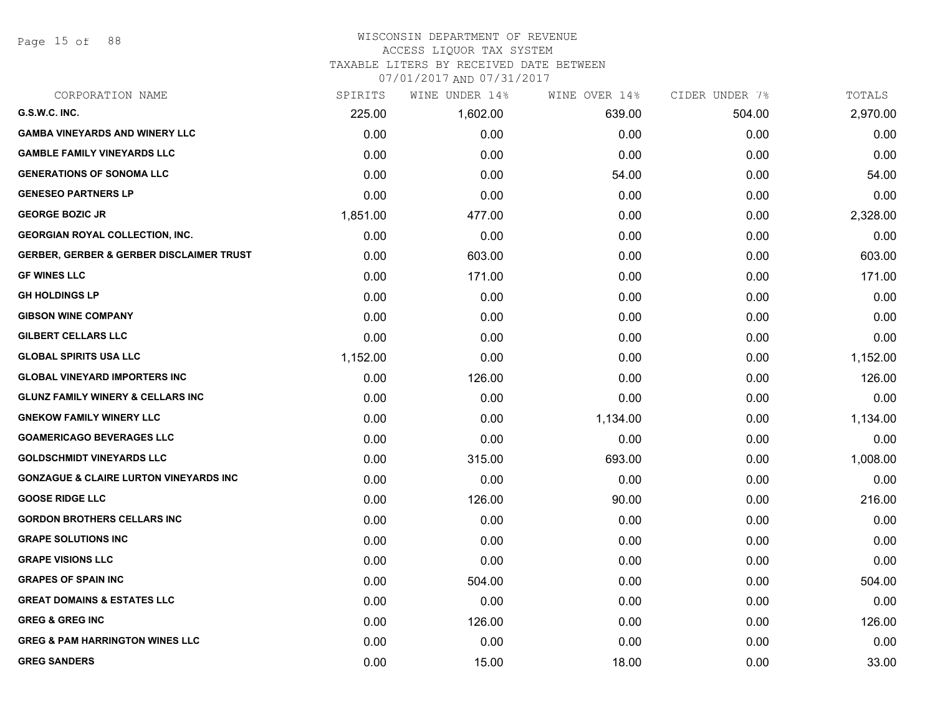Page 15 of 88

# WISCONSIN DEPARTMENT OF REVENUE

# ACCESS LIQUOR TAX SYSTEM

TAXABLE LITERS BY RECEIVED DATE BETWEEN

| CORPORATION NAME                                    | SPIRITS  | WINE UNDER 14% | WINE OVER 14% | CIDER UNDER 7% | TOTALS   |
|-----------------------------------------------------|----------|----------------|---------------|----------------|----------|
| G.S.W.C. INC.                                       | 225.00   | 1,602.00       | 639.00        | 504.00         | 2,970.00 |
| <b>GAMBA VINEYARDS AND WINERY LLC</b>               | 0.00     | 0.00           | 0.00          | 0.00           | 0.00     |
| <b>GAMBLE FAMILY VINEYARDS LLC</b>                  | 0.00     | 0.00           | 0.00          | 0.00           | 0.00     |
| <b>GENERATIONS OF SONOMA LLC</b>                    | 0.00     | 0.00           | 54.00         | 0.00           | 54.00    |
| <b>GENESEO PARTNERS LP</b>                          | 0.00     | 0.00           | 0.00          | 0.00           | 0.00     |
| <b>GEORGE BOZIC JR</b>                              | 1,851.00 | 477.00         | 0.00          | 0.00           | 2,328.00 |
| <b>GEORGIAN ROYAL COLLECTION, INC.</b>              | 0.00     | 0.00           | 0.00          | 0.00           | 0.00     |
| <b>GERBER, GERBER &amp; GERBER DISCLAIMER TRUST</b> | 0.00     | 603.00         | 0.00          | 0.00           | 603.00   |
| <b>GF WINES LLC</b>                                 | 0.00     | 171.00         | 0.00          | 0.00           | 171.00   |
| <b>GH HOLDINGS LP</b>                               | 0.00     | 0.00           | 0.00          | 0.00           | 0.00     |
| <b>GIBSON WINE COMPANY</b>                          | 0.00     | 0.00           | 0.00          | 0.00           | 0.00     |
| <b>GILBERT CELLARS LLC</b>                          | 0.00     | 0.00           | 0.00          | 0.00           | 0.00     |
| <b>GLOBAL SPIRITS USA LLC</b>                       | 1,152.00 | 0.00           | 0.00          | 0.00           | 1,152.00 |
| <b>GLOBAL VINEYARD IMPORTERS INC</b>                | 0.00     | 126.00         | 0.00          | 0.00           | 126.00   |
| <b>GLUNZ FAMILY WINERY &amp; CELLARS INC</b>        | 0.00     | 0.00           | 0.00          | 0.00           | 0.00     |
| <b>GNEKOW FAMILY WINERY LLC</b>                     | 0.00     | 0.00           | 1,134.00      | 0.00           | 1,134.00 |
| <b>GOAMERICAGO BEVERAGES LLC</b>                    | 0.00     | 0.00           | 0.00          | 0.00           | 0.00     |
| <b>GOLDSCHMIDT VINEYARDS LLC</b>                    | 0.00     | 315.00         | 693.00        | 0.00           | 1,008.00 |
| <b>GONZAGUE &amp; CLAIRE LURTON VINEYARDS INC</b>   | 0.00     | 0.00           | 0.00          | 0.00           | 0.00     |
| <b>GOOSE RIDGE LLC</b>                              | 0.00     | 126.00         | 90.00         | 0.00           | 216.00   |
| <b>GORDON BROTHERS CELLARS INC</b>                  | 0.00     | 0.00           | 0.00          | 0.00           | 0.00     |
| <b>GRAPE SOLUTIONS INC</b>                          | 0.00     | 0.00           | 0.00          | 0.00           | 0.00     |
| <b>GRAPE VISIONS LLC</b>                            | 0.00     | 0.00           | 0.00          | 0.00           | 0.00     |
| <b>GRAPES OF SPAIN INC</b>                          | 0.00     | 504.00         | 0.00          | 0.00           | 504.00   |
| <b>GREAT DOMAINS &amp; ESTATES LLC</b>              | 0.00     | 0.00           | 0.00          | 0.00           | 0.00     |
| <b>GREG &amp; GREG INC</b>                          | 0.00     | 126.00         | 0.00          | 0.00           | 126.00   |
| <b>GREG &amp; PAM HARRINGTON WINES LLC</b>          | 0.00     | 0.00           | 0.00          | 0.00           | 0.00     |
| <b>GREG SANDERS</b>                                 | 0.00     | 15.00          | 18.00         | 0.00           | 33.00    |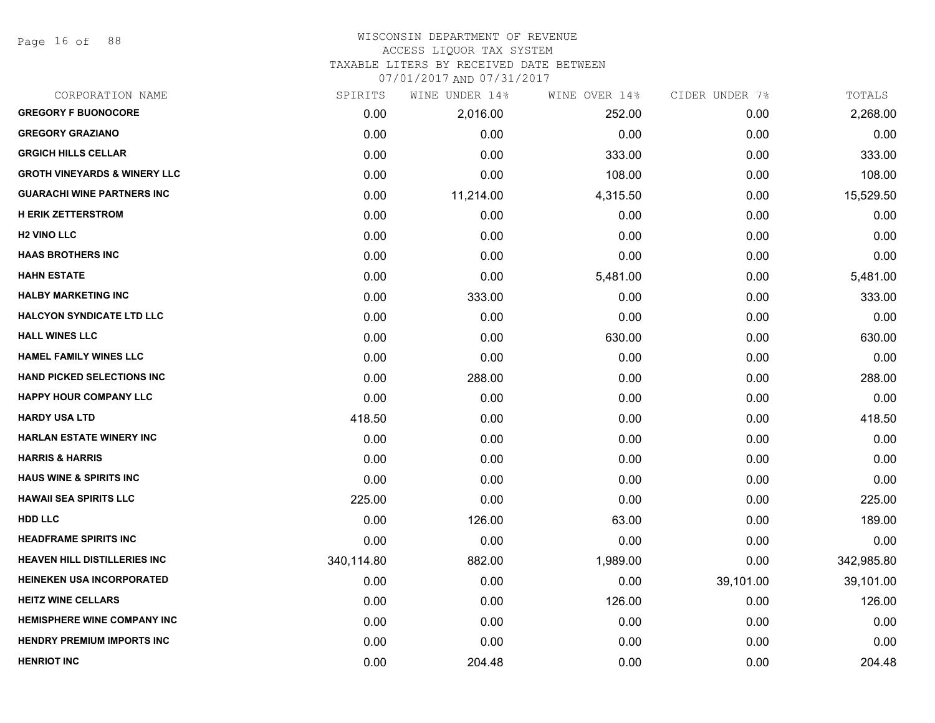Page 16 of 88

#### WISCONSIN DEPARTMENT OF REVENUE ACCESS LIQUOR TAX SYSTEM

TAXABLE LITERS BY RECEIVED DATE BETWEEN

| CORPORATION NAME                        | SPIRITS    | WINE UNDER 14% | WINE OVER 14% | CIDER UNDER 7% | TOTALS     |
|-----------------------------------------|------------|----------------|---------------|----------------|------------|
| <b>GREGORY F BUONOCORE</b>              | 0.00       | 2,016.00       | 252.00        | 0.00           | 2,268.00   |
| <b>GREGORY GRAZIANO</b>                 | 0.00       | 0.00           | 0.00          | 0.00           | 0.00       |
| <b>GRGICH HILLS CELLAR</b>              | 0.00       | 0.00           | 333.00        | 0.00           | 333.00     |
| <b>GROTH VINEYARDS &amp; WINERY LLC</b> | 0.00       | 0.00           | 108.00        | 0.00           | 108.00     |
| <b>GUARACHI WINE PARTNERS INC</b>       | 0.00       | 11,214.00      | 4,315.50      | 0.00           | 15,529.50  |
| <b>H ERIK ZETTERSTROM</b>               | 0.00       | 0.00           | 0.00          | 0.00           | 0.00       |
| <b>H2 VINO LLC</b>                      | 0.00       | 0.00           | 0.00          | 0.00           | 0.00       |
| <b>HAAS BROTHERS INC</b>                | 0.00       | 0.00           | 0.00          | 0.00           | 0.00       |
| <b>HAHN ESTATE</b>                      | 0.00       | 0.00           | 5,481.00      | 0.00           | 5,481.00   |
| <b>HALBY MARKETING INC</b>              | 0.00       | 333.00         | 0.00          | 0.00           | 333.00     |
| <b>HALCYON SYNDICATE LTD LLC</b>        | 0.00       | 0.00           | 0.00          | 0.00           | 0.00       |
| <b>HALL WINES LLC</b>                   | 0.00       | 0.00           | 630.00        | 0.00           | 630.00     |
| <b>HAMEL FAMILY WINES LLC</b>           | 0.00       | 0.00           | 0.00          | 0.00           | 0.00       |
| <b>HAND PICKED SELECTIONS INC</b>       | 0.00       | 288.00         | 0.00          | 0.00           | 288.00     |
| HAPPY HOUR COMPANY LLC                  | 0.00       | 0.00           | 0.00          | 0.00           | 0.00       |
| <b>HARDY USA LTD</b>                    | 418.50     | 0.00           | 0.00          | 0.00           | 418.50     |
| <b>HARLAN ESTATE WINERY INC</b>         | 0.00       | 0.00           | 0.00          | 0.00           | 0.00       |
| <b>HARRIS &amp; HARRIS</b>              | 0.00       | 0.00           | 0.00          | 0.00           | 0.00       |
| HAUS WINE & SPIRITS INC                 | 0.00       | 0.00           | 0.00          | 0.00           | 0.00       |
| <b>HAWAII SEA SPIRITS LLC</b>           | 225.00     | 0.00           | 0.00          | 0.00           | 225.00     |
| <b>HDD LLC</b>                          | 0.00       | 126.00         | 63.00         | 0.00           | 189.00     |
| <b>HEADFRAME SPIRITS INC</b>            | 0.00       | 0.00           | 0.00          | 0.00           | 0.00       |
| <b>HEAVEN HILL DISTILLERIES INC</b>     | 340,114.80 | 882.00         | 1,989.00      | 0.00           | 342,985.80 |
| <b>HEINEKEN USA INCORPORATED</b>        | 0.00       | 0.00           | 0.00          | 39,101.00      | 39,101.00  |
| <b>HEITZ WINE CELLARS</b>               | 0.00       | 0.00           | 126.00        | 0.00           | 126.00     |
| <b>HEMISPHERE WINE COMPANY INC</b>      | 0.00       | 0.00           | 0.00          | 0.00           | 0.00       |
| <b>HENDRY PREMIUM IMPORTS INC</b>       | 0.00       | 0.00           | 0.00          | 0.00           | 0.00       |
| <b>HENRIOT INC</b>                      | 0.00       | 204.48         | 0.00          | 0.00           | 204.48     |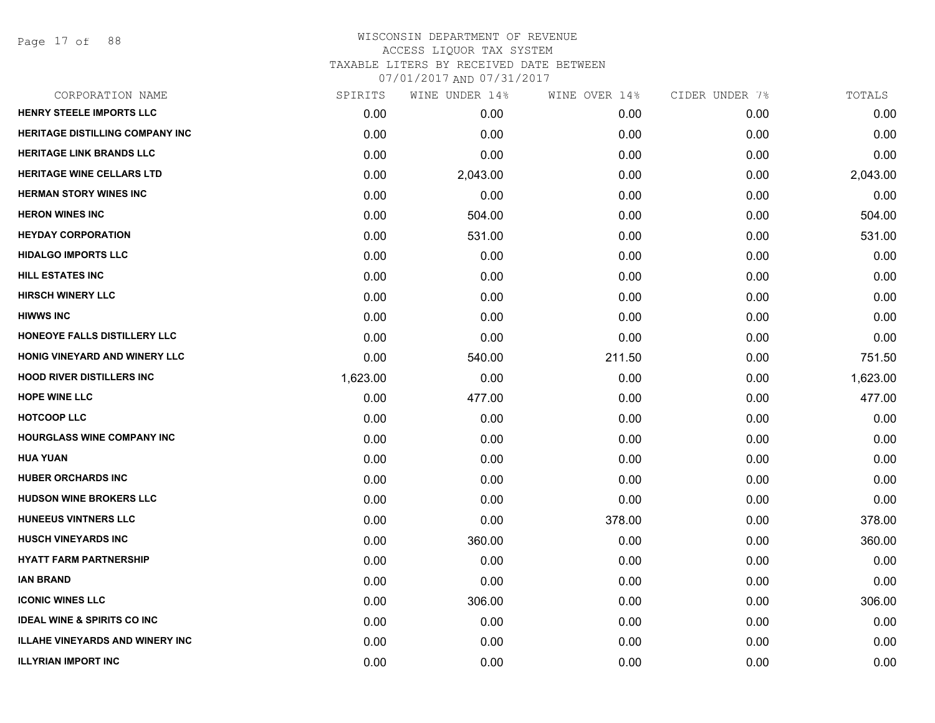Page 17 of 88

| CORPORATION NAME                       | SPIRITS  | WINE UNDER 14% | WINE OVER 14% | CIDER UNDER 7% | TOTALS   |
|----------------------------------------|----------|----------------|---------------|----------------|----------|
| <b>HENRY STEELE IMPORTS LLC</b>        | 0.00     | 0.00           | 0.00          | 0.00           | 0.00     |
| <b>HERITAGE DISTILLING COMPANY INC</b> | 0.00     | 0.00           | 0.00          | 0.00           | 0.00     |
| <b>HERITAGE LINK BRANDS LLC</b>        | 0.00     | 0.00           | 0.00          | 0.00           | 0.00     |
| <b>HERITAGE WINE CELLARS LTD</b>       | 0.00     | 2,043.00       | 0.00          | 0.00           | 2,043.00 |
| <b>HERMAN STORY WINES INC</b>          | 0.00     | 0.00           | 0.00          | 0.00           | 0.00     |
| <b>HERON WINES INC</b>                 | 0.00     | 504.00         | 0.00          | 0.00           | 504.00   |
| <b>HEYDAY CORPORATION</b>              | 0.00     | 531.00         | 0.00          | 0.00           | 531.00   |
| <b>HIDALGO IMPORTS LLC</b>             | 0.00     | 0.00           | 0.00          | 0.00           | 0.00     |
| <b>HILL ESTATES INC</b>                | 0.00     | 0.00           | 0.00          | 0.00           | 0.00     |
| <b>HIRSCH WINERY LLC</b>               | 0.00     | 0.00           | 0.00          | 0.00           | 0.00     |
| <b>HIWWS INC</b>                       | 0.00     | 0.00           | 0.00          | 0.00           | 0.00     |
| HONEOYE FALLS DISTILLERY LLC           | 0.00     | 0.00           | 0.00          | 0.00           | 0.00     |
| HONIG VINEYARD AND WINERY LLC          | 0.00     | 540.00         | 211.50        | 0.00           | 751.50   |
| <b>HOOD RIVER DISTILLERS INC</b>       | 1,623.00 | 0.00           | 0.00          | 0.00           | 1,623.00 |
| <b>HOPE WINE LLC</b>                   | 0.00     | 477.00         | 0.00          | 0.00           | 477.00   |
| <b>HOTCOOP LLC</b>                     | 0.00     | 0.00           | 0.00          | 0.00           | 0.00     |
| <b>HOURGLASS WINE COMPANY INC</b>      | 0.00     | 0.00           | 0.00          | 0.00           | 0.00     |
| <b>HUA YUAN</b>                        | 0.00     | 0.00           | 0.00          | 0.00           | 0.00     |
| <b>HUBER ORCHARDS INC</b>              | 0.00     | 0.00           | 0.00          | 0.00           | 0.00     |
| <b>HUDSON WINE BROKERS LLC</b>         | 0.00     | 0.00           | 0.00          | 0.00           | 0.00     |
| <b>HUNEEUS VINTNERS LLC</b>            | 0.00     | 0.00           | 378.00        | 0.00           | 378.00   |
| <b>HUSCH VINEYARDS INC</b>             | 0.00     | 360.00         | 0.00          | 0.00           | 360.00   |
| <b>HYATT FARM PARTNERSHIP</b>          | 0.00     | 0.00           | 0.00          | 0.00           | 0.00     |
| IAN BRAND                              | 0.00     | 0.00           | 0.00          | 0.00           | 0.00     |
| <b>ICONIC WINES LLC</b>                | 0.00     | 306.00         | 0.00          | 0.00           | 306.00   |
| <b>IDEAL WINE &amp; SPIRITS CO INC</b> | 0.00     | 0.00           | 0.00          | 0.00           | 0.00     |
| <b>ILLAHE VINEYARDS AND WINERY INC</b> | 0.00     | 0.00           | 0.00          | 0.00           | 0.00     |
| <b>ILLYRIAN IMPORT INC</b>             | 0.00     | 0.00           | 0.00          | 0.00           | 0.00     |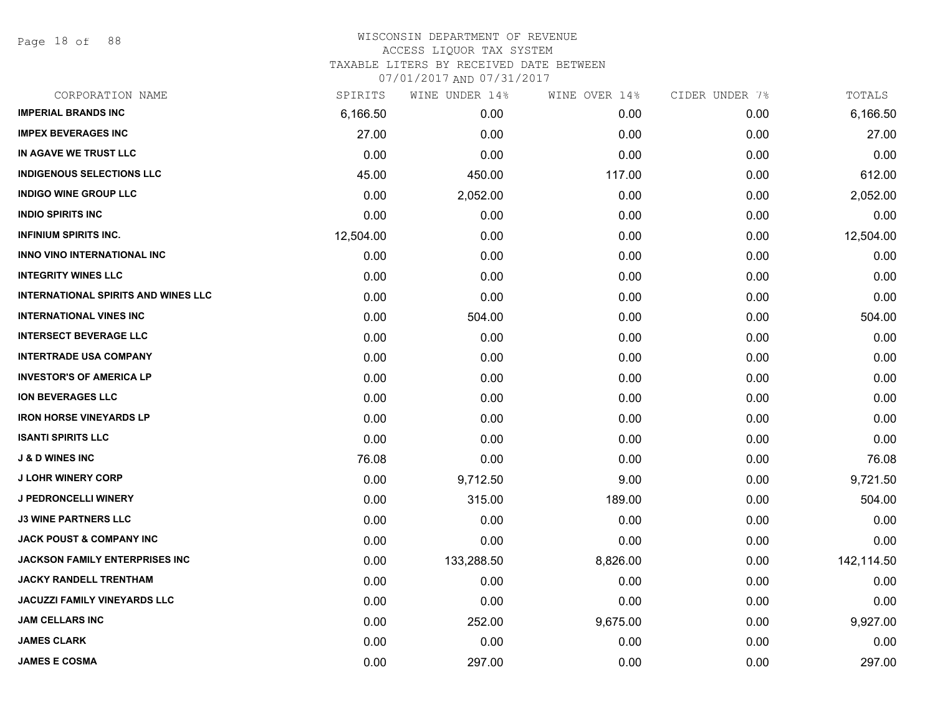Page 18 of 88

| CORPORATION NAME                           | SPIRITS   | WINE UNDER 14% | WINE OVER 14% | CIDER UNDER 7% | TOTALS     |
|--------------------------------------------|-----------|----------------|---------------|----------------|------------|
| <b>IMPERIAL BRANDS INC</b>                 | 6,166.50  | 0.00           | 0.00          | 0.00           | 6,166.50   |
| <b>IMPEX BEVERAGES INC</b>                 | 27.00     | 0.00           | 0.00          | 0.00           | 27.00      |
| IN AGAVE WE TRUST LLC                      | 0.00      | 0.00           | 0.00          | 0.00           | 0.00       |
| <b>INDIGENOUS SELECTIONS LLC</b>           | 45.00     | 450.00         | 117.00        | 0.00           | 612.00     |
| <b>INDIGO WINE GROUP LLC</b>               | 0.00      | 2,052.00       | 0.00          | 0.00           | 2,052.00   |
| <b>INDIO SPIRITS INC</b>                   | 0.00      | 0.00           | 0.00          | 0.00           | 0.00       |
| <b>INFINIUM SPIRITS INC.</b>               | 12,504.00 | 0.00           | 0.00          | 0.00           | 12,504.00  |
| <b>INNO VINO INTERNATIONAL INC</b>         | 0.00      | 0.00           | 0.00          | 0.00           | 0.00       |
| <b>INTEGRITY WINES LLC</b>                 | 0.00      | 0.00           | 0.00          | 0.00           | 0.00       |
| <b>INTERNATIONAL SPIRITS AND WINES LLC</b> | 0.00      | 0.00           | 0.00          | 0.00           | 0.00       |
| <b>INTERNATIONAL VINES INC</b>             | 0.00      | 504.00         | 0.00          | 0.00           | 504.00     |
| <b>INTERSECT BEVERAGE LLC</b>              | 0.00      | 0.00           | 0.00          | 0.00           | 0.00       |
| <b>INTERTRADE USA COMPANY</b>              | 0.00      | 0.00           | 0.00          | 0.00           | 0.00       |
| <b>INVESTOR'S OF AMERICA LP</b>            | 0.00      | 0.00           | 0.00          | 0.00           | 0.00       |
| <b>ION BEVERAGES LLC</b>                   | 0.00      | 0.00           | 0.00          | 0.00           | 0.00       |
| <b>IRON HORSE VINEYARDS LP</b>             | 0.00      | 0.00           | 0.00          | 0.00           | 0.00       |
| <b>ISANTI SPIRITS LLC</b>                  | 0.00      | 0.00           | 0.00          | 0.00           | 0.00       |
| <b>J &amp; D WINES INC</b>                 | 76.08     | 0.00           | 0.00          | 0.00           | 76.08      |
| <b>J LOHR WINERY CORP</b>                  | 0.00      | 9,712.50       | 9.00          | 0.00           | 9,721.50   |
| J PEDRONCELLI WINERY                       | 0.00      | 315.00         | 189.00        | 0.00           | 504.00     |
| <b>J3 WINE PARTNERS LLC</b>                | 0.00      | 0.00           | 0.00          | 0.00           | 0.00       |
| <b>JACK POUST &amp; COMPANY INC</b>        | 0.00      | 0.00           | 0.00          | 0.00           | 0.00       |
| <b>JACKSON FAMILY ENTERPRISES INC</b>      | 0.00      | 133,288.50     | 8,826.00      | 0.00           | 142,114.50 |
| <b>JACKY RANDELL TRENTHAM</b>              | 0.00      | 0.00           | 0.00          | 0.00           | 0.00       |
| <b>JACUZZI FAMILY VINEYARDS LLC</b>        | 0.00      | 0.00           | 0.00          | 0.00           | 0.00       |
| <b>JAM CELLARS INC</b>                     | 0.00      | 252.00         | 9,675.00      | 0.00           | 9,927.00   |
| <b>JAMES CLARK</b>                         | 0.00      | 0.00           | 0.00          | 0.00           | 0.00       |
| <b>JAMES E COSMA</b>                       | 0.00      | 297.00         | 0.00          | 0.00           | 297.00     |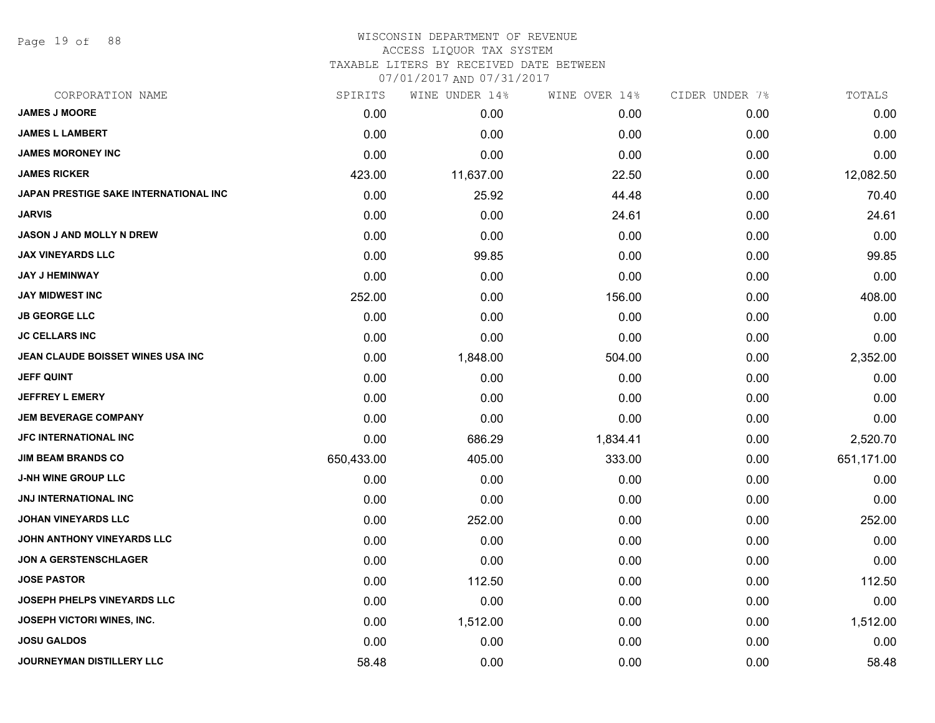Page 19 of 88

# WISCONSIN DEPARTMENT OF REVENUE ACCESS LIQUOR TAX SYSTEM

TAXABLE LITERS BY RECEIVED DATE BETWEEN

| CORPORATION NAME                      | SPIRITS    | WINE UNDER 14% | WINE OVER 14% | CIDER UNDER 7% | TOTALS     |
|---------------------------------------|------------|----------------|---------------|----------------|------------|
| <b>JAMES J MOORE</b>                  | 0.00       | 0.00           | 0.00          | 0.00           | 0.00       |
| <b>JAMES L LAMBERT</b>                | 0.00       | 0.00           | 0.00          | 0.00           | 0.00       |
| <b>JAMES MORONEY INC</b>              | 0.00       | 0.00           | 0.00          | 0.00           | 0.00       |
| <b>JAMES RICKER</b>                   | 423.00     | 11,637.00      | 22.50         | 0.00           | 12,082.50  |
| JAPAN PRESTIGE SAKE INTERNATIONAL INC | 0.00       | 25.92          | 44.48         | 0.00           | 70.40      |
| <b>JARVIS</b>                         | 0.00       | 0.00           | 24.61         | 0.00           | 24.61      |
| <b>JASON J AND MOLLY N DREW</b>       | 0.00       | 0.00           | 0.00          | 0.00           | 0.00       |
| <b>JAX VINEYARDS LLC</b>              | 0.00       | 99.85          | 0.00          | 0.00           | 99.85      |
| <b>JAY J HEMINWAY</b>                 | 0.00       | 0.00           | 0.00          | 0.00           | 0.00       |
| <b>JAY MIDWEST INC</b>                | 252.00     | 0.00           | 156.00        | 0.00           | 408.00     |
| <b>JB GEORGE LLC</b>                  | 0.00       | 0.00           | 0.00          | 0.00           | 0.00       |
| <b>JC CELLARS INC</b>                 | 0.00       | 0.00           | 0.00          | 0.00           | 0.00       |
| JEAN CLAUDE BOISSET WINES USA INC     | 0.00       | 1,848.00       | 504.00        | 0.00           | 2,352.00   |
| <b>JEFF QUINT</b>                     | 0.00       | 0.00           | 0.00          | 0.00           | 0.00       |
| <b>JEFFREY L EMERY</b>                | 0.00       | 0.00           | 0.00          | 0.00           | 0.00       |
| <b>JEM BEVERAGE COMPANY</b>           | 0.00       | 0.00           | 0.00          | 0.00           | 0.00       |
| <b>JFC INTERNATIONAL INC</b>          | 0.00       | 686.29         | 1,834.41      | 0.00           | 2,520.70   |
| <b>JIM BEAM BRANDS CO</b>             | 650,433.00 | 405.00         | 333.00        | 0.00           | 651,171.00 |
| <b>J-NH WINE GROUP LLC</b>            | 0.00       | 0.00           | 0.00          | 0.00           | 0.00       |
| <b>JNJ INTERNATIONAL INC</b>          | 0.00       | 0.00           | 0.00          | 0.00           | 0.00       |
| <b>JOHAN VINEYARDS LLC</b>            | 0.00       | 252.00         | 0.00          | 0.00           | 252.00     |
| JOHN ANTHONY VINEYARDS LLC            | 0.00       | 0.00           | 0.00          | 0.00           | 0.00       |
| <b>JON A GERSTENSCHLAGER</b>          | 0.00       | 0.00           | 0.00          | 0.00           | 0.00       |
| <b>JOSE PASTOR</b>                    | 0.00       | 112.50         | 0.00          | 0.00           | 112.50     |
| <b>JOSEPH PHELPS VINEYARDS LLC</b>    | 0.00       | 0.00           | 0.00          | 0.00           | 0.00       |
| <b>JOSEPH VICTORI WINES, INC.</b>     | 0.00       | 1,512.00       | 0.00          | 0.00           | 1,512.00   |
| <b>JOSU GALDOS</b>                    | 0.00       | 0.00           | 0.00          | 0.00           | 0.00       |
| <b>JOURNEYMAN DISTILLERY LLC</b>      | 58.48      | 0.00           | 0.00          | 0.00           | 58.48      |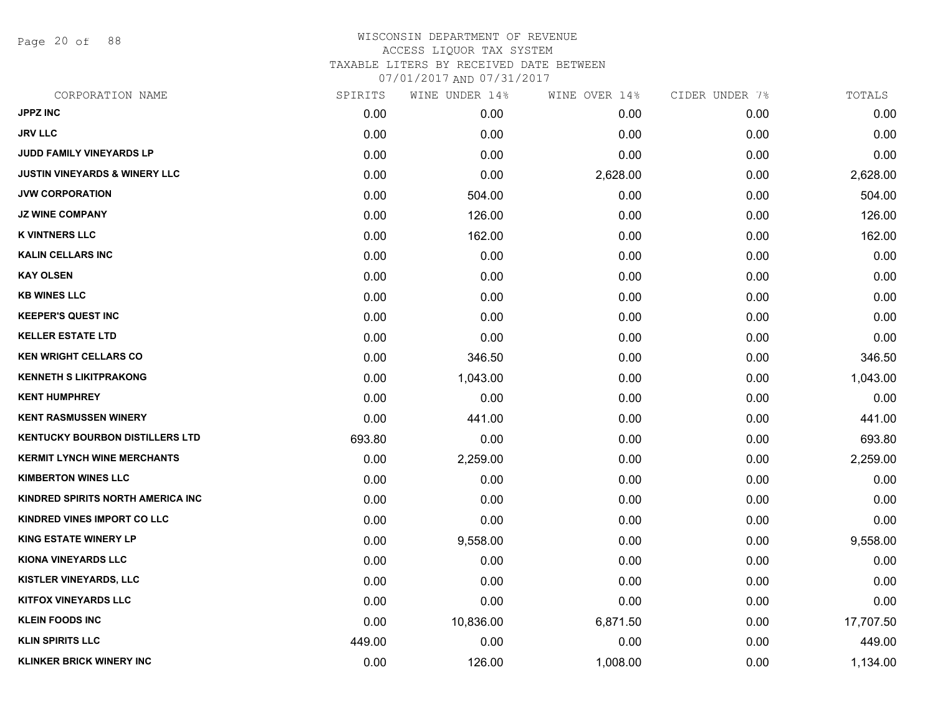Page 20 of 88

# WISCONSIN DEPARTMENT OF REVENUE ACCESS LIQUOR TAX SYSTEM TAXABLE LITERS BY RECEIVED DATE BETWEEN

| CORPORATION NAME                         | SPIRITS | WINE UNDER 14% | WINE OVER 14% | CIDER UNDER 7% | TOTALS    |
|------------------------------------------|---------|----------------|---------------|----------------|-----------|
| <b>JPPZ INC</b>                          | 0.00    | 0.00           | 0.00          | 0.00           | 0.00      |
| <b>JRV LLC</b>                           | 0.00    | 0.00           | 0.00          | 0.00           | 0.00      |
| <b>JUDD FAMILY VINEYARDS LP</b>          | 0.00    | 0.00           | 0.00          | 0.00           | 0.00      |
| <b>JUSTIN VINEYARDS &amp; WINERY LLC</b> | 0.00    | 0.00           | 2,628.00      | 0.00           | 2,628.00  |
| <b>JVW CORPORATION</b>                   | 0.00    | 504.00         | 0.00          | 0.00           | 504.00    |
| <b>JZ WINE COMPANY</b>                   | 0.00    | 126.00         | 0.00          | 0.00           | 126.00    |
| <b>K VINTNERS LLC</b>                    | 0.00    | 162.00         | 0.00          | 0.00           | 162.00    |
| <b>KALIN CELLARS INC</b>                 | 0.00    | 0.00           | 0.00          | 0.00           | 0.00      |
| <b>KAY OLSEN</b>                         | 0.00    | 0.00           | 0.00          | 0.00           | 0.00      |
| <b>KB WINES LLC</b>                      | 0.00    | 0.00           | 0.00          | 0.00           | 0.00      |
| <b>KEEPER'S QUEST INC</b>                | 0.00    | 0.00           | 0.00          | 0.00           | 0.00      |
| <b>KELLER ESTATE LTD</b>                 | 0.00    | 0.00           | 0.00          | 0.00           | 0.00      |
| <b>KEN WRIGHT CELLARS CO</b>             | 0.00    | 346.50         | 0.00          | 0.00           | 346.50    |
| <b>KENNETH S LIKITPRAKONG</b>            | 0.00    | 1,043.00       | 0.00          | 0.00           | 1,043.00  |
| <b>KENT HUMPHREY</b>                     | 0.00    | 0.00           | 0.00          | 0.00           | 0.00      |
| <b>KENT RASMUSSEN WINERY</b>             | 0.00    | 441.00         | 0.00          | 0.00           | 441.00    |
| <b>KENTUCKY BOURBON DISTILLERS LTD</b>   | 693.80  | 0.00           | 0.00          | 0.00           | 693.80    |
| <b>KERMIT LYNCH WINE MERCHANTS</b>       | 0.00    | 2,259.00       | 0.00          | 0.00           | 2,259.00  |
| <b>KIMBERTON WINES LLC</b>               | 0.00    | 0.00           | 0.00          | 0.00           | 0.00      |
| KINDRED SPIRITS NORTH AMERICA INC        | 0.00    | 0.00           | 0.00          | 0.00           | 0.00      |
| KINDRED VINES IMPORT CO LLC              | 0.00    | 0.00           | 0.00          | 0.00           | 0.00      |
| <b>KING ESTATE WINERY LP</b>             | 0.00    | 9,558.00       | 0.00          | 0.00           | 9,558.00  |
| <b>KIONA VINEYARDS LLC</b>               | 0.00    | 0.00           | 0.00          | 0.00           | 0.00      |
| <b>KISTLER VINEYARDS, LLC</b>            | 0.00    | 0.00           | 0.00          | 0.00           | 0.00      |
| <b>KITFOX VINEYARDS LLC</b>              | 0.00    | 0.00           | 0.00          | 0.00           | 0.00      |
| <b>KLEIN FOODS INC</b>                   | 0.00    | 10,836.00      | 6,871.50      | 0.00           | 17,707.50 |
| <b>KLIN SPIRITS LLC</b>                  | 449.00  | 0.00           | 0.00          | 0.00           | 449.00    |
| <b>KLINKER BRICK WINERY INC</b>          | 0.00    | 126.00         | 1,008.00      | 0.00           | 1,134.00  |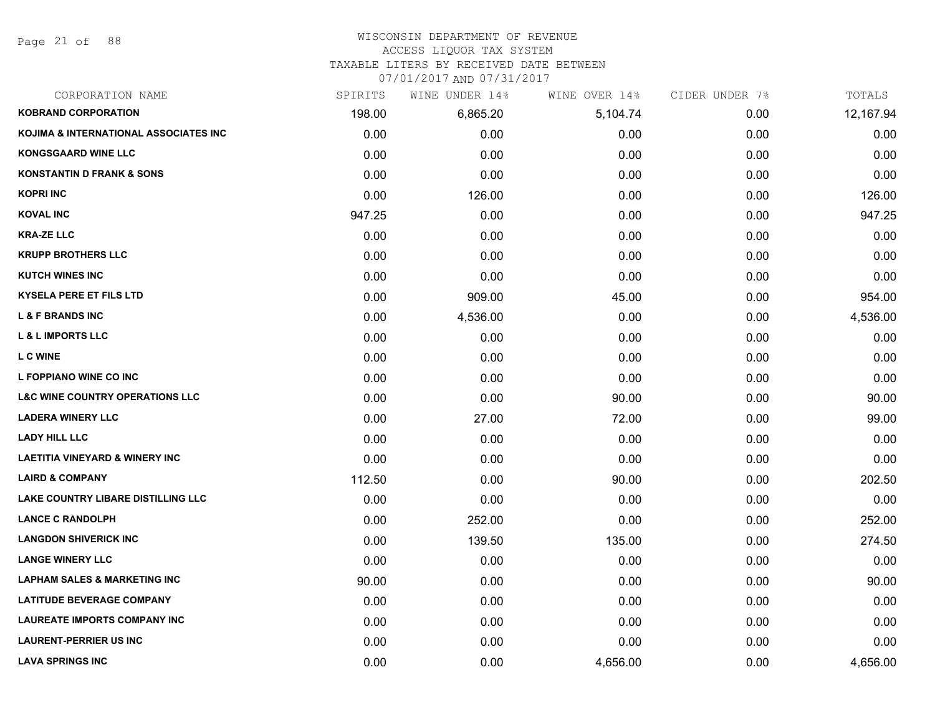Page 21 of 88

# WISCONSIN DEPARTMENT OF REVENUE

# ACCESS LIQUOR TAX SYSTEM

TAXABLE LITERS BY RECEIVED DATE BETWEEN

| CORPORATION NAME                           | SPIRITS | WINE UNDER 14% | WINE OVER 14% | CIDER UNDER 7% | TOTALS    |
|--------------------------------------------|---------|----------------|---------------|----------------|-----------|
| <b>KOBRAND CORPORATION</b>                 | 198.00  | 6,865.20       | 5,104.74      | 0.00           | 12,167.94 |
| KOJIMA & INTERNATIONAL ASSOCIATES INC      | 0.00    | 0.00           | 0.00          | 0.00           | 0.00      |
| <b>KONGSGAARD WINE LLC</b>                 | 0.00    | 0.00           | 0.00          | 0.00           | 0.00      |
| <b>KONSTANTIN D FRANK &amp; SONS</b>       | 0.00    | 0.00           | 0.00          | 0.00           | 0.00      |
| <b>KOPRI INC</b>                           | 0.00    | 126.00         | 0.00          | 0.00           | 126.00    |
| <b>KOVAL INC</b>                           | 947.25  | 0.00           | 0.00          | 0.00           | 947.25    |
| <b>KRA-ZE LLC</b>                          | 0.00    | 0.00           | 0.00          | 0.00           | 0.00      |
| <b>KRUPP BROTHERS LLC</b>                  | 0.00    | 0.00           | 0.00          | 0.00           | 0.00      |
| <b>KUTCH WINES INC</b>                     | 0.00    | 0.00           | 0.00          | 0.00           | 0.00      |
| <b>KYSELA PERE ET FILS LTD</b>             | 0.00    | 909.00         | 45.00         | 0.00           | 954.00    |
| <b>L &amp; F BRANDS INC</b>                | 0.00    | 4,536.00       | 0.00          | 0.00           | 4,536.00  |
| <b>L &amp; L IMPORTS LLC</b>               | 0.00    | 0.00           | 0.00          | 0.00           | 0.00      |
| <b>LCWINE</b>                              | 0.00    | 0.00           | 0.00          | 0.00           | 0.00      |
| L FOPPIANO WINE CO INC                     | 0.00    | 0.00           | 0.00          | 0.00           | 0.00      |
| <b>L&amp;C WINE COUNTRY OPERATIONS LLC</b> | 0.00    | 0.00           | 90.00         | 0.00           | 90.00     |
| <b>LADERA WINERY LLC</b>                   | 0.00    | 27.00          | 72.00         | 0.00           | 99.00     |
| <b>LADY HILL LLC</b>                       | 0.00    | 0.00           | 0.00          | 0.00           | 0.00      |
| <b>LAETITIA VINEYARD &amp; WINERY INC</b>  | 0.00    | 0.00           | 0.00          | 0.00           | 0.00      |
| <b>LAIRD &amp; COMPANY</b>                 | 112.50  | 0.00           | 90.00         | 0.00           | 202.50    |
| <b>LAKE COUNTRY LIBARE DISTILLING LLC</b>  | 0.00    | 0.00           | 0.00          | 0.00           | 0.00      |
| <b>LANCE C RANDOLPH</b>                    | 0.00    | 252.00         | 0.00          | 0.00           | 252.00    |
| <b>LANGDON SHIVERICK INC</b>               | 0.00    | 139.50         | 135.00        | 0.00           | 274.50    |
| <b>LANGE WINERY LLC</b>                    | 0.00    | 0.00           | 0.00          | 0.00           | 0.00      |
| <b>LAPHAM SALES &amp; MARKETING INC</b>    | 90.00   | 0.00           | 0.00          | 0.00           | 90.00     |
| <b>LATITUDE BEVERAGE COMPANY</b>           | 0.00    | 0.00           | 0.00          | 0.00           | 0.00      |
| <b>LAUREATE IMPORTS COMPANY INC</b>        | 0.00    | 0.00           | 0.00          | 0.00           | 0.00      |
| <b>LAURENT-PERRIER US INC</b>              | 0.00    | 0.00           | 0.00          | 0.00           | 0.00      |
| <b>LAVA SPRINGS INC</b>                    | 0.00    | 0.00           | 4,656.00      | 0.00           | 4,656.00  |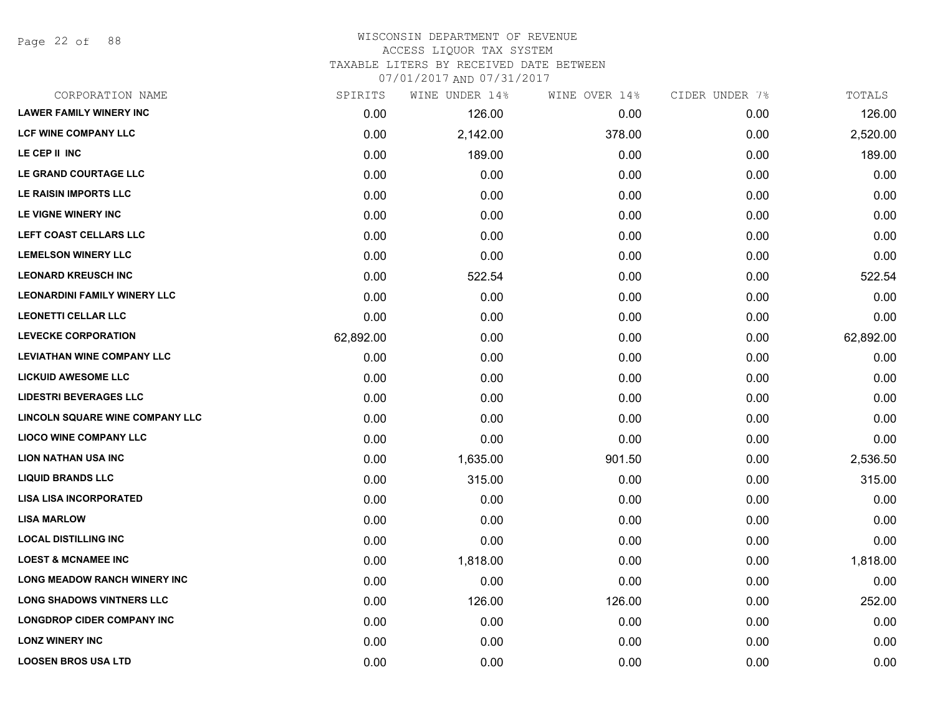Page 22 of 88

### WISCONSIN DEPARTMENT OF REVENUE ACCESS LIQUOR TAX SYSTEM TAXABLE LITERS BY RECEIVED DATE BETWEEN

| CORPORATION NAME                    | SPIRITS   | WINE UNDER 14% | WINE OVER 14% | CIDER UNDER 7% | TOTALS    |
|-------------------------------------|-----------|----------------|---------------|----------------|-----------|
| <b>LAWER FAMILY WINERY INC</b>      | 0.00      | 126.00         | 0.00          | 0.00           | 126.00    |
| <b>LCF WINE COMPANY LLC</b>         | 0.00      | 2,142.00       | 378.00        | 0.00           | 2,520.00  |
| LE CEP II INC                       | 0.00      | 189.00         | 0.00          | 0.00           | 189.00    |
| LE GRAND COURTAGE LLC               | 0.00      | 0.00           | 0.00          | 0.00           | 0.00      |
| LE RAISIN IMPORTS LLC               | 0.00      | 0.00           | 0.00          | 0.00           | 0.00      |
| LE VIGNE WINERY INC                 | 0.00      | 0.00           | 0.00          | 0.00           | 0.00      |
| LEFT COAST CELLARS LLC              | 0.00      | 0.00           | 0.00          | 0.00           | 0.00      |
| <b>LEMELSON WINERY LLC</b>          | 0.00      | 0.00           | 0.00          | 0.00           | 0.00      |
| <b>LEONARD KREUSCH INC</b>          | 0.00      | 522.54         | 0.00          | 0.00           | 522.54    |
| <b>LEONARDINI FAMILY WINERY LLC</b> | 0.00      | 0.00           | 0.00          | 0.00           | 0.00      |
| <b>LEONETTI CELLAR LLC</b>          | 0.00      | 0.00           | 0.00          | 0.00           | 0.00      |
| <b>LEVECKE CORPORATION</b>          | 62,892.00 | 0.00           | 0.00          | 0.00           | 62,892.00 |
| <b>LEVIATHAN WINE COMPANY LLC</b>   | 0.00      | 0.00           | 0.00          | 0.00           | 0.00      |
| <b>LICKUID AWESOME LLC</b>          | 0.00      | 0.00           | 0.00          | 0.00           | 0.00      |
| <b>LIDESTRI BEVERAGES LLC</b>       | 0.00      | 0.00           | 0.00          | 0.00           | 0.00      |
| LINCOLN SQUARE WINE COMPANY LLC     | 0.00      | 0.00           | 0.00          | 0.00           | 0.00      |
| <b>LIOCO WINE COMPANY LLC</b>       | 0.00      | 0.00           | 0.00          | 0.00           | 0.00      |
| <b>LION NATHAN USA INC</b>          | 0.00      | 1,635.00       | 901.50        | 0.00           | 2,536.50  |
| <b>LIQUID BRANDS LLC</b>            | 0.00      | 315.00         | 0.00          | 0.00           | 315.00    |
| <b>LISA LISA INCORPORATED</b>       | 0.00      | 0.00           | 0.00          | 0.00           | 0.00      |
| <b>LISA MARLOW</b>                  | 0.00      | 0.00           | 0.00          | 0.00           | 0.00      |
| <b>LOCAL DISTILLING INC</b>         | 0.00      | 0.00           | 0.00          | 0.00           | 0.00      |
| <b>LOEST &amp; MCNAMEE INC</b>      | 0.00      | 1,818.00       | 0.00          | 0.00           | 1,818.00  |
| <b>LONG MEADOW RANCH WINERY INC</b> | 0.00      | 0.00           | 0.00          | 0.00           | 0.00      |
| <b>LONG SHADOWS VINTNERS LLC</b>    | 0.00      | 126.00         | 126.00        | 0.00           | 252.00    |
| <b>LONGDROP CIDER COMPANY INC</b>   | 0.00      | 0.00           | 0.00          | 0.00           | 0.00      |
| <b>LONZ WINERY INC</b>              | 0.00      | 0.00           | 0.00          | 0.00           | 0.00      |
| <b>LOOSEN BROS USA LTD</b>          | 0.00      | 0.00           | 0.00          | 0.00           | 0.00      |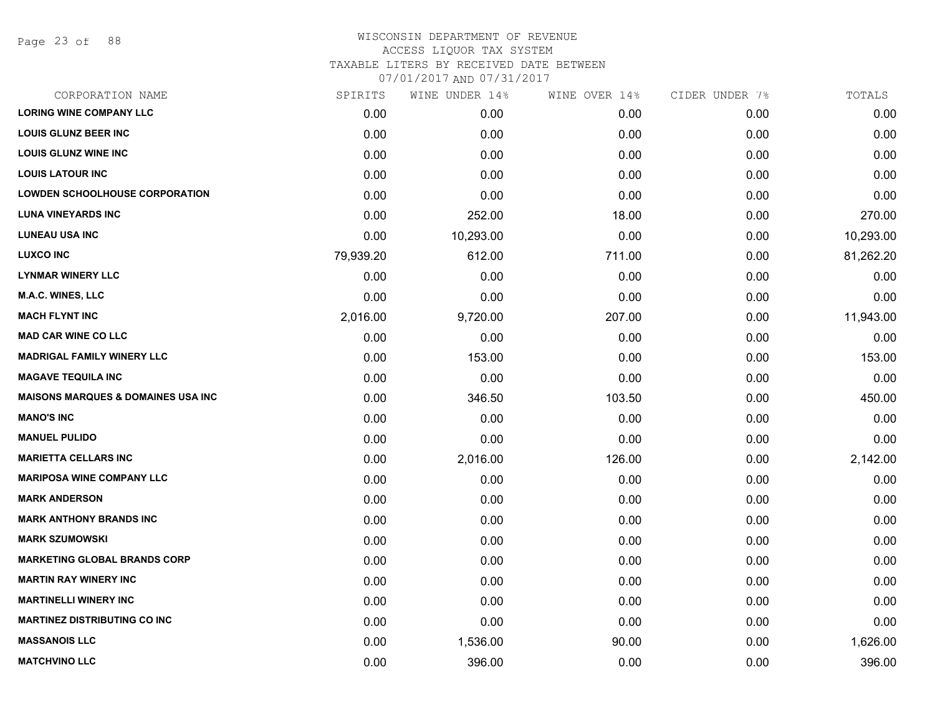Page 23 of 88

# WISCONSIN DEPARTMENT OF REVENUE ACCESS LIQUOR TAX SYSTEM

TAXABLE LITERS BY RECEIVED DATE BETWEEN

|                                               |           | 0770172017AND0773172017 |               |                |           |
|-----------------------------------------------|-----------|-------------------------|---------------|----------------|-----------|
| CORPORATION NAME                              | SPIRITS   | WINE UNDER 14%          | WINE OVER 14% | CIDER UNDER 7% | TOTALS    |
| <b>LORING WINE COMPANY LLC</b>                | 0.00      | 0.00                    | 0.00          | 0.00           | 0.00      |
| <b>LOUIS GLUNZ BEER INC</b>                   | 0.00      | 0.00                    | 0.00          | 0.00           | 0.00      |
| <b>LOUIS GLUNZ WINE INC</b>                   | 0.00      | 0.00                    | 0.00          | 0.00           | 0.00      |
| <b>LOUIS LATOUR INC</b>                       | 0.00      | 0.00                    | 0.00          | 0.00           | 0.00      |
| <b>LOWDEN SCHOOLHOUSE CORPORATION</b>         | 0.00      | 0.00                    | 0.00          | 0.00           | 0.00      |
| <b>LUNA VINEYARDS INC</b>                     | 0.00      | 252.00                  | 18.00         | 0.00           | 270.00    |
| <b>LUNEAU USA INC</b>                         | 0.00      | 10,293.00               | 0.00          | 0.00           | 10,293.00 |
| <b>LUXCO INC</b>                              | 79,939.20 | 612.00                  | 711.00        | 0.00           | 81,262.20 |
| <b>LYNMAR WINERY LLC</b>                      | 0.00      | 0.00                    | 0.00          | 0.00           | 0.00      |
| <b>M.A.C. WINES, LLC</b>                      | 0.00      | 0.00                    | 0.00          | 0.00           | 0.00      |
| <b>MACH FLYNT INC</b>                         | 2,016.00  | 9,720.00                | 207.00        | 0.00           | 11,943.00 |
| <b>MAD CAR WINE CO LLC</b>                    | 0.00      | 0.00                    | 0.00          | 0.00           | 0.00      |
| <b>MADRIGAL FAMILY WINERY LLC</b>             | 0.00      | 153.00                  | 0.00          | 0.00           | 153.00    |
| <b>MAGAVE TEQUILA INC</b>                     | 0.00      | 0.00                    | 0.00          | 0.00           | 0.00      |
| <b>MAISONS MARQUES &amp; DOMAINES USA INC</b> | 0.00      | 346.50                  | 103.50        | 0.00           | 450.00    |
| <b>MANO'S INC</b>                             | 0.00      | 0.00                    | 0.00          | 0.00           | 0.00      |
| <b>MANUEL PULIDO</b>                          | 0.00      | 0.00                    | 0.00          | 0.00           | 0.00      |
| <b>MARIETTA CELLARS INC</b>                   | 0.00      | 2,016.00                | 126.00        | 0.00           | 2,142.00  |
| <b>MARIPOSA WINE COMPANY LLC</b>              | 0.00      | 0.00                    | 0.00          | 0.00           | 0.00      |
| <b>MARK ANDERSON</b>                          | 0.00      | 0.00                    | 0.00          | 0.00           | 0.00      |
| <b>MARK ANTHONY BRANDS INC</b>                | 0.00      | 0.00                    | 0.00          | 0.00           | 0.00      |
| <b>MARK SZUMOWSKI</b>                         | 0.00      | 0.00                    | 0.00          | 0.00           | 0.00      |
| <b>MARKETING GLOBAL BRANDS CORP</b>           | 0.00      | 0.00                    | 0.00          | 0.00           | 0.00      |
| <b>MARTIN RAY WINERY INC</b>                  | 0.00      | 0.00                    | 0.00          | 0.00           | 0.00      |
| <b>MARTINELLI WINERY INC</b>                  | 0.00      | 0.00                    | 0.00          | 0.00           | 0.00      |
| <b>MARTINEZ DISTRIBUTING CO INC</b>           | 0.00      | 0.00                    | 0.00          | 0.00           | 0.00      |
| <b>MASSANOIS LLC</b>                          | 0.00      | 1,536.00                | 90.00         | 0.00           | 1,626.00  |
| <b>MATCHVINO LLC</b>                          | 0.00      | 396.00                  | 0.00          | 0.00           | 396.00    |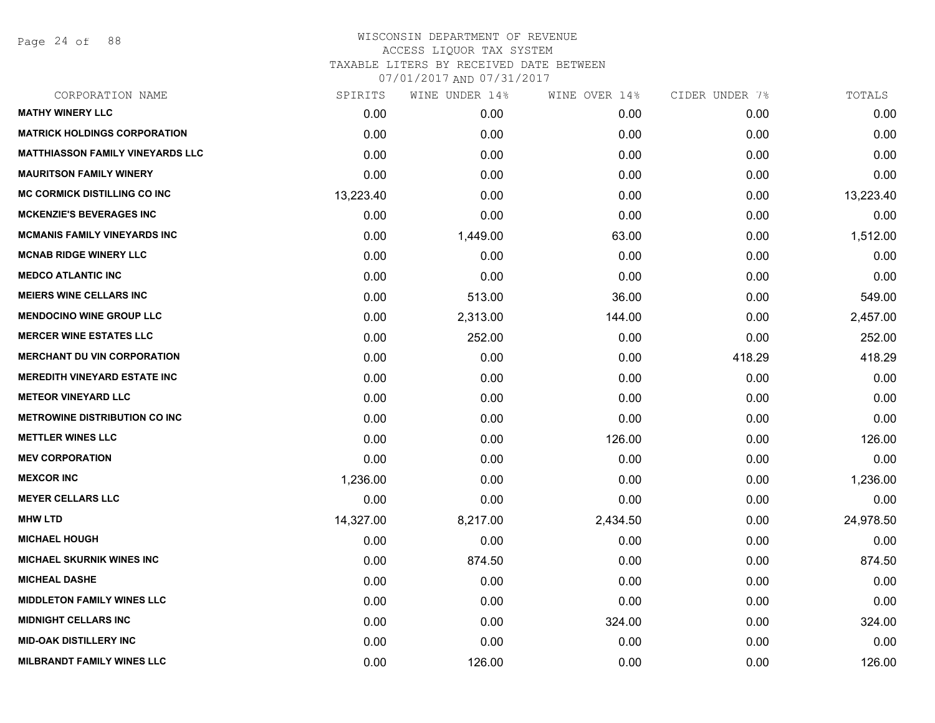Page 24 of 88

| CORPORATION NAME                        | SPIRITS   | WINE UNDER 14% | WINE OVER 14% | CIDER UNDER 7% | TOTALS    |
|-----------------------------------------|-----------|----------------|---------------|----------------|-----------|
| <b>MATHY WINERY LLC</b>                 | 0.00      | 0.00           | 0.00          | 0.00           | 0.00      |
| <b>MATRICK HOLDINGS CORPORATION</b>     | 0.00      | 0.00           | 0.00          | 0.00           | 0.00      |
| <b>MATTHIASSON FAMILY VINEYARDS LLC</b> | 0.00      | 0.00           | 0.00          | 0.00           | 0.00      |
| <b>MAURITSON FAMILY WINERY</b>          | 0.00      | 0.00           | 0.00          | 0.00           | 0.00      |
| <b>MC CORMICK DISTILLING CO INC</b>     | 13,223.40 | 0.00           | 0.00          | 0.00           | 13,223.40 |
| <b>MCKENZIE'S BEVERAGES INC</b>         | 0.00      | 0.00           | 0.00          | 0.00           | 0.00      |
| <b>MCMANIS FAMILY VINEYARDS INC</b>     | 0.00      | 1,449.00       | 63.00         | 0.00           | 1,512.00  |
| <b>MCNAB RIDGE WINERY LLC</b>           | 0.00      | 0.00           | 0.00          | 0.00           | 0.00      |
| <b>MEDCO ATLANTIC INC</b>               | 0.00      | 0.00           | 0.00          | 0.00           | 0.00      |
| <b>MEIERS WINE CELLARS INC</b>          | 0.00      | 513.00         | 36.00         | 0.00           | 549.00    |
| <b>MENDOCINO WINE GROUP LLC</b>         | 0.00      | 2,313.00       | 144.00        | 0.00           | 2,457.00  |
| <b>MERCER WINE ESTATES LLC</b>          | 0.00      | 252.00         | 0.00          | 0.00           | 252.00    |
| <b>MERCHANT DU VIN CORPORATION</b>      | 0.00      | 0.00           | 0.00          | 418.29         | 418.29    |
| <b>MEREDITH VINEYARD ESTATE INC</b>     | 0.00      | 0.00           | 0.00          | 0.00           | 0.00      |
| <b>METEOR VINEYARD LLC</b>              | 0.00      | 0.00           | 0.00          | 0.00           | 0.00      |
| <b>METROWINE DISTRIBUTION CO INC</b>    | 0.00      | 0.00           | 0.00          | 0.00           | 0.00      |
| <b>METTLER WINES LLC</b>                | 0.00      | 0.00           | 126.00        | 0.00           | 126.00    |
| <b>MEV CORPORATION</b>                  | 0.00      | 0.00           | 0.00          | 0.00           | 0.00      |
| <b>MEXCOR INC</b>                       | 1,236.00  | 0.00           | 0.00          | 0.00           | 1,236.00  |
| <b>MEYER CELLARS LLC</b>                | 0.00      | 0.00           | 0.00          | 0.00           | 0.00      |
| <b>MHW LTD</b>                          | 14,327.00 | 8,217.00       | 2,434.50      | 0.00           | 24,978.50 |
| <b>MICHAEL HOUGH</b>                    | 0.00      | 0.00           | 0.00          | 0.00           | 0.00      |
| <b>MICHAEL SKURNIK WINES INC</b>        | 0.00      | 874.50         | 0.00          | 0.00           | 874.50    |
| <b>MICHEAL DASHE</b>                    | 0.00      | 0.00           | 0.00          | 0.00           | 0.00      |
| <b>MIDDLETON FAMILY WINES LLC</b>       | 0.00      | 0.00           | 0.00          | 0.00           | 0.00      |
| <b>MIDNIGHT CELLARS INC</b>             | 0.00      | 0.00           | 324.00        | 0.00           | 324.00    |
| <b>MID-OAK DISTILLERY INC</b>           | 0.00      | 0.00           | 0.00          | 0.00           | 0.00      |
| <b>MILBRANDT FAMILY WINES LLC</b>       | 0.00      | 126.00         | 0.00          | 0.00           | 126.00    |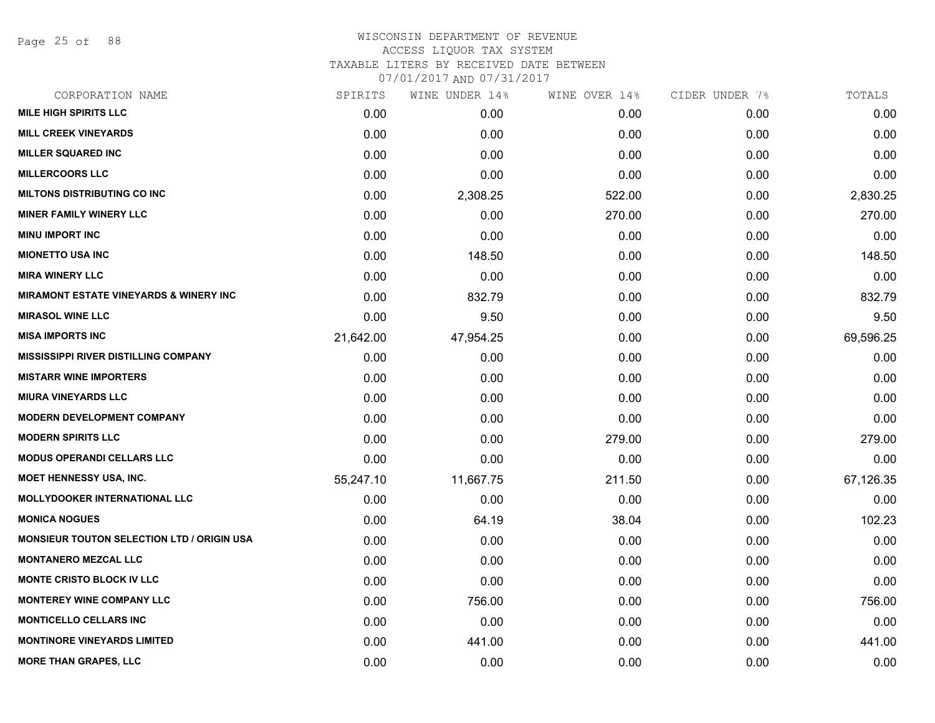Page 25 of 88

### WISCONSIN DEPARTMENT OF REVENUE ACCESS LIQUOR TAX SYSTEM TAXABLE LITERS BY RECEIVED DATE BETWEEN

| CORPORATION NAME                                  | SPIRITS   | WINE UNDER 14% | WINE OVER 14% | CIDER UNDER 7% | TOTALS    |
|---------------------------------------------------|-----------|----------------|---------------|----------------|-----------|
| <b>MILE HIGH SPIRITS LLC</b>                      | 0.00      | 0.00           | 0.00          | 0.00           | 0.00      |
| <b>MILL CREEK VINEYARDS</b>                       | 0.00      | 0.00           | 0.00          | 0.00           | 0.00      |
| <b>MILLER SQUARED INC</b>                         | 0.00      | 0.00           | 0.00          | 0.00           | 0.00      |
| <b>MILLERCOORS LLC</b>                            | 0.00      | 0.00           | 0.00          | 0.00           | 0.00      |
| <b>MILTONS DISTRIBUTING CO INC</b>                | 0.00      | 2,308.25       | 522.00        | 0.00           | 2,830.25  |
| <b>MINER FAMILY WINERY LLC</b>                    | 0.00      | 0.00           | 270.00        | 0.00           | 270.00    |
| <b>MINU IMPORT INC</b>                            | 0.00      | 0.00           | 0.00          | 0.00           | 0.00      |
| <b>MIONETTO USA INC</b>                           | 0.00      | 148.50         | 0.00          | 0.00           | 148.50    |
| <b>MIRA WINERY LLC</b>                            | 0.00      | 0.00           | 0.00          | 0.00           | 0.00      |
| <b>MIRAMONT ESTATE VINEYARDS &amp; WINERY INC</b> | 0.00      | 832.79         | 0.00          | 0.00           | 832.79    |
| <b>MIRASOL WINE LLC</b>                           | 0.00      | 9.50           | 0.00          | 0.00           | 9.50      |
| <b>MISA IMPORTS INC</b>                           | 21,642.00 | 47,954.25      | 0.00          | 0.00           | 69,596.25 |
| <b>MISSISSIPPI RIVER DISTILLING COMPANY</b>       | 0.00      | 0.00           | 0.00          | 0.00           | 0.00      |
| <b>MISTARR WINE IMPORTERS</b>                     | 0.00      | 0.00           | 0.00          | 0.00           | 0.00      |
| <b>MIURA VINEYARDS LLC</b>                        | 0.00      | 0.00           | 0.00          | 0.00           | 0.00      |
| <b>MODERN DEVELOPMENT COMPANY</b>                 | 0.00      | 0.00           | 0.00          | 0.00           | 0.00      |
| <b>MODERN SPIRITS LLC</b>                         | 0.00      | 0.00           | 279.00        | 0.00           | 279.00    |
| <b>MODUS OPERANDI CELLARS LLC</b>                 | 0.00      | 0.00           | 0.00          | 0.00           | 0.00      |
| <b>MOET HENNESSY USA, INC.</b>                    | 55,247.10 | 11,667.75      | 211.50        | 0.00           | 67,126.35 |
| <b>MOLLYDOOKER INTERNATIONAL LLC</b>              | 0.00      | 0.00           | 0.00          | 0.00           | 0.00      |
| <b>MONICA NOGUES</b>                              | 0.00      | 64.19          | 38.04         | 0.00           | 102.23    |
| <b>MONSIEUR TOUTON SELECTION LTD / ORIGIN USA</b> | 0.00      | 0.00           | 0.00          | 0.00           | 0.00      |
| <b>MONTANERO MEZCAL LLC</b>                       | 0.00      | 0.00           | 0.00          | 0.00           | 0.00      |
| <b>MONTE CRISTO BLOCK IV LLC</b>                  | 0.00      | 0.00           | 0.00          | 0.00           | 0.00      |
| <b>MONTEREY WINE COMPANY LLC</b>                  | 0.00      | 756.00         | 0.00          | 0.00           | 756.00    |
| <b>MONTICELLO CELLARS INC</b>                     | 0.00      | 0.00           | 0.00          | 0.00           | 0.00      |
| <b>MONTINORE VINEYARDS LIMITED</b>                | 0.00      | 441.00         | 0.00          | 0.00           | 441.00    |
| <b>MORE THAN GRAPES, LLC</b>                      | 0.00      | 0.00           | 0.00          | 0.00           | 0.00      |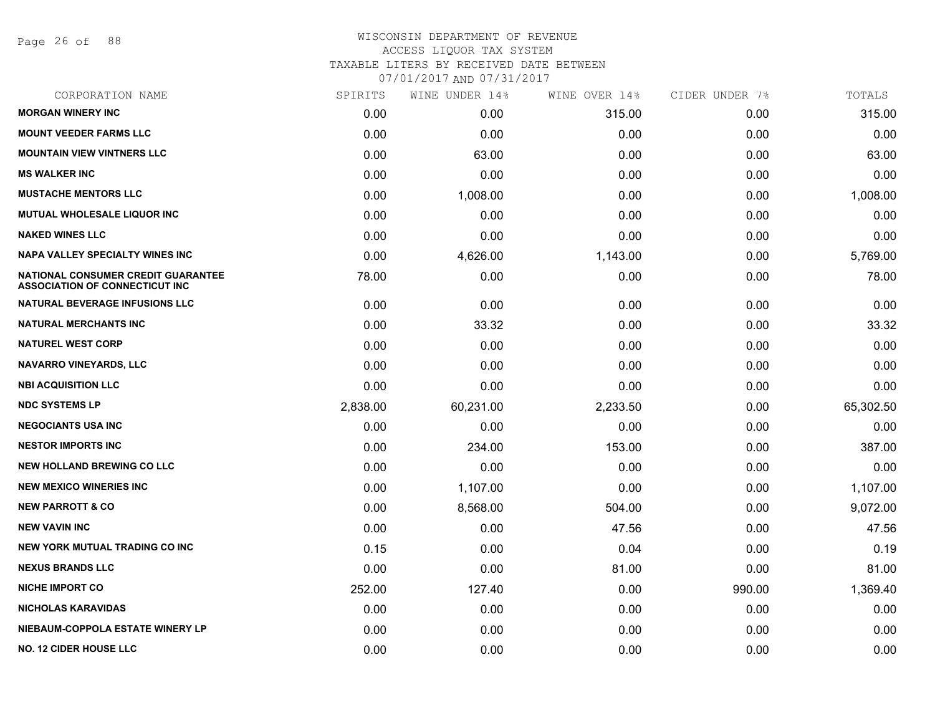Page 26 of 88

### WISCONSIN DEPARTMENT OF REVENUE ACCESS LIQUOR TAX SYSTEM TAXABLE LITERS BY RECEIVED DATE BETWEEN

| CORPORATION NAME                                                            | SPIRITS  | WINE UNDER 14% | WINE OVER 14% | CIDER UNDER 7% | TOTALS    |
|-----------------------------------------------------------------------------|----------|----------------|---------------|----------------|-----------|
| <b>MORGAN WINERY INC</b>                                                    | 0.00     | 0.00           | 315.00        | 0.00           | 315.00    |
| <b>MOUNT VEEDER FARMS LLC</b>                                               | 0.00     | 0.00           | 0.00          | 0.00           | 0.00      |
| <b>MOUNTAIN VIEW VINTNERS LLC</b>                                           | 0.00     | 63.00          | 0.00          | 0.00           | 63.00     |
| <b>MS WALKER INC</b>                                                        | 0.00     | 0.00           | 0.00          | 0.00           | 0.00      |
| <b>MUSTACHE MENTORS LLC</b>                                                 | 0.00     | 1,008.00       | 0.00          | 0.00           | 1,008.00  |
| MUTUAL WHOLESALE LIQUOR INC                                                 | 0.00     | 0.00           | 0.00          | 0.00           | 0.00      |
| <b>NAKED WINES LLC</b>                                                      | 0.00     | 0.00           | 0.00          | 0.00           | 0.00      |
| <b>NAPA VALLEY SPECIALTY WINES INC</b>                                      | 0.00     | 4,626.00       | 1,143.00      | 0.00           | 5,769.00  |
| NATIONAL CONSUMER CREDIT GUARANTEE<br><b>ASSOCIATION OF CONNECTICUT INC</b> | 78.00    | 0.00           | 0.00          | 0.00           | 78.00     |
| NATURAL BEVERAGE INFUSIONS LLC                                              | 0.00     | 0.00           | 0.00          | 0.00           | 0.00      |
| <b>NATURAL MERCHANTS INC</b>                                                | 0.00     | 33.32          | 0.00          | 0.00           | 33.32     |
| <b>NATUREL WEST CORP</b>                                                    | 0.00     | 0.00           | 0.00          | 0.00           | 0.00      |
| <b>NAVARRO VINEYARDS, LLC</b>                                               | 0.00     | 0.00           | 0.00          | 0.00           | 0.00      |
| <b>NBI ACQUISITION LLC</b>                                                  | 0.00     | 0.00           | 0.00          | 0.00           | 0.00      |
| <b>NDC SYSTEMS LP</b>                                                       | 2,838.00 | 60,231.00      | 2,233.50      | 0.00           | 65,302.50 |
| <b>NEGOCIANTS USA INC</b>                                                   | 0.00     | 0.00           | 0.00          | 0.00           | 0.00      |
| <b>NESTOR IMPORTS INC</b>                                                   | 0.00     | 234.00         | 153.00        | 0.00           | 387.00    |
| <b>NEW HOLLAND BREWING CO LLC</b>                                           | 0.00     | 0.00           | 0.00          | 0.00           | 0.00      |
| <b>NEW MEXICO WINERIES INC.</b>                                             | 0.00     | 1,107.00       | 0.00          | 0.00           | 1,107.00  |
| <b>NEW PARROTT &amp; CO</b>                                                 | 0.00     | 8,568.00       | 504.00        | 0.00           | 9,072.00  |
| <b>NEW VAVIN INC</b>                                                        | 0.00     | 0.00           | 47.56         | 0.00           | 47.56     |
| <b>NEW YORK MUTUAL TRADING CO INC</b>                                       | 0.15     | 0.00           | 0.04          | 0.00           | 0.19      |
| <b>NEXUS BRANDS LLC</b>                                                     | 0.00     | 0.00           | 81.00         | 0.00           | 81.00     |
| <b>NICHE IMPORT CO</b>                                                      | 252.00   | 127.40         | 0.00          | 990.00         | 1,369.40  |
| <b>NICHOLAS KARAVIDAS</b>                                                   | 0.00     | 0.00           | 0.00          | 0.00           | 0.00      |
| NIEBAUM-COPPOLA ESTATE WINERY LP                                            | 0.00     | 0.00           | 0.00          | 0.00           | 0.00      |
| <b>NO. 12 CIDER HOUSE LLC</b>                                               | 0.00     | 0.00           | 0.00          | 0.00           | 0.00      |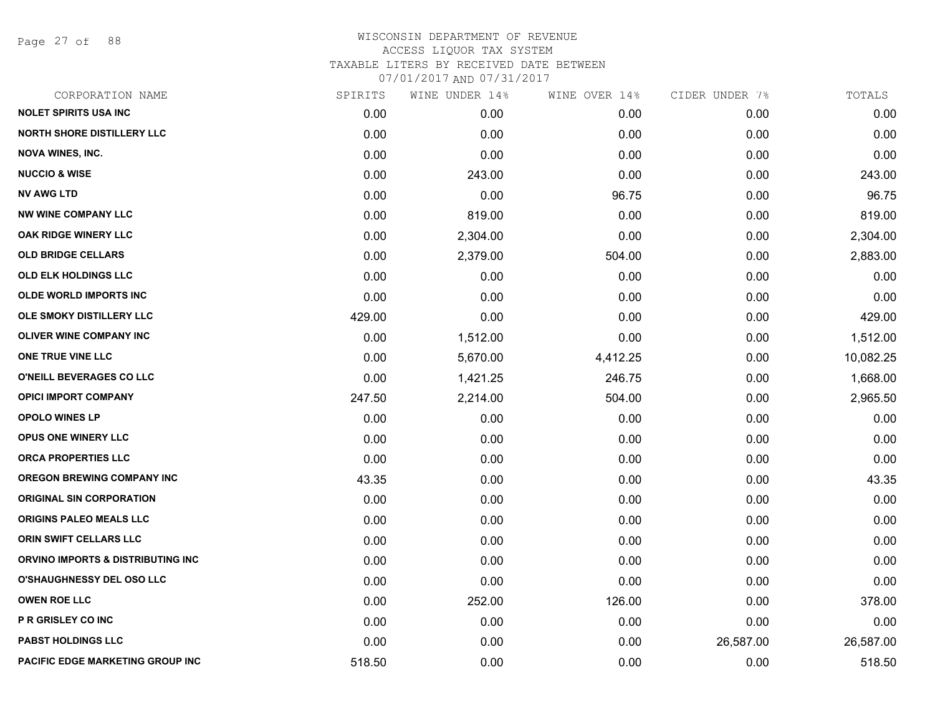Page 27 of 88

# WISCONSIN DEPARTMENT OF REVENUE ACCESS LIQUOR TAX SYSTEM TAXABLE LITERS BY RECEIVED DATE BETWEEN

| CORPORATION NAME                        | SPIRITS | WINE UNDER 14% | WINE OVER 14% | CIDER UNDER 7% | TOTALS    |
|-----------------------------------------|---------|----------------|---------------|----------------|-----------|
| <b>NOLET SPIRITS USA INC</b>            | 0.00    | 0.00           | 0.00          | 0.00           | 0.00      |
| <b>NORTH SHORE DISTILLERY LLC</b>       | 0.00    | 0.00           | 0.00          | 0.00           | 0.00      |
| <b>NOVA WINES, INC.</b>                 | 0.00    | 0.00           | 0.00          | 0.00           | 0.00      |
| <b>NUCCIO &amp; WISE</b>                | 0.00    | 243.00         | 0.00          | 0.00           | 243.00    |
| <b>NV AWG LTD</b>                       | 0.00    | 0.00           | 96.75         | 0.00           | 96.75     |
| <b>NW WINE COMPANY LLC</b>              | 0.00    | 819.00         | 0.00          | 0.00           | 819.00    |
| OAK RIDGE WINERY LLC                    | 0.00    | 2,304.00       | 0.00          | 0.00           | 2,304.00  |
| <b>OLD BRIDGE CELLARS</b>               | 0.00    | 2,379.00       | 504.00        | 0.00           | 2,883.00  |
| <b>OLD ELK HOLDINGS LLC</b>             | 0.00    | 0.00           | 0.00          | 0.00           | 0.00      |
| <b>OLDE WORLD IMPORTS INC</b>           | 0.00    | 0.00           | 0.00          | 0.00           | 0.00      |
| OLE SMOKY DISTILLERY LLC                | 429.00  | 0.00           | 0.00          | 0.00           | 429.00    |
| <b>OLIVER WINE COMPANY INC</b>          | 0.00    | 1,512.00       | 0.00          | 0.00           | 1,512.00  |
| ONE TRUE VINE LLC                       | 0.00    | 5,670.00       | 4,412.25      | 0.00           | 10,082.25 |
| O'NEILL BEVERAGES CO LLC                | 0.00    | 1,421.25       | 246.75        | 0.00           | 1,668.00  |
| <b>OPICI IMPORT COMPANY</b>             | 247.50  | 2,214.00       | 504.00        | 0.00           | 2,965.50  |
| <b>OPOLO WINES LP</b>                   | 0.00    | 0.00           | 0.00          | 0.00           | 0.00      |
| OPUS ONE WINERY LLC                     | 0.00    | 0.00           | 0.00          | 0.00           | 0.00      |
| ORCA PROPERTIES LLC                     | 0.00    | 0.00           | 0.00          | 0.00           | 0.00      |
| <b>OREGON BREWING COMPANY INC</b>       | 43.35   | 0.00           | 0.00          | 0.00           | 43.35     |
| <b>ORIGINAL SIN CORPORATION</b>         | 0.00    | 0.00           | 0.00          | 0.00           | 0.00      |
| <b>ORIGINS PALEO MEALS LLC</b>          | 0.00    | 0.00           | 0.00          | 0.00           | 0.00      |
| ORIN SWIFT CELLARS LLC                  | 0.00    | 0.00           | 0.00          | 0.00           | 0.00      |
| ORVINO IMPORTS & DISTRIBUTING INC       | 0.00    | 0.00           | 0.00          | 0.00           | 0.00      |
| O'SHAUGHNESSY DEL OSO LLC               | 0.00    | 0.00           | 0.00          | 0.00           | 0.00      |
| <b>OWEN ROE LLC</b>                     | 0.00    | 252.00         | 126.00        | 0.00           | 378.00    |
| P R GRISLEY CO INC                      | 0.00    | 0.00           | 0.00          | 0.00           | 0.00      |
| <b>PABST HOLDINGS LLC</b>               | 0.00    | 0.00           | 0.00          | 26,587.00      | 26,587.00 |
| <b>PACIFIC EDGE MARKETING GROUP INC</b> | 518.50  | 0.00           | 0.00          | 0.00           | 518.50    |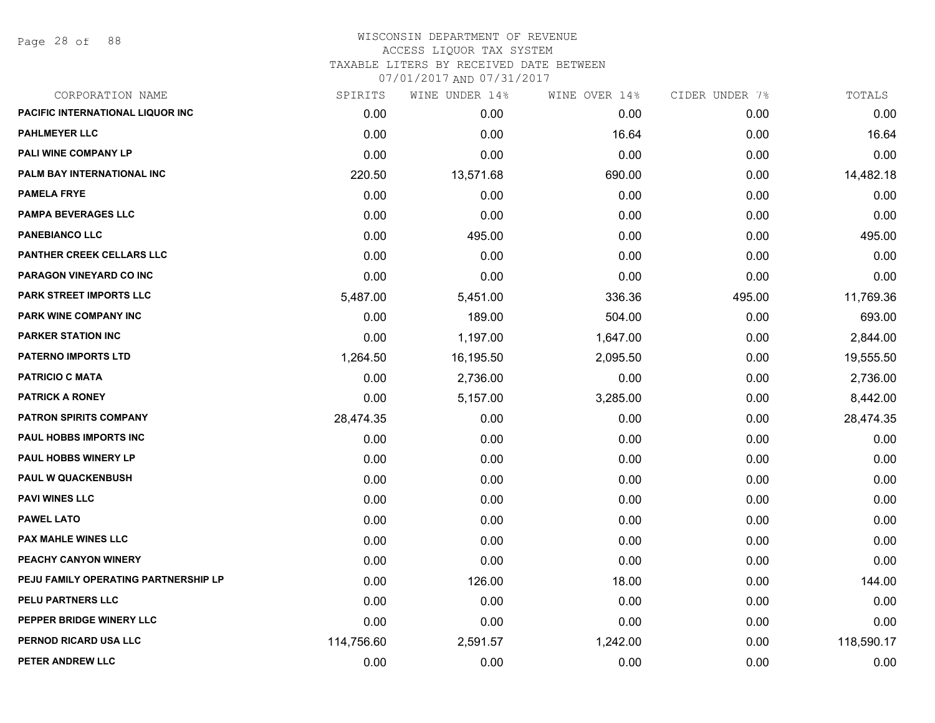Page 28 of 88

| CORPORATION NAME                        | SPIRITS    | WINE UNDER 14% | WINE OVER 14% | CIDER UNDER 7% | TOTALS     |
|-----------------------------------------|------------|----------------|---------------|----------------|------------|
| <b>PACIFIC INTERNATIONAL LIQUOR INC</b> | 0.00       | 0.00           | 0.00          | 0.00           | 0.00       |
| <b>PAHLMEYER LLC</b>                    | 0.00       | 0.00           | 16.64         | 0.00           | 16.64      |
| <b>PALI WINE COMPANY LP</b>             | 0.00       | 0.00           | 0.00          | 0.00           | 0.00       |
| PALM BAY INTERNATIONAL INC              | 220.50     | 13,571.68      | 690.00        | 0.00           | 14,482.18  |
| <b>PAMELA FRYE</b>                      | 0.00       | 0.00           | 0.00          | 0.00           | 0.00       |
| <b>PAMPA BEVERAGES LLC</b>              | 0.00       | 0.00           | 0.00          | 0.00           | 0.00       |
| <b>PANEBIANCO LLC</b>                   | 0.00       | 495.00         | 0.00          | 0.00           | 495.00     |
| <b>PANTHER CREEK CELLARS LLC</b>        | 0.00       | 0.00           | 0.00          | 0.00           | 0.00       |
| PARAGON VINEYARD CO INC                 | 0.00       | 0.00           | 0.00          | 0.00           | 0.00       |
| <b>PARK STREET IMPORTS LLC</b>          | 5,487.00   | 5,451.00       | 336.36        | 495.00         | 11,769.36  |
| <b>PARK WINE COMPANY INC</b>            | 0.00       | 189.00         | 504.00        | 0.00           | 693.00     |
| <b>PARKER STATION INC</b>               | 0.00       | 1,197.00       | 1,647.00      | 0.00           | 2,844.00   |
| <b>PATERNO IMPORTS LTD</b>              | 1,264.50   | 16,195.50      | 2,095.50      | 0.00           | 19,555.50  |
| <b>PATRICIO C MATA</b>                  | 0.00       | 2,736.00       | 0.00          | 0.00           | 2,736.00   |
| <b>PATRICK A RONEY</b>                  | 0.00       | 5,157.00       | 3,285.00      | 0.00           | 8,442.00   |
| <b>PATRON SPIRITS COMPANY</b>           | 28,474.35  | 0.00           | 0.00          | 0.00           | 28,474.35  |
| <b>PAUL HOBBS IMPORTS INC</b>           | 0.00       | 0.00           | 0.00          | 0.00           | 0.00       |
| <b>PAUL HOBBS WINERY LP</b>             | 0.00       | 0.00           | 0.00          | 0.00           | 0.00       |
| PAUL W QUACKENBUSH                      | 0.00       | 0.00           | 0.00          | 0.00           | 0.00       |
| <b>PAVI WINES LLC</b>                   | 0.00       | 0.00           | 0.00          | 0.00           | 0.00       |
| <b>PAWEL LATO</b>                       | 0.00       | 0.00           | 0.00          | 0.00           | 0.00       |
| <b>PAX MAHLE WINES LLC</b>              | 0.00       | 0.00           | 0.00          | 0.00           | 0.00       |
| PEACHY CANYON WINERY                    | 0.00       | 0.00           | 0.00          | 0.00           | 0.00       |
| PEJU FAMILY OPERATING PARTNERSHIP LP    | 0.00       | 126.00         | 18.00         | 0.00           | 144.00     |
| PELU PARTNERS LLC                       | 0.00       | 0.00           | 0.00          | 0.00           | 0.00       |
| PEPPER BRIDGE WINERY LLC                | 0.00       | 0.00           | 0.00          | 0.00           | 0.00       |
| PERNOD RICARD USA LLC                   | 114,756.60 | 2,591.57       | 1,242.00      | 0.00           | 118,590.17 |
| PETER ANDREW LLC                        | 0.00       | 0.00           | 0.00          | 0.00           | 0.00       |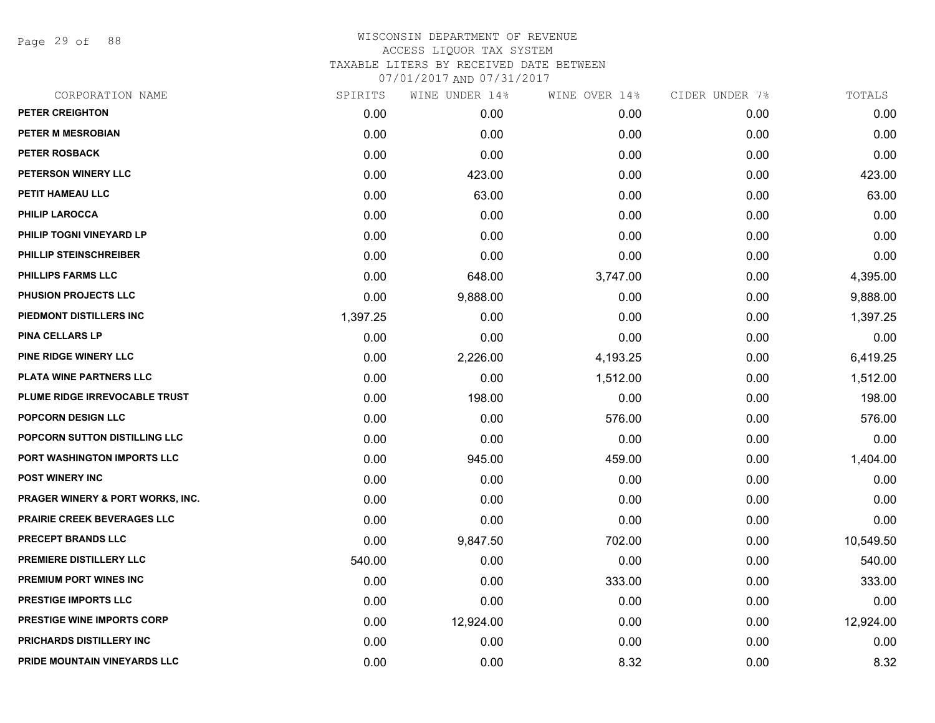Page 29 of 88

| CORPORATION NAME                   | SPIRITS  | WINE UNDER 14% | WINE OVER 14% | CIDER UNDER 7% | TOTALS    |
|------------------------------------|----------|----------------|---------------|----------------|-----------|
| PETER CREIGHTON                    | 0.00     | 0.00           | 0.00          | 0.00           | 0.00      |
| PETER M MESROBIAN                  | 0.00     | 0.00           | 0.00          | 0.00           | 0.00      |
| PETER ROSBACK                      | 0.00     | 0.00           | 0.00          | 0.00           | 0.00      |
| PETERSON WINERY LLC                | 0.00     | 423.00         | 0.00          | 0.00           | 423.00    |
| PETIT HAMEAU LLC                   | 0.00     | 63.00          | 0.00          | 0.00           | 63.00     |
| <b>PHILIP LAROCCA</b>              | 0.00     | 0.00           | 0.00          | 0.00           | 0.00      |
| PHILIP TOGNI VINEYARD LP           | 0.00     | 0.00           | 0.00          | 0.00           | 0.00      |
| PHILLIP STEINSCHREIBER             | 0.00     | 0.00           | 0.00          | 0.00           | 0.00      |
| <b>PHILLIPS FARMS LLC</b>          | 0.00     | 648.00         | 3,747.00      | 0.00           | 4,395.00  |
| PHUSION PROJECTS LLC               | 0.00     | 9,888.00       | 0.00          | 0.00           | 9,888.00  |
| PIEDMONT DISTILLERS INC            | 1,397.25 | 0.00           | 0.00          | 0.00           | 1,397.25  |
| PINA CELLARS LP                    | 0.00     | 0.00           | 0.00          | 0.00           | 0.00      |
| PINE RIDGE WINERY LLC              | 0.00     | 2,226.00       | 4,193.25      | 0.00           | 6,419.25  |
| PLATA WINE PARTNERS LLC            | 0.00     | 0.00           | 1,512.00      | 0.00           | 1,512.00  |
| PLUME RIDGE IRREVOCABLE TRUST      | 0.00     | 198.00         | 0.00          | 0.00           | 198.00    |
| <b>POPCORN DESIGN LLC</b>          | 0.00     | 0.00           | 576.00        | 0.00           | 576.00    |
| POPCORN SUTTON DISTILLING LLC      | 0.00     | 0.00           | 0.00          | 0.00           | 0.00      |
| PORT WASHINGTON IMPORTS LLC        | 0.00     | 945.00         | 459.00        | 0.00           | 1,404.00  |
| <b>POST WINERY INC</b>             | 0.00     | 0.00           | 0.00          | 0.00           | 0.00      |
| PRAGER WINERY & PORT WORKS, INC.   | 0.00     | 0.00           | 0.00          | 0.00           | 0.00      |
| <b>PRAIRIE CREEK BEVERAGES LLC</b> | 0.00     | 0.00           | 0.00          | 0.00           | 0.00      |
| <b>PRECEPT BRANDS LLC</b>          | 0.00     | 9,847.50       | 702.00        | 0.00           | 10,549.50 |
| PREMIERE DISTILLERY LLC            | 540.00   | 0.00           | 0.00          | 0.00           | 540.00    |
| PREMIUM PORT WINES INC             | 0.00     | 0.00           | 333.00        | 0.00           | 333.00    |
| <b>PRESTIGE IMPORTS LLC</b>        | 0.00     | 0.00           | 0.00          | 0.00           | 0.00      |
| <b>PRESTIGE WINE IMPORTS CORP</b>  | 0.00     | 12,924.00      | 0.00          | 0.00           | 12,924.00 |
| <b>PRICHARDS DISTILLERY INC</b>    | 0.00     | 0.00           | 0.00          | 0.00           | 0.00      |
| PRIDE MOUNTAIN VINEYARDS LLC       | 0.00     | 0.00           | 8.32          | 0.00           | 8.32      |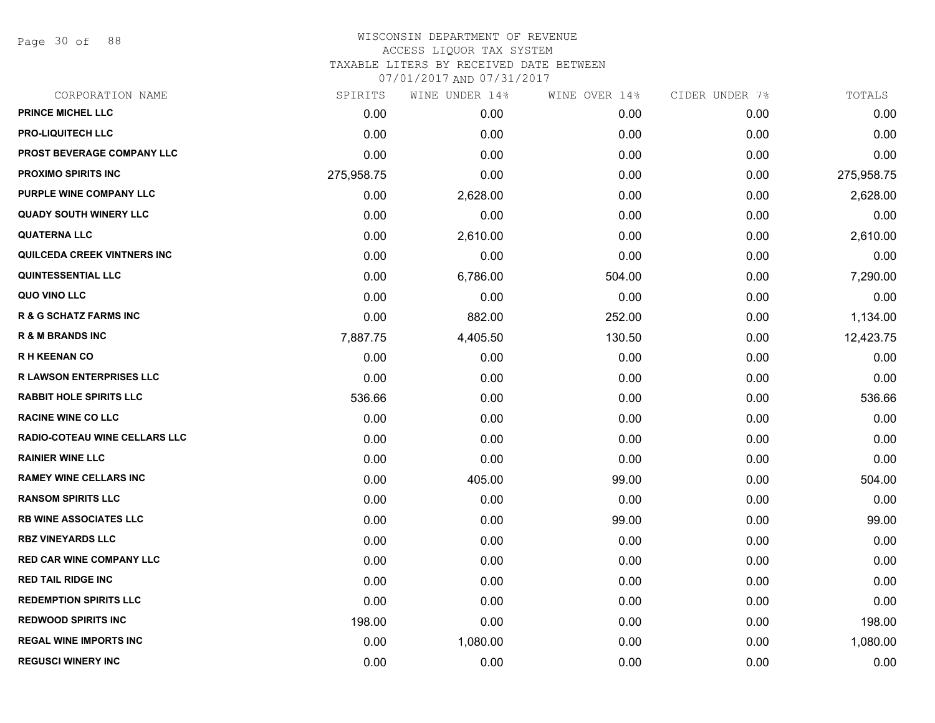Page 30 of 88

### WISCONSIN DEPARTMENT OF REVENUE ACCESS LIQUOR TAX SYSTEM TAXABLE LITERS BY RECEIVED DATE BETWEEN

| CORPORATION NAME                     | SPIRITS    | WINE UNDER 14% | WINE OVER 14% | CIDER UNDER 7% | TOTALS     |
|--------------------------------------|------------|----------------|---------------|----------------|------------|
| PRINCE MICHEL LLC                    | 0.00       | 0.00           | 0.00          | 0.00           | 0.00       |
| <b>PRO-LIQUITECH LLC</b>             | 0.00       | 0.00           | 0.00          | 0.00           | 0.00       |
| PROST BEVERAGE COMPANY LLC           | 0.00       | 0.00           | 0.00          | 0.00           | 0.00       |
| <b>PROXIMO SPIRITS INC</b>           | 275,958.75 | 0.00           | 0.00          | 0.00           | 275,958.75 |
| PURPLE WINE COMPANY LLC              | 0.00       | 2,628.00       | 0.00          | 0.00           | 2,628.00   |
| <b>QUADY SOUTH WINERY LLC</b>        | 0.00       | 0.00           | 0.00          | 0.00           | 0.00       |
| <b>QUATERNA LLC</b>                  | 0.00       | 2,610.00       | 0.00          | 0.00           | 2,610.00   |
| QUILCEDA CREEK VINTNERS INC          | 0.00       | 0.00           | 0.00          | 0.00           | 0.00       |
| <b>QUINTESSENTIAL LLC</b>            | 0.00       | 6,786.00       | 504.00        | 0.00           | 7,290.00   |
| QUO VINO LLC                         | 0.00       | 0.00           | 0.00          | 0.00           | 0.00       |
| <b>R &amp; G SCHATZ FARMS INC</b>    | 0.00       | 882.00         | 252.00        | 0.00           | 1,134.00   |
| <b>R &amp; M BRANDS INC</b>          | 7,887.75   | 4,405.50       | 130.50        | 0.00           | 12,423.75  |
| <b>RH KEENAN CO</b>                  | 0.00       | 0.00           | 0.00          | 0.00           | 0.00       |
| <b>R LAWSON ENTERPRISES LLC</b>      | 0.00       | 0.00           | 0.00          | 0.00           | 0.00       |
| <b>RABBIT HOLE SPIRITS LLC</b>       | 536.66     | 0.00           | 0.00          | 0.00           | 536.66     |
| <b>RACINE WINE CO LLC</b>            | 0.00       | 0.00           | 0.00          | 0.00           | 0.00       |
| <b>RADIO-COTEAU WINE CELLARS LLC</b> | 0.00       | 0.00           | 0.00          | 0.00           | 0.00       |
| <b>RAINIER WINE LLC</b>              | 0.00       | 0.00           | 0.00          | 0.00           | 0.00       |
| <b>RAMEY WINE CELLARS INC</b>        | 0.00       | 405.00         | 99.00         | 0.00           | 504.00     |
| <b>RANSOM SPIRITS LLC</b>            | 0.00       | 0.00           | 0.00          | 0.00           | 0.00       |
| <b>RB WINE ASSOCIATES LLC</b>        | 0.00       | 0.00           | 99.00         | 0.00           | 99.00      |
| <b>RBZ VINEYARDS LLC</b>             | 0.00       | 0.00           | 0.00          | 0.00           | 0.00       |
| <b>RED CAR WINE COMPANY LLC</b>      | 0.00       | 0.00           | 0.00          | 0.00           | 0.00       |
| <b>RED TAIL RIDGE INC</b>            | 0.00       | 0.00           | 0.00          | 0.00           | 0.00       |
| <b>REDEMPTION SPIRITS LLC</b>        | 0.00       | 0.00           | 0.00          | 0.00           | 0.00       |
| <b>REDWOOD SPIRITS INC</b>           | 198.00     | 0.00           | 0.00          | 0.00           | 198.00     |
| <b>REGAL WINE IMPORTS INC</b>        | 0.00       | 1,080.00       | 0.00          | 0.00           | 1,080.00   |
| <b>REGUSCI WINERY INC</b>            | 0.00       | 0.00           | 0.00          | 0.00           | 0.00       |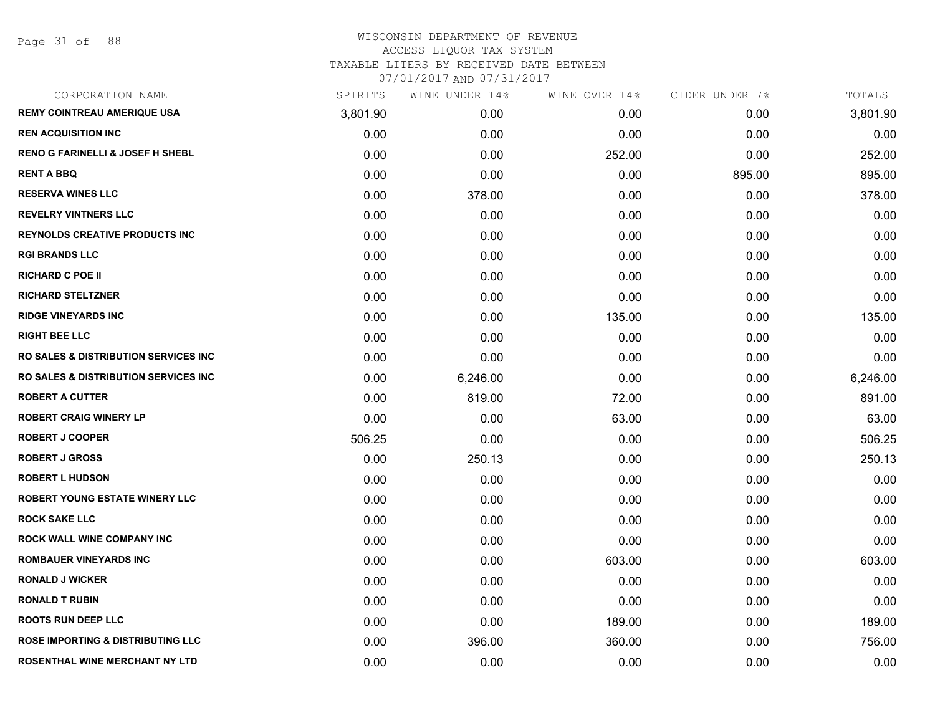| CORPORATION NAME                                 | SPIRITS  | WINE UNDER 14% | WINE OVER 14% | CIDER UNDER 7% | TOTALS   |
|--------------------------------------------------|----------|----------------|---------------|----------------|----------|
| <b>REMY COINTREAU AMERIQUE USA</b>               | 3,801.90 | 0.00           | 0.00          | 0.00           | 3,801.90 |
| <b>REN ACQUISITION INC</b>                       | 0.00     | 0.00           | 0.00          | 0.00           | 0.00     |
| <b>RENO G FARINELLI &amp; JOSEF H SHEBL</b>      | 0.00     | 0.00           | 252.00        | 0.00           | 252.00   |
| <b>RENT A BBQ</b>                                | 0.00     | 0.00           | 0.00          | 895.00         | 895.00   |
| <b>RESERVA WINES LLC</b>                         | 0.00     | 378.00         | 0.00          | 0.00           | 378.00   |
| <b>REVELRY VINTNERS LLC</b>                      | 0.00     | 0.00           | 0.00          | 0.00           | 0.00     |
| <b>REYNOLDS CREATIVE PRODUCTS INC</b>            | 0.00     | 0.00           | 0.00          | 0.00           | 0.00     |
| <b>RGI BRANDS LLC</b>                            | 0.00     | 0.00           | 0.00          | 0.00           | 0.00     |
| <b>RICHARD C POE II</b>                          | 0.00     | 0.00           | 0.00          | 0.00           | 0.00     |
| <b>RICHARD STELTZNER</b>                         | 0.00     | 0.00           | 0.00          | 0.00           | 0.00     |
| <b>RIDGE VINEYARDS INC</b>                       | 0.00     | 0.00           | 135.00        | 0.00           | 135.00   |
| <b>RIGHT BEE LLC</b>                             | 0.00     | 0.00           | 0.00          | 0.00           | 0.00     |
| <b>RO SALES &amp; DISTRIBUTION SERVICES INC.</b> | 0.00     | 0.00           | 0.00          | 0.00           | 0.00     |
| <b>RO SALES &amp; DISTRIBUTION SERVICES INC.</b> | 0.00     | 6,246.00       | 0.00          | 0.00           | 6,246.00 |
| <b>ROBERT A CUTTER</b>                           | 0.00     | 819.00         | 72.00         | 0.00           | 891.00   |
| <b>ROBERT CRAIG WINERY LP</b>                    | 0.00     | 0.00           | 63.00         | 0.00           | 63.00    |
| <b>ROBERT J COOPER</b>                           | 506.25   | 0.00           | 0.00          | 0.00           | 506.25   |
| <b>ROBERT J GROSS</b>                            | 0.00     | 250.13         | 0.00          | 0.00           | 250.13   |
| <b>ROBERT L HUDSON</b>                           | 0.00     | 0.00           | 0.00          | 0.00           | 0.00     |
| <b>ROBERT YOUNG ESTATE WINERY LLC</b>            | 0.00     | 0.00           | 0.00          | 0.00           | 0.00     |
| <b>ROCK SAKE LLC</b>                             | 0.00     | 0.00           | 0.00          | 0.00           | 0.00     |
| <b>ROCK WALL WINE COMPANY INC</b>                | 0.00     | 0.00           | 0.00          | 0.00           | 0.00     |
| <b>ROMBAUER VINEYARDS INC</b>                    | 0.00     | 0.00           | 603.00        | 0.00           | 603.00   |
| <b>RONALD J WICKER</b>                           | 0.00     | 0.00           | 0.00          | 0.00           | 0.00     |
| <b>RONALD T RUBIN</b>                            | 0.00     | 0.00           | 0.00          | 0.00           | 0.00     |
| <b>ROOTS RUN DEEP LLC</b>                        | 0.00     | 0.00           | 189.00        | 0.00           | 189.00   |
| <b>ROSE IMPORTING &amp; DISTRIBUTING LLC</b>     | 0.00     | 396.00         | 360.00        | 0.00           | 756.00   |
| ROSENTHAL WINE MERCHANT NY LTD                   | 0.00     | 0.00           | 0.00          | 0.00           | 0.00     |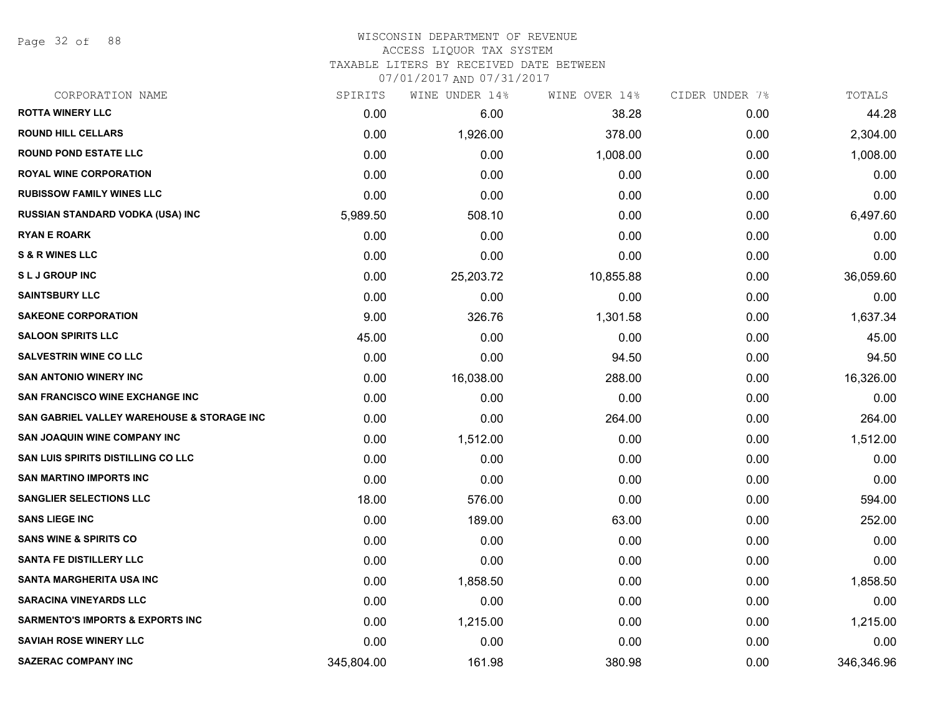Page 32 of 88

#### WISCONSIN DEPARTMENT OF REVENUE ACCESS LIQUOR TAX SYSTEM

TAXABLE LITERS BY RECEIVED DATE BETWEEN

| CORPORATION NAME                            | SPIRITS    | WINE UNDER 14% | WINE OVER 14% | CIDER UNDER 7% | TOTALS     |
|---------------------------------------------|------------|----------------|---------------|----------------|------------|
| <b>ROTTA WINERY LLC</b>                     | 0.00       | 6.00           | 38.28         | 0.00           | 44.28      |
| <b>ROUND HILL CELLARS</b>                   | 0.00       | 1,926.00       | 378.00        | 0.00           | 2,304.00   |
| <b>ROUND POND ESTATE LLC</b>                | 0.00       | 0.00           | 1,008.00      | 0.00           | 1,008.00   |
| <b>ROYAL WINE CORPORATION</b>               | 0.00       | 0.00           | 0.00          | 0.00           | 0.00       |
| <b>RUBISSOW FAMILY WINES LLC</b>            | 0.00       | 0.00           | 0.00          | 0.00           | 0.00       |
| RUSSIAN STANDARD VODKA (USA) INC            | 5,989.50   | 508.10         | 0.00          | 0.00           | 6,497.60   |
| <b>RYAN E ROARK</b>                         | 0.00       | 0.00           | 0.00          | 0.00           | 0.00       |
| <b>S &amp; R WINES LLC</b>                  | 0.00       | 0.00           | 0.00          | 0.00           | 0.00       |
| <b>SLJ GROUP INC</b>                        | 0.00       | 25,203.72      | 10,855.88     | 0.00           | 36,059.60  |
| <b>SAINTSBURY LLC</b>                       | 0.00       | 0.00           | 0.00          | 0.00           | 0.00       |
| <b>SAKEONE CORPORATION</b>                  | 9.00       | 326.76         | 1,301.58      | 0.00           | 1,637.34   |
| <b>SALOON SPIRITS LLC</b>                   | 45.00      | 0.00           | 0.00          | 0.00           | 45.00      |
| <b>SALVESTRIN WINE CO LLC</b>               | 0.00       | 0.00           | 94.50         | 0.00           | 94.50      |
| <b>SAN ANTONIO WINERY INC</b>               | 0.00       | 16,038.00      | 288.00        | 0.00           | 16,326.00  |
| <b>SAN FRANCISCO WINE EXCHANGE INC</b>      | 0.00       | 0.00           | 0.00          | 0.00           | 0.00       |
| SAN GABRIEL VALLEY WAREHOUSE & STORAGE INC  | 0.00       | 0.00           | 264.00        | 0.00           | 264.00     |
| <b>SAN JOAQUIN WINE COMPANY INC</b>         | 0.00       | 1,512.00       | 0.00          | 0.00           | 1,512.00   |
| <b>SAN LUIS SPIRITS DISTILLING CO LLC</b>   | 0.00       | 0.00           | 0.00          | 0.00           | 0.00       |
| <b>SAN MARTINO IMPORTS INC</b>              | 0.00       | 0.00           | 0.00          | 0.00           | 0.00       |
| <b>SANGLIER SELECTIONS LLC</b>              | 18.00      | 576.00         | 0.00          | 0.00           | 594.00     |
| <b>SANS LIEGE INC</b>                       | 0.00       | 189.00         | 63.00         | 0.00           | 252.00     |
| <b>SANS WINE &amp; SPIRITS CO</b>           | 0.00       | 0.00           | 0.00          | 0.00           | 0.00       |
| <b>SANTA FE DISTILLERY LLC</b>              | 0.00       | 0.00           | 0.00          | 0.00           | 0.00       |
| <b>SANTA MARGHERITA USA INC</b>             | 0.00       | 1,858.50       | 0.00          | 0.00           | 1,858.50   |
| <b>SARACINA VINEYARDS LLC</b>               | 0.00       | 0.00           | 0.00          | 0.00           | 0.00       |
| <b>SARMENTO'S IMPORTS &amp; EXPORTS INC</b> | 0.00       | 1,215.00       | 0.00          | 0.00           | 1,215.00   |
| <b>SAVIAH ROSE WINERY LLC</b>               | 0.00       | 0.00           | 0.00          | 0.00           | 0.00       |
| <b>SAZERAC COMPANY INC</b>                  | 345,804.00 | 161.98         | 380.98        | 0.00           | 346,346.96 |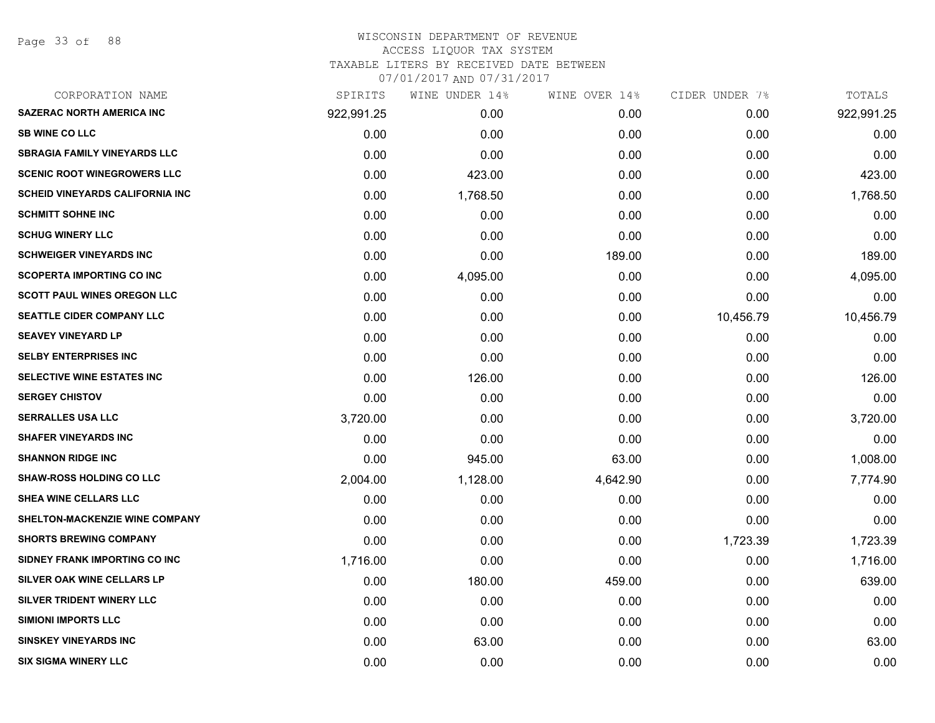### WISCONSIN DEPARTMENT OF REVENUE ACCESS LIQUOR TAX SYSTEM TAXABLE LITERS BY RECEIVED DATE BETWEEN

| CORPORATION NAME                       | SPIRITS    | WINE UNDER 14% | WINE OVER 14% | CIDER UNDER 7% | TOTALS     |
|----------------------------------------|------------|----------------|---------------|----------------|------------|
| <b>SAZERAC NORTH AMERICA INC</b>       | 922,991.25 | 0.00           | 0.00          | 0.00           | 922,991.25 |
| <b>SB WINE CO LLC</b>                  | 0.00       | 0.00           | 0.00          | 0.00           | 0.00       |
| <b>SBRAGIA FAMILY VINEYARDS LLC</b>    | 0.00       | 0.00           | 0.00          | 0.00           | 0.00       |
| <b>SCENIC ROOT WINEGROWERS LLC</b>     | 0.00       | 423.00         | 0.00          | 0.00           | 423.00     |
| <b>SCHEID VINEYARDS CALIFORNIA INC</b> | 0.00       | 1,768.50       | 0.00          | 0.00           | 1,768.50   |
| <b>SCHMITT SOHNE INC</b>               | 0.00       | 0.00           | 0.00          | 0.00           | 0.00       |
| <b>SCHUG WINERY LLC</b>                | 0.00       | 0.00           | 0.00          | 0.00           | 0.00       |
| <b>SCHWEIGER VINEYARDS INC</b>         | 0.00       | 0.00           | 189.00        | 0.00           | 189.00     |
| <b>SCOPERTA IMPORTING CO INC</b>       | 0.00       | 4,095.00       | 0.00          | 0.00           | 4,095.00   |
| <b>SCOTT PAUL WINES OREGON LLC</b>     | 0.00       | 0.00           | 0.00          | 0.00           | 0.00       |
| <b>SEATTLE CIDER COMPANY LLC</b>       | 0.00       | 0.00           | 0.00          | 10,456.79      | 10,456.79  |
| <b>SEAVEY VINEYARD LP</b>              | 0.00       | 0.00           | 0.00          | 0.00           | 0.00       |
| <b>SELBY ENTERPRISES INC</b>           | 0.00       | 0.00           | 0.00          | 0.00           | 0.00       |
| SELECTIVE WINE ESTATES INC             | 0.00       | 126.00         | 0.00          | 0.00           | 126.00     |
| <b>SERGEY CHISTOV</b>                  | 0.00       | 0.00           | 0.00          | 0.00           | 0.00       |
| <b>SERRALLES USA LLC</b>               | 3,720.00   | 0.00           | 0.00          | 0.00           | 3,720.00   |
| <b>SHAFER VINEYARDS INC</b>            | 0.00       | 0.00           | 0.00          | 0.00           | 0.00       |
| <b>SHANNON RIDGE INC</b>               | 0.00       | 945.00         | 63.00         | 0.00           | 1,008.00   |
| <b>SHAW-ROSS HOLDING CO LLC</b>        | 2,004.00   | 1,128.00       | 4,642.90      | 0.00           | 7,774.90   |
| <b>SHEA WINE CELLARS LLC</b>           | 0.00       | 0.00           | 0.00          | 0.00           | 0.00       |
| <b>SHELTON-MACKENZIE WINE COMPANY</b>  | 0.00       | 0.00           | 0.00          | 0.00           | 0.00       |
| <b>SHORTS BREWING COMPANY</b>          | 0.00       | 0.00           | 0.00          | 1,723.39       | 1,723.39   |
| SIDNEY FRANK IMPORTING CO INC          | 1,716.00   | 0.00           | 0.00          | 0.00           | 1,716.00   |
| SILVER OAK WINE CELLARS LP             | 0.00       | 180.00         | 459.00        | 0.00           | 639.00     |
| SILVER TRIDENT WINERY LLC              | 0.00       | 0.00           | 0.00          | 0.00           | 0.00       |
| <b>SIMIONI IMPORTS LLC</b>             | 0.00       | 0.00           | 0.00          | 0.00           | 0.00       |
| <b>SINSKEY VINEYARDS INC</b>           | 0.00       | 63.00          | 0.00          | 0.00           | 63.00      |
| <b>SIX SIGMA WINERY LLC</b>            | 0.00       | 0.00           | 0.00          | 0.00           | 0.00       |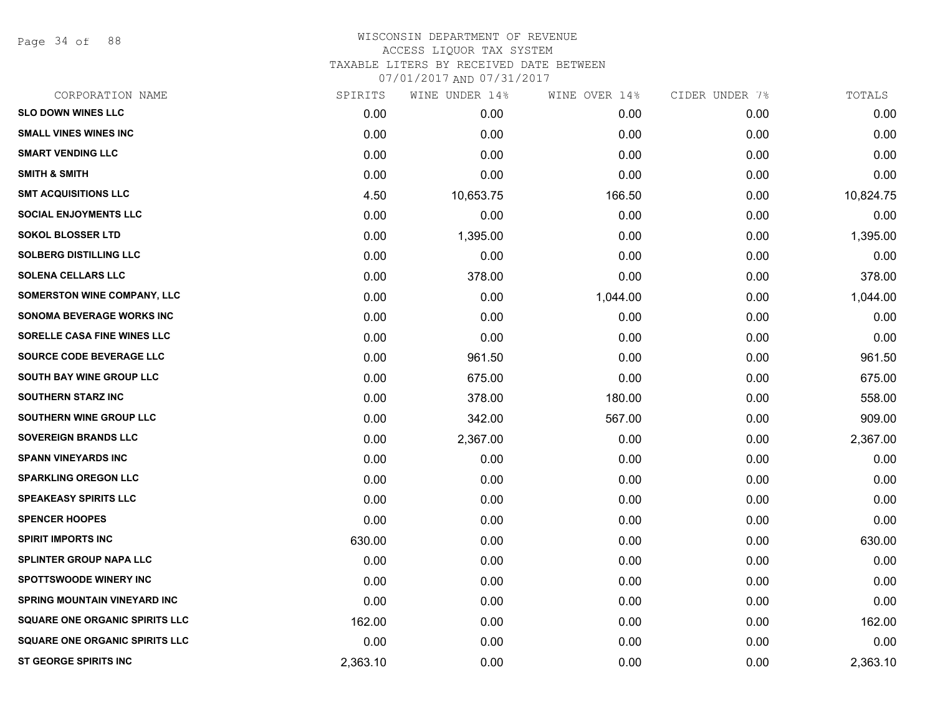Page 34 of 88

| CORPORATION NAME                      | SPIRITS  | WINE UNDER 14% | WINE OVER 14% | CIDER UNDER 7% | TOTALS    |
|---------------------------------------|----------|----------------|---------------|----------------|-----------|
| <b>SLO DOWN WINES LLC</b>             | 0.00     | 0.00           | 0.00          | 0.00           | 0.00      |
| <b>SMALL VINES WINES INC</b>          | 0.00     | 0.00           | 0.00          | 0.00           | 0.00      |
| <b>SMART VENDING LLC</b>              | 0.00     | 0.00           | 0.00          | 0.00           | 0.00      |
| <b>SMITH &amp; SMITH</b>              | 0.00     | 0.00           | 0.00          | 0.00           | 0.00      |
| <b>SMT ACQUISITIONS LLC</b>           | 4.50     | 10,653.75      | 166.50        | 0.00           | 10,824.75 |
| <b>SOCIAL ENJOYMENTS LLC</b>          | 0.00     | 0.00           | 0.00          | 0.00           | 0.00      |
| <b>SOKOL BLOSSER LTD</b>              | 0.00     | 1,395.00       | 0.00          | 0.00           | 1,395.00  |
| <b>SOLBERG DISTILLING LLC</b>         | 0.00     | 0.00           | 0.00          | 0.00           | 0.00      |
| <b>SOLENA CELLARS LLC</b>             | 0.00     | 378.00         | 0.00          | 0.00           | 378.00    |
| <b>SOMERSTON WINE COMPANY, LLC</b>    | 0.00     | 0.00           | 1,044.00      | 0.00           | 1,044.00  |
| <b>SONOMA BEVERAGE WORKS INC</b>      | 0.00     | 0.00           | 0.00          | 0.00           | 0.00      |
| SORELLE CASA FINE WINES LLC           | 0.00     | 0.00           | 0.00          | 0.00           | 0.00      |
| SOURCE CODE BEVERAGE LLC              | 0.00     | 961.50         | 0.00          | 0.00           | 961.50    |
| <b>SOUTH BAY WINE GROUP LLC</b>       | 0.00     | 675.00         | 0.00          | 0.00           | 675.00    |
| <b>SOUTHERN STARZ INC</b>             | 0.00     | 378.00         | 180.00        | 0.00           | 558.00    |
| SOUTHERN WINE GROUP LLC               | 0.00     | 342.00         | 567.00        | 0.00           | 909.00    |
| SOVEREIGN BRANDS LLC                  | 0.00     | 2,367.00       | 0.00          | 0.00           | 2,367.00  |
| <b>SPANN VINEYARDS INC</b>            | 0.00     | 0.00           | 0.00          | 0.00           | 0.00      |
| <b>SPARKLING OREGON LLC</b>           | 0.00     | 0.00           | 0.00          | 0.00           | 0.00      |
| <b>SPEAKEASY SPIRITS LLC</b>          | 0.00     | 0.00           | 0.00          | 0.00           | 0.00      |
| <b>SPENCER HOOPES</b>                 | 0.00     | 0.00           | 0.00          | 0.00           | 0.00      |
| <b>SPIRIT IMPORTS INC</b>             | 630.00   | 0.00           | 0.00          | 0.00           | 630.00    |
| <b>SPLINTER GROUP NAPA LLC</b>        | 0.00     | 0.00           | 0.00          | 0.00           | 0.00      |
| SPOTTSWOODE WINERY INC                | 0.00     | 0.00           | 0.00          | 0.00           | 0.00      |
| <b>SPRING MOUNTAIN VINEYARD INC</b>   | 0.00     | 0.00           | 0.00          | 0.00           | 0.00      |
| <b>SQUARE ONE ORGANIC SPIRITS LLC</b> | 162.00   | 0.00           | 0.00          | 0.00           | 162.00    |
| <b>SQUARE ONE ORGANIC SPIRITS LLC</b> | 0.00     | 0.00           | 0.00          | 0.00           | 0.00      |
| <b>ST GEORGE SPIRITS INC</b>          | 2,363.10 | 0.00           | 0.00          | 0.00           | 2,363.10  |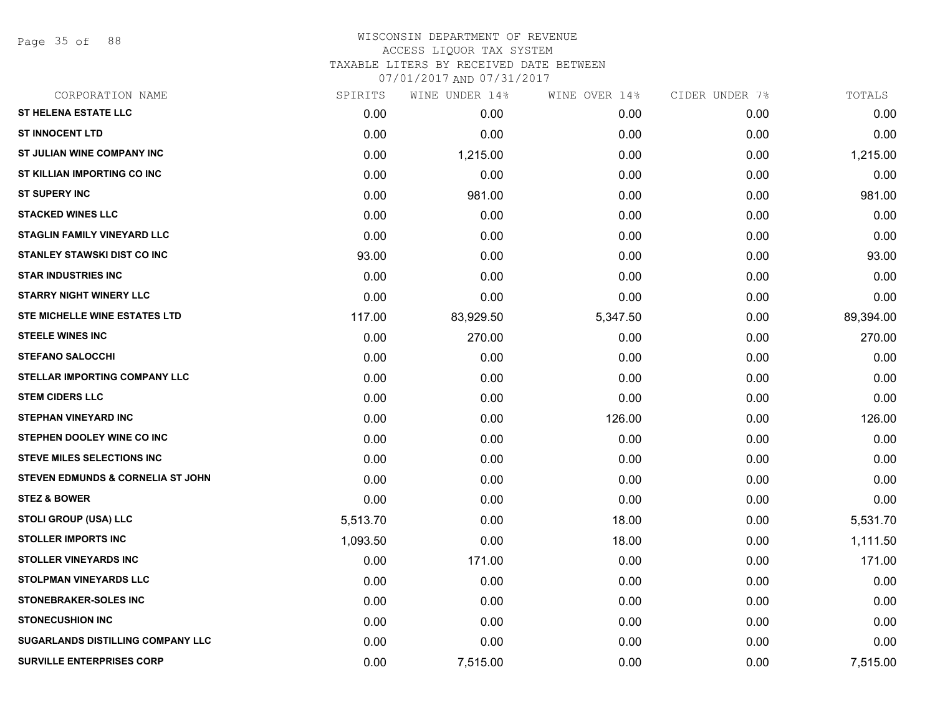Page 35 of 88

# WISCONSIN DEPARTMENT OF REVENUE ACCESS LIQUOR TAX SYSTEM TAXABLE LITERS BY RECEIVED DATE BETWEEN

| CORPORATION NAME                             | SPIRITS  | WINE UNDER 14% | WINE OVER 14% | CIDER UNDER 7% | TOTALS    |
|----------------------------------------------|----------|----------------|---------------|----------------|-----------|
| <b>ST HELENA ESTATE LLC</b>                  | 0.00     | 0.00           | 0.00          | 0.00           | 0.00      |
| <b>ST INNOCENT LTD</b>                       | 0.00     | 0.00           | 0.00          | 0.00           | 0.00      |
| ST JULIAN WINE COMPANY INC                   | 0.00     | 1,215.00       | 0.00          | 0.00           | 1,215.00  |
| ST KILLIAN IMPORTING CO INC                  | 0.00     | 0.00           | 0.00          | 0.00           | 0.00      |
| <b>ST SUPERY INC</b>                         | 0.00     | 981.00         | 0.00          | 0.00           | 981.00    |
| <b>STACKED WINES LLC</b>                     | 0.00     | 0.00           | 0.00          | 0.00           | 0.00      |
| <b>STAGLIN FAMILY VINEYARD LLC</b>           | 0.00     | 0.00           | 0.00          | 0.00           | 0.00      |
| <b>STANLEY STAWSKI DIST CO INC</b>           | 93.00    | 0.00           | 0.00          | 0.00           | 93.00     |
| <b>STAR INDUSTRIES INC</b>                   | 0.00     | 0.00           | 0.00          | 0.00           | 0.00      |
| <b>STARRY NIGHT WINERY LLC</b>               | 0.00     | 0.00           | 0.00          | 0.00           | 0.00      |
| STE MICHELLE WINE ESTATES LTD                | 117.00   | 83,929.50      | 5,347.50      | 0.00           | 89,394.00 |
| <b>STEELE WINES INC</b>                      | 0.00     | 270.00         | 0.00          | 0.00           | 270.00    |
| <b>STEFANO SALOCCHI</b>                      | 0.00     | 0.00           | 0.00          | 0.00           | 0.00      |
| STELLAR IMPORTING COMPANY LLC                | 0.00     | 0.00           | 0.00          | 0.00           | 0.00      |
| <b>STEM CIDERS LLC</b>                       | 0.00     | 0.00           | 0.00          | 0.00           | 0.00      |
| <b>STEPHAN VINEYARD INC</b>                  | 0.00     | 0.00           | 126.00        | 0.00           | 126.00    |
| STEPHEN DOOLEY WINE CO INC                   | 0.00     | 0.00           | 0.00          | 0.00           | 0.00      |
| <b>STEVE MILES SELECTIONS INC</b>            | 0.00     | 0.00           | 0.00          | 0.00           | 0.00      |
| <b>STEVEN EDMUNDS &amp; CORNELIA ST JOHN</b> | 0.00     | 0.00           | 0.00          | 0.00           | 0.00      |
| <b>STEZ &amp; BOWER</b>                      | 0.00     | 0.00           | 0.00          | 0.00           | 0.00      |
| <b>STOLI GROUP (USA) LLC</b>                 | 5,513.70 | 0.00           | 18.00         | 0.00           | 5,531.70  |
| <b>STOLLER IMPORTS INC</b>                   | 1,093.50 | 0.00           | 18.00         | 0.00           | 1,111.50  |
| <b>STOLLER VINEYARDS INC</b>                 | 0.00     | 171.00         | 0.00          | 0.00           | 171.00    |
| STOLPMAN VINEYARDS LLC                       | 0.00     | 0.00           | 0.00          | 0.00           | 0.00      |
| <b>STONEBRAKER-SOLES INC</b>                 | 0.00     | 0.00           | 0.00          | 0.00           | 0.00      |
| <b>STONECUSHION INC</b>                      | 0.00     | 0.00           | 0.00          | 0.00           | 0.00      |
| <b>SUGARLANDS DISTILLING COMPANY LLC</b>     | 0.00     | 0.00           | 0.00          | 0.00           | 0.00      |
| <b>SURVILLE ENTERPRISES CORP</b>             | 0.00     | 7,515.00       | 0.00          | 0.00           | 7,515.00  |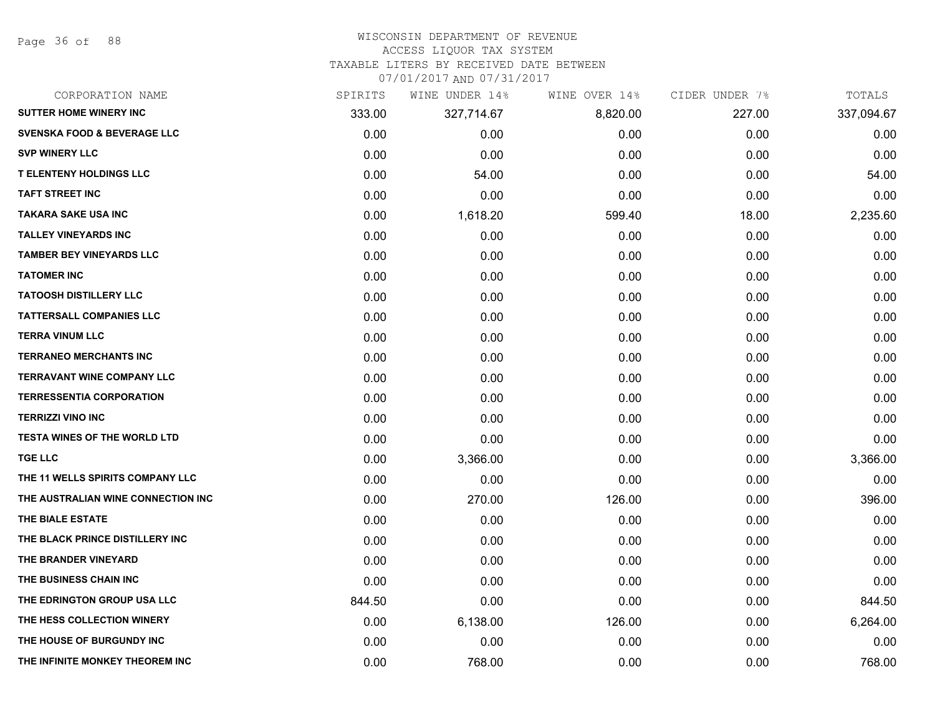Page 36 of 88

# WISCONSIN DEPARTMENT OF REVENUE

#### ACCESS LIQUOR TAX SYSTEM

TAXABLE LITERS BY RECEIVED DATE BETWEEN

| CORPORATION NAME                       | SPIRITS | WINE UNDER 14% | WINE OVER 14% | CIDER UNDER 7% | TOTALS     |
|----------------------------------------|---------|----------------|---------------|----------------|------------|
| <b>SUTTER HOME WINERY INC</b>          | 333.00  | 327,714.67     | 8,820.00      | 227.00         | 337,094.67 |
| <b>SVENSKA FOOD &amp; BEVERAGE LLC</b> | 0.00    | 0.00           | 0.00          | 0.00           | 0.00       |
| <b>SVP WINERY LLC</b>                  | 0.00    | 0.00           | 0.00          | 0.00           | 0.00       |
| <b>T ELENTENY HOLDINGS LLC</b>         | 0.00    | 54.00          | 0.00          | 0.00           | 54.00      |
| <b>TAFT STREET INC</b>                 | 0.00    | 0.00           | 0.00          | 0.00           | 0.00       |
| <b>TAKARA SAKE USA INC</b>             | 0.00    | 1,618.20       | 599.40        | 18.00          | 2,235.60   |
| <b>TALLEY VINEYARDS INC</b>            | 0.00    | 0.00           | 0.00          | 0.00           | 0.00       |
| <b>TAMBER BEY VINEYARDS LLC</b>        | 0.00    | 0.00           | 0.00          | 0.00           | 0.00       |
| <b>TATOMER INC</b>                     | 0.00    | 0.00           | 0.00          | 0.00           | 0.00       |
| <b>TATOOSH DISTILLERY LLC</b>          | 0.00    | 0.00           | 0.00          | 0.00           | 0.00       |
| <b>TATTERSALL COMPANIES LLC</b>        | 0.00    | 0.00           | 0.00          | 0.00           | 0.00       |
| <b>TERRA VINUM LLC</b>                 | 0.00    | 0.00           | 0.00          | 0.00           | 0.00       |
| <b>TERRANEO MERCHANTS INC</b>          | 0.00    | 0.00           | 0.00          | 0.00           | 0.00       |
| <b>TERRAVANT WINE COMPANY LLC</b>      | 0.00    | 0.00           | 0.00          | 0.00           | 0.00       |
| <b>TERRESSENTIA CORPORATION</b>        | 0.00    | 0.00           | 0.00          | 0.00           | 0.00       |
| <b>TERRIZZI VINO INC</b>               | 0.00    | 0.00           | 0.00          | 0.00           | 0.00       |
| <b>TESTA WINES OF THE WORLD LTD</b>    | 0.00    | 0.00           | 0.00          | 0.00           | 0.00       |
| <b>TGE LLC</b>                         | 0.00    | 3,366.00       | 0.00          | 0.00           | 3,366.00   |
| THE 11 WELLS SPIRITS COMPANY LLC       | 0.00    | 0.00           | 0.00          | 0.00           | 0.00       |
| THE AUSTRALIAN WINE CONNECTION INC     | 0.00    | 270.00         | 126.00        | 0.00           | 396.00     |
| THE BIALE ESTATE                       | 0.00    | 0.00           | 0.00          | 0.00           | 0.00       |
| THE BLACK PRINCE DISTILLERY INC        | 0.00    | 0.00           | 0.00          | 0.00           | 0.00       |
| THE BRANDER VINEYARD                   | 0.00    | 0.00           | 0.00          | 0.00           | 0.00       |
| THE BUSINESS CHAIN INC                 | 0.00    | 0.00           | 0.00          | 0.00           | 0.00       |
| THE EDRINGTON GROUP USA LLC            | 844.50  | 0.00           | 0.00          | 0.00           | 844.50     |
| THE HESS COLLECTION WINERY             | 0.00    | 6,138.00       | 126.00        | 0.00           | 6,264.00   |
| THE HOUSE OF BURGUNDY INC              | 0.00    | 0.00           | 0.00          | 0.00           | 0.00       |
| THE INFINITE MONKEY THEOREM INC        | 0.00    | 768.00         | 0.00          | 0.00           | 768.00     |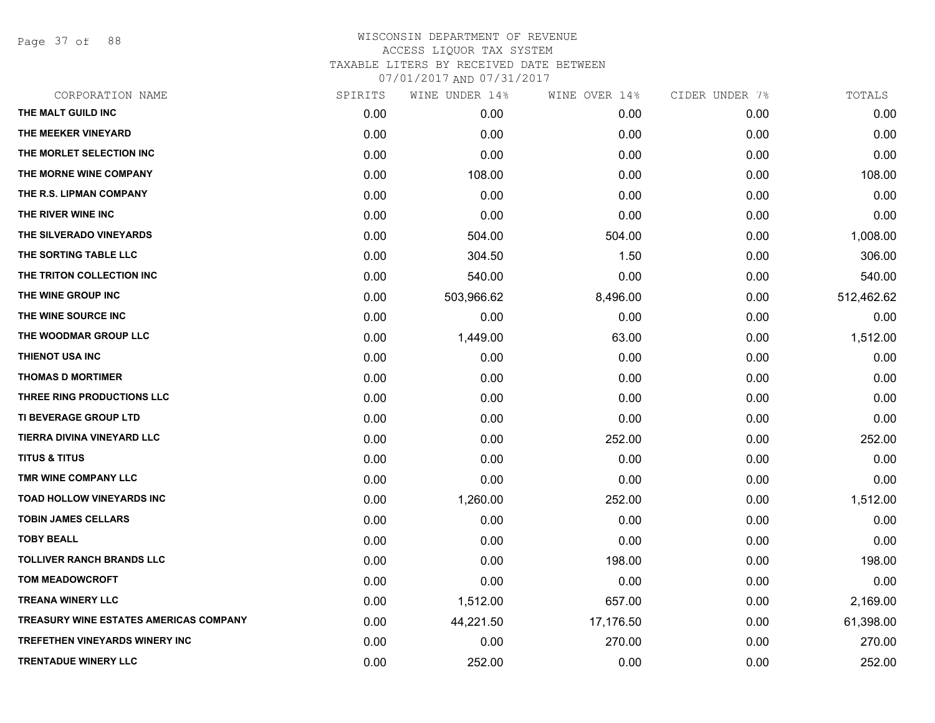Page 37 of 88

| CORPORATION NAME                              | SPIRITS | WINE UNDER 14% | WINE OVER 14% | CIDER UNDER 7% | TOTALS     |
|-----------------------------------------------|---------|----------------|---------------|----------------|------------|
| THE MALT GUILD INC                            | 0.00    | 0.00           | 0.00          | 0.00           | 0.00       |
| THE MEEKER VINEYARD                           | 0.00    | 0.00           | 0.00          | 0.00           | 0.00       |
| THE MORLET SELECTION INC                      | 0.00    | 0.00           | 0.00          | 0.00           | 0.00       |
| THE MORNE WINE COMPANY                        | 0.00    | 108.00         | 0.00          | 0.00           | 108.00     |
| THE R.S. LIPMAN COMPANY                       | 0.00    | 0.00           | 0.00          | 0.00           | 0.00       |
| THE RIVER WINE INC                            | 0.00    | 0.00           | 0.00          | 0.00           | 0.00       |
| THE SILVERADO VINEYARDS                       | 0.00    | 504.00         | 504.00        | 0.00           | 1,008.00   |
| THE SORTING TABLE LLC                         | 0.00    | 304.50         | 1.50          | 0.00           | 306.00     |
| THE TRITON COLLECTION INC                     | 0.00    | 540.00         | 0.00          | 0.00           | 540.00     |
| THE WINE GROUP INC                            | 0.00    | 503,966.62     | 8,496.00      | 0.00           | 512,462.62 |
| THE WINE SOURCE INC                           | 0.00    | 0.00           | 0.00          | 0.00           | 0.00       |
| THE WOODMAR GROUP LLC                         | 0.00    | 1,449.00       | 63.00         | 0.00           | 1,512.00   |
| THIENOT USA INC                               | 0.00    | 0.00           | 0.00          | 0.00           | 0.00       |
| <b>THOMAS D MORTIMER</b>                      | 0.00    | 0.00           | 0.00          | 0.00           | 0.00       |
| THREE RING PRODUCTIONS LLC                    | 0.00    | 0.00           | 0.00          | 0.00           | 0.00       |
| TI BEVERAGE GROUP LTD                         | 0.00    | 0.00           | 0.00          | 0.00           | 0.00       |
| <b>TIERRA DIVINA VINEYARD LLC</b>             | 0.00    | 0.00           | 252.00        | 0.00           | 252.00     |
| <b>TITUS &amp; TITUS</b>                      | 0.00    | 0.00           | 0.00          | 0.00           | 0.00       |
| TMR WINE COMPANY LLC                          | 0.00    | 0.00           | 0.00          | 0.00           | 0.00       |
| <b>TOAD HOLLOW VINEYARDS INC</b>              | 0.00    | 1,260.00       | 252.00        | 0.00           | 1,512.00   |
| <b>TOBIN JAMES CELLARS</b>                    | 0.00    | 0.00           | 0.00          | 0.00           | 0.00       |
| <b>TOBY BEALL</b>                             | 0.00    | 0.00           | 0.00          | 0.00           | 0.00       |
| <b>TOLLIVER RANCH BRANDS LLC</b>              | 0.00    | 0.00           | 198.00        | 0.00           | 198.00     |
| <b>TOM MEADOWCROFT</b>                        | 0.00    | 0.00           | 0.00          | 0.00           | 0.00       |
| <b>TREANA WINERY LLC</b>                      | 0.00    | 1,512.00       | 657.00        | 0.00           | 2,169.00   |
| <b>TREASURY WINE ESTATES AMERICAS COMPANY</b> | 0.00    | 44,221.50      | 17,176.50     | 0.00           | 61,398.00  |
| <b>TREFETHEN VINEYARDS WINERY INC</b>         | 0.00    | 0.00           | 270.00        | 0.00           | 270.00     |
| <b>TRENTADUE WINERY LLC</b>                   | 0.00    | 252.00         | 0.00          | 0.00           | 252.00     |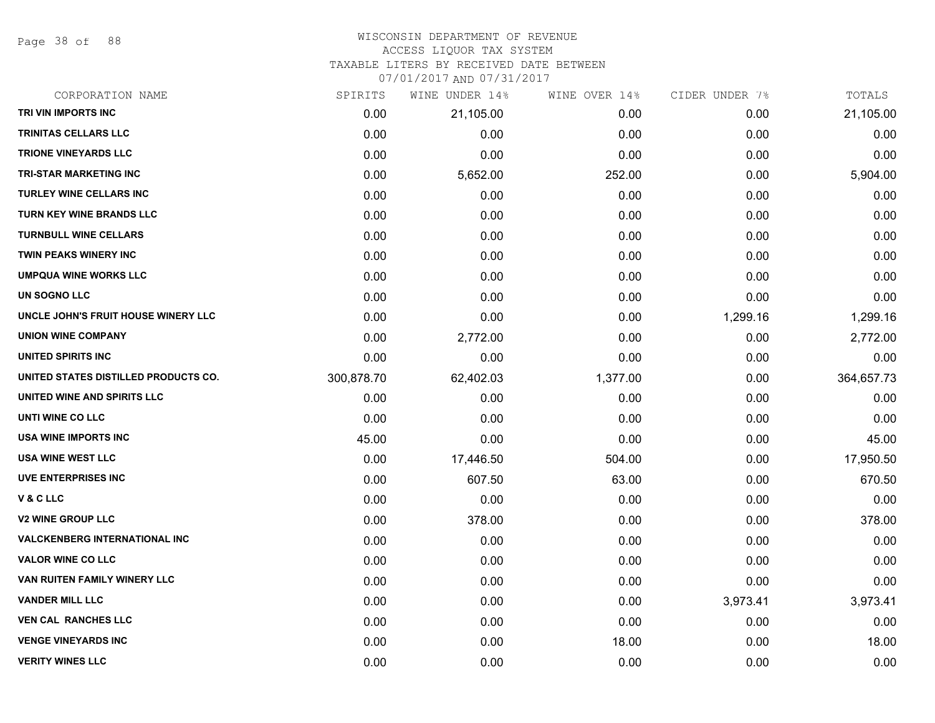Page 38 of 88

# WISCONSIN DEPARTMENT OF REVENUE

ACCESS LIQUOR TAX SYSTEM

TAXABLE LITERS BY RECEIVED DATE BETWEEN

| CORPORATION NAME                     | SPIRITS    | WINE UNDER 14% | WINE OVER 14% | CIDER UNDER 7% | TOTALS     |
|--------------------------------------|------------|----------------|---------------|----------------|------------|
| TRI VIN IMPORTS INC                  | 0.00       | 21,105.00      | 0.00          | 0.00           | 21,105.00  |
| <b>TRINITAS CELLARS LLC</b>          | 0.00       | 0.00           | 0.00          | 0.00           | 0.00       |
| <b>TRIONE VINEYARDS LLC</b>          | 0.00       | 0.00           | 0.00          | 0.00           | 0.00       |
| TRI-STAR MARKETING INC               | 0.00       | 5,652.00       | 252.00        | 0.00           | 5,904.00   |
| <b>TURLEY WINE CELLARS INC</b>       | 0.00       | 0.00           | 0.00          | 0.00           | 0.00       |
| TURN KEY WINE BRANDS LLC             | 0.00       | 0.00           | 0.00          | 0.00           | 0.00       |
| <b>TURNBULL WINE CELLARS</b>         | 0.00       | 0.00           | 0.00          | 0.00           | 0.00       |
| TWIN PEAKS WINERY INC                | 0.00       | 0.00           | 0.00          | 0.00           | 0.00       |
| <b>UMPQUA WINE WORKS LLC</b>         | 0.00       | 0.00           | 0.00          | 0.00           | 0.00       |
| UN SOGNO LLC                         | 0.00       | 0.00           | 0.00          | 0.00           | 0.00       |
| UNCLE JOHN'S FRUIT HOUSE WINERY LLC  | 0.00       | 0.00           | 0.00          | 1,299.16       | 1,299.16   |
| <b>UNION WINE COMPANY</b>            | 0.00       | 2,772.00       | 0.00          | 0.00           | 2,772.00   |
| UNITED SPIRITS INC                   | 0.00       | 0.00           | 0.00          | 0.00           | 0.00       |
| UNITED STATES DISTILLED PRODUCTS CO. | 300,878.70 | 62,402.03      | 1,377.00      | 0.00           | 364,657.73 |
| UNITED WINE AND SPIRITS LLC          | 0.00       | 0.00           | 0.00          | 0.00           | 0.00       |
| UNTI WINE CO LLC                     | 0.00       | 0.00           | 0.00          | 0.00           | 0.00       |
| USA WINE IMPORTS INC                 | 45.00      | 0.00           | 0.00          | 0.00           | 45.00      |
| <b>USA WINE WEST LLC</b>             | 0.00       | 17,446.50      | 504.00        | 0.00           | 17,950.50  |
| <b>UVE ENTERPRISES INC</b>           | 0.00       | 607.50         | 63.00         | 0.00           | 670.50     |
| V&CLLC                               | 0.00       | 0.00           | 0.00          | 0.00           | 0.00       |
| <b>V2 WINE GROUP LLC</b>             | 0.00       | 378.00         | 0.00          | 0.00           | 378.00     |
| <b>VALCKENBERG INTERNATIONAL INC</b> | 0.00       | 0.00           | 0.00          | 0.00           | 0.00       |
| <b>VALOR WINE CO LLC</b>             | 0.00       | 0.00           | 0.00          | 0.00           | 0.00       |
| VAN RUITEN FAMILY WINERY LLC         | 0.00       | 0.00           | 0.00          | 0.00           | 0.00       |
| <b>VANDER MILL LLC</b>               | 0.00       | 0.00           | 0.00          | 3,973.41       | 3,973.41   |
| <b>VEN CAL RANCHES LLC</b>           | 0.00       | 0.00           | 0.00          | 0.00           | 0.00       |
| <b>VENGE VINEYARDS INC</b>           | 0.00       | 0.00           | 18.00         | 0.00           | 18.00      |
| <b>VERITY WINES LLC</b>              | 0.00       | 0.00           | 0.00          | 0.00           | 0.00       |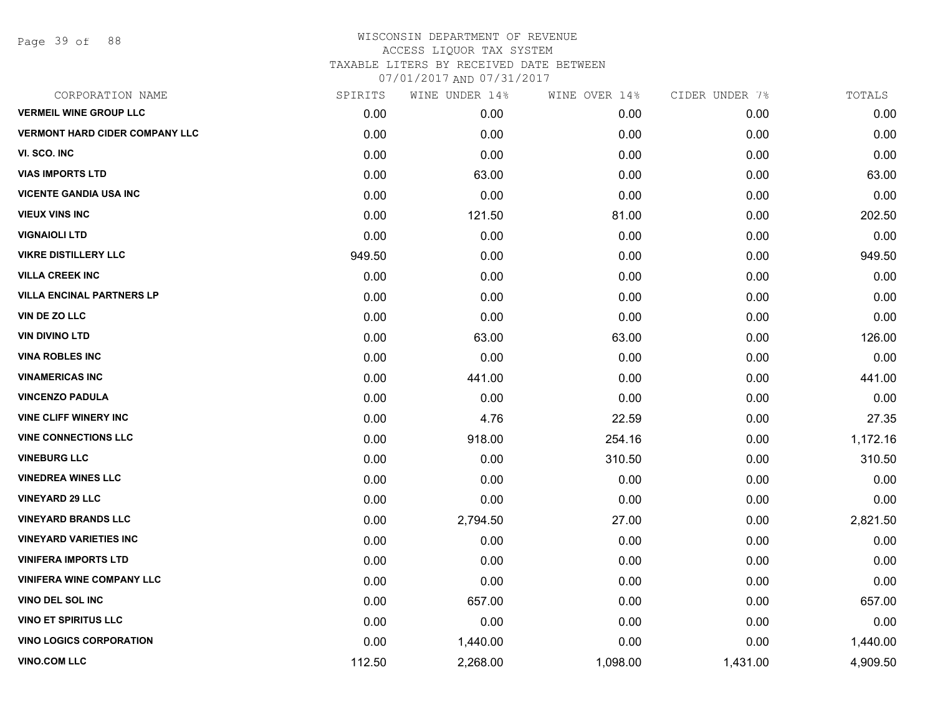Page 39 of 88

| CORPORATION NAME                      | SPIRITS | WINE UNDER 14% | WINE OVER 14% | CIDER UNDER 7% | TOTALS   |
|---------------------------------------|---------|----------------|---------------|----------------|----------|
| <b>VERMEIL WINE GROUP LLC</b>         | 0.00    | 0.00           | 0.00          | 0.00           | 0.00     |
| <b>VERMONT HARD CIDER COMPANY LLC</b> | 0.00    | 0.00           | 0.00          | 0.00           | 0.00     |
| VI. SCO. INC                          | 0.00    | 0.00           | 0.00          | 0.00           | 0.00     |
| <b>VIAS IMPORTS LTD</b>               | 0.00    | 63.00          | 0.00          | 0.00           | 63.00    |
| <b>VICENTE GANDIA USA INC</b>         | 0.00    | 0.00           | 0.00          | 0.00           | 0.00     |
| <b>VIEUX VINS INC</b>                 | 0.00    | 121.50         | 81.00         | 0.00           | 202.50   |
| <b>VIGNAIOLI LTD</b>                  | 0.00    | 0.00           | 0.00          | 0.00           | 0.00     |
| <b>VIKRE DISTILLERY LLC</b>           | 949.50  | 0.00           | 0.00          | 0.00           | 949.50   |
| <b>VILLA CREEK INC</b>                | 0.00    | 0.00           | 0.00          | 0.00           | 0.00     |
| <b>VILLA ENCINAL PARTNERS LP</b>      | 0.00    | 0.00           | 0.00          | 0.00           | 0.00     |
| VIN DE ZO LLC                         | 0.00    | 0.00           | 0.00          | 0.00           | 0.00     |
| <b>VIN DIVINO LTD</b>                 | 0.00    | 63.00          | 63.00         | 0.00           | 126.00   |
| <b>VINA ROBLES INC</b>                | 0.00    | 0.00           | 0.00          | 0.00           | 0.00     |
| <b>VINAMERICAS INC</b>                | 0.00    | 441.00         | 0.00          | 0.00           | 441.00   |
| <b>VINCENZO PADULA</b>                | 0.00    | 0.00           | 0.00          | 0.00           | 0.00     |
| <b>VINE CLIFF WINERY INC</b>          | 0.00    | 4.76           | 22.59         | 0.00           | 27.35    |
| <b>VINE CONNECTIONS LLC</b>           | 0.00    | 918.00         | 254.16        | 0.00           | 1,172.16 |
| <b>VINEBURG LLC</b>                   | 0.00    | 0.00           | 310.50        | 0.00           | 310.50   |
| <b>VINEDREA WINES LLC</b>             | 0.00    | 0.00           | 0.00          | 0.00           | 0.00     |
| <b>VINEYARD 29 LLC</b>                | 0.00    | 0.00           | 0.00          | 0.00           | 0.00     |
| <b>VINEYARD BRANDS LLC</b>            | 0.00    | 2,794.50       | 27.00         | 0.00           | 2,821.50 |
| <b>VINEYARD VARIETIES INC</b>         | 0.00    | 0.00           | 0.00          | 0.00           | 0.00     |
| <b>VINIFERA IMPORTS LTD</b>           | 0.00    | 0.00           | 0.00          | 0.00           | 0.00     |
| <b>VINIFERA WINE COMPANY LLC</b>      | 0.00    | 0.00           | 0.00          | 0.00           | 0.00     |
| VINO DEL SOL INC                      | 0.00    | 657.00         | 0.00          | 0.00           | 657.00   |
| <b>VINO ET SPIRITUS LLC</b>           | 0.00    | 0.00           | 0.00          | 0.00           | 0.00     |
| <b>VINO LOGICS CORPORATION</b>        | 0.00    | 1,440.00       | 0.00          | 0.00           | 1,440.00 |
| <b>VINO.COM LLC</b>                   | 112.50  | 2,268.00       | 1,098.00      | 1,431.00       | 4,909.50 |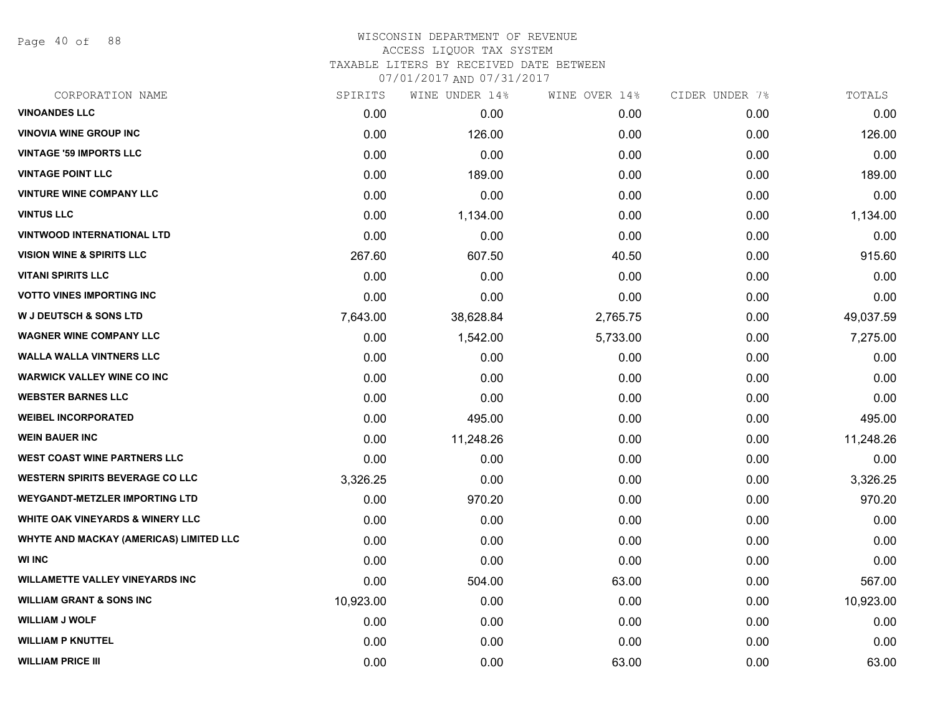Page 40 of 88

## WISCONSIN DEPARTMENT OF REVENUE ACCESS LIQUOR TAX SYSTEM TAXABLE LITERS BY RECEIVED DATE BETWEEN

| CORPORATION NAME                        | SPIRITS   | WINE UNDER 14% | WINE OVER 14% | CIDER UNDER 7% | TOTALS    |
|-----------------------------------------|-----------|----------------|---------------|----------------|-----------|
| <b>VINOANDES LLC</b>                    | 0.00      | 0.00           | 0.00          | 0.00           | 0.00      |
| <b>VINOVIA WINE GROUP INC</b>           | 0.00      | 126.00         | 0.00          | 0.00           | 126.00    |
| <b>VINTAGE '59 IMPORTS LLC</b>          | 0.00      | 0.00           | 0.00          | 0.00           | 0.00      |
| <b>VINTAGE POINT LLC</b>                | 0.00      | 189.00         | 0.00          | 0.00           | 189.00    |
| <b>VINTURE WINE COMPANY LLC</b>         | 0.00      | 0.00           | 0.00          | 0.00           | 0.00      |
| <b>VINTUS LLC</b>                       | 0.00      | 1,134.00       | 0.00          | 0.00           | 1,134.00  |
| <b>VINTWOOD INTERNATIONAL LTD</b>       | 0.00      | 0.00           | 0.00          | 0.00           | 0.00      |
| <b>VISION WINE &amp; SPIRITS LLC</b>    | 267.60    | 607.50         | 40.50         | 0.00           | 915.60    |
| <b>VITANI SPIRITS LLC</b>               | 0.00      | 0.00           | 0.00          | 0.00           | 0.00      |
| <b>VOTTO VINES IMPORTING INC</b>        | 0.00      | 0.00           | 0.00          | 0.00           | 0.00      |
| <b>W J DEUTSCH &amp; SONS LTD</b>       | 7,643.00  | 38,628.84      | 2,765.75      | 0.00           | 49,037.59 |
| <b>WAGNER WINE COMPANY LLC</b>          | 0.00      | 1,542.00       | 5,733.00      | 0.00           | 7,275.00  |
| <b>WALLA WALLA VINTNERS LLC</b>         | 0.00      | 0.00           | 0.00          | 0.00           | 0.00      |
| <b>WARWICK VALLEY WINE CO INC</b>       | 0.00      | 0.00           | 0.00          | 0.00           | 0.00      |
| <b>WEBSTER BARNES LLC</b>               | 0.00      | 0.00           | 0.00          | 0.00           | 0.00      |
| <b>WEIBEL INCORPORATED</b>              | 0.00      | 495.00         | 0.00          | 0.00           | 495.00    |
| <b>WEIN BAUER INC</b>                   | 0.00      | 11,248.26      | 0.00          | 0.00           | 11,248.26 |
| <b>WEST COAST WINE PARTNERS LLC</b>     | 0.00      | 0.00           | 0.00          | 0.00           | 0.00      |
| <b>WESTERN SPIRITS BEVERAGE CO LLC</b>  | 3,326.25  | 0.00           | 0.00          | 0.00           | 3,326.25  |
| <b>WEYGANDT-METZLER IMPORTING LTD</b>   | 0.00      | 970.20         | 0.00          | 0.00           | 970.20    |
| WHITE OAK VINEYARDS & WINERY LLC        | 0.00      | 0.00           | 0.00          | 0.00           | 0.00      |
| WHYTE AND MACKAY (AMERICAS) LIMITED LLC | 0.00      | 0.00           | 0.00          | 0.00           | 0.00      |
| <b>WI INC</b>                           | 0.00      | 0.00           | 0.00          | 0.00           | 0.00      |
| <b>WILLAMETTE VALLEY VINEYARDS INC</b>  | 0.00      | 504.00         | 63.00         | 0.00           | 567.00    |
| <b>WILLIAM GRANT &amp; SONS INC</b>     | 10,923.00 | 0.00           | 0.00          | 0.00           | 10,923.00 |
| <b>WILLIAM J WOLF</b>                   | 0.00      | 0.00           | 0.00          | 0.00           | 0.00      |
| <b>WILLIAM P KNUTTEL</b>                | 0.00      | 0.00           | 0.00          | 0.00           | 0.00      |
| <b>WILLIAM PRICE III</b>                | 0.00      | 0.00           | 63.00         | 0.00           | 63.00     |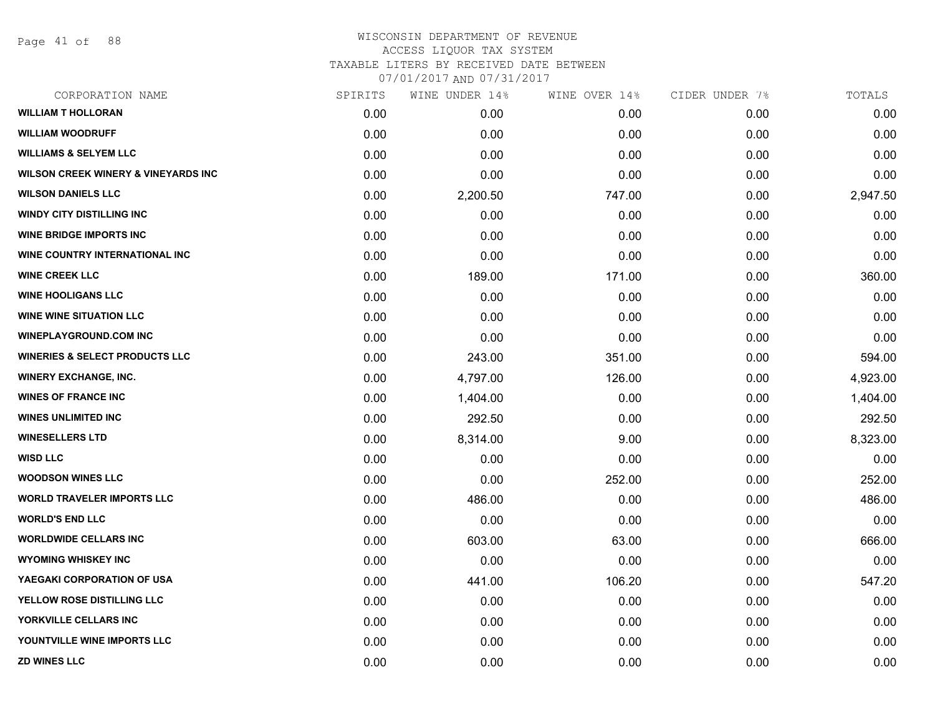Page 41 of 88

## WISCONSIN DEPARTMENT OF REVENUE ACCESS LIQUOR TAX SYSTEM TAXABLE LITERS BY RECEIVED DATE BETWEEN

| CORPORATION NAME                               | SPIRITS | WINE UNDER 14% | WINE OVER 14% | CIDER UNDER 7% | TOTALS   |
|------------------------------------------------|---------|----------------|---------------|----------------|----------|
| <b>WILLIAM T HOLLORAN</b>                      | 0.00    | 0.00           | 0.00          | 0.00           | 0.00     |
| <b>WILLIAM WOODRUFF</b>                        | 0.00    | 0.00           | 0.00          | 0.00           | 0.00     |
| <b>WILLIAMS &amp; SELYEM LLC</b>               | 0.00    | 0.00           | 0.00          | 0.00           | 0.00     |
| <b>WILSON CREEK WINERY &amp; VINEYARDS INC</b> | 0.00    | 0.00           | 0.00          | 0.00           | 0.00     |
| <b>WILSON DANIELS LLC</b>                      | 0.00    | 2,200.50       | 747.00        | 0.00           | 2,947.50 |
| <b>WINDY CITY DISTILLING INC</b>               | 0.00    | 0.00           | 0.00          | 0.00           | 0.00     |
| <b>WINE BRIDGE IMPORTS INC.</b>                | 0.00    | 0.00           | 0.00          | 0.00           | 0.00     |
| WINE COUNTRY INTERNATIONAL INC                 | 0.00    | 0.00           | 0.00          | 0.00           | 0.00     |
| <b>WINE CREEK LLC</b>                          | 0.00    | 189.00         | 171.00        | 0.00           | 360.00   |
| <b>WINE HOOLIGANS LLC</b>                      | 0.00    | 0.00           | 0.00          | 0.00           | 0.00     |
| <b>WINE WINE SITUATION LLC</b>                 | 0.00    | 0.00           | 0.00          | 0.00           | 0.00     |
| <b>WINEPLAYGROUND.COM INC</b>                  | 0.00    | 0.00           | 0.00          | 0.00           | 0.00     |
| <b>WINERIES &amp; SELECT PRODUCTS LLC</b>      | 0.00    | 243.00         | 351.00        | 0.00           | 594.00   |
| <b>WINERY EXCHANGE, INC.</b>                   | 0.00    | 4,797.00       | 126.00        | 0.00           | 4,923.00 |
| <b>WINES OF FRANCE INC</b>                     | 0.00    | 1,404.00       | 0.00          | 0.00           | 1,404.00 |
| <b>WINES UNLIMITED INC</b>                     | 0.00    | 292.50         | 0.00          | 0.00           | 292.50   |
| <b>WINESELLERS LTD</b>                         | 0.00    | 8,314.00       | 9.00          | 0.00           | 8,323.00 |
| <b>WISD LLC</b>                                | 0.00    | 0.00           | 0.00          | 0.00           | 0.00     |
| <b>WOODSON WINES LLC</b>                       | 0.00    | 0.00           | 252.00        | 0.00           | 252.00   |
| <b>WORLD TRAVELER IMPORTS LLC</b>              | 0.00    | 486.00         | 0.00          | 0.00           | 486.00   |
| <b>WORLD'S END LLC</b>                         | 0.00    | 0.00           | 0.00          | 0.00           | 0.00     |
| <b>WORLDWIDE CELLARS INC</b>                   | 0.00    | 603.00         | 63.00         | 0.00           | 666.00   |
| <b>WYOMING WHISKEY INC</b>                     | 0.00    | 0.00           | 0.00          | 0.00           | 0.00     |
| YAEGAKI CORPORATION OF USA                     | 0.00    | 441.00         | 106.20        | 0.00           | 547.20   |
| YELLOW ROSE DISTILLING LLC                     | 0.00    | 0.00           | 0.00          | 0.00           | 0.00     |
| YORKVILLE CELLARS INC                          | 0.00    | 0.00           | 0.00          | 0.00           | 0.00     |
| YOUNTVILLE WINE IMPORTS LLC                    | 0.00    | 0.00           | 0.00          | 0.00           | 0.00     |
| <b>ZD WINES LLC</b>                            | 0.00    | 0.00           | 0.00          | 0.00           | 0.00     |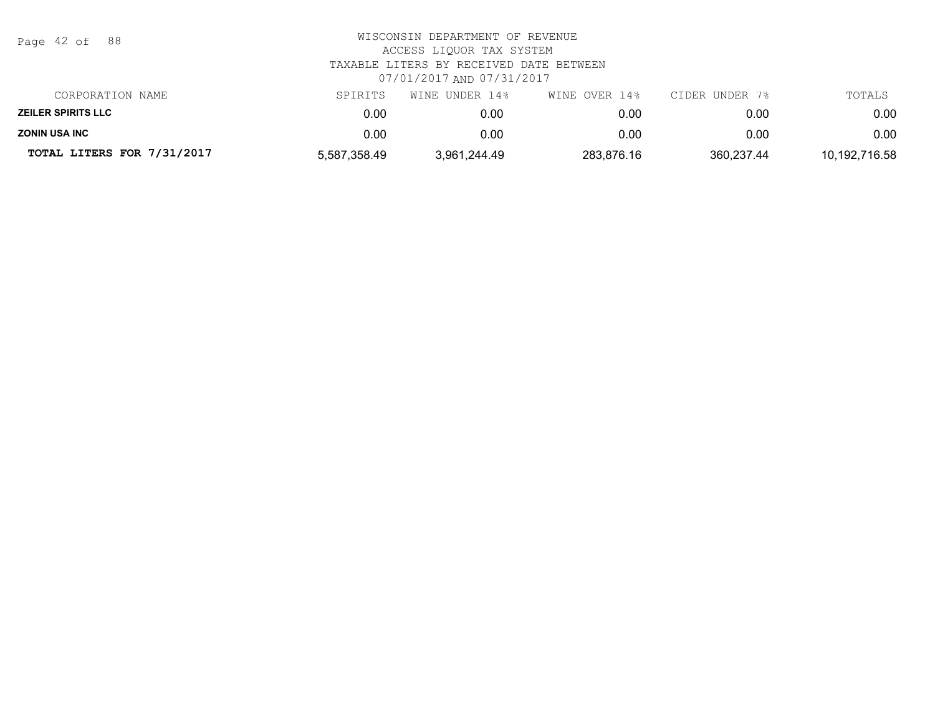| Page 42 of 88              | WISCONSIN DEPARTMENT OF REVENUE<br>ACCESS LIOUOR TAX SYSTEM<br>TAXABLE LITERS BY RECEIVED DATE BETWEEN<br>07/01/2017 AND 07/31/2017 |                |               |                |               |  |
|----------------------------|-------------------------------------------------------------------------------------------------------------------------------------|----------------|---------------|----------------|---------------|--|
| CORPORATION NAME           | SPIRITS                                                                                                                             | WINE UNDER 14% | WINE OVER 14% | CIDER UNDER 7% | TOTALS        |  |
| <b>ZEILER SPIRITS LLC</b>  | 0.00                                                                                                                                | 0.00           | 0.00          | 0.00           | 0.00          |  |
| <b>ZONIN USA INC</b>       | 0.00                                                                                                                                | 0.00           | 0.00          | 0.00           | 0.00          |  |
| TOTAL LITERS FOR 7/31/2017 | 5,587,358.49                                                                                                                        | 3,961,244.49   | 283,876.16    | 360,237.44     | 10,192,716.58 |  |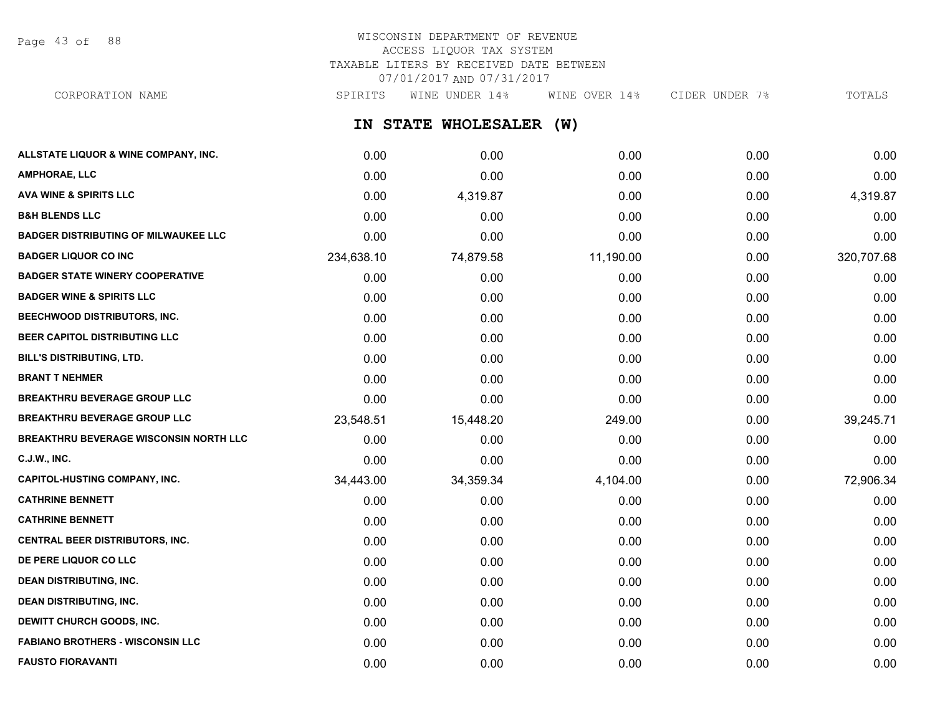Page 43 of 88

# WISCONSIN DEPARTMENT OF REVENUE ACCESS LIQUOR TAX SYSTEM TAXABLE LITERS BY RECEIVED DATE BETWEEN 07/01/2017 AND 07/31/2017

**IN STATE WHOLESALER (W) ALLSTATE LIQUOR & WINE COMPANY, INC.** 0.00 0.00 0.00 0.00 0.00 CORPORATION NAME SPIRITS WINE UNDER 14% WINE OVER 14% CIDER UNDER 7% TOTALS

| <b>AMPHORAE, LLC</b>                        | 0.00       | 0.00      | 0.00      | 0.00 | 0.00       |
|---------------------------------------------|------------|-----------|-----------|------|------------|
| <b>AVA WINE &amp; SPIRITS LLC</b>           | 0.00       | 4,319.87  | 0.00      | 0.00 | 4,319.87   |
| <b>B&amp;H BLENDS LLC</b>                   | 0.00       | 0.00      | 0.00      | 0.00 | 0.00       |
| <b>BADGER DISTRIBUTING OF MILWAUKEE LLC</b> | 0.00       | 0.00      | 0.00      | 0.00 | 0.00       |
| <b>BADGER LIQUOR CO INC</b>                 | 234,638.10 | 74,879.58 | 11,190.00 | 0.00 | 320,707.68 |
| <b>BADGER STATE WINERY COOPERATIVE</b>      | 0.00       | 0.00      | 0.00      | 0.00 | 0.00       |
| <b>BADGER WINE &amp; SPIRITS LLC</b>        | 0.00       | 0.00      | 0.00      | 0.00 | 0.00       |
| <b>BEECHWOOD DISTRIBUTORS, INC.</b>         | 0.00       | 0.00      | 0.00      | 0.00 | 0.00       |
| BEER CAPITOL DISTRIBUTING LLC               | 0.00       | 0.00      | 0.00      | 0.00 | 0.00       |
| <b>BILL'S DISTRIBUTING, LTD.</b>            | 0.00       | 0.00      | 0.00      | 0.00 | 0.00       |
| <b>BRANT T NEHMER</b>                       | 0.00       | 0.00      | 0.00      | 0.00 | 0.00       |
| <b>BREAKTHRU BEVERAGE GROUP LLC</b>         | 0.00       | 0.00      | 0.00      | 0.00 | 0.00       |
| <b>BREAKTHRU BEVERAGE GROUP LLC</b>         | 23,548.51  | 15,448.20 | 249.00    | 0.00 | 39,245.71  |
| BREAKTHRU BEVERAGE WISCONSIN NORTH LLC      | 0.00       | 0.00      | 0.00      | 0.00 | 0.00       |
| C.J.W., INC.                                | 0.00       | 0.00      | 0.00      | 0.00 | 0.00       |
| <b>CAPITOL-HUSTING COMPANY, INC.</b>        | 34,443.00  | 34,359.34 | 4,104.00  | 0.00 | 72,906.34  |
| <b>CATHRINE BENNETT</b>                     | 0.00       | 0.00      | 0.00      | 0.00 | 0.00       |
| <b>CATHRINE BENNETT</b>                     | 0.00       | 0.00      | 0.00      | 0.00 | 0.00       |
| CENTRAL BEER DISTRIBUTORS, INC.             | 0.00       | 0.00      | 0.00      | 0.00 | 0.00       |
| DE PERE LIQUOR CO LLC                       | 0.00       | 0.00      | 0.00      | 0.00 | 0.00       |
| <b>DEAN DISTRIBUTING, INC.</b>              | 0.00       | 0.00      | 0.00      | 0.00 | 0.00       |
| <b>DEAN DISTRIBUTING, INC.</b>              | 0.00       | 0.00      | 0.00      | 0.00 | 0.00       |
| DEWITT CHURCH GOODS, INC.                   | 0.00       | 0.00      | 0.00      | 0.00 | 0.00       |
| <b>FABIANO BROTHERS - WISCONSIN LLC</b>     | 0.00       | 0.00      | 0.00      | 0.00 | 0.00       |
| <b>FAUSTO FIORAVANTI</b>                    | 0.00       | 0.00      | 0.00      | 0.00 | 0.00       |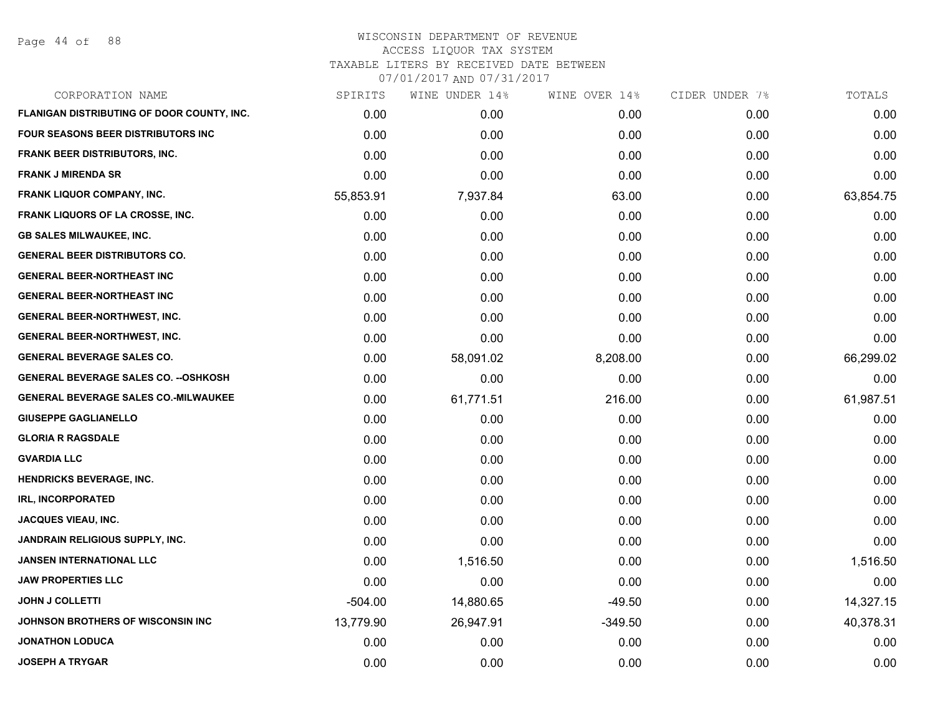Page 44 of 88

| CORPORATION NAME                             | SPIRITS   | WINE UNDER 14% | WINE OVER 14% | CIDER UNDER 7% | TOTALS    |
|----------------------------------------------|-----------|----------------|---------------|----------------|-----------|
| FLANIGAN DISTRIBUTING OF DOOR COUNTY, INC.   | 0.00      | 0.00           | 0.00          | 0.00           | 0.00      |
| FOUR SEASONS BEER DISTRIBUTORS INC           | 0.00      | 0.00           | 0.00          | 0.00           | 0.00      |
| FRANK BEER DISTRIBUTORS, INC.                | 0.00      | 0.00           | 0.00          | 0.00           | 0.00      |
| <b>FRANK J MIRENDA SR</b>                    | 0.00      | 0.00           | 0.00          | 0.00           | 0.00      |
| FRANK LIQUOR COMPANY, INC.                   | 55,853.91 | 7,937.84       | 63.00         | 0.00           | 63,854.75 |
| <b>FRANK LIQUORS OF LA CROSSE, INC.</b>      | 0.00      | 0.00           | 0.00          | 0.00           | 0.00      |
| <b>GB SALES MILWAUKEE, INC.</b>              | 0.00      | 0.00           | 0.00          | 0.00           | 0.00      |
| <b>GENERAL BEER DISTRIBUTORS CO.</b>         | 0.00      | 0.00           | 0.00          | 0.00           | 0.00      |
| <b>GENERAL BEER-NORTHEAST INC</b>            | 0.00      | 0.00           | 0.00          | 0.00           | 0.00      |
| <b>GENERAL BEER-NORTHEAST INC</b>            | 0.00      | 0.00           | 0.00          | 0.00           | 0.00      |
| <b>GENERAL BEER-NORTHWEST, INC.</b>          | 0.00      | 0.00           | 0.00          | 0.00           | 0.00      |
| <b>GENERAL BEER-NORTHWEST, INC.</b>          | 0.00      | 0.00           | 0.00          | 0.00           | 0.00      |
| <b>GENERAL BEVERAGE SALES CO.</b>            | 0.00      | 58,091.02      | 8,208.00      | 0.00           | 66,299.02 |
| <b>GENERAL BEVERAGE SALES CO. -- OSHKOSH</b> | 0.00      | 0.00           | 0.00          | 0.00           | 0.00      |
| <b>GENERAL BEVERAGE SALES CO.-MILWAUKEE</b>  | 0.00      | 61,771.51      | 216.00        | 0.00           | 61,987.51 |
| <b>GIUSEPPE GAGLIANELLO</b>                  | 0.00      | 0.00           | 0.00          | 0.00           | 0.00      |
| <b>GLORIA R RAGSDALE</b>                     | 0.00      | 0.00           | 0.00          | 0.00           | 0.00      |
| <b>GVARDIA LLC</b>                           | 0.00      | 0.00           | 0.00          | 0.00           | 0.00      |
| HENDRICKS BEVERAGE, INC.                     | 0.00      | 0.00           | 0.00          | 0.00           | 0.00      |
| <b>IRL, INCORPORATED</b>                     | 0.00      | 0.00           | 0.00          | 0.00           | 0.00      |
| JACQUES VIEAU, INC.                          | 0.00      | 0.00           | 0.00          | 0.00           | 0.00      |
| JANDRAIN RELIGIOUS SUPPLY, INC.              | 0.00      | 0.00           | 0.00          | 0.00           | 0.00      |
| <b>JANSEN INTERNATIONAL LLC</b>              | 0.00      | 1,516.50       | 0.00          | 0.00           | 1,516.50  |
| <b>JAW PROPERTIES LLC</b>                    | 0.00      | 0.00           | 0.00          | 0.00           | 0.00      |
| <b>JOHN J COLLETTI</b>                       | $-504.00$ | 14,880.65      | $-49.50$      | 0.00           | 14,327.15 |
| JOHNSON BROTHERS OF WISCONSIN INC            | 13,779.90 | 26,947.91      | $-349.50$     | 0.00           | 40,378.31 |
| <b>JONATHON LODUCA</b>                       | 0.00      | 0.00           | 0.00          | 0.00           | 0.00      |
| <b>JOSEPH A TRYGAR</b>                       | 0.00      | 0.00           | 0.00          | 0.00           | 0.00      |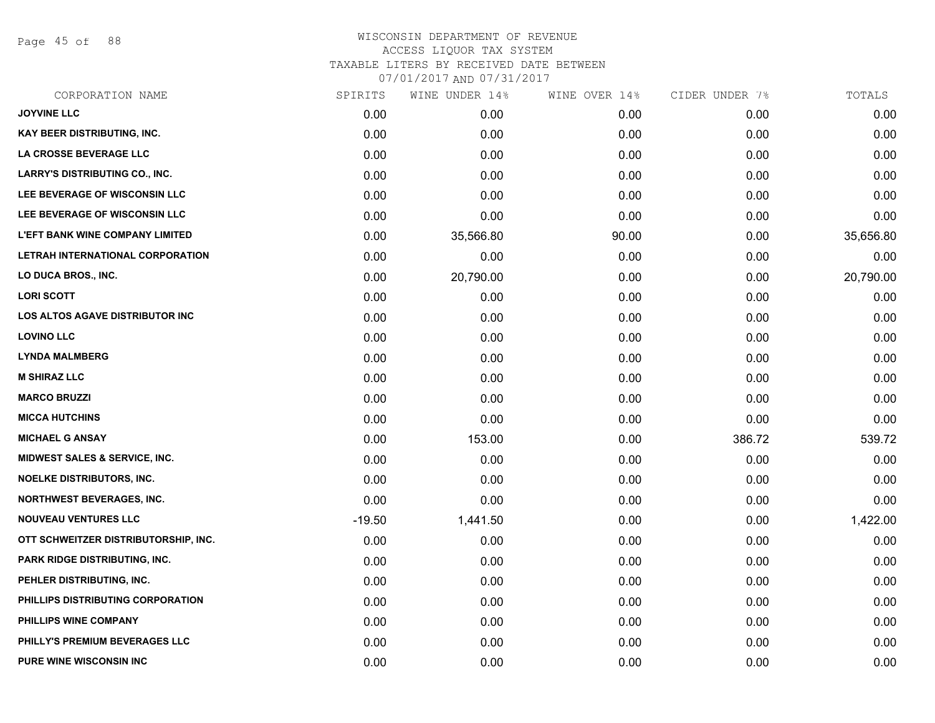Page 45 of 88

| CORPORATION NAME                         | SPIRITS  | WINE UNDER 14% | WINE OVER 14% | CIDER UNDER 7% | TOTALS    |
|------------------------------------------|----------|----------------|---------------|----------------|-----------|
| <b>JOYVINE LLC</b>                       | 0.00     | 0.00           | 0.00          | 0.00           | 0.00      |
| <b>KAY BEER DISTRIBUTING, INC.</b>       | 0.00     | 0.00           | 0.00          | 0.00           | 0.00      |
| LA CROSSE BEVERAGE LLC                   | 0.00     | 0.00           | 0.00          | 0.00           | 0.00      |
| <b>LARRY'S DISTRIBUTING CO., INC.</b>    | 0.00     | 0.00           | 0.00          | 0.00           | 0.00      |
| LEE BEVERAGE OF WISCONSIN LLC            | 0.00     | 0.00           | 0.00          | 0.00           | 0.00      |
| LEE BEVERAGE OF WISCONSIN LLC            | 0.00     | 0.00           | 0.00          | 0.00           | 0.00      |
| <b>L'EFT BANK WINE COMPANY LIMITED</b>   | 0.00     | 35,566.80      | 90.00         | 0.00           | 35,656.80 |
| LETRAH INTERNATIONAL CORPORATION         | 0.00     | 0.00           | 0.00          | 0.00           | 0.00      |
| LO DUCA BROS., INC.                      | 0.00     | 20,790.00      | 0.00          | 0.00           | 20,790.00 |
| <b>LORI SCOTT</b>                        | 0.00     | 0.00           | 0.00          | 0.00           | 0.00      |
| LOS ALTOS AGAVE DISTRIBUTOR INC          | 0.00     | 0.00           | 0.00          | 0.00           | 0.00      |
| <b>LOVINO LLC</b>                        | 0.00     | 0.00           | 0.00          | 0.00           | 0.00      |
| <b>LYNDA MALMBERG</b>                    | 0.00     | 0.00           | 0.00          | 0.00           | 0.00      |
| <b>M SHIRAZ LLC</b>                      | 0.00     | 0.00           | 0.00          | 0.00           | 0.00      |
| <b>MARCO BRUZZI</b>                      | 0.00     | 0.00           | 0.00          | 0.00           | 0.00      |
| <b>MICCA HUTCHINS</b>                    | 0.00     | 0.00           | 0.00          | 0.00           | 0.00      |
| <b>MICHAEL G ANSAY</b>                   | 0.00     | 153.00         | 0.00          | 386.72         | 539.72    |
| <b>MIDWEST SALES &amp; SERVICE, INC.</b> | 0.00     | 0.00           | 0.00          | 0.00           | 0.00      |
| NOELKE DISTRIBUTORS, INC.                | 0.00     | 0.00           | 0.00          | 0.00           | 0.00      |
| <b>NORTHWEST BEVERAGES, INC.</b>         | 0.00     | 0.00           | 0.00          | 0.00           | 0.00      |
| <b>NOUVEAU VENTURES LLC</b>              | $-19.50$ | 1,441.50       | 0.00          | 0.00           | 1,422.00  |
| OTT SCHWEITZER DISTRIBUTORSHIP, INC.     | 0.00     | 0.00           | 0.00          | 0.00           | 0.00      |
| PARK RIDGE DISTRIBUTING, INC.            | 0.00     | 0.00           | 0.00          | 0.00           | 0.00      |
| PEHLER DISTRIBUTING, INC.                | 0.00     | 0.00           | 0.00          | 0.00           | 0.00      |
| PHILLIPS DISTRIBUTING CORPORATION        | 0.00     | 0.00           | 0.00          | 0.00           | 0.00      |
| PHILLIPS WINE COMPANY                    | 0.00     | 0.00           | 0.00          | 0.00           | 0.00      |
| PHILLY'S PREMIUM BEVERAGES LLC           | 0.00     | 0.00           | 0.00          | 0.00           | 0.00      |
| <b>PURE WINE WISCONSIN INC</b>           | 0.00     | 0.00           | 0.00          | 0.00           | 0.00      |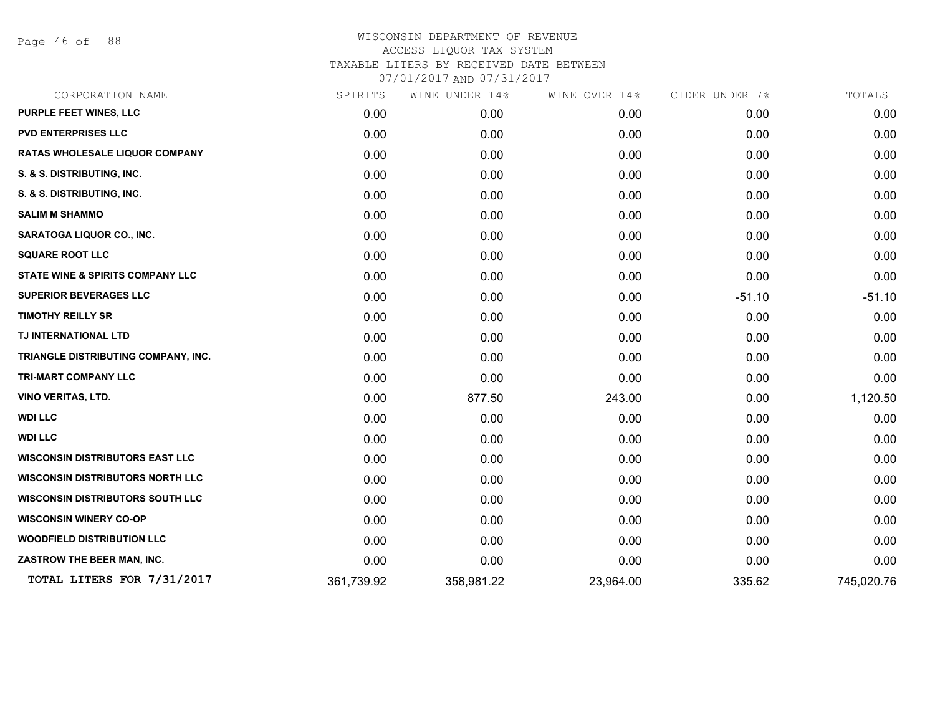Page 46 of 88

| CORPORATION NAME                        | SPIRITS    | WINE UNDER 14% | WINE OVER 14% | CIDER UNDER 7% | TOTALS     |
|-----------------------------------------|------------|----------------|---------------|----------------|------------|
| PURPLE FEET WINES, LLC                  | 0.00       | 0.00           | 0.00          | 0.00           | 0.00       |
| <b>PVD ENTERPRISES LLC</b>              | 0.00       | 0.00           | 0.00          | 0.00           | 0.00       |
| <b>RATAS WHOLESALE LIQUOR COMPANY</b>   | 0.00       | 0.00           | 0.00          | 0.00           | 0.00       |
| S. & S. DISTRIBUTING, INC.              | 0.00       | 0.00           | 0.00          | 0.00           | 0.00       |
| S. & S. DISTRIBUTING, INC.              | 0.00       | 0.00           | 0.00          | 0.00           | 0.00       |
| <b>SALIM M SHAMMO</b>                   | 0.00       | 0.00           | 0.00          | 0.00           | 0.00       |
| <b>SARATOGA LIQUOR CO., INC.</b>        | 0.00       | 0.00           | 0.00          | 0.00           | 0.00       |
| <b>SQUARE ROOT LLC</b>                  | 0.00       | 0.00           | 0.00          | 0.00           | 0.00       |
| STATE WINE & SPIRITS COMPANY LLC        | 0.00       | 0.00           | 0.00          | 0.00           | 0.00       |
| <b>SUPERIOR BEVERAGES LLC</b>           | 0.00       | 0.00           | 0.00          | $-51.10$       | $-51.10$   |
| <b>TIMOTHY REILLY SR</b>                | 0.00       | 0.00           | 0.00          | 0.00           | 0.00       |
| TJ INTERNATIONAL LTD                    | 0.00       | 0.00           | 0.00          | 0.00           | 0.00       |
| TRIANGLE DISTRIBUTING COMPANY, INC.     | 0.00       | 0.00           | 0.00          | 0.00           | 0.00       |
| <b>TRI-MART COMPANY LLC</b>             | 0.00       | 0.00           | 0.00          | 0.00           | 0.00       |
| VINO VERITAS, LTD.                      | 0.00       | 877.50         | 243.00        | 0.00           | 1,120.50   |
| <b>WDI LLC</b>                          | 0.00       | 0.00           | 0.00          | 0.00           | 0.00       |
| <b>WDI LLC</b>                          | 0.00       | 0.00           | 0.00          | 0.00           | 0.00       |
| <b>WISCONSIN DISTRIBUTORS EAST LLC</b>  | 0.00       | 0.00           | 0.00          | 0.00           | 0.00       |
| <b>WISCONSIN DISTRIBUTORS NORTH LLC</b> | 0.00       | 0.00           | 0.00          | 0.00           | 0.00       |
| <b>WISCONSIN DISTRIBUTORS SOUTH LLC</b> | 0.00       | 0.00           | 0.00          | 0.00           | 0.00       |
| <b>WISCONSIN WINERY CO-OP</b>           | 0.00       | 0.00           | 0.00          | 0.00           | 0.00       |
| <b>WOODFIELD DISTRIBUTION LLC</b>       | 0.00       | 0.00           | 0.00          | 0.00           | 0.00       |
| ZASTROW THE BEER MAN, INC.              | 0.00       | 0.00           | 0.00          | 0.00           | 0.00       |
| TOTAL LITERS FOR 7/31/2017              | 361,739.92 | 358,981.22     | 23,964.00     | 335.62         | 745,020.76 |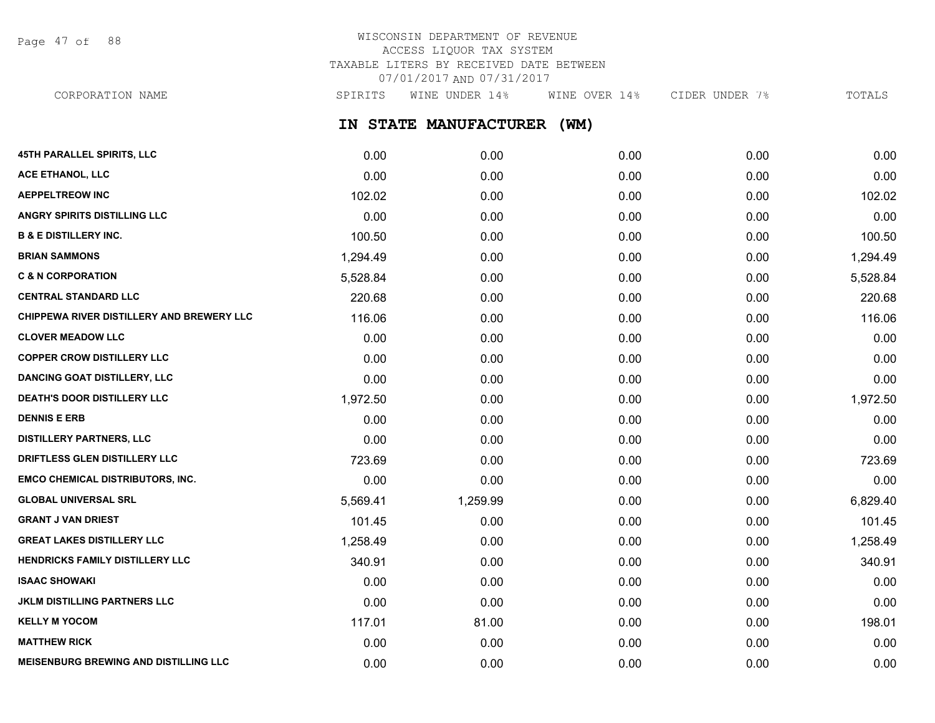Page 47 of 88

# WISCONSIN DEPARTMENT OF REVENUE ACCESS LIQUOR TAX SYSTEM TAXABLE LITERS BY RECEIVED DATE BETWEEN 07/01/2017 AND 07/31/2017

CORPORATION NAME SPIRITS WINE UNDER 14% WINE OVER 14% CIDER UNDER 7% TOTALS

**IN STATE MANUFACTURER (WM)**

| 45TH PARALLEL SPIRITS, LLC                   | 0.00     | 0.00     | 0.00 | 0.00 | 0.00     |
|----------------------------------------------|----------|----------|------|------|----------|
| ACE ETHANOL, LLC                             | 0.00     | 0.00     | 0.00 | 0.00 | 0.00     |
| <b>AEPPELTREOW INC</b>                       | 102.02   | 0.00     | 0.00 | 0.00 | 102.02   |
| ANGRY SPIRITS DISTILLING LLC                 | 0.00     | 0.00     | 0.00 | 0.00 | 0.00     |
| <b>B &amp; E DISTILLERY INC.</b>             | 100.50   | 0.00     | 0.00 | 0.00 | 100.50   |
| <b>BRIAN SAMMONS</b>                         | 1,294.49 | 0.00     | 0.00 | 0.00 | 1,294.49 |
| <b>C &amp; N CORPORATION</b>                 | 5,528.84 | 0.00     | 0.00 | 0.00 | 5,528.84 |
| <b>CENTRAL STANDARD LLC</b>                  | 220.68   | 0.00     | 0.00 | 0.00 | 220.68   |
| CHIPPEWA RIVER DISTILLERY AND BREWERY LLC    | 116.06   | 0.00     | 0.00 | 0.00 | 116.06   |
| <b>CLOVER MEADOW LLC</b>                     | 0.00     | 0.00     | 0.00 | 0.00 | 0.00     |
| <b>COPPER CROW DISTILLERY LLC</b>            | 0.00     | 0.00     | 0.00 | 0.00 | 0.00     |
| <b>DANCING GOAT DISTILLERY, LLC</b>          | 0.00     | 0.00     | 0.00 | 0.00 | 0.00     |
| DEATH'S DOOR DISTILLERY LLC                  | 1,972.50 | 0.00     | 0.00 | 0.00 | 1,972.50 |
| <b>DENNIS E ERB</b>                          | 0.00     | 0.00     | 0.00 | 0.00 | 0.00     |
| <b>DISTILLERY PARTNERS, LLC</b>              | 0.00     | 0.00     | 0.00 | 0.00 | 0.00     |
| DRIFTLESS GLEN DISTILLERY LLC                | 723.69   | 0.00     | 0.00 | 0.00 | 723.69   |
| <b>EMCO CHEMICAL DISTRIBUTORS, INC.</b>      | 0.00     | 0.00     | 0.00 | 0.00 | 0.00     |
| <b>GLOBAL UNIVERSAL SRL</b>                  | 5,569.41 | 1,259.99 | 0.00 | 0.00 | 6,829.40 |
| <b>GRANT J VAN DRIEST</b>                    | 101.45   | 0.00     | 0.00 | 0.00 | 101.45   |
| <b>GREAT LAKES DISTILLERY LLC</b>            | 1,258.49 | 0.00     | 0.00 | 0.00 | 1,258.49 |
| <b>HENDRICKS FAMILY DISTILLERY LLC</b>       | 340.91   | 0.00     | 0.00 | 0.00 | 340.91   |
| <b>ISAAC SHOWAKI</b>                         | 0.00     | 0.00     | 0.00 | 0.00 | 0.00     |
| <b>JKLM DISTILLING PARTNERS LLC</b>          | 0.00     | 0.00     | 0.00 | 0.00 | 0.00     |
| <b>KELLY M YOCOM</b>                         | 117.01   | 81.00    | 0.00 | 0.00 | 198.01   |
| <b>MATTHEW RICK</b>                          | 0.00     | 0.00     | 0.00 | 0.00 | 0.00     |
| <b>MEISENBURG BREWING AND DISTILLING LLC</b> | 0.00     | 0.00     | 0.00 | 0.00 | 0.00     |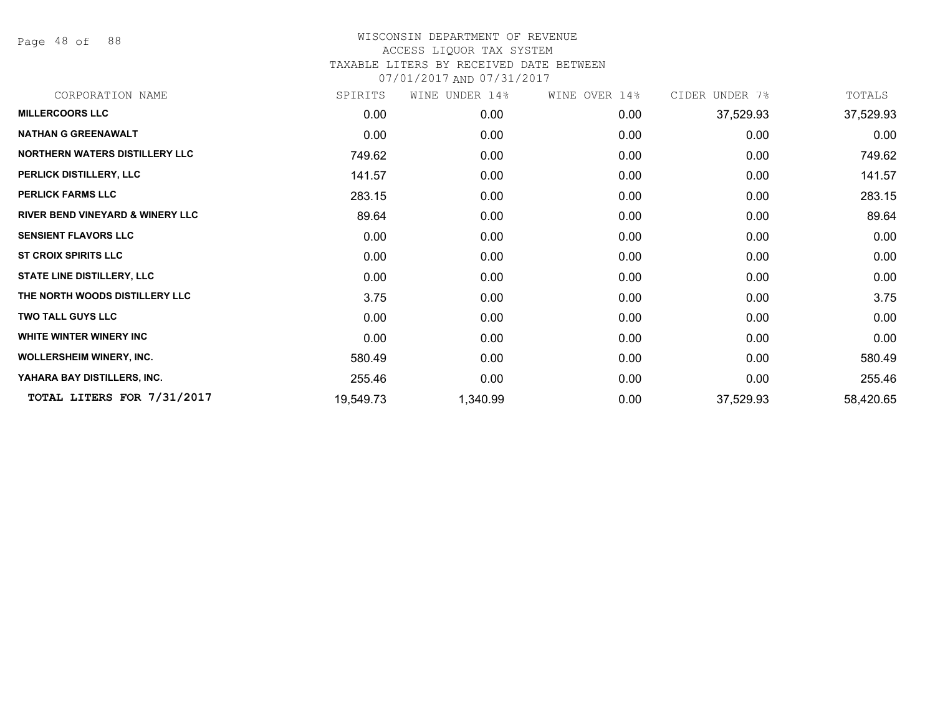Page 48 of 88

| CORPORATION NAME                            | SPIRITS   | WINE UNDER 14% | WINE OVER 14% | CIDER UNDER 7% | TOTALS    |
|---------------------------------------------|-----------|----------------|---------------|----------------|-----------|
| <b>MILLERCOORS LLC</b>                      | 0.00      | 0.00           | 0.00          | 37,529.93      | 37,529.93 |
| <b>NATHAN G GREENAWALT</b>                  | 0.00      | 0.00           | 0.00          | 0.00           | 0.00      |
| NORTHERN WATERS DISTILLERY LLC              | 749.62    | 0.00           | 0.00          | 0.00           | 749.62    |
| PERLICK DISTILLERY, LLC                     | 141.57    | 0.00           | 0.00          | 0.00           | 141.57    |
| <b>PERLICK FARMS LLC</b>                    | 283.15    | 0.00           | 0.00          | 0.00           | 283.15    |
| <b>RIVER BEND VINEYARD &amp; WINERY LLC</b> | 89.64     | 0.00           | 0.00          | 0.00           | 89.64     |
| <b>SENSIENT FLAVORS LLC</b>                 | 0.00      | 0.00           | 0.00          | 0.00           | 0.00      |
| <b>ST CROIX SPIRITS LLC</b>                 | 0.00      | 0.00           | 0.00          | 0.00           | 0.00      |
| <b>STATE LINE DISTILLERY, LLC</b>           | 0.00      | 0.00           | 0.00          | 0.00           | 0.00      |
| THE NORTH WOODS DISTILLERY LLC              | 3.75      | 0.00           | 0.00          | 0.00           | 3.75      |
| <b>TWO TALL GUYS LLC</b>                    | 0.00      | 0.00           | 0.00          | 0.00           | 0.00      |
| WHITE WINTER WINERY INC                     | 0.00      | 0.00           | 0.00          | 0.00           | 0.00      |
| <b>WOLLERSHEIM WINERY, INC.</b>             | 580.49    | 0.00           | 0.00          | 0.00           | 580.49    |
| YAHARA BAY DISTILLERS, INC.                 | 255.46    | 0.00           | 0.00          | 0.00           | 255.46    |
| TOTAL LITERS FOR 7/31/2017                  | 19,549.73 | 1,340.99       | 0.00          | 37,529.93      | 58,420.65 |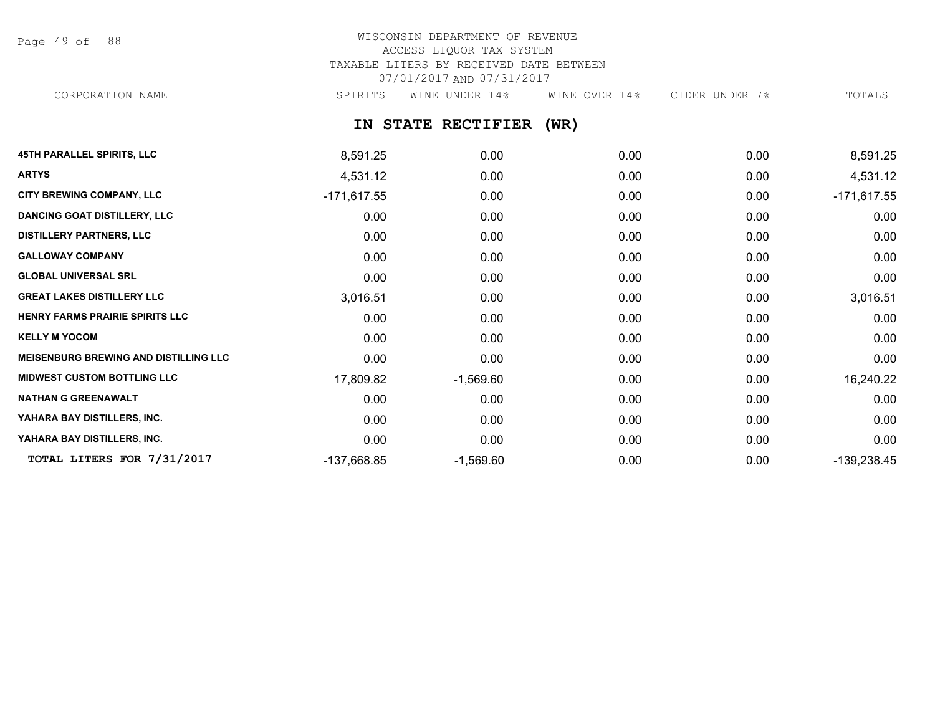Page 49 of 88

### WISCONSIN DEPARTMENT OF REVENUE ACCESS LIQUOR TAX SYSTEM TAXABLE LITERS BY RECEIVED DATE BETWEEN 07/01/2017 AND 07/31/2017 CORPORATION NAME SPIRITS WINE UNDER 14% WINE OVER 14% CIDER UNDER 7% TOTALS

**IN STATE RECTIFIER (WR)**

| <b>45TH PARALLEL SPIRITS, LLC</b>            | 8,591.25      | 0.00        | 0.00 | 0.00 | 8,591.25      |
|----------------------------------------------|---------------|-------------|------|------|---------------|
| <b>ARTYS</b>                                 | 4,531.12      | 0.00        | 0.00 | 0.00 | 4,531.12      |
| <b>CITY BREWING COMPANY, LLC</b>             | $-171,617.55$ | 0.00        | 0.00 | 0.00 | $-171,617.55$ |
| <b>DANCING GOAT DISTILLERY, LLC</b>          | 0.00          | 0.00        | 0.00 | 0.00 | 0.00          |
| <b>DISTILLERY PARTNERS, LLC</b>              | 0.00          | 0.00        | 0.00 | 0.00 | 0.00          |
| <b>GALLOWAY COMPANY</b>                      | 0.00          | 0.00        | 0.00 | 0.00 | 0.00          |
| <b>GLOBAL UNIVERSAL SRL</b>                  | 0.00          | 0.00        | 0.00 | 0.00 | 0.00          |
| <b>GREAT LAKES DISTILLERY LLC</b>            | 3,016.51      | 0.00        | 0.00 | 0.00 | 3,016.51      |
| HENRY FARMS PRAIRIE SPIRITS LLC              | 0.00          | 0.00        | 0.00 | 0.00 | 0.00          |
| <b>KELLY M YOCOM</b>                         | 0.00          | 0.00        | 0.00 | 0.00 | 0.00          |
| <b>MEISENBURG BREWING AND DISTILLING LLC</b> | 0.00          | 0.00        | 0.00 | 0.00 | 0.00          |
| <b>MIDWEST CUSTOM BOTTLING LLC</b>           | 17,809.82     | $-1,569.60$ | 0.00 | 0.00 | 16,240.22     |
| <b>NATHAN G GREENAWALT</b>                   | 0.00          | 0.00        | 0.00 | 0.00 | 0.00          |
| YAHARA BAY DISTILLERS, INC.                  | 0.00          | 0.00        | 0.00 | 0.00 | 0.00          |
| YAHARA BAY DISTILLERS, INC.                  | 0.00          | 0.00        | 0.00 | 0.00 | 0.00          |
| TOTAL LITERS FOR 7/31/2017                   | -137,668.85   | $-1,569.60$ | 0.00 | 0.00 | $-139,238.45$ |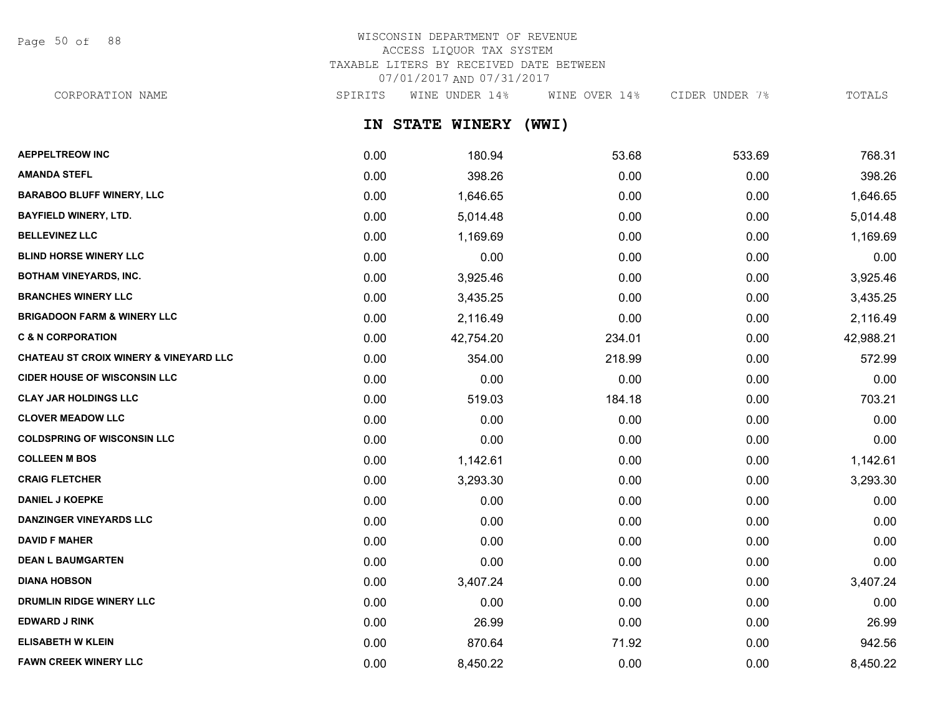Page 50 of 88

# WISCONSIN DEPARTMENT OF REVENUE ACCESS LIQUOR TAX SYSTEM TAXABLE LITERS BY RECEIVED DATE BETWEEN 07/01/2017 AND 07/31/2017

CORPORATION NAME SPIRITS WINE UNDER 14% WINE OVER 14% CIDER UNDER 7% TOTALS

**IN STATE WINERY (WWI)**

| <b>AEPPELTREOW INC</b>                            | 0.00 | 180.94    | 53.68  | 533.69 | 768.31    |
|---------------------------------------------------|------|-----------|--------|--------|-----------|
| <b>AMANDA STEFL</b>                               | 0.00 | 398.26    | 0.00   | 0.00   | 398.26    |
| <b>BARABOO BLUFF WINERY, LLC</b>                  | 0.00 | 1,646.65  | 0.00   | 0.00   | 1,646.65  |
| <b>BAYFIELD WINERY, LTD.</b>                      | 0.00 | 5,014.48  | 0.00   | 0.00   | 5,014.48  |
| <b>BELLEVINEZ LLC</b>                             | 0.00 | 1,169.69  | 0.00   | 0.00   | 1,169.69  |
| <b>BLIND HORSE WINERY LLC</b>                     | 0.00 | 0.00      | 0.00   | 0.00   | 0.00      |
| <b>BOTHAM VINEYARDS, INC.</b>                     | 0.00 | 3,925.46  | 0.00   | 0.00   | 3,925.46  |
| <b>BRANCHES WINERY LLC</b>                        | 0.00 | 3,435.25  | 0.00   | 0.00   | 3,435.25  |
| <b>BRIGADOON FARM &amp; WINERY LLC</b>            | 0.00 | 2,116.49  | 0.00   | 0.00   | 2,116.49  |
| <b>C &amp; N CORPORATION</b>                      | 0.00 | 42,754.20 | 234.01 | 0.00   | 42,988.21 |
| <b>CHATEAU ST CROIX WINERY &amp; VINEYARD LLC</b> | 0.00 | 354.00    | 218.99 | 0.00   | 572.99    |
| <b>CIDER HOUSE OF WISCONSIN LLC</b>               | 0.00 | 0.00      | 0.00   | 0.00   | 0.00      |
| <b>CLAY JAR HOLDINGS LLC</b>                      | 0.00 | 519.03    | 184.18 | 0.00   | 703.21    |
| <b>CLOVER MEADOW LLC</b>                          | 0.00 | 0.00      | 0.00   | 0.00   | 0.00      |
| <b>COLDSPRING OF WISCONSIN LLC</b>                | 0.00 | 0.00      | 0.00   | 0.00   | 0.00      |
| <b>COLLEEN M BOS</b>                              | 0.00 | 1,142.61  | 0.00   | 0.00   | 1,142.61  |
| <b>CRAIG FLETCHER</b>                             | 0.00 | 3,293.30  | 0.00   | 0.00   | 3,293.30  |
| <b>DANIEL J KOEPKE</b>                            | 0.00 | 0.00      | 0.00   | 0.00   | 0.00      |
| <b>DANZINGER VINEYARDS LLC</b>                    | 0.00 | 0.00      | 0.00   | 0.00   | 0.00      |
| <b>DAVID F MAHER</b>                              | 0.00 | 0.00      | 0.00   | 0.00   | 0.00      |
| <b>DEAN L BAUMGARTEN</b>                          | 0.00 | 0.00      | 0.00   | 0.00   | 0.00      |
| <b>DIANA HOBSON</b>                               | 0.00 | 3,407.24  | 0.00   | 0.00   | 3,407.24  |
| <b>DRUMLIN RIDGE WINERY LLC</b>                   | 0.00 | 0.00      | 0.00   | 0.00   | 0.00      |
| <b>EDWARD J RINK</b>                              | 0.00 | 26.99     | 0.00   | 0.00   | 26.99     |
| <b>ELISABETH W KLEIN</b>                          | 0.00 | 870.64    | 71.92  | 0.00   | 942.56    |
| <b>FAWN CREEK WINERY LLC</b>                      | 0.00 | 8,450.22  | 0.00   | 0.00   | 8,450.22  |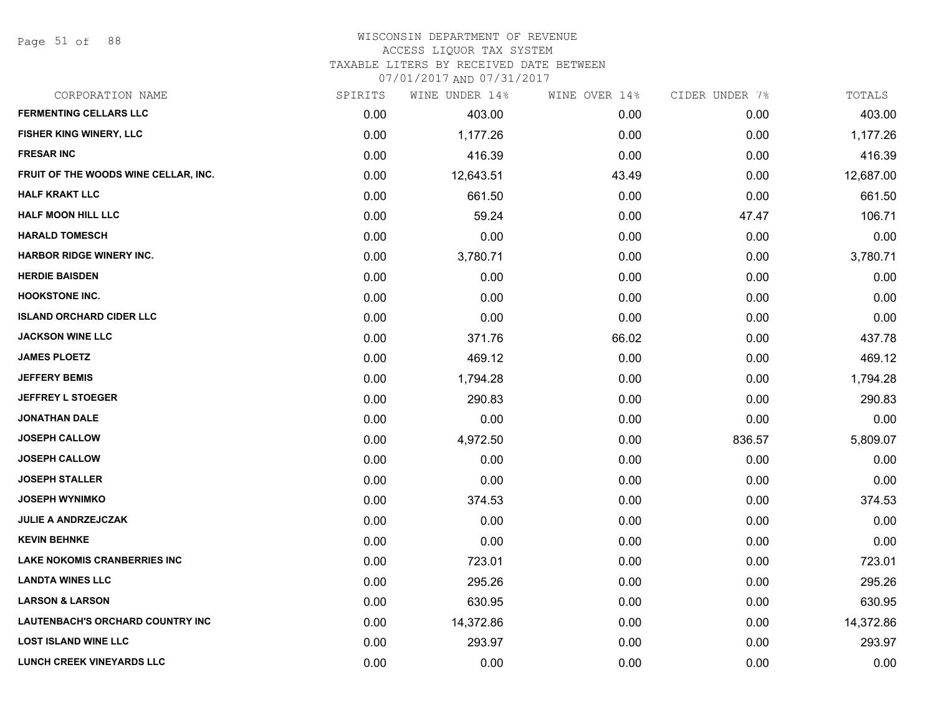Page 51 of 88

### WISCONSIN DEPARTMENT OF REVENUE ACCESS LIQUOR TAX SYSTEM

TAXABLE LITERS BY RECEIVED DATE BETWEEN

| CORPORATION NAME                        | SPIRITS | WINE UNDER 14% | WINE OVER 14% | CIDER UNDER 7% | TOTALS    |
|-----------------------------------------|---------|----------------|---------------|----------------|-----------|
| <b>FERMENTING CELLARS LLC</b>           | 0.00    | 403.00         | 0.00          | 0.00           | 403.00    |
| FISHER KING WINERY, LLC                 | 0.00    | 1,177.26       | 0.00          | 0.00           | 1,177.26  |
| <b>FRESAR INC</b>                       | 0.00    | 416.39         | 0.00          | 0.00           | 416.39    |
| FRUIT OF THE WOODS WINE CELLAR, INC.    | 0.00    | 12,643.51      | 43.49         | 0.00           | 12,687.00 |
| <b>HALF KRAKT LLC</b>                   | 0.00    | 661.50         | 0.00          | 0.00           | 661.50    |
| <b>HALF MOON HILL LLC</b>               | 0.00    | 59.24          | 0.00          | 47.47          | 106.71    |
| <b>HARALD TOMESCH</b>                   | 0.00    | 0.00           | 0.00          | 0.00           | 0.00      |
| <b>HARBOR RIDGE WINERY INC.</b>         | 0.00    | 3,780.71       | 0.00          | 0.00           | 3,780.71  |
| <b>HERDIE BAISDEN</b>                   | 0.00    | 0.00           | 0.00          | 0.00           | 0.00      |
| <b>HOOKSTONE INC.</b>                   | 0.00    | 0.00           | 0.00          | 0.00           | 0.00      |
| <b>ISLAND ORCHARD CIDER LLC</b>         | 0.00    | 0.00           | 0.00          | 0.00           | 0.00      |
| <b>JACKSON WINE LLC</b>                 | 0.00    | 371.76         | 66.02         | 0.00           | 437.78    |
| <b>JAMES PLOETZ</b>                     | 0.00    | 469.12         | 0.00          | 0.00           | 469.12    |
| <b>JEFFERY BEMIS</b>                    | 0.00    | 1,794.28       | 0.00          | 0.00           | 1,794.28  |
| <b>JEFFREY L STOEGER</b>                | 0.00    | 290.83         | 0.00          | 0.00           | 290.83    |
| <b>JONATHAN DALE</b>                    | 0.00    | 0.00           | 0.00          | 0.00           | 0.00      |
| <b>JOSEPH CALLOW</b>                    | 0.00    | 4,972.50       | 0.00          | 836.57         | 5,809.07  |
| <b>JOSEPH CALLOW</b>                    | 0.00    | 0.00           | 0.00          | 0.00           | 0.00      |
| <b>JOSEPH STALLER</b>                   | 0.00    | 0.00           | 0.00          | 0.00           | 0.00      |
| <b>JOSEPH WYNIMKO</b>                   | 0.00    | 374.53         | 0.00          | 0.00           | 374.53    |
| <b>JULIE A ANDRZEJCZAK</b>              | 0.00    | 0.00           | 0.00          | 0.00           | 0.00      |
| <b>KEVIN BEHNKE</b>                     | 0.00    | 0.00           | 0.00          | 0.00           | 0.00      |
| <b>LAKE NOKOMIS CRANBERRIES INC</b>     | 0.00    | 723.01         | 0.00          | 0.00           | 723.01    |
| <b>LANDTA WINES LLC</b>                 | 0.00    | 295.26         | 0.00          | 0.00           | 295.26    |
| <b>LARSON &amp; LARSON</b>              | 0.00    | 630.95         | 0.00          | 0.00           | 630.95    |
| <b>LAUTENBACH'S ORCHARD COUNTRY INC</b> | 0.00    | 14,372.86      | 0.00          | 0.00           | 14,372.86 |
| <b>LOST ISLAND WINE LLC</b>             | 0.00    | 293.97         | 0.00          | 0.00           | 293.97    |
| <b>LUNCH CREEK VINEYARDS LLC</b>        | 0.00    | 0.00           | 0.00          | 0.00           | 0.00      |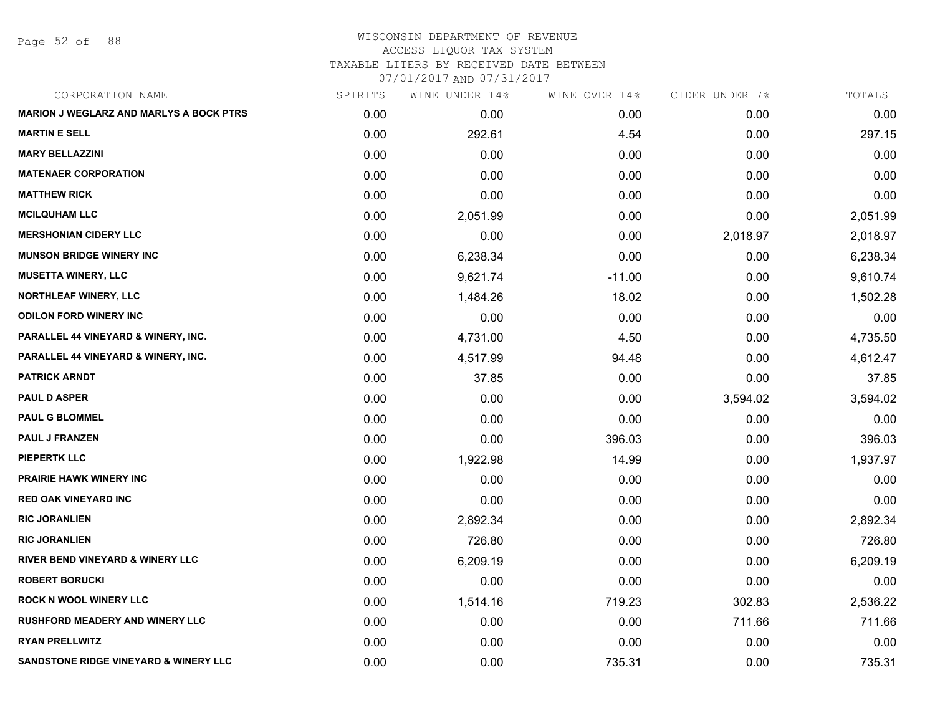Page 52 of 88

## WISCONSIN DEPARTMENT OF REVENUE ACCESS LIQUOR TAX SYSTEM TAXABLE LITERS BY RECEIVED DATE BETWEEN

| CORPORATION NAME                               | SPIRITS | WINE UNDER 14% | WINE OVER 14% | CIDER UNDER 7% | TOTALS   |
|------------------------------------------------|---------|----------------|---------------|----------------|----------|
| <b>MARION J WEGLARZ AND MARLYS A BOCK PTRS</b> | 0.00    | 0.00           | 0.00          | 0.00           | 0.00     |
| <b>MARTIN E SELL</b>                           | 0.00    | 292.61         | 4.54          | 0.00           | 297.15   |
| <b>MARY BELLAZZINI</b>                         | 0.00    | 0.00           | 0.00          | 0.00           | 0.00     |
| <b>MATENAER CORPORATION</b>                    | 0.00    | 0.00           | 0.00          | 0.00           | 0.00     |
| <b>MATTHEW RICK</b>                            | 0.00    | 0.00           | 0.00          | 0.00           | 0.00     |
| <b>MCILQUHAM LLC</b>                           | 0.00    | 2,051.99       | 0.00          | 0.00           | 2,051.99 |
| <b>MERSHONIAN CIDERY LLC</b>                   | 0.00    | 0.00           | 0.00          | 2,018.97       | 2,018.97 |
| <b>MUNSON BRIDGE WINERY INC</b>                | 0.00    | 6,238.34       | 0.00          | 0.00           | 6,238.34 |
| <b>MUSETTA WINERY, LLC</b>                     | 0.00    | 9,621.74       | $-11.00$      | 0.00           | 9,610.74 |
| <b>NORTHLEAF WINERY, LLC</b>                   | 0.00    | 1,484.26       | 18.02         | 0.00           | 1,502.28 |
| <b>ODILON FORD WINERY INC</b>                  | 0.00    | 0.00           | 0.00          | 0.00           | 0.00     |
| PARALLEL 44 VINEYARD & WINERY, INC.            | 0.00    | 4,731.00       | 4.50          | 0.00           | 4,735.50 |
| PARALLEL 44 VINEYARD & WINERY, INC.            | 0.00    | 4,517.99       | 94.48         | 0.00           | 4,612.47 |
| <b>PATRICK ARNDT</b>                           | 0.00    | 37.85          | 0.00          | 0.00           | 37.85    |
| <b>PAUL D ASPER</b>                            | 0.00    | 0.00           | 0.00          | 3,594.02       | 3,594.02 |
| <b>PAUL G BLOMMEL</b>                          | 0.00    | 0.00           | 0.00          | 0.00           | 0.00     |
| <b>PAUL J FRANZEN</b>                          | 0.00    | 0.00           | 396.03        | 0.00           | 396.03   |
| <b>PIEPERTK LLC</b>                            | 0.00    | 1,922.98       | 14.99         | 0.00           | 1,937.97 |
| <b>PRAIRIE HAWK WINERY INC</b>                 | 0.00    | 0.00           | 0.00          | 0.00           | 0.00     |
| <b>RED OAK VINEYARD INC</b>                    | 0.00    | 0.00           | 0.00          | 0.00           | 0.00     |
| <b>RIC JORANLIEN</b>                           | 0.00    | 2,892.34       | 0.00          | 0.00           | 2,892.34 |
| <b>RIC JORANLIEN</b>                           | 0.00    | 726.80         | 0.00          | 0.00           | 726.80   |
| RIVER BEND VINEYARD & WINERY LLC               | 0.00    | 6,209.19       | 0.00          | 0.00           | 6,209.19 |
| <b>ROBERT BORUCKI</b>                          | 0.00    | 0.00           | 0.00          | 0.00           | 0.00     |
| <b>ROCK N WOOL WINERY LLC</b>                  | 0.00    | 1,514.16       | 719.23        | 302.83         | 2,536.22 |
| <b>RUSHFORD MEADERY AND WINERY LLC</b>         | 0.00    | 0.00           | 0.00          | 711.66         | 711.66   |
| <b>RYAN PRELLWITZ</b>                          | 0.00    | 0.00           | 0.00          | 0.00           | 0.00     |
| SANDSTONE RIDGE VINEYARD & WINERY LLC          | 0.00    | 0.00           | 735.31        | 0.00           | 735.31   |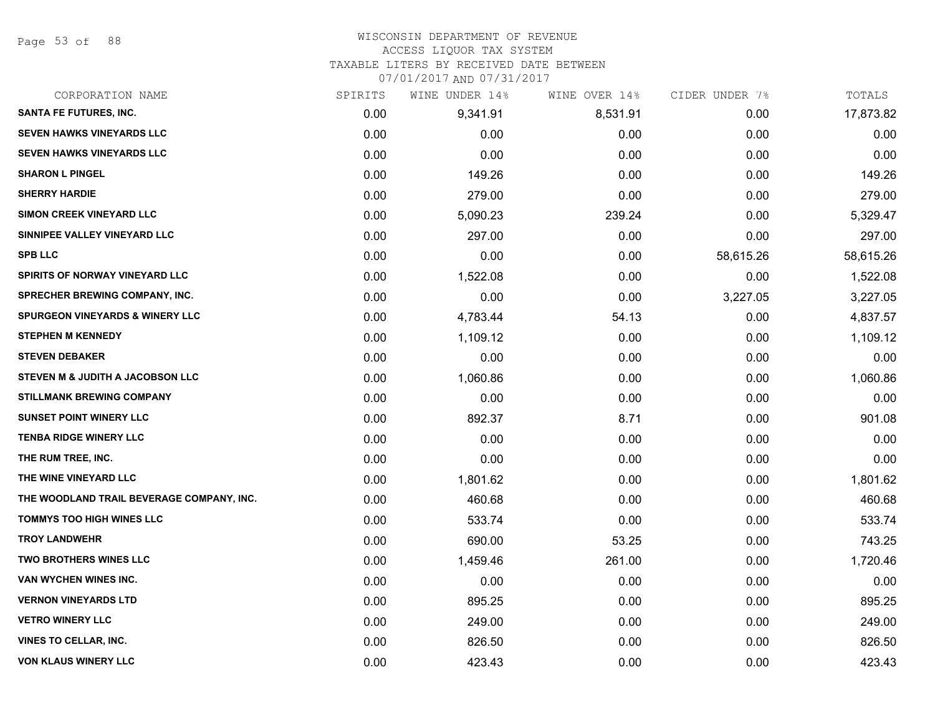Page 53 of 88

### WISCONSIN DEPARTMENT OF REVENUE ACCESS LIQUOR TAX SYSTEM

TAXABLE LITERS BY RECEIVED DATE BETWEEN

| CORPORATION NAME                            | SPIRITS | WINE UNDER 14% | WINE OVER 14% | CIDER UNDER 7% | TOTALS    |
|---------------------------------------------|---------|----------------|---------------|----------------|-----------|
| SANTA FE FUTURES, INC.                      | 0.00    | 9,341.91       | 8,531.91      | 0.00           | 17,873.82 |
| <b>SEVEN HAWKS VINEYARDS LLC</b>            | 0.00    | 0.00           | 0.00          | 0.00           | 0.00      |
| <b>SEVEN HAWKS VINEYARDS LLC</b>            | 0.00    | 0.00           | 0.00          | 0.00           | 0.00      |
| <b>SHARON L PINGEL</b>                      | 0.00    | 149.26         | 0.00          | 0.00           | 149.26    |
| <b>SHERRY HARDIE</b>                        | 0.00    | 279.00         | 0.00          | 0.00           | 279.00    |
| SIMON CREEK VINEYARD LLC                    | 0.00    | 5,090.23       | 239.24        | 0.00           | 5,329.47  |
| SINNIPEE VALLEY VINEYARD LLC                | 0.00    | 297.00         | 0.00          | 0.00           | 297.00    |
| <b>SPB LLC</b>                              | 0.00    | 0.00           | 0.00          | 58,615.26      | 58,615.26 |
| <b>SPIRITS OF NORWAY VINEYARD LLC</b>       | 0.00    | 1,522.08       | 0.00          | 0.00           | 1,522.08  |
| <b>SPRECHER BREWING COMPANY, INC.</b>       | 0.00    | 0.00           | 0.00          | 3,227.05       | 3,227.05  |
| SPURGEON VINEYARDS & WINERY LLC             | 0.00    | 4,783.44       | 54.13         | 0.00           | 4,837.57  |
| <b>STEPHEN M KENNEDY</b>                    | 0.00    | 1,109.12       | 0.00          | 0.00           | 1,109.12  |
| <b>STEVEN DEBAKER</b>                       | 0.00    | 0.00           | 0.00          | 0.00           | 0.00      |
| <b>STEVEN M &amp; JUDITH A JACOBSON LLC</b> | 0.00    | 1,060.86       | 0.00          | 0.00           | 1,060.86  |
| <b>STILLMANK BREWING COMPANY</b>            | 0.00    | 0.00           | 0.00          | 0.00           | 0.00      |
| <b>SUNSET POINT WINERY LLC</b>              | 0.00    | 892.37         | 8.71          | 0.00           | 901.08    |
| <b>TENBA RIDGE WINERY LLC</b>               | 0.00    | 0.00           | 0.00          | 0.00           | 0.00      |
| THE RUM TREE, INC.                          | 0.00    | 0.00           | 0.00          | 0.00           | 0.00      |
| THE WINE VINEYARD LLC                       | 0.00    | 1,801.62       | 0.00          | 0.00           | 1,801.62  |
| THE WOODLAND TRAIL BEVERAGE COMPANY, INC.   | 0.00    | 460.68         | 0.00          | 0.00           | 460.68    |
| <b>TOMMYS TOO HIGH WINES LLC</b>            | 0.00    | 533.74         | 0.00          | 0.00           | 533.74    |
| <b>TROY LANDWEHR</b>                        | 0.00    | 690.00         | 53.25         | 0.00           | 743.25    |
| <b>TWO BROTHERS WINES LLC</b>               | 0.00    | 1,459.46       | 261.00        | 0.00           | 1,720.46  |
| <b>VAN WYCHEN WINES INC.</b>                | 0.00    | 0.00           | 0.00          | 0.00           | 0.00      |
| <b>VERNON VINEYARDS LTD</b>                 | 0.00    | 895.25         | 0.00          | 0.00           | 895.25    |
| <b>VETRO WINERY LLC</b>                     | 0.00    | 249.00         | 0.00          | 0.00           | 249.00    |
| <b>VINES TO CELLAR, INC.</b>                | 0.00    | 826.50         | 0.00          | 0.00           | 826.50    |
| <b>VON KLAUS WINERY LLC</b>                 | 0.00    | 423.43         | 0.00          | 0.00           | 423.43    |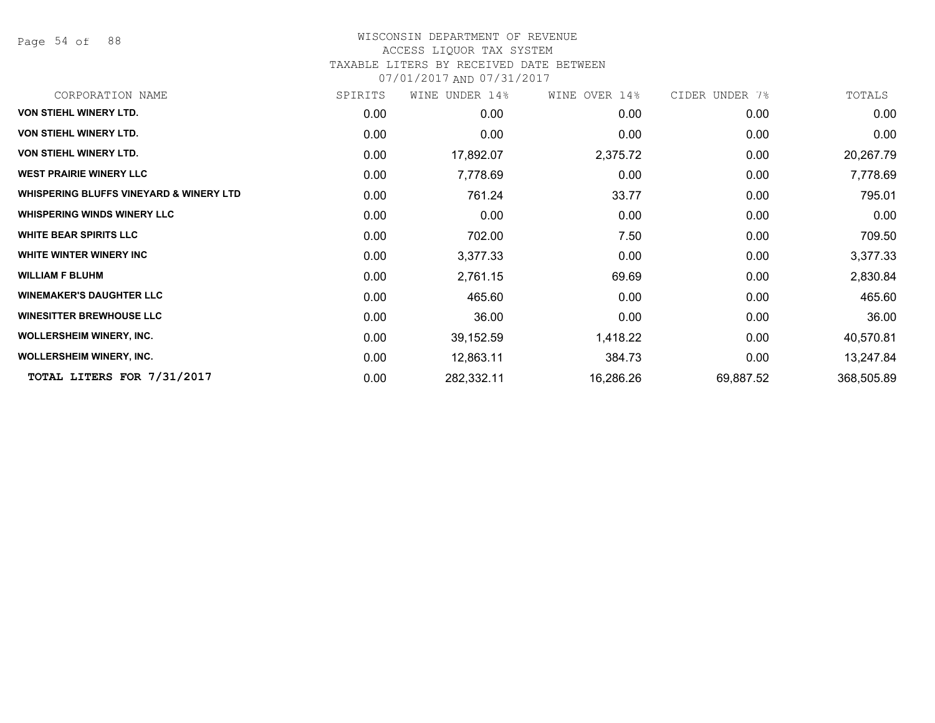Page 54 of 88

### WISCONSIN DEPARTMENT OF REVENUE ACCESS LIQUOR TAX SYSTEM

## TAXABLE LITERS BY RECEIVED DATE BETWEEN

| CORPORATION NAME                                   | SPIRITS | WINE UNDER 14% | WINE OVER 14% | CIDER UNDER 7% | TOTALS     |
|----------------------------------------------------|---------|----------------|---------------|----------------|------------|
| VON STIEHL WINERY LTD.                             | 0.00    | 0.00           | 0.00          | 0.00           | 0.00       |
| <b>VON STIEHL WINERY LTD.</b>                      | 0.00    | 0.00           | 0.00          | 0.00           | 0.00       |
| <b>VON STIEHL WINERY LTD.</b>                      | 0.00    | 17,892.07      | 2,375.72      | 0.00           | 20,267.79  |
| <b>WEST PRAIRIE WINERY LLC</b>                     | 0.00    | 7,778.69       | 0.00          | 0.00           | 7,778.69   |
| <b>WHISPERING BLUFFS VINEYARD &amp; WINERY LTD</b> | 0.00    | 761.24         | 33.77         | 0.00           | 795.01     |
| <b>WHISPERING WINDS WINERY LLC</b>                 | 0.00    | 0.00           | 0.00          | 0.00           | 0.00       |
| <b>WHITE BEAR SPIRITS LLC</b>                      | 0.00    | 702.00         | 7.50          | 0.00           | 709.50     |
| WHITE WINTER WINERY INC                            | 0.00    | 3,377.33       | 0.00          | 0.00           | 3,377.33   |
| <b>WILLIAM F BLUHM</b>                             | 0.00    | 2,761.15       | 69.69         | 0.00           | 2,830.84   |
| <b>WINEMAKER'S DAUGHTER LLC</b>                    | 0.00    | 465.60         | 0.00          | 0.00           | 465.60     |
| <b>WINESITTER BREWHOUSE LLC</b>                    | 0.00    | 36.00          | 0.00          | 0.00           | 36.00      |
| <b>WOLLERSHEIM WINERY, INC.</b>                    | 0.00    | 39,152.59      | 1,418.22      | 0.00           | 40,570.81  |
| <b>WOLLERSHEIM WINERY, INC.</b>                    | 0.00    | 12,863.11      | 384.73        | 0.00           | 13,247.84  |
| TOTAL LITERS FOR 7/31/2017                         | 0.00    | 282,332.11     | 16,286.26     | 69,887.52      | 368,505.89 |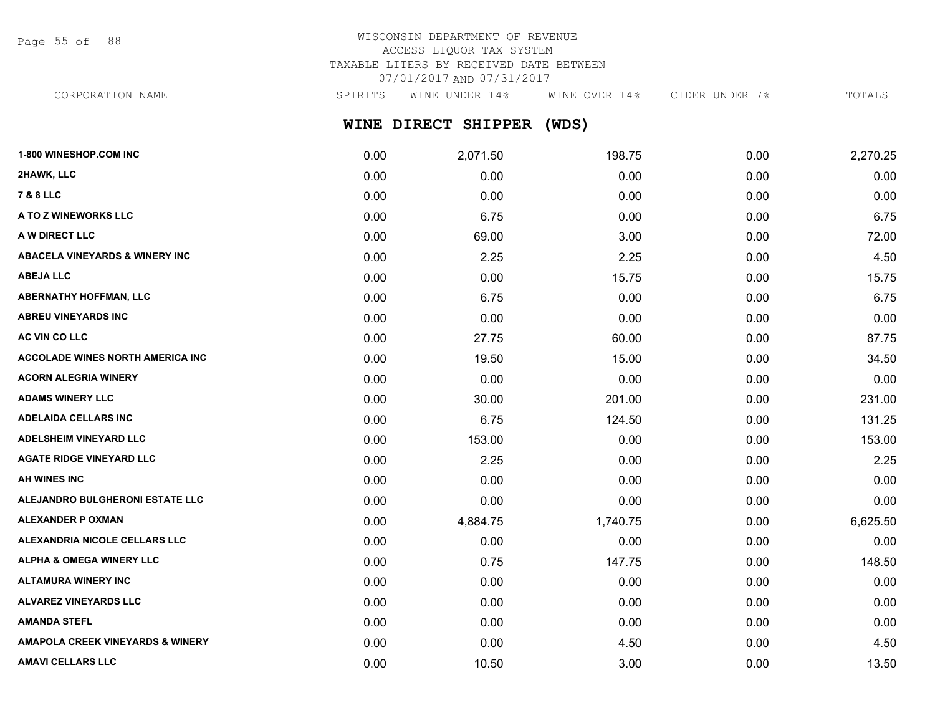Page 55 of 88

# WISCONSIN DEPARTMENT OF REVENUE ACCESS LIQUOR TAX SYSTEM TAXABLE LITERS BY RECEIVED DATE BETWEEN 07/01/2017 AND 07/31/2017

CORPORATION NAME SPIRITS WINE UNDER 14% WINE OVER 14% CIDER UNDER 7% TOTALS

# **WINE DIRECT SHIPPER (WDS)**

| 1-800 WINESHOP.COM INC                      | 0.00 | 2,071.50 | 198.75   | 0.00 | 2,270.25 |
|---------------------------------------------|------|----------|----------|------|----------|
| 2HAWK, LLC                                  | 0.00 | 0.00     | 0.00     | 0.00 | 0.00     |
| <b>7 &amp; 8 LLC</b>                        | 0.00 | 0.00     | 0.00     | 0.00 | 0.00     |
| A TO Z WINEWORKS LLC                        | 0.00 | 6.75     | 0.00     | 0.00 | 6.75     |
| A W DIRECT LLC                              | 0.00 | 69.00    | 3.00     | 0.00 | 72.00    |
| <b>ABACELA VINEYARDS &amp; WINERY INC</b>   | 0.00 | 2.25     | 2.25     | 0.00 | 4.50     |
| <b>ABEJA LLC</b>                            | 0.00 | 0.00     | 15.75    | 0.00 | 15.75    |
| <b>ABERNATHY HOFFMAN, LLC</b>               | 0.00 | 6.75     | 0.00     | 0.00 | 6.75     |
| ABREU VINEYARDS INC                         | 0.00 | 0.00     | 0.00     | 0.00 | 0.00     |
| AC VIN CO LLC                               | 0.00 | 27.75    | 60.00    | 0.00 | 87.75    |
| <b>ACCOLADE WINES NORTH AMERICA INC</b>     | 0.00 | 19.50    | 15.00    | 0.00 | 34.50    |
| <b>ACORN ALEGRIA WINERY</b>                 | 0.00 | 0.00     | 0.00     | 0.00 | 0.00     |
| <b>ADAMS WINERY LLC</b>                     | 0.00 | 30.00    | 201.00   | 0.00 | 231.00   |
| <b>ADELAIDA CELLARS INC</b>                 | 0.00 | 6.75     | 124.50   | 0.00 | 131.25   |
| <b>ADELSHEIM VINEYARD LLC</b>               | 0.00 | 153.00   | 0.00     | 0.00 | 153.00   |
| <b>AGATE RIDGE VINEYARD LLC</b>             | 0.00 | 2.25     | 0.00     | 0.00 | 2.25     |
| <b>AH WINES INC</b>                         | 0.00 | 0.00     | 0.00     | 0.00 | 0.00     |
| ALEJANDRO BULGHERONI ESTATE LLC             | 0.00 | 0.00     | 0.00     | 0.00 | 0.00     |
| <b>ALEXANDER P OXMAN</b>                    | 0.00 | 4,884.75 | 1,740.75 | 0.00 | 6,625.50 |
| ALEXANDRIA NICOLE CELLARS LLC               | 0.00 | 0.00     | 0.00     | 0.00 | 0.00     |
| <b>ALPHA &amp; OMEGA WINERY LLC</b>         | 0.00 | 0.75     | 147.75   | 0.00 | 148.50   |
| <b>ALTAMURA WINERY INC</b>                  | 0.00 | 0.00     | 0.00     | 0.00 | 0.00     |
| <b>ALVAREZ VINEYARDS LLC</b>                | 0.00 | 0.00     | 0.00     | 0.00 | 0.00     |
| <b>AMANDA STEFL</b>                         | 0.00 | 0.00     | 0.00     | 0.00 | 0.00     |
| <b>AMAPOLA CREEK VINEYARDS &amp; WINERY</b> | 0.00 | 0.00     | 4.50     | 0.00 | 4.50     |
| <b>AMAVI CELLARS LLC</b>                    | 0.00 | 10.50    | 3.00     | 0.00 | 13.50    |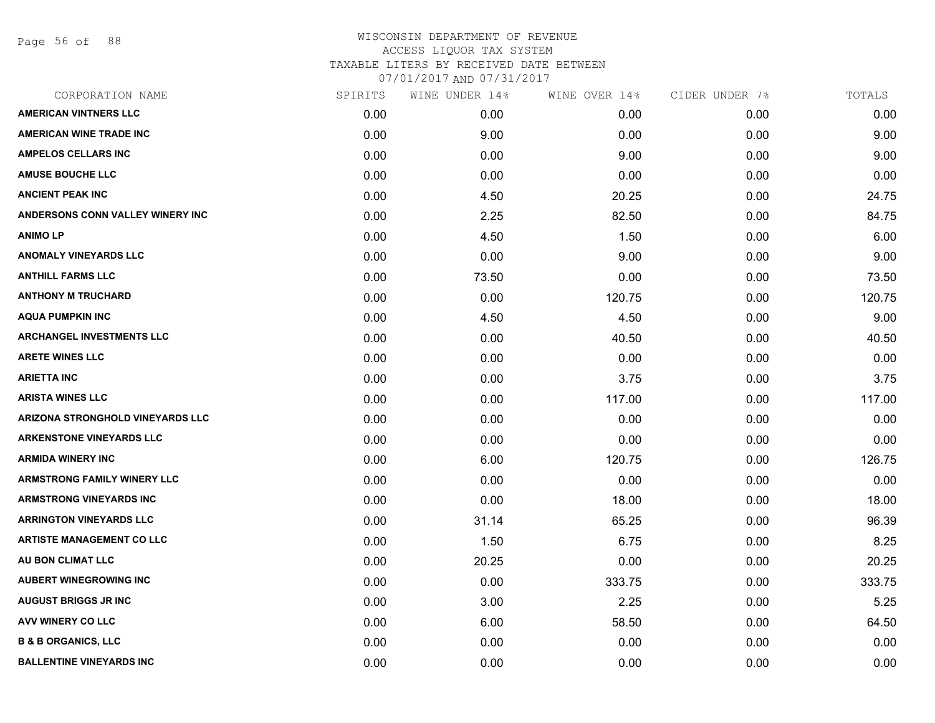Page 56 of 88

# WISCONSIN DEPARTMENT OF REVENUE ACCESS LIQUOR TAX SYSTEM TAXABLE LITERS BY RECEIVED DATE BETWEEN

| CORPORATION NAME                   | SPIRITS | WINE UNDER 14% | WINE OVER 14% | CIDER UNDER 7% | TOTALS |
|------------------------------------|---------|----------------|---------------|----------------|--------|
| <b>AMERICAN VINTNERS LLC</b>       | 0.00    | 0.00           | 0.00          | 0.00           | 0.00   |
| <b>AMERICAN WINE TRADE INC</b>     | 0.00    | 9.00           | 0.00          | 0.00           | 9.00   |
| <b>AMPELOS CELLARS INC</b>         | 0.00    | 0.00           | 9.00          | 0.00           | 9.00   |
| <b>AMUSE BOUCHE LLC</b>            | 0.00    | 0.00           | 0.00          | 0.00           | 0.00   |
| <b>ANCIENT PEAK INC</b>            | 0.00    | 4.50           | 20.25         | 0.00           | 24.75  |
| ANDERSONS CONN VALLEY WINERY INC   | 0.00    | 2.25           | 82.50         | 0.00           | 84.75  |
| <b>ANIMOLP</b>                     | 0.00    | 4.50           | 1.50          | 0.00           | 6.00   |
| <b>ANOMALY VINEYARDS LLC</b>       | 0.00    | 0.00           | 9.00          | 0.00           | 9.00   |
| <b>ANTHILL FARMS LLC</b>           | 0.00    | 73.50          | 0.00          | 0.00           | 73.50  |
| <b>ANTHONY M TRUCHARD</b>          | 0.00    | 0.00           | 120.75        | 0.00           | 120.75 |
| <b>AQUA PUMPKIN INC</b>            | 0.00    | 4.50           | 4.50          | 0.00           | 9.00   |
| <b>ARCHANGEL INVESTMENTS LLC</b>   | 0.00    | 0.00           | 40.50         | 0.00           | 40.50  |
| <b>ARETE WINES LLC</b>             | 0.00    | 0.00           | 0.00          | 0.00           | 0.00   |
| <b>ARIETTA INC</b>                 | 0.00    | 0.00           | 3.75          | 0.00           | 3.75   |
| <b>ARISTA WINES LLC</b>            | 0.00    | 0.00           | 117.00        | 0.00           | 117.00 |
| ARIZONA STRONGHOLD VINEYARDS LLC   | 0.00    | 0.00           | 0.00          | 0.00           | 0.00   |
| <b>ARKENSTONE VINEYARDS LLC</b>    | 0.00    | 0.00           | 0.00          | 0.00           | 0.00   |
| <b>ARMIDA WINERY INC</b>           | 0.00    | 6.00           | 120.75        | 0.00           | 126.75 |
| <b>ARMSTRONG FAMILY WINERY LLC</b> | 0.00    | 0.00           | 0.00          | 0.00           | 0.00   |
| <b>ARMSTRONG VINEYARDS INC</b>     | 0.00    | 0.00           | 18.00         | 0.00           | 18.00  |
| <b>ARRINGTON VINEYARDS LLC</b>     | 0.00    | 31.14          | 65.25         | 0.00           | 96.39  |
| <b>ARTISTE MANAGEMENT CO LLC</b>   | 0.00    | 1.50           | 6.75          | 0.00           | 8.25   |
| AU BON CLIMAT LLC                  | 0.00    | 20.25          | 0.00          | 0.00           | 20.25  |
| <b>AUBERT WINEGROWING INC</b>      | 0.00    | 0.00           | 333.75        | 0.00           | 333.75 |
| <b>AUGUST BRIGGS JR INC</b>        | 0.00    | 3.00           | 2.25          | 0.00           | 5.25   |
| AVV WINERY CO LLC                  | 0.00    | 6.00           | 58.50         | 0.00           | 64.50  |
| <b>B &amp; B ORGANICS, LLC</b>     | 0.00    | 0.00           | 0.00          | 0.00           | 0.00   |
| <b>BALLENTINE VINEYARDS INC</b>    | 0.00    | 0.00           | 0.00          | 0.00           | 0.00   |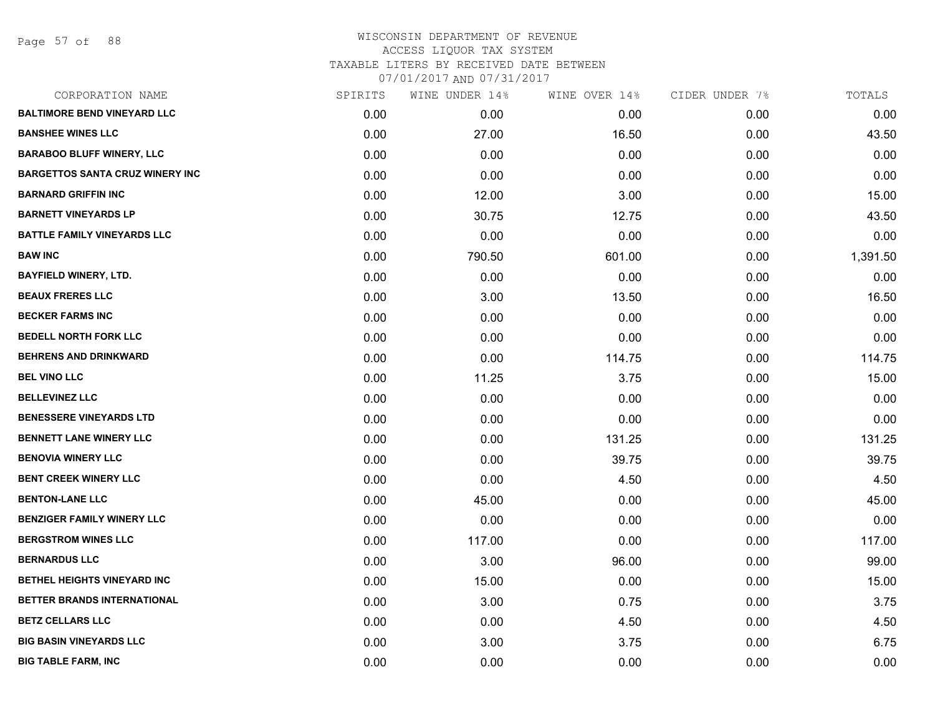Page 57 of 88

| CORPORATION NAME                       | SPIRITS | WINE UNDER 14% | WINE OVER 14% | CIDER UNDER 7% | TOTALS   |
|----------------------------------------|---------|----------------|---------------|----------------|----------|
| <b>BALTIMORE BEND VINEYARD LLC</b>     | 0.00    | 0.00           | 0.00          | 0.00           | 0.00     |
| <b>BANSHEE WINES LLC</b>               | 0.00    | 27.00          | 16.50         | 0.00           | 43.50    |
| <b>BARABOO BLUFF WINERY, LLC</b>       | 0.00    | 0.00           | 0.00          | 0.00           | 0.00     |
| <b>BARGETTOS SANTA CRUZ WINERY INC</b> | 0.00    | 0.00           | 0.00          | 0.00           | 0.00     |
| <b>BARNARD GRIFFIN INC</b>             | 0.00    | 12.00          | 3.00          | 0.00           | 15.00    |
| <b>BARNETT VINEYARDS LP</b>            | 0.00    | 30.75          | 12.75         | 0.00           | 43.50    |
| <b>BATTLE FAMILY VINEYARDS LLC</b>     | 0.00    | 0.00           | 0.00          | 0.00           | 0.00     |
| <b>BAW INC</b>                         | 0.00    | 790.50         | 601.00        | 0.00           | 1,391.50 |
| <b>BAYFIELD WINERY, LTD.</b>           | 0.00    | 0.00           | 0.00          | 0.00           | 0.00     |
| <b>BEAUX FRERES LLC</b>                | 0.00    | 3.00           | 13.50         | 0.00           | 16.50    |
| <b>BECKER FARMS INC</b>                | 0.00    | 0.00           | 0.00          | 0.00           | 0.00     |
| <b>BEDELL NORTH FORK LLC</b>           | 0.00    | 0.00           | 0.00          | 0.00           | 0.00     |
| <b>BEHRENS AND DRINKWARD</b>           | 0.00    | 0.00           | 114.75        | 0.00           | 114.75   |
| <b>BEL VINO LLC</b>                    | 0.00    | 11.25          | 3.75          | 0.00           | 15.00    |
| <b>BELLEVINEZ LLC</b>                  | 0.00    | 0.00           | 0.00          | 0.00           | 0.00     |
| <b>BENESSERE VINEYARDS LTD</b>         | 0.00    | 0.00           | 0.00          | 0.00           | 0.00     |
| <b>BENNETT LANE WINERY LLC</b>         | 0.00    | 0.00           | 131.25        | 0.00           | 131.25   |
| <b>BENOVIA WINERY LLC</b>              | 0.00    | 0.00           | 39.75         | 0.00           | 39.75    |
| <b>BENT CREEK WINERY LLC</b>           | 0.00    | 0.00           | 4.50          | 0.00           | 4.50     |
| <b>BENTON-LANE LLC</b>                 | 0.00    | 45.00          | 0.00          | 0.00           | 45.00    |
| <b>BENZIGER FAMILY WINERY LLC</b>      | 0.00    | 0.00           | 0.00          | 0.00           | 0.00     |
| <b>BERGSTROM WINES LLC</b>             | 0.00    | 117.00         | 0.00          | 0.00           | 117.00   |
| <b>BERNARDUS LLC</b>                   | 0.00    | 3.00           | 96.00         | 0.00           | 99.00    |
| BETHEL HEIGHTS VINEYARD INC            | 0.00    | 15.00          | 0.00          | 0.00           | 15.00    |
| BETTER BRANDS INTERNATIONAL            | 0.00    | 3.00           | 0.75          | 0.00           | 3.75     |
| <b>BETZ CELLARS LLC</b>                | 0.00    | 0.00           | 4.50          | 0.00           | 4.50     |
| <b>BIG BASIN VINEYARDS LLC</b>         | 0.00    | 3.00           | 3.75          | 0.00           | 6.75     |
| <b>BIG TABLE FARM, INC</b>             | 0.00    | 0.00           | 0.00          | 0.00           | 0.00     |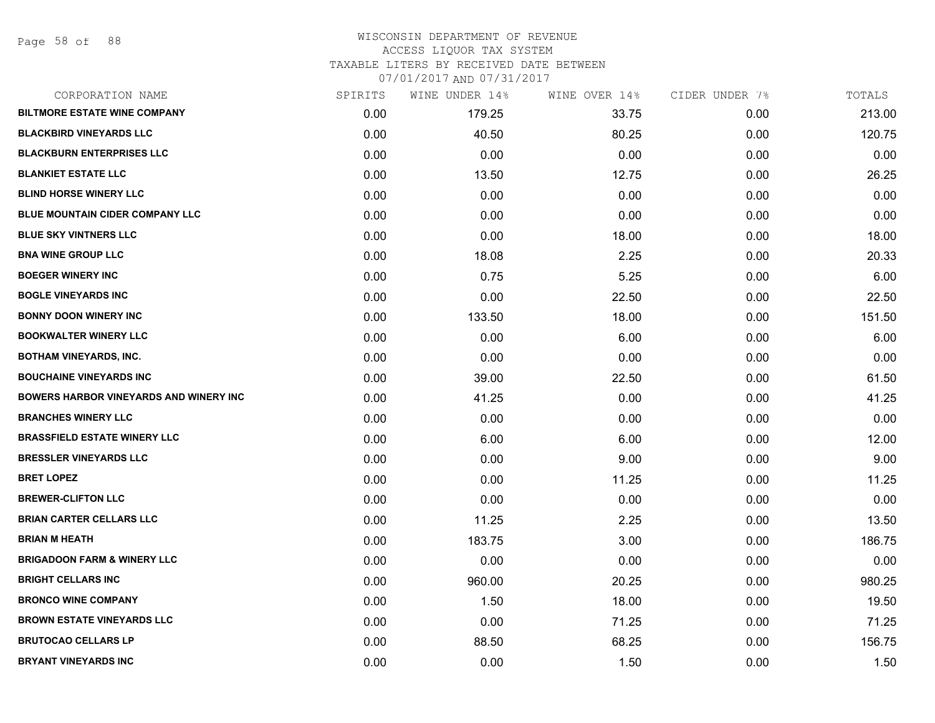Page 58 of 88

### WISCONSIN DEPARTMENT OF REVENUE ACCESS LIQUOR TAX SYSTEM TAXABLE LITERS BY RECEIVED DATE BETWEEN

| CORPORATION NAME                              | SPIRITS | WINE UNDER 14% | WINE OVER 14% | CIDER UNDER 7% | TOTALS |
|-----------------------------------------------|---------|----------------|---------------|----------------|--------|
| <b>BILTMORE ESTATE WINE COMPANY</b>           | 0.00    | 179.25         | 33.75         | 0.00           | 213.00 |
| <b>BLACKBIRD VINEYARDS LLC</b>                | 0.00    | 40.50          | 80.25         | 0.00           | 120.75 |
| <b>BLACKBURN ENTERPRISES LLC</b>              | 0.00    | 0.00           | 0.00          | 0.00           | 0.00   |
| <b>BLANKIET ESTATE LLC</b>                    | 0.00    | 13.50          | 12.75         | 0.00           | 26.25  |
| <b>BLIND HORSE WINERY LLC</b>                 | 0.00    | 0.00           | 0.00          | 0.00           | 0.00   |
| <b>BLUE MOUNTAIN CIDER COMPANY LLC</b>        | 0.00    | 0.00           | 0.00          | 0.00           | 0.00   |
| <b>BLUE SKY VINTNERS LLC</b>                  | 0.00    | 0.00           | 18.00         | 0.00           | 18.00  |
| <b>BNA WINE GROUP LLC</b>                     | 0.00    | 18.08          | 2.25          | 0.00           | 20.33  |
| <b>BOEGER WINERY INC</b>                      | 0.00    | 0.75           | 5.25          | 0.00           | 6.00   |
| <b>BOGLE VINEYARDS INC</b>                    | 0.00    | 0.00           | 22.50         | 0.00           | 22.50  |
| <b>BONNY DOON WINERY INC</b>                  | 0.00    | 133.50         | 18.00         | 0.00           | 151.50 |
| <b>BOOKWALTER WINERY LLC</b>                  | 0.00    | 0.00           | 6.00          | 0.00           | 6.00   |
| <b>BOTHAM VINEYARDS, INC.</b>                 | 0.00    | 0.00           | 0.00          | 0.00           | 0.00   |
| <b>BOUCHAINE VINEYARDS INC</b>                | 0.00    | 39.00          | 22.50         | 0.00           | 61.50  |
| <b>BOWERS HARBOR VINEYARDS AND WINERY INC</b> | 0.00    | 41.25          | 0.00          | 0.00           | 41.25  |
| <b>BRANCHES WINERY LLC</b>                    | 0.00    | 0.00           | 0.00          | 0.00           | 0.00   |
| <b>BRASSFIELD ESTATE WINERY LLC</b>           | 0.00    | 6.00           | 6.00          | 0.00           | 12.00  |
| <b>BRESSLER VINEYARDS LLC</b>                 | 0.00    | 0.00           | 9.00          | 0.00           | 9.00   |
| <b>BRET LOPEZ</b>                             | 0.00    | 0.00           | 11.25         | 0.00           | 11.25  |
| <b>BREWER-CLIFTON LLC</b>                     | 0.00    | 0.00           | 0.00          | 0.00           | 0.00   |
| <b>BRIAN CARTER CELLARS LLC</b>               | 0.00    | 11.25          | 2.25          | 0.00           | 13.50  |
| <b>BRIAN M HEATH</b>                          | 0.00    | 183.75         | 3.00          | 0.00           | 186.75 |
| <b>BRIGADOON FARM &amp; WINERY LLC</b>        | 0.00    | 0.00           | 0.00          | 0.00           | 0.00   |
| <b>BRIGHT CELLARS INC</b>                     | 0.00    | 960.00         | 20.25         | 0.00           | 980.25 |
| <b>BRONCO WINE COMPANY</b>                    | 0.00    | 1.50           | 18.00         | 0.00           | 19.50  |
| <b>BROWN ESTATE VINEYARDS LLC</b>             | 0.00    | 0.00           | 71.25         | 0.00           | 71.25  |
| <b>BRUTOCAO CELLARS LP</b>                    | 0.00    | 88.50          | 68.25         | 0.00           | 156.75 |
| <b>BRYANT VINEYARDS INC</b>                   | 0.00    | 0.00           | 1.50          | 0.00           | 1.50   |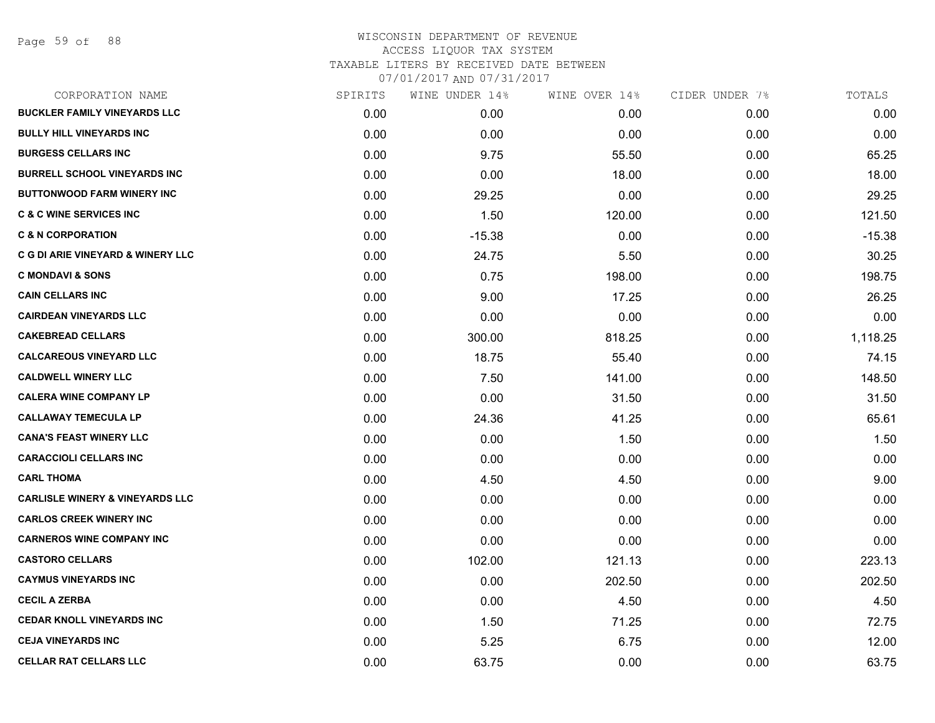| CORPORATION NAME                           | SPIRITS | WINE UNDER 14% | WINE OVER 14% | CIDER UNDER 7% | TOTALS   |
|--------------------------------------------|---------|----------------|---------------|----------------|----------|
| <b>BUCKLER FAMILY VINEYARDS LLC</b>        | 0.00    | 0.00           | 0.00          | 0.00           | 0.00     |
| <b>BULLY HILL VINEYARDS INC</b>            | 0.00    | 0.00           | 0.00          | 0.00           | 0.00     |
| <b>BURGESS CELLARS INC</b>                 | 0.00    | 9.75           | 55.50         | 0.00           | 65.25    |
| <b>BURRELL SCHOOL VINEYARDS INC</b>        | 0.00    | 0.00           | 18.00         | 0.00           | 18.00    |
| <b>BUTTONWOOD FARM WINERY INC</b>          | 0.00    | 29.25          | 0.00          | 0.00           | 29.25    |
| <b>C &amp; C WINE SERVICES INC</b>         | 0.00    | 1.50           | 120.00        | 0.00           | 121.50   |
| <b>C &amp; N CORPORATION</b>               | 0.00    | $-15.38$       | 0.00          | 0.00           | $-15.38$ |
| C G DI ARIE VINEYARD & WINERY LLC          | 0.00    | 24.75          | 5.50          | 0.00           | 30.25    |
| <b>C MONDAVI &amp; SONS</b>                | 0.00    | 0.75           | 198.00        | 0.00           | 198.75   |
| <b>CAIN CELLARS INC</b>                    | 0.00    | 9.00           | 17.25         | 0.00           | 26.25    |
| <b>CAIRDEAN VINEYARDS LLC</b>              | 0.00    | 0.00           | 0.00          | 0.00           | 0.00     |
| <b>CAKEBREAD CELLARS</b>                   | 0.00    | 300.00         | 818.25        | 0.00           | 1,118.25 |
| <b>CALCAREOUS VINEYARD LLC</b>             | 0.00    | 18.75          | 55.40         | 0.00           | 74.15    |
| <b>CALDWELL WINERY LLC</b>                 | 0.00    | 7.50           | 141.00        | 0.00           | 148.50   |
| <b>CALERA WINE COMPANY LP</b>              | 0.00    | 0.00           | 31.50         | 0.00           | 31.50    |
| <b>CALLAWAY TEMECULA LP</b>                | 0.00    | 24.36          | 41.25         | 0.00           | 65.61    |
| <b>CANA'S FEAST WINERY LLC</b>             | 0.00    | 0.00           | 1.50          | 0.00           | 1.50     |
| <b>CARACCIOLI CELLARS INC</b>              | 0.00    | 0.00           | 0.00          | 0.00           | 0.00     |
| <b>CARL THOMA</b>                          | 0.00    | 4.50           | 4.50          | 0.00           | 9.00     |
| <b>CARLISLE WINERY &amp; VINEYARDS LLC</b> | 0.00    | 0.00           | 0.00          | 0.00           | 0.00     |
| <b>CARLOS CREEK WINERY INC</b>             | 0.00    | 0.00           | 0.00          | 0.00           | 0.00     |
| <b>CARNEROS WINE COMPANY INC</b>           | 0.00    | 0.00           | 0.00          | 0.00           | 0.00     |
| <b>CASTORO CELLARS</b>                     | 0.00    | 102.00         | 121.13        | 0.00           | 223.13   |
| <b>CAYMUS VINEYARDS INC</b>                | 0.00    | 0.00           | 202.50        | 0.00           | 202.50   |
| <b>CECIL A ZERBA</b>                       | 0.00    | 0.00           | 4.50          | 0.00           | 4.50     |
| <b>CEDAR KNOLL VINEYARDS INC</b>           | 0.00    | 1.50           | 71.25         | 0.00           | 72.75    |
| <b>CEJA VINEYARDS INC</b>                  | 0.00    | 5.25           | 6.75          | 0.00           | 12.00    |
| <b>CELLAR RAT CELLARS LLC</b>              | 0.00    | 63.75          | 0.00          | 0.00           | 63.75    |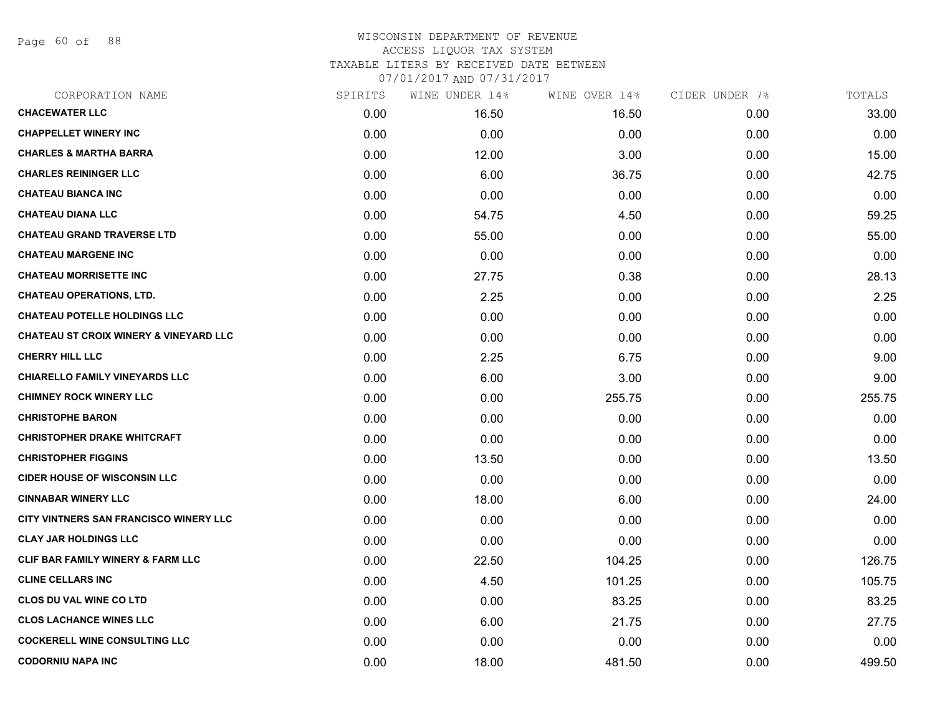Page 60 of 88

### WISCONSIN DEPARTMENT OF REVENUE ACCESS LIQUOR TAX SYSTEM TAXABLE LITERS BY RECEIVED DATE BETWEEN

| CORPORATION NAME                                  | SPIRITS | WINE UNDER 14% | WINE OVER 14% | CIDER UNDER 7% | TOTALS |
|---------------------------------------------------|---------|----------------|---------------|----------------|--------|
| <b>CHACEWATER LLC</b>                             | 0.00    | 16.50          | 16.50         | 0.00           | 33.00  |
| <b>CHAPPELLET WINERY INC</b>                      | 0.00    | 0.00           | 0.00          | 0.00           | 0.00   |
| <b>CHARLES &amp; MARTHA BARRA</b>                 | 0.00    | 12.00          | 3.00          | 0.00           | 15.00  |
| <b>CHARLES REININGER LLC</b>                      | 0.00    | 6.00           | 36.75         | 0.00           | 42.75  |
| <b>CHATEAU BIANCA INC</b>                         | 0.00    | 0.00           | 0.00          | 0.00           | 0.00   |
| <b>CHATEAU DIANA LLC</b>                          | 0.00    | 54.75          | 4.50          | 0.00           | 59.25  |
| <b>CHATEAU GRAND TRAVERSE LTD</b>                 | 0.00    | 55.00          | 0.00          | 0.00           | 55.00  |
| <b>CHATEAU MARGENE INC</b>                        | 0.00    | 0.00           | 0.00          | 0.00           | 0.00   |
| <b>CHATEAU MORRISETTE INC</b>                     | 0.00    | 27.75          | 0.38          | 0.00           | 28.13  |
| <b>CHATEAU OPERATIONS, LTD.</b>                   | 0.00    | 2.25           | 0.00          | 0.00           | 2.25   |
| <b>CHATEAU POTELLE HOLDINGS LLC</b>               | 0.00    | 0.00           | 0.00          | 0.00           | 0.00   |
| <b>CHATEAU ST CROIX WINERY &amp; VINEYARD LLC</b> | 0.00    | 0.00           | 0.00          | 0.00           | 0.00   |
| <b>CHERRY HILL LLC</b>                            | 0.00    | 2.25           | 6.75          | 0.00           | 9.00   |
| <b>CHIARELLO FAMILY VINEYARDS LLC</b>             | 0.00    | 6.00           | 3.00          | 0.00           | 9.00   |
| <b>CHIMNEY ROCK WINERY LLC</b>                    | 0.00    | 0.00           | 255.75        | 0.00           | 255.75 |
| <b>CHRISTOPHE BARON</b>                           | 0.00    | 0.00           | 0.00          | 0.00           | 0.00   |
| <b>CHRISTOPHER DRAKE WHITCRAFT</b>                | 0.00    | 0.00           | 0.00          | 0.00           | 0.00   |
| <b>CHRISTOPHER FIGGINS</b>                        | 0.00    | 13.50          | 0.00          | 0.00           | 13.50  |
| <b>CIDER HOUSE OF WISCONSIN LLC</b>               | 0.00    | 0.00           | 0.00          | 0.00           | 0.00   |
| <b>CINNABAR WINERY LLC</b>                        | 0.00    | 18.00          | 6.00          | 0.00           | 24.00  |
| CITY VINTNERS SAN FRANCISCO WINERY LLC            | 0.00    | 0.00           | 0.00          | 0.00           | 0.00   |
| <b>CLAY JAR HOLDINGS LLC</b>                      | 0.00    | 0.00           | 0.00          | 0.00           | 0.00   |
| CLIF BAR FAMILY WINERY & FARM LLC                 | 0.00    | 22.50          | 104.25        | 0.00           | 126.75 |
| <b>CLINE CELLARS INC</b>                          | 0.00    | 4.50           | 101.25        | 0.00           | 105.75 |
| <b>CLOS DU VAL WINE CO LTD</b>                    | 0.00    | 0.00           | 83.25         | 0.00           | 83.25  |
| <b>CLOS LACHANCE WINES LLC</b>                    | 0.00    | 6.00           | 21.75         | 0.00           | 27.75  |
| <b>COCKERELL WINE CONSULTING LLC</b>              | 0.00    | 0.00           | 0.00          | 0.00           | 0.00   |
| <b>CODORNIU NAPA INC</b>                          | 0.00    | 18.00          | 481.50        | 0.00           | 499.50 |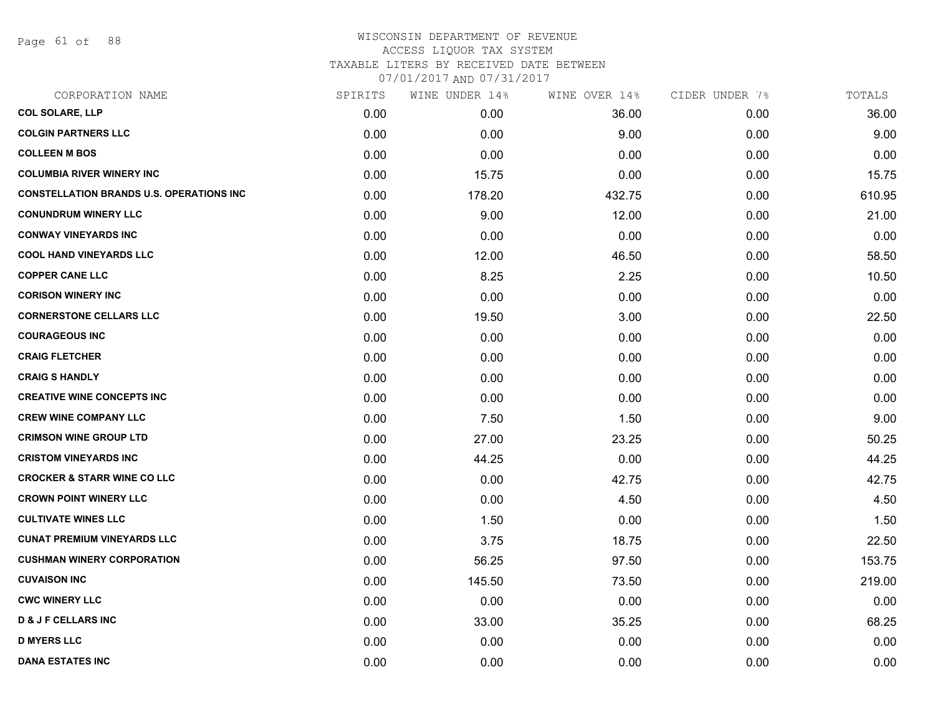Page 61 of 88

### WISCONSIN DEPARTMENT OF REVENUE ACCESS LIQUOR TAX SYSTEM

TAXABLE LITERS BY RECEIVED DATE BETWEEN

| CORPORATION NAME                                | SPIRITS | WINE UNDER 14% | WINE OVER 14% | CIDER UNDER 7% | TOTALS |
|-------------------------------------------------|---------|----------------|---------------|----------------|--------|
| <b>COL SOLARE, LLP</b>                          | 0.00    | 0.00           | 36.00         | 0.00           | 36.00  |
| <b>COLGIN PARTNERS LLC</b>                      | 0.00    | 0.00           | 9.00          | 0.00           | 9.00   |
| <b>COLLEEN M BOS</b>                            | 0.00    | 0.00           | 0.00          | 0.00           | 0.00   |
| <b>COLUMBIA RIVER WINERY INC</b>                | 0.00    | 15.75          | 0.00          | 0.00           | 15.75  |
| <b>CONSTELLATION BRANDS U.S. OPERATIONS INC</b> | 0.00    | 178.20         | 432.75        | 0.00           | 610.95 |
| <b>CONUNDRUM WINERY LLC</b>                     | 0.00    | 9.00           | 12.00         | 0.00           | 21.00  |
| <b>CONWAY VINEYARDS INC</b>                     | 0.00    | 0.00           | 0.00          | 0.00           | 0.00   |
| <b>COOL HAND VINEYARDS LLC</b>                  | 0.00    | 12.00          | 46.50         | 0.00           | 58.50  |
| <b>COPPER CANE LLC</b>                          | 0.00    | 8.25           | 2.25          | 0.00           | 10.50  |
| <b>CORISON WINERY INC</b>                       | 0.00    | 0.00           | 0.00          | 0.00           | 0.00   |
| <b>CORNERSTONE CELLARS LLC</b>                  | 0.00    | 19.50          | 3.00          | 0.00           | 22.50  |
| <b>COURAGEOUS INC</b>                           | 0.00    | 0.00           | 0.00          | 0.00           | 0.00   |
| <b>CRAIG FLETCHER</b>                           | 0.00    | 0.00           | 0.00          | 0.00           | 0.00   |
| <b>CRAIG S HANDLY</b>                           | 0.00    | 0.00           | 0.00          | 0.00           | 0.00   |
| <b>CREATIVE WINE CONCEPTS INC</b>               | 0.00    | 0.00           | 0.00          | 0.00           | 0.00   |
| <b>CREW WINE COMPANY LLC</b>                    | 0.00    | 7.50           | 1.50          | 0.00           | 9.00   |
| <b>CRIMSON WINE GROUP LTD</b>                   | 0.00    | 27.00          | 23.25         | 0.00           | 50.25  |
| <b>CRISTOM VINEYARDS INC</b>                    | 0.00    | 44.25          | 0.00          | 0.00           | 44.25  |
| <b>CROCKER &amp; STARR WINE CO LLC</b>          | 0.00    | 0.00           | 42.75         | 0.00           | 42.75  |
| <b>CROWN POINT WINERY LLC</b>                   | 0.00    | 0.00           | 4.50          | 0.00           | 4.50   |
| <b>CULTIVATE WINES LLC</b>                      | 0.00    | 1.50           | 0.00          | 0.00           | 1.50   |
| <b>CUNAT PREMIUM VINEYARDS LLC</b>              | 0.00    | 3.75           | 18.75         | 0.00           | 22.50  |
| <b>CUSHMAN WINERY CORPORATION</b>               | 0.00    | 56.25          | 97.50         | 0.00           | 153.75 |
| <b>CUVAISON INC</b>                             | 0.00    | 145.50         | 73.50         | 0.00           | 219.00 |
| <b>CWC WINERY LLC</b>                           | 0.00    | 0.00           | 0.00          | 0.00           | 0.00   |
| <b>D &amp; J F CELLARS INC</b>                  | 0.00    | 33.00          | 35.25         | 0.00           | 68.25  |
| <b>D MYERS LLC</b>                              | 0.00    | 0.00           | 0.00          | 0.00           | 0.00   |
| <b>DANA ESTATES INC</b>                         | 0.00    | 0.00           | 0.00          | 0.00           | 0.00   |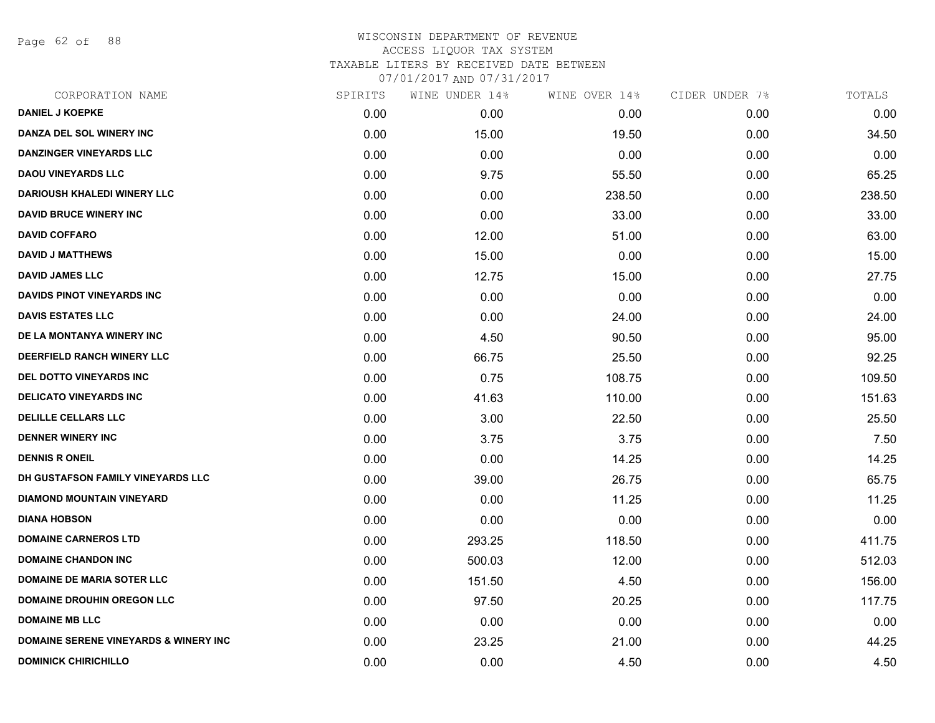Page 62 of 88

| SPIRITS | WINE UNDER 14% | WINE OVER 14% | CIDER UNDER 7% | TOTALS |
|---------|----------------|---------------|----------------|--------|
| 0.00    | 0.00           | 0.00          | 0.00           | 0.00   |
| 0.00    | 15.00          | 19.50         | 0.00           | 34.50  |
| 0.00    | 0.00           | 0.00          | 0.00           | 0.00   |
| 0.00    | 9.75           | 55.50         | 0.00           | 65.25  |
| 0.00    | 0.00           | 238.50        | 0.00           | 238.50 |
| 0.00    | 0.00           | 33.00         | 0.00           | 33.00  |
| 0.00    | 12.00          | 51.00         | 0.00           | 63.00  |
| 0.00    | 15.00          | 0.00          | 0.00           | 15.00  |
| 0.00    | 12.75          | 15.00         | 0.00           | 27.75  |
| 0.00    | 0.00           | 0.00          | 0.00           | 0.00   |
| 0.00    | 0.00           | 24.00         | 0.00           | 24.00  |
| 0.00    | 4.50           | 90.50         | 0.00           | 95.00  |
| 0.00    | 66.75          | 25.50         | 0.00           | 92.25  |
| 0.00    | 0.75           | 108.75        | 0.00           | 109.50 |
| 0.00    | 41.63          | 110.00        | 0.00           | 151.63 |
| 0.00    | 3.00           | 22.50         | 0.00           | 25.50  |
| 0.00    | 3.75           | 3.75          | 0.00           | 7.50   |
| 0.00    | 0.00           | 14.25         | 0.00           | 14.25  |
| 0.00    | 39.00          | 26.75         | 0.00           | 65.75  |
| 0.00    | 0.00           | 11.25         | 0.00           | 11.25  |
| 0.00    | 0.00           | 0.00          | 0.00           | 0.00   |
| 0.00    | 293.25         | 118.50        | 0.00           | 411.75 |
| 0.00    | 500.03         | 12.00         | 0.00           | 512.03 |
| 0.00    | 151.50         | 4.50          | 0.00           | 156.00 |
| 0.00    | 97.50          | 20.25         | 0.00           | 117.75 |
| 0.00    | 0.00           | 0.00          | 0.00           | 0.00   |
| 0.00    | 23.25          | 21.00         | 0.00           | 44.25  |
| 0.00    | 0.00           | 4.50          | 0.00           | 4.50   |
|         |                |               |                |        |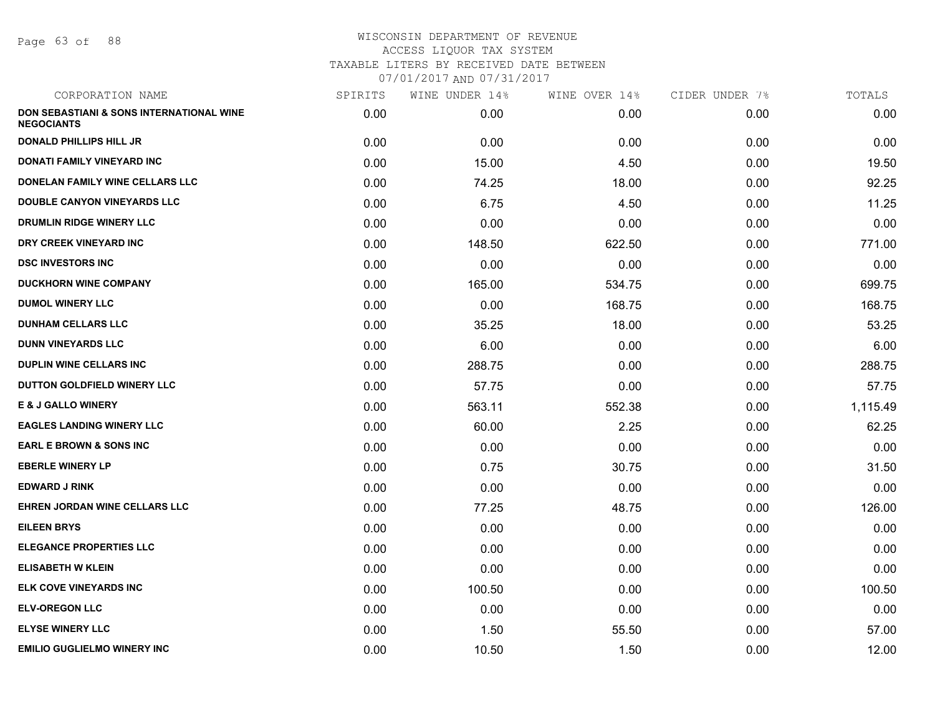Page 63 of 88

| CORPORATION NAME                                              | SPIRITS | WINE UNDER 14% | WINE OVER 14% | CIDER UNDER 7% | TOTALS   |
|---------------------------------------------------------------|---------|----------------|---------------|----------------|----------|
| DON SEBASTIANI & SONS INTERNATIONAL WINE<br><b>NEGOCIANTS</b> | 0.00    | 0.00           | 0.00          | 0.00           | 0.00     |
| <b>DONALD PHILLIPS HILL JR</b>                                | 0.00    | 0.00           | 0.00          | 0.00           | 0.00     |
| <b>DONATI FAMILY VINEYARD INC</b>                             | 0.00    | 15.00          | 4.50          | 0.00           | 19.50    |
| DONELAN FAMILY WINE CELLARS LLC                               | 0.00    | 74.25          | 18.00         | 0.00           | 92.25    |
| <b>DOUBLE CANYON VINEYARDS LLC</b>                            | 0.00    | 6.75           | 4.50          | 0.00           | 11.25    |
| DRUMLIN RIDGE WINERY LLC                                      | 0.00    | 0.00           | 0.00          | 0.00           | 0.00     |
| DRY CREEK VINEYARD INC                                        | 0.00    | 148.50         | 622.50        | 0.00           | 771.00   |
| <b>DSC INVESTORS INC</b>                                      | 0.00    | 0.00           | 0.00          | 0.00           | 0.00     |
| <b>DUCKHORN WINE COMPANY</b>                                  | 0.00    | 165.00         | 534.75        | 0.00           | 699.75   |
| <b>DUMOL WINERY LLC</b>                                       | 0.00    | 0.00           | 168.75        | 0.00           | 168.75   |
| <b>DUNHAM CELLARS LLC</b>                                     | 0.00    | 35.25          | 18.00         | 0.00           | 53.25    |
| <b>DUNN VINEYARDS LLC</b>                                     | 0.00    | 6.00           | 0.00          | 0.00           | 6.00     |
| <b>DUPLIN WINE CELLARS INC.</b>                               | 0.00    | 288.75         | 0.00          | 0.00           | 288.75   |
| DUTTON GOLDFIELD WINERY LLC                                   | 0.00    | 57.75          | 0.00          | 0.00           | 57.75    |
| <b>E &amp; J GALLO WINERY</b>                                 | 0.00    | 563.11         | 552.38        | 0.00           | 1,115.49 |
| <b>EAGLES LANDING WINERY LLC</b>                              | 0.00    | 60.00          | 2.25          | 0.00           | 62.25    |
| <b>EARL E BROWN &amp; SONS INC</b>                            | 0.00    | 0.00           | 0.00          | 0.00           | 0.00     |
| <b>EBERLE WINERY LP</b>                                       | 0.00    | 0.75           | 30.75         | 0.00           | 31.50    |
| <b>EDWARD J RINK</b>                                          | 0.00    | 0.00           | 0.00          | 0.00           | 0.00     |
| EHREN JORDAN WINE CELLARS LLC                                 | 0.00    | 77.25          | 48.75         | 0.00           | 126.00   |
| <b>EILEEN BRYS</b>                                            | 0.00    | 0.00           | 0.00          | 0.00           | 0.00     |
| <b>ELEGANCE PROPERTIES LLC</b>                                | 0.00    | 0.00           | 0.00          | 0.00           | 0.00     |
| <b>ELISABETH W KLEIN</b>                                      | 0.00    | 0.00           | 0.00          | 0.00           | 0.00     |
| ELK COVE VINEYARDS INC                                        | 0.00    | 100.50         | 0.00          | 0.00           | 100.50   |
| <b>ELV-OREGON LLC</b>                                         | 0.00    | 0.00           | 0.00          | 0.00           | 0.00     |
| <b>ELYSE WINERY LLC</b>                                       | 0.00    | 1.50           | 55.50         | 0.00           | 57.00    |
| <b>EMILIO GUGLIELMO WINERY INC</b>                            | 0.00    | 10.50          | 1.50          | 0.00           | 12.00    |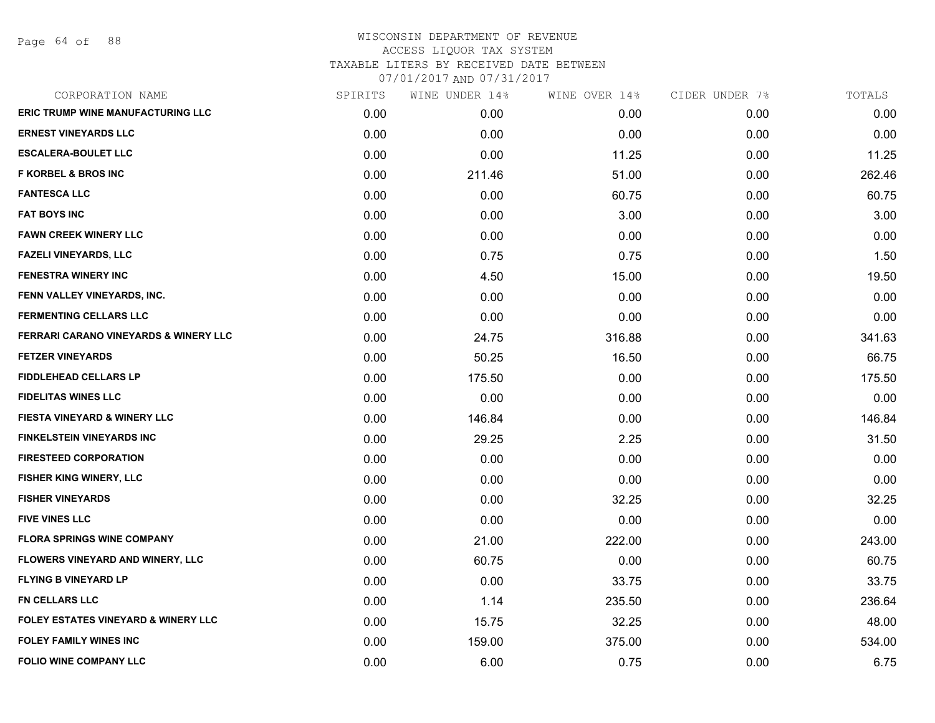Page 64 of 88

| CORPORATION NAME                               | SPIRITS | WINE UNDER 14% | WINE OVER 14% | CIDER UNDER 7% | TOTALS |
|------------------------------------------------|---------|----------------|---------------|----------------|--------|
| <b>ERIC TRUMP WINE MANUFACTURING LLC</b>       | 0.00    | 0.00           | 0.00          | 0.00           | 0.00   |
| <b>ERNEST VINEYARDS LLC</b>                    | 0.00    | 0.00           | 0.00          | 0.00           | 0.00   |
| <b>ESCALERA-BOULET LLC</b>                     | 0.00    | 0.00           | 11.25         | 0.00           | 11.25  |
| <b>F KORBEL &amp; BROS INC</b>                 | 0.00    | 211.46         | 51.00         | 0.00           | 262.46 |
| <b>FANTESCA LLC</b>                            | 0.00    | 0.00           | 60.75         | 0.00           | 60.75  |
| <b>FAT BOYS INC</b>                            | 0.00    | 0.00           | 3.00          | 0.00           | 3.00   |
| <b>FAWN CREEK WINERY LLC</b>                   | 0.00    | 0.00           | 0.00          | 0.00           | 0.00   |
| <b>FAZELI VINEYARDS, LLC</b>                   | 0.00    | 0.75           | 0.75          | 0.00           | 1.50   |
| <b>FENESTRA WINERY INC</b>                     | 0.00    | 4.50           | 15.00         | 0.00           | 19.50  |
| FENN VALLEY VINEYARDS, INC.                    | 0.00    | 0.00           | 0.00          | 0.00           | 0.00   |
| <b>FERMENTING CELLARS LLC</b>                  | 0.00    | 0.00           | 0.00          | 0.00           | 0.00   |
| FERRARI CARANO VINEYARDS & WINERY LLC          | 0.00    | 24.75          | 316.88        | 0.00           | 341.63 |
| <b>FETZER VINEYARDS</b>                        | 0.00    | 50.25          | 16.50         | 0.00           | 66.75  |
| <b>FIDDLEHEAD CELLARS LP</b>                   | 0.00    | 175.50         | 0.00          | 0.00           | 175.50 |
| <b>FIDELITAS WINES LLC</b>                     | 0.00    | 0.00           | 0.00          | 0.00           | 0.00   |
| <b>FIESTA VINEYARD &amp; WINERY LLC</b>        | 0.00    | 146.84         | 0.00          | 0.00           | 146.84 |
| <b>FINKELSTEIN VINEYARDS INC</b>               | 0.00    | 29.25          | 2.25          | 0.00           | 31.50  |
| <b>FIRESTEED CORPORATION</b>                   | 0.00    | 0.00           | 0.00          | 0.00           | 0.00   |
| FISHER KING WINERY, LLC                        | 0.00    | 0.00           | 0.00          | 0.00           | 0.00   |
| <b>FISHER VINEYARDS</b>                        | 0.00    | 0.00           | 32.25         | 0.00           | 32.25  |
| <b>FIVE VINES LLC</b>                          | 0.00    | 0.00           | 0.00          | 0.00           | 0.00   |
| <b>FLORA SPRINGS WINE COMPANY</b>              | 0.00    | 21.00          | 222.00        | 0.00           | 243.00 |
| FLOWERS VINEYARD AND WINERY, LLC               | 0.00    | 60.75          | 0.00          | 0.00           | 60.75  |
| <b>FLYING B VINEYARD LP</b>                    | 0.00    | 0.00           | 33.75         | 0.00           | 33.75  |
| FN CELLARS LLC                                 | 0.00    | 1.14           | 235.50        | 0.00           | 236.64 |
| <b>FOLEY ESTATES VINEYARD &amp; WINERY LLC</b> | 0.00    | 15.75          | 32.25         | 0.00           | 48.00  |
| <b>FOLEY FAMILY WINES INC</b>                  | 0.00    | 159.00         | 375.00        | 0.00           | 534.00 |
| <b>FOLIO WINE COMPANY LLC</b>                  | 0.00    | 6.00           | 0.75          | 0.00           | 6.75   |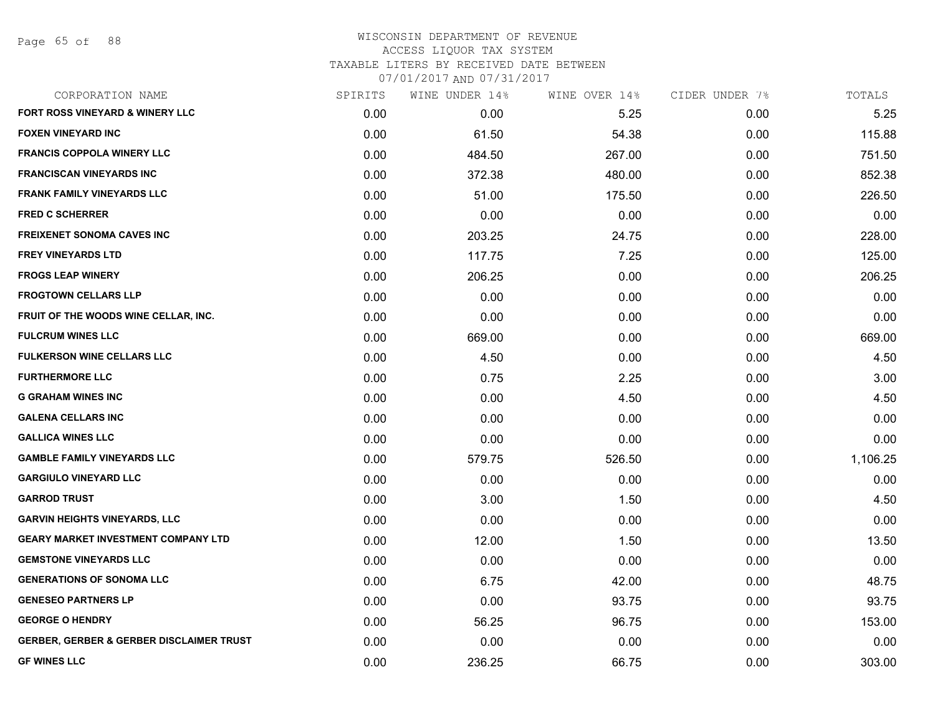Page 65 of 88

| CORPORATION NAME                                    | SPIRITS | WINE UNDER 14% | WINE OVER 14% | CIDER UNDER 7% | TOTALS   |
|-----------------------------------------------------|---------|----------------|---------------|----------------|----------|
| FORT ROSS VINEYARD & WINERY LLC                     | 0.00    | 0.00           | 5.25          | 0.00           | 5.25     |
| <b>FOXEN VINEYARD INC</b>                           | 0.00    | 61.50          | 54.38         | 0.00           | 115.88   |
| <b>FRANCIS COPPOLA WINERY LLC</b>                   | 0.00    | 484.50         | 267.00        | 0.00           | 751.50   |
| <b>FRANCISCAN VINEYARDS INC</b>                     | 0.00    | 372.38         | 480.00        | 0.00           | 852.38   |
| <b>FRANK FAMILY VINEYARDS LLC</b>                   | 0.00    | 51.00          | 175.50        | 0.00           | 226.50   |
| <b>FRED C SCHERRER</b>                              | 0.00    | 0.00           | 0.00          | 0.00           | 0.00     |
| <b>FREIXENET SONOMA CAVES INC</b>                   | 0.00    | 203.25         | 24.75         | 0.00           | 228.00   |
| <b>FREY VINEYARDS LTD</b>                           | 0.00    | 117.75         | 7.25          | 0.00           | 125.00   |
| <b>FROGS LEAP WINERY</b>                            | 0.00    | 206.25         | 0.00          | 0.00           | 206.25   |
| <b>FROGTOWN CELLARS LLP</b>                         | 0.00    | 0.00           | 0.00          | 0.00           | 0.00     |
| FRUIT OF THE WOODS WINE CELLAR, INC.                | 0.00    | 0.00           | 0.00          | 0.00           | 0.00     |
| <b>FULCRUM WINES LLC</b>                            | 0.00    | 669.00         | 0.00          | 0.00           | 669.00   |
| <b>FULKERSON WINE CELLARS LLC</b>                   | 0.00    | 4.50           | 0.00          | 0.00           | 4.50     |
| <b>FURTHERMORE LLC</b>                              | 0.00    | 0.75           | 2.25          | 0.00           | 3.00     |
| <b>G GRAHAM WINES INC</b>                           | 0.00    | 0.00           | 4.50          | 0.00           | 4.50     |
| <b>GALENA CELLARS INC</b>                           | 0.00    | 0.00           | 0.00          | 0.00           | 0.00     |
| <b>GALLICA WINES LLC</b>                            | 0.00    | 0.00           | 0.00          | 0.00           | 0.00     |
| <b>GAMBLE FAMILY VINEYARDS LLC</b>                  | 0.00    | 579.75         | 526.50        | 0.00           | 1,106.25 |
| <b>GARGIULO VINEYARD LLC</b>                        | 0.00    | 0.00           | 0.00          | 0.00           | 0.00     |
| <b>GARROD TRUST</b>                                 | 0.00    | 3.00           | 1.50          | 0.00           | 4.50     |
| <b>GARVIN HEIGHTS VINEYARDS, LLC</b>                | 0.00    | 0.00           | 0.00          | 0.00           | 0.00     |
| <b>GEARY MARKET INVESTMENT COMPANY LTD</b>          | 0.00    | 12.00          | 1.50          | 0.00           | 13.50    |
| <b>GEMSTONE VINEYARDS LLC</b>                       | 0.00    | 0.00           | 0.00          | 0.00           | 0.00     |
| <b>GENERATIONS OF SONOMA LLC</b>                    | 0.00    | 6.75           | 42.00         | 0.00           | 48.75    |
| <b>GENESEO PARTNERS LP</b>                          | 0.00    | 0.00           | 93.75         | 0.00           | 93.75    |
| <b>GEORGE O HENDRY</b>                              | 0.00    | 56.25          | 96.75         | 0.00           | 153.00   |
| <b>GERBER, GERBER &amp; GERBER DISCLAIMER TRUST</b> | 0.00    | 0.00           | 0.00          | 0.00           | 0.00     |
| <b>GF WINES LLC</b>                                 | 0.00    | 236.25         | 66.75         | 0.00           | 303.00   |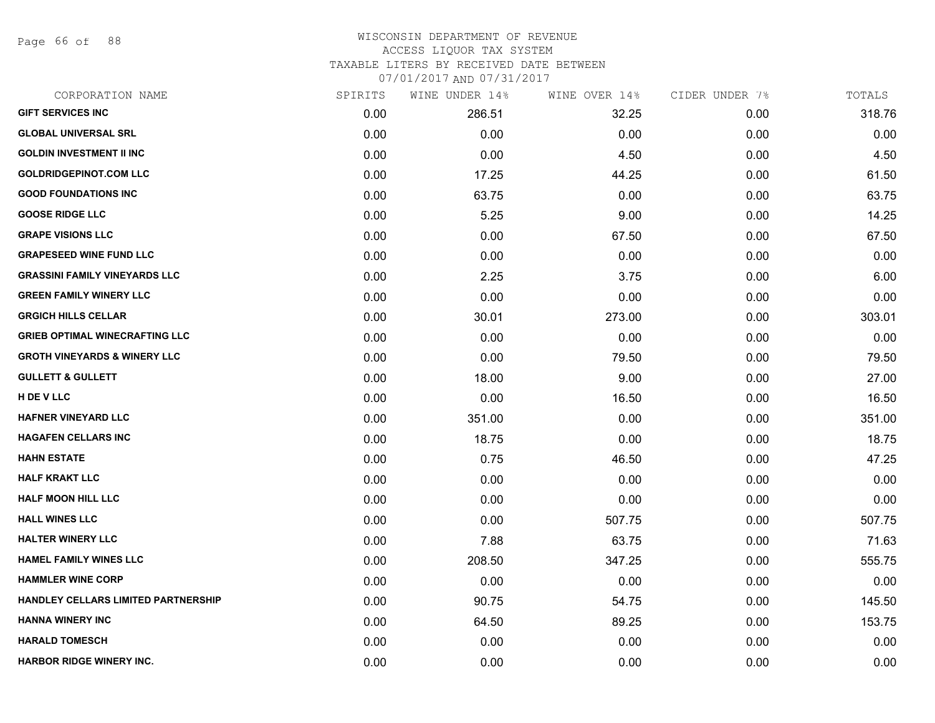Page 66 of 88

## WISCONSIN DEPARTMENT OF REVENUE ACCESS LIQUOR TAX SYSTEM TAXABLE LITERS BY RECEIVED DATE BETWEEN

| CORPORATION NAME                        | SPIRITS | WINE UNDER 14% | WINE OVER 14% | CIDER UNDER 7% | TOTALS |
|-----------------------------------------|---------|----------------|---------------|----------------|--------|
| <b>GIFT SERVICES INC</b>                | 0.00    | 286.51         | 32.25         | 0.00           | 318.76 |
| <b>GLOBAL UNIVERSAL SRL</b>             | 0.00    | 0.00           | 0.00          | 0.00           | 0.00   |
| <b>GOLDIN INVESTMENT II INC</b>         | 0.00    | 0.00           | 4.50          | 0.00           | 4.50   |
| <b>GOLDRIDGEPINOT.COM LLC</b>           | 0.00    | 17.25          | 44.25         | 0.00           | 61.50  |
| <b>GOOD FOUNDATIONS INC</b>             | 0.00    | 63.75          | 0.00          | 0.00           | 63.75  |
| <b>GOOSE RIDGE LLC</b>                  | 0.00    | 5.25           | 9.00          | 0.00           | 14.25  |
| <b>GRAPE VISIONS LLC</b>                | 0.00    | 0.00           | 67.50         | 0.00           | 67.50  |
| <b>GRAPESEED WINE FUND LLC</b>          | 0.00    | 0.00           | 0.00          | 0.00           | 0.00   |
| <b>GRASSINI FAMILY VINEYARDS LLC</b>    | 0.00    | 2.25           | 3.75          | 0.00           | 6.00   |
| <b>GREEN FAMILY WINERY LLC</b>          | 0.00    | 0.00           | 0.00          | 0.00           | 0.00   |
| <b>GRGICH HILLS CELLAR</b>              | 0.00    | 30.01          | 273.00        | 0.00           | 303.01 |
| <b>GRIEB OPTIMAL WINECRAFTING LLC</b>   | 0.00    | 0.00           | 0.00          | 0.00           | 0.00   |
| <b>GROTH VINEYARDS &amp; WINERY LLC</b> | 0.00    | 0.00           | 79.50         | 0.00           | 79.50  |
| <b>GULLETT &amp; GULLETT</b>            | 0.00    | 18.00          | 9.00          | 0.00           | 27.00  |
| H DE V LLC                              | 0.00    | 0.00           | 16.50         | 0.00           | 16.50  |
| HAFNER VINEYARD LLC                     | 0.00    | 351.00         | 0.00          | 0.00           | 351.00 |
| <b>HAGAFEN CELLARS INC</b>              | 0.00    | 18.75          | 0.00          | 0.00           | 18.75  |
| <b>HAHN ESTATE</b>                      | 0.00    | 0.75           | 46.50         | 0.00           | 47.25  |
| <b>HALF KRAKT LLC</b>                   | 0.00    | 0.00           | 0.00          | 0.00           | 0.00   |
| <b>HALF MOON HILL LLC</b>               | 0.00    | 0.00           | 0.00          | 0.00           | 0.00   |
| <b>HALL WINES LLC</b>                   | 0.00    | 0.00           | 507.75        | 0.00           | 507.75 |
| <b>HALTER WINERY LLC</b>                | 0.00    | 7.88           | 63.75         | 0.00           | 71.63  |
| <b>HAMEL FAMILY WINES LLC</b>           | 0.00    | 208.50         | 347.25        | 0.00           | 555.75 |
| <b>HAMMLER WINE CORP</b>                | 0.00    | 0.00           | 0.00          | 0.00           | 0.00   |
| HANDLEY CELLARS LIMITED PARTNERSHIP     | 0.00    | 90.75          | 54.75         | 0.00           | 145.50 |
| <b>HANNA WINERY INC</b>                 | 0.00    | 64.50          | 89.25         | 0.00           | 153.75 |
| <b>HARALD TOMESCH</b>                   | 0.00    | 0.00           | 0.00          | 0.00           | 0.00   |
| <b>HARBOR RIDGE WINERY INC.</b>         | 0.00    | 0.00           | 0.00          | 0.00           | 0.00   |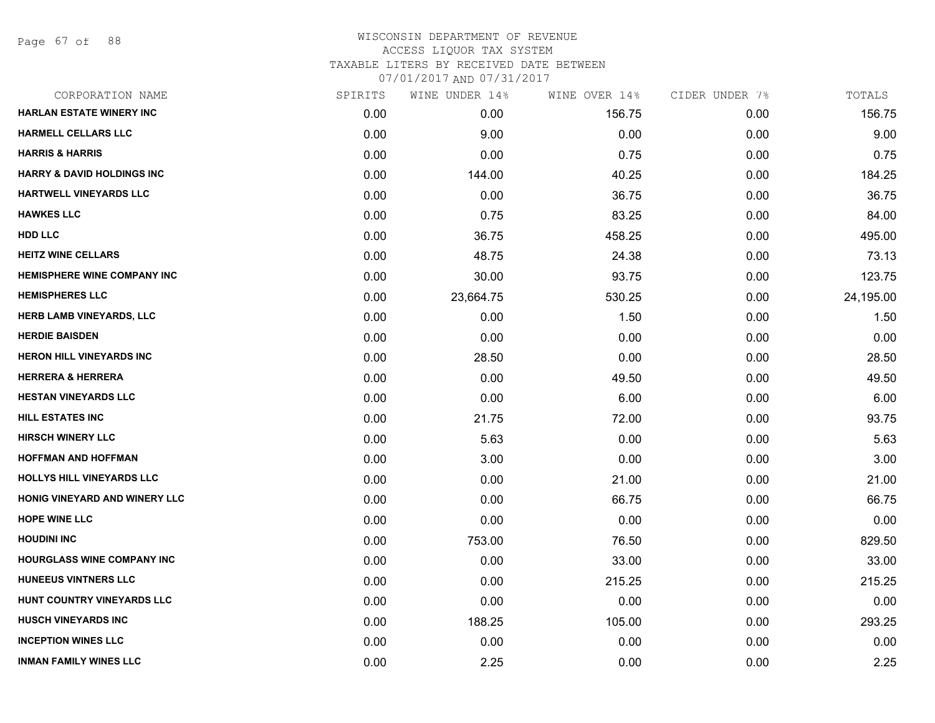Page 67 of 88

## WISCONSIN DEPARTMENT OF REVENUE ACCESS LIQUOR TAX SYSTEM TAXABLE LITERS BY RECEIVED DATE BETWEEN

| CORPORATION NAME                      | SPIRITS | WINE UNDER 14% | WINE OVER 14% | CIDER UNDER 7% | TOTALS    |
|---------------------------------------|---------|----------------|---------------|----------------|-----------|
| <b>HARLAN ESTATE WINERY INC</b>       | 0.00    | 0.00           | 156.75        | 0.00           | 156.75    |
| <b>HARMELL CELLARS LLC</b>            | 0.00    | 9.00           | 0.00          | 0.00           | 9.00      |
| <b>HARRIS &amp; HARRIS</b>            | 0.00    | 0.00           | 0.75          | 0.00           | 0.75      |
| <b>HARRY &amp; DAVID HOLDINGS INC</b> | 0.00    | 144.00         | 40.25         | 0.00           | 184.25    |
| HARTWELL VINEYARDS LLC                | 0.00    | 0.00           | 36.75         | 0.00           | 36.75     |
| <b>HAWKES LLC</b>                     | 0.00    | 0.75           | 83.25         | 0.00           | 84.00     |
| HDD LLC                               | 0.00    | 36.75          | 458.25        | 0.00           | 495.00    |
| <b>HEITZ WINE CELLARS</b>             | 0.00    | 48.75          | 24.38         | 0.00           | 73.13     |
| <b>HEMISPHERE WINE COMPANY INC</b>    | 0.00    | 30.00          | 93.75         | 0.00           | 123.75    |
| <b>HEMISPHERES LLC</b>                | 0.00    | 23,664.75      | 530.25        | 0.00           | 24,195.00 |
| <b>HERB LAMB VINEYARDS, LLC</b>       | 0.00    | 0.00           | 1.50          | 0.00           | 1.50      |
| <b>HERDIE BAISDEN</b>                 | 0.00    | 0.00           | 0.00          | 0.00           | 0.00      |
| <b>HERON HILL VINEYARDS INC</b>       | 0.00    | 28.50          | 0.00          | 0.00           | 28.50     |
| <b>HERRERA &amp; HERRERA</b>          | 0.00    | 0.00           | 49.50         | 0.00           | 49.50     |
| <b>HESTAN VINEYARDS LLC</b>           | 0.00    | 0.00           | 6.00          | 0.00           | 6.00      |
| <b>HILL ESTATES INC</b>               | 0.00    | 21.75          | 72.00         | 0.00           | 93.75     |
| <b>HIRSCH WINERY LLC</b>              | 0.00    | 5.63           | 0.00          | 0.00           | 5.63      |
| <b>HOFFMAN AND HOFFMAN</b>            | 0.00    | 3.00           | 0.00          | 0.00           | 3.00      |
| HOLLYS HILL VINEYARDS LLC             | 0.00    | 0.00           | 21.00         | 0.00           | 21.00     |
| HONIG VINEYARD AND WINERY LLC         | 0.00    | 0.00           | 66.75         | 0.00           | 66.75     |
| <b>HOPE WINE LLC</b>                  | 0.00    | 0.00           | 0.00          | 0.00           | 0.00      |
| <b>HOUDINI INC</b>                    | 0.00    | 753.00         | 76.50         | 0.00           | 829.50    |
| HOURGLASS WINE COMPANY INC            | 0.00    | 0.00           | 33.00         | 0.00           | 33.00     |
| <b>HUNEEUS VINTNERS LLC</b>           | 0.00    | 0.00           | 215.25        | 0.00           | 215.25    |
| HUNT COUNTRY VINEYARDS LLC            | 0.00    | 0.00           | 0.00          | 0.00           | 0.00      |
| <b>HUSCH VINEYARDS INC</b>            | 0.00    | 188.25         | 105.00        | 0.00           | 293.25    |
| <b>INCEPTION WINES LLC</b>            | 0.00    | 0.00           | 0.00          | 0.00           | 0.00      |
| <b>INMAN FAMILY WINES LLC</b>         | 0.00    | 2.25           | 0.00          | 0.00           | 2.25      |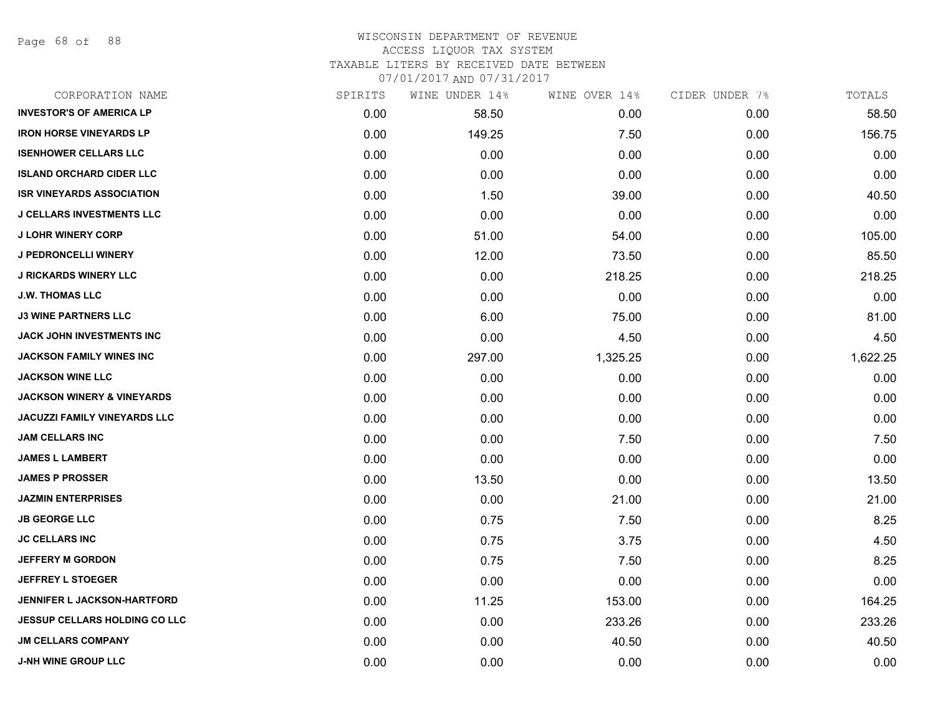Page 68 of 88

## WISCONSIN DEPARTMENT OF REVENUE ACCESS LIQUOR TAX SYSTEM

TAXABLE LITERS BY RECEIVED DATE BETWEEN

| CORPORATION NAME                      | SPIRITS | WINE UNDER 14% | WINE OVER 14% | CIDER UNDER 7% | TOTALS   |
|---------------------------------------|---------|----------------|---------------|----------------|----------|
| <b>INVESTOR'S OF AMERICA LP</b>       | 0.00    | 58.50          | 0.00          | 0.00           | 58.50    |
| <b>IRON HORSE VINEYARDS LP</b>        | 0.00    | 149.25         | 7.50          | 0.00           | 156.75   |
| <b>ISENHOWER CELLARS LLC</b>          | 0.00    | 0.00           | 0.00          | 0.00           | 0.00     |
| <b>ISLAND ORCHARD CIDER LLC</b>       | 0.00    | 0.00           | 0.00          | 0.00           | 0.00     |
| <b>ISR VINEYARDS ASSOCIATION</b>      | 0.00    | 1.50           | 39.00         | 0.00           | 40.50    |
| <b>J CELLARS INVESTMENTS LLC</b>      | 0.00    | 0.00           | 0.00          | 0.00           | 0.00     |
| <b>J LOHR WINERY CORP</b>             | 0.00    | 51.00          | 54.00         | 0.00           | 105.00   |
| <b>J PEDRONCELLI WINERY</b>           | 0.00    | 12.00          | 73.50         | 0.00           | 85.50    |
| <b>J RICKARDS WINERY LLC</b>          | 0.00    | 0.00           | 218.25        | 0.00           | 218.25   |
| <b>J.W. THOMAS LLC</b>                | 0.00    | 0.00           | 0.00          | 0.00           | 0.00     |
| <b>J3 WINE PARTNERS LLC</b>           | 0.00    | 6.00           | 75.00         | 0.00           | 81.00    |
| <b>JACK JOHN INVESTMENTS INC</b>      | 0.00    | 0.00           | 4.50          | 0.00           | 4.50     |
| JACKSON FAMILY WINES INC              | 0.00    | 297.00         | 1,325.25      | 0.00           | 1,622.25 |
| <b>JACKSON WINE LLC</b>               | 0.00    | 0.00           | 0.00          | 0.00           | 0.00     |
| <b>JACKSON WINERY &amp; VINEYARDS</b> | 0.00    | 0.00           | 0.00          | 0.00           | 0.00     |
| <b>JACUZZI FAMILY VINEYARDS LLC</b>   | 0.00    | 0.00           | 0.00          | 0.00           | 0.00     |
| <b>JAM CELLARS INC</b>                | 0.00    | 0.00           | 7.50          | 0.00           | 7.50     |
| <b>JAMES L LAMBERT</b>                | 0.00    | 0.00           | 0.00          | 0.00           | 0.00     |
| <b>JAMES P PROSSER</b>                | 0.00    | 13.50          | 0.00          | 0.00           | 13.50    |
| <b>JAZMIN ENTERPRISES</b>             | 0.00    | 0.00           | 21.00         | 0.00           | 21.00    |
| <b>JB GEORGE LLC</b>                  | 0.00    | 0.75           | 7.50          | 0.00           | 8.25     |
| <b>JC CELLARS INC</b>                 | 0.00    | 0.75           | 3.75          | 0.00           | 4.50     |
| <b>JEFFERY M GORDON</b>               | 0.00    | 0.75           | 7.50          | 0.00           | 8.25     |
| <b>JEFFREY L STOEGER</b>              | 0.00    | 0.00           | 0.00          | 0.00           | 0.00     |
| <b>JENNIFER L JACKSON-HARTFORD</b>    | 0.00    | 11.25          | 153.00        | 0.00           | 164.25   |
| <b>JESSUP CELLARS HOLDING CO LLC</b>  | 0.00    | 0.00           | 233.26        | 0.00           | 233.26   |
| <b>JM CELLARS COMPANY</b>             | 0.00    | 0.00           | 40.50         | 0.00           | 40.50    |
| <b>J-NH WINE GROUP LLC</b>            | 0.00    | 0.00           | 0.00          | 0.00           | 0.00     |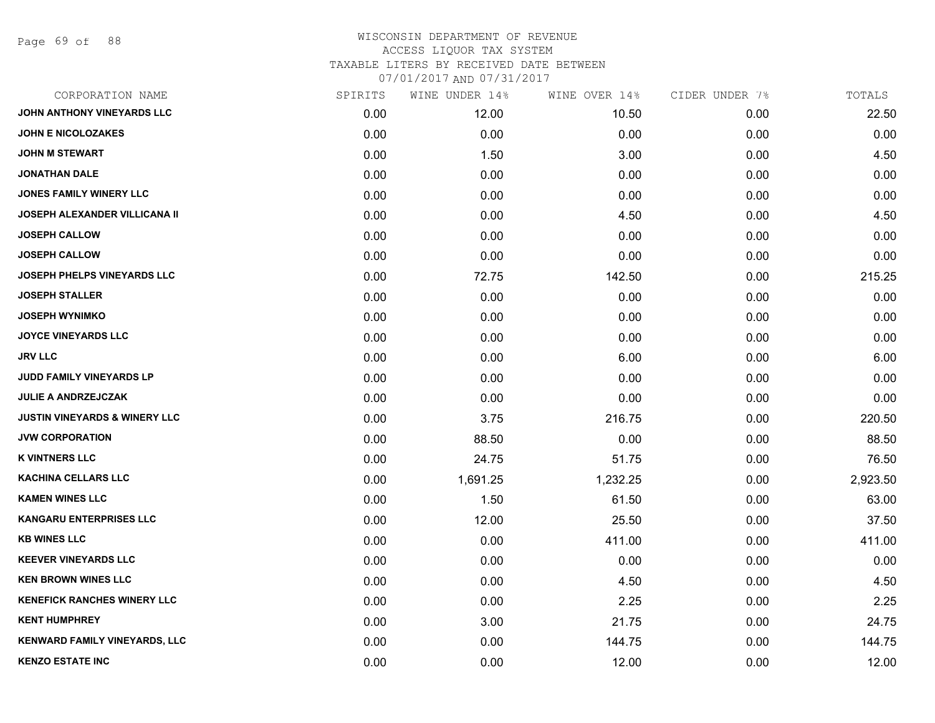Page 69 of 88

## WISCONSIN DEPARTMENT OF REVENUE ACCESS LIQUOR TAX SYSTEM TAXABLE LITERS BY RECEIVED DATE BETWEEN

| CORPORATION NAME                         | SPIRITS | WINE UNDER 14% | WINE OVER 14% | CIDER UNDER 7% | TOTALS   |
|------------------------------------------|---------|----------------|---------------|----------------|----------|
| JOHN ANTHONY VINEYARDS LLC               | 0.00    | 12.00          | 10.50         | 0.00           | 22.50    |
| <b>JOHN E NICOLOZAKES</b>                | 0.00    | 0.00           | 0.00          | 0.00           | 0.00     |
| <b>JOHN M STEWART</b>                    | 0.00    | 1.50           | 3.00          | 0.00           | 4.50     |
| <b>JONATHAN DALE</b>                     | 0.00    | 0.00           | 0.00          | 0.00           | 0.00     |
| <b>JONES FAMILY WINERY LLC</b>           | 0.00    | 0.00           | 0.00          | 0.00           | 0.00     |
| JOSEPH ALEXANDER VILLICANA II            | 0.00    | 0.00           | 4.50          | 0.00           | 4.50     |
| <b>JOSEPH CALLOW</b>                     | 0.00    | 0.00           | 0.00          | 0.00           | 0.00     |
| <b>JOSEPH CALLOW</b>                     | 0.00    | 0.00           | 0.00          | 0.00           | 0.00     |
| <b>JOSEPH PHELPS VINEYARDS LLC</b>       | 0.00    | 72.75          | 142.50        | 0.00           | 215.25   |
| <b>JOSEPH STALLER</b>                    | 0.00    | 0.00           | 0.00          | 0.00           | 0.00     |
| <b>JOSEPH WYNIMKO</b>                    | 0.00    | 0.00           | 0.00          | 0.00           | 0.00     |
| <b>JOYCE VINEYARDS LLC</b>               | 0.00    | 0.00           | 0.00          | 0.00           | 0.00     |
| <b>JRV LLC</b>                           | 0.00    | 0.00           | 6.00          | 0.00           | 6.00     |
| JUDD FAMILY VINEYARDS LP                 | 0.00    | 0.00           | 0.00          | 0.00           | 0.00     |
| <b>JULIE A ANDRZEJCZAK</b>               | 0.00    | 0.00           | 0.00          | 0.00           | 0.00     |
| <b>JUSTIN VINEYARDS &amp; WINERY LLC</b> | 0.00    | 3.75           | 216.75        | 0.00           | 220.50   |
| <b>JVW CORPORATION</b>                   | 0.00    | 88.50          | 0.00          | 0.00           | 88.50    |
| <b>K VINTNERS LLC</b>                    | 0.00    | 24.75          | 51.75         | 0.00           | 76.50    |
| <b>KACHINA CELLARS LLC</b>               | 0.00    | 1,691.25       | 1,232.25      | 0.00           | 2,923.50 |
| <b>KAMEN WINES LLC</b>                   | 0.00    | 1.50           | 61.50         | 0.00           | 63.00    |
| <b>KANGARU ENTERPRISES LLC</b>           | 0.00    | 12.00          | 25.50         | 0.00           | 37.50    |
| <b>KB WINES LLC</b>                      | 0.00    | 0.00           | 411.00        | 0.00           | 411.00   |
| <b>KEEVER VINEYARDS LLC</b>              | 0.00    | 0.00           | 0.00          | 0.00           | 0.00     |
| <b>KEN BROWN WINES LLC</b>               | 0.00    | 0.00           | 4.50          | 0.00           | 4.50     |
| <b>KENEFICK RANCHES WINERY LLC</b>       | 0.00    | 0.00           | 2.25          | 0.00           | 2.25     |
| <b>KENT HUMPHREY</b>                     | 0.00    | 3.00           | 21.75         | 0.00           | 24.75    |
| <b>KENWARD FAMILY VINEYARDS, LLC</b>     | 0.00    | 0.00           | 144.75        | 0.00           | 144.75   |
| <b>KENZO ESTATE INC</b>                  | 0.00    | 0.00           | 12.00         | 0.00           | 12.00    |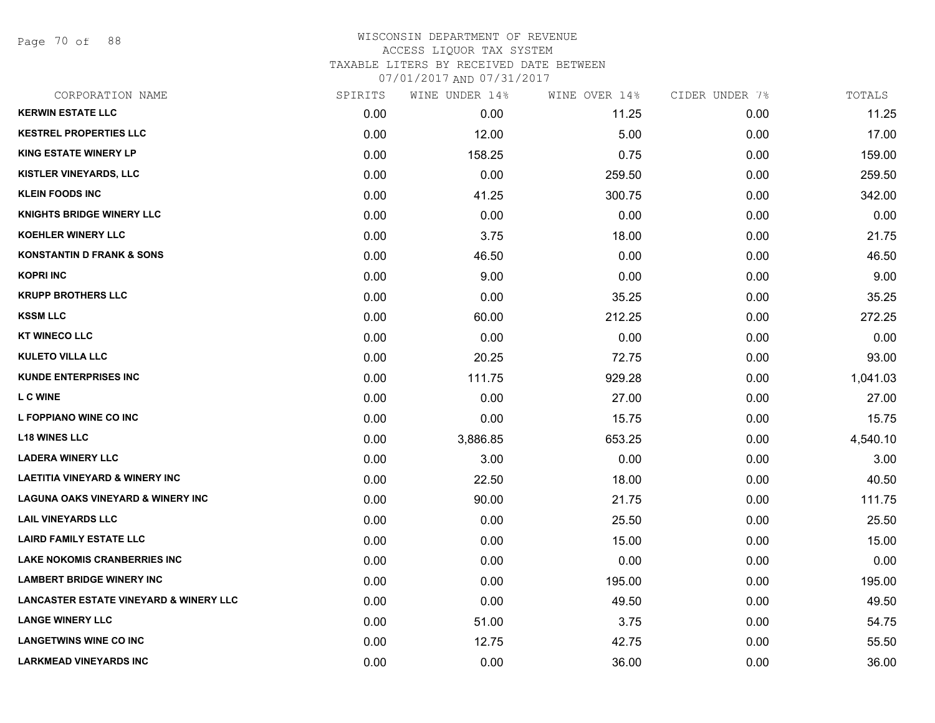Page 70 of 88

## WISCONSIN DEPARTMENT OF REVENUE ACCESS LIQUOR TAX SYSTEM TAXABLE LITERS BY RECEIVED DATE BETWEEN

| CORPORATION NAME                                  | SPIRITS | WINE UNDER 14% | WINE OVER 14% | CIDER UNDER 7% | TOTALS   |
|---------------------------------------------------|---------|----------------|---------------|----------------|----------|
| <b>KERWIN ESTATE LLC</b>                          | 0.00    | 0.00           | 11.25         | 0.00           | 11.25    |
| <b>KESTREL PROPERTIES LLC</b>                     | 0.00    | 12.00          | 5.00          | 0.00           | 17.00    |
| <b>KING ESTATE WINERY LP</b>                      | 0.00    | 158.25         | 0.75          | 0.00           | 159.00   |
| <b>KISTLER VINEYARDS, LLC</b>                     | 0.00    | 0.00           | 259.50        | 0.00           | 259.50   |
| <b>KLEIN FOODS INC</b>                            | 0.00    | 41.25          | 300.75        | 0.00           | 342.00   |
| <b>KNIGHTS BRIDGE WINERY LLC</b>                  | 0.00    | 0.00           | 0.00          | 0.00           | 0.00     |
| <b>KOEHLER WINERY LLC</b>                         | 0.00    | 3.75           | 18.00         | 0.00           | 21.75    |
| <b>KONSTANTIN D FRANK &amp; SONS</b>              | 0.00    | 46.50          | 0.00          | 0.00           | 46.50    |
| <b>KOPRI INC</b>                                  | 0.00    | 9.00           | 0.00          | 0.00           | 9.00     |
| <b>KRUPP BROTHERS LLC</b>                         | 0.00    | 0.00           | 35.25         | 0.00           | 35.25    |
| <b>KSSM LLC</b>                                   | 0.00    | 60.00          | 212.25        | 0.00           | 272.25   |
| <b>KT WINECO LLC</b>                              | 0.00    | 0.00           | 0.00          | 0.00           | 0.00     |
| <b>KULETO VILLA LLC</b>                           | 0.00    | 20.25          | 72.75         | 0.00           | 93.00    |
| <b>KUNDE ENTERPRISES INC</b>                      | 0.00    | 111.75         | 929.28        | 0.00           | 1,041.03 |
| L C WINE                                          | 0.00    | 0.00           | 27.00         | 0.00           | 27.00    |
| L FOPPIANO WINE CO INC                            | 0.00    | 0.00           | 15.75         | 0.00           | 15.75    |
| <b>L18 WINES LLC</b>                              | 0.00    | 3,886.85       | 653.25        | 0.00           | 4,540.10 |
| <b>LADERA WINERY LLC</b>                          | 0.00    | 3.00           | 0.00          | 0.00           | 3.00     |
| <b>LAETITIA VINEYARD &amp; WINERY INC</b>         | 0.00    | 22.50          | 18.00         | 0.00           | 40.50    |
| <b>LAGUNA OAKS VINEYARD &amp; WINERY INC</b>      | 0.00    | 90.00          | 21.75         | 0.00           | 111.75   |
| <b>LAIL VINEYARDS LLC</b>                         | 0.00    | 0.00           | 25.50         | 0.00           | 25.50    |
| <b>LAIRD FAMILY ESTATE LLC</b>                    | 0.00    | 0.00           | 15.00         | 0.00           | 15.00    |
| <b>LAKE NOKOMIS CRANBERRIES INC</b>               | 0.00    | 0.00           | 0.00          | 0.00           | 0.00     |
| <b>LAMBERT BRIDGE WINERY INC</b>                  | 0.00    | 0.00           | 195.00        | 0.00           | 195.00   |
| <b>LANCASTER ESTATE VINEYARD &amp; WINERY LLC</b> | 0.00    | 0.00           | 49.50         | 0.00           | 49.50    |
| <b>LANGE WINERY LLC</b>                           | 0.00    | 51.00          | 3.75          | 0.00           | 54.75    |
| <b>LANGETWINS WINE CO INC</b>                     | 0.00    | 12.75          | 42.75         | 0.00           | 55.50    |
| <b>LARKMEAD VINEYARDS INC</b>                     | 0.00    | 0.00           | 36.00         | 0.00           | 36.00    |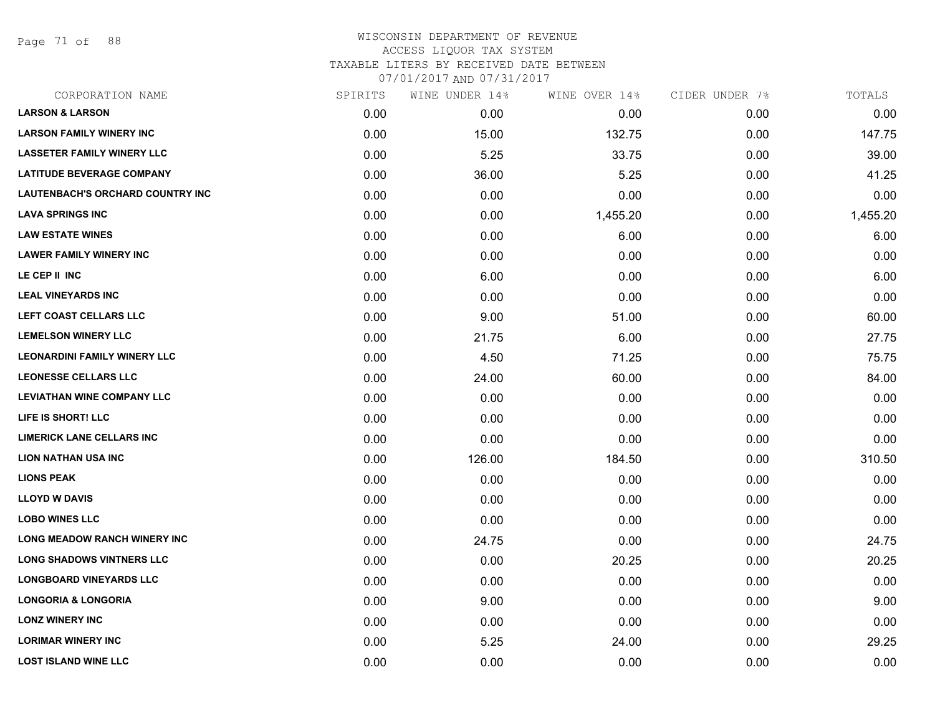Page 71 of 88

| CORPORATION NAME                        | SPIRITS | WINE UNDER 14% | WINE OVER 14% | CIDER UNDER 7% | TOTALS   |
|-----------------------------------------|---------|----------------|---------------|----------------|----------|
| <b>LARSON &amp; LARSON</b>              | 0.00    | 0.00           | 0.00          | 0.00           | 0.00     |
| <b>LARSON FAMILY WINERY INC</b>         | 0.00    | 15.00          | 132.75        | 0.00           | 147.75   |
| <b>LASSETER FAMILY WINERY LLC</b>       | 0.00    | 5.25           | 33.75         | 0.00           | 39.00    |
| <b>LATITUDE BEVERAGE COMPANY</b>        | 0.00    | 36.00          | 5.25          | 0.00           | 41.25    |
| <b>LAUTENBACH'S ORCHARD COUNTRY INC</b> | 0.00    | 0.00           | 0.00          | 0.00           | 0.00     |
| <b>LAVA SPRINGS INC</b>                 | 0.00    | 0.00           | 1,455.20      | 0.00           | 1,455.20 |
| <b>LAW ESTATE WINES</b>                 | 0.00    | 0.00           | 6.00          | 0.00           | 6.00     |
| <b>LAWER FAMILY WINERY INC</b>          | 0.00    | 0.00           | 0.00          | 0.00           | 0.00     |
| LE CEP II INC                           | 0.00    | 6.00           | 0.00          | 0.00           | 6.00     |
| <b>LEAL VINEYARDS INC</b>               | 0.00    | 0.00           | 0.00          | 0.00           | 0.00     |
| <b>LEFT COAST CELLARS LLC</b>           | 0.00    | 9.00           | 51.00         | 0.00           | 60.00    |
| <b>LEMELSON WINERY LLC</b>              | 0.00    | 21.75          | 6.00          | 0.00           | 27.75    |
| <b>LEONARDINI FAMILY WINERY LLC</b>     | 0.00    | 4.50           | 71.25         | 0.00           | 75.75    |
| <b>LEONESSE CELLARS LLC</b>             | 0.00    | 24.00          | 60.00         | 0.00           | 84.00    |
| <b>LEVIATHAN WINE COMPANY LLC</b>       | 0.00    | 0.00           | 0.00          | 0.00           | 0.00     |
| LIFE IS SHORT! LLC                      | 0.00    | 0.00           | 0.00          | 0.00           | 0.00     |
| <b>LIMERICK LANE CELLARS INC</b>        | 0.00    | 0.00           | 0.00          | 0.00           | 0.00     |
| <b>LION NATHAN USA INC</b>              | 0.00    | 126.00         | 184.50        | 0.00           | 310.50   |
| <b>LIONS PEAK</b>                       | 0.00    | 0.00           | 0.00          | 0.00           | 0.00     |
| <b>LLOYD W DAVIS</b>                    | 0.00    | 0.00           | 0.00          | 0.00           | 0.00     |
| <b>LOBO WINES LLC</b>                   | 0.00    | 0.00           | 0.00          | 0.00           | 0.00     |
| <b>LONG MEADOW RANCH WINERY INC</b>     | 0.00    | 24.75          | 0.00          | 0.00           | 24.75    |
| <b>LONG SHADOWS VINTNERS LLC</b>        | 0.00    | 0.00           | 20.25         | 0.00           | 20.25    |
| <b>LONGBOARD VINEYARDS LLC</b>          | 0.00    | 0.00           | 0.00          | 0.00           | 0.00     |
| <b>LONGORIA &amp; LONGORIA</b>          | 0.00    | 9.00           | 0.00          | 0.00           | 9.00     |
| <b>LONZ WINERY INC</b>                  | 0.00    | 0.00           | 0.00          | 0.00           | 0.00     |
| <b>LORIMAR WINERY INC</b>               | 0.00    | 5.25           | 24.00         | 0.00           | 29.25    |
| <b>LOST ISLAND WINE LLC</b>             | 0.00    | 0.00           | 0.00          | 0.00           | 0.00     |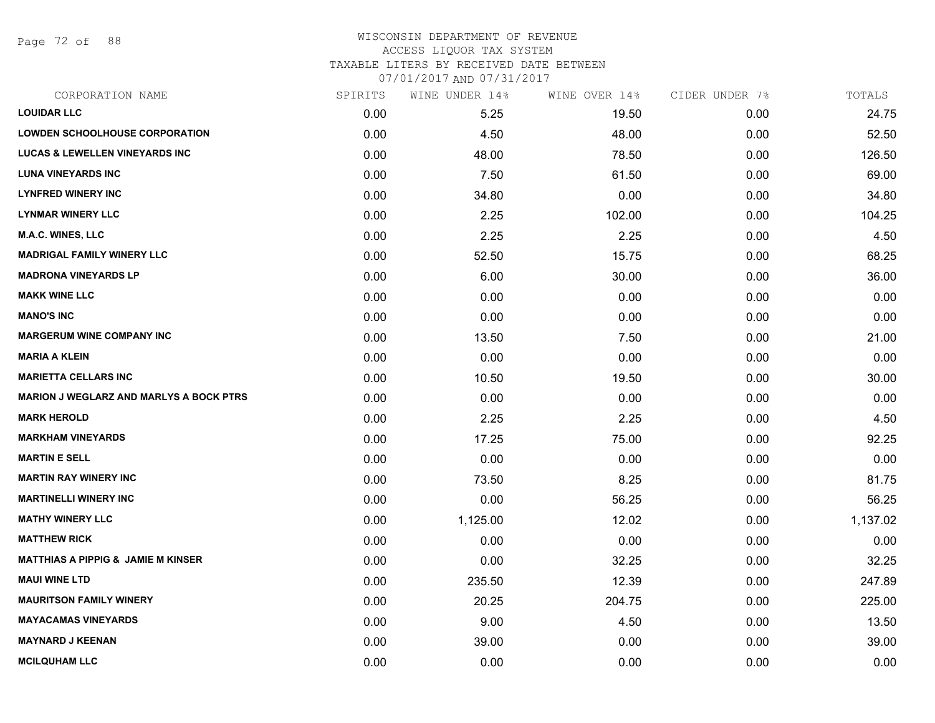Page 72 of 88

### WISCONSIN DEPARTMENT OF REVENUE ACCESS LIQUOR TAX SYSTEM TAXABLE LITERS BY RECEIVED DATE BETWEEN

| CORPORATION NAME                               | SPIRITS | WINE UNDER 14% | WINE OVER 14% | CIDER UNDER 7% | TOTALS   |
|------------------------------------------------|---------|----------------|---------------|----------------|----------|
| <b>LOUIDAR LLC</b>                             | 0.00    | 5.25           | 19.50         | 0.00           | 24.75    |
| <b>LOWDEN SCHOOLHOUSE CORPORATION</b>          | 0.00    | 4.50           | 48.00         | 0.00           | 52.50    |
| <b>LUCAS &amp; LEWELLEN VINEYARDS INC</b>      | 0.00    | 48.00          | 78.50         | 0.00           | 126.50   |
| <b>LUNA VINEYARDS INC</b>                      | 0.00    | 7.50           | 61.50         | 0.00           | 69.00    |
| <b>LYNFRED WINERY INC</b>                      | 0.00    | 34.80          | 0.00          | 0.00           | 34.80    |
| <b>LYNMAR WINERY LLC</b>                       | 0.00    | 2.25           | 102.00        | 0.00           | 104.25   |
| M.A.C. WINES, LLC                              | 0.00    | 2.25           | 2.25          | 0.00           | 4.50     |
| <b>MADRIGAL FAMILY WINERY LLC</b>              | 0.00    | 52.50          | 15.75         | 0.00           | 68.25    |
| <b>MADRONA VINEYARDS LP</b>                    | 0.00    | 6.00           | 30.00         | 0.00           | 36.00    |
| <b>MAKK WINE LLC</b>                           | 0.00    | 0.00           | 0.00          | 0.00           | 0.00     |
| <b>MANO'S INC</b>                              | 0.00    | 0.00           | 0.00          | 0.00           | 0.00     |
| <b>MARGERUM WINE COMPANY INC</b>               | 0.00    | 13.50          | 7.50          | 0.00           | 21.00    |
| <b>MARIA A KLEIN</b>                           | 0.00    | 0.00           | 0.00          | 0.00           | 0.00     |
| <b>MARIETTA CELLARS INC</b>                    | 0.00    | 10.50          | 19.50         | 0.00           | 30.00    |
| <b>MARION J WEGLARZ AND MARLYS A BOCK PTRS</b> | 0.00    | 0.00           | 0.00          | 0.00           | 0.00     |
| <b>MARK HEROLD</b>                             | 0.00    | 2.25           | 2.25          | 0.00           | 4.50     |
| <b>MARKHAM VINEYARDS</b>                       | 0.00    | 17.25          | 75.00         | 0.00           | 92.25    |
| <b>MARTIN E SELL</b>                           | 0.00    | 0.00           | 0.00          | 0.00           | 0.00     |
| <b>MARTIN RAY WINERY INC</b>                   | 0.00    | 73.50          | 8.25          | 0.00           | 81.75    |
| <b>MARTINELLI WINERY INC</b>                   | 0.00    | 0.00           | 56.25         | 0.00           | 56.25    |
| <b>MATHY WINERY LLC</b>                        | 0.00    | 1,125.00       | 12.02         | 0.00           | 1,137.02 |
| <b>MATTHEW RICK</b>                            | 0.00    | 0.00           | 0.00          | 0.00           | 0.00     |
| <b>MATTHIAS A PIPPIG &amp; JAMIE M KINSER</b>  | 0.00    | 0.00           | 32.25         | 0.00           | 32.25    |
| <b>MAUI WINE LTD</b>                           | 0.00    | 235.50         | 12.39         | 0.00           | 247.89   |
| <b>MAURITSON FAMILY WINERY</b>                 | 0.00    | 20.25          | 204.75        | 0.00           | 225.00   |
| <b>MAYACAMAS VINEYARDS</b>                     | 0.00    | 9.00           | 4.50          | 0.00           | 13.50    |
| <b>MAYNARD J KEENAN</b>                        | 0.00    | 39.00          | 0.00          | 0.00           | 39.00    |
| <b>MCILQUHAM LLC</b>                           | 0.00    | 0.00           | 0.00          | 0.00           | 0.00     |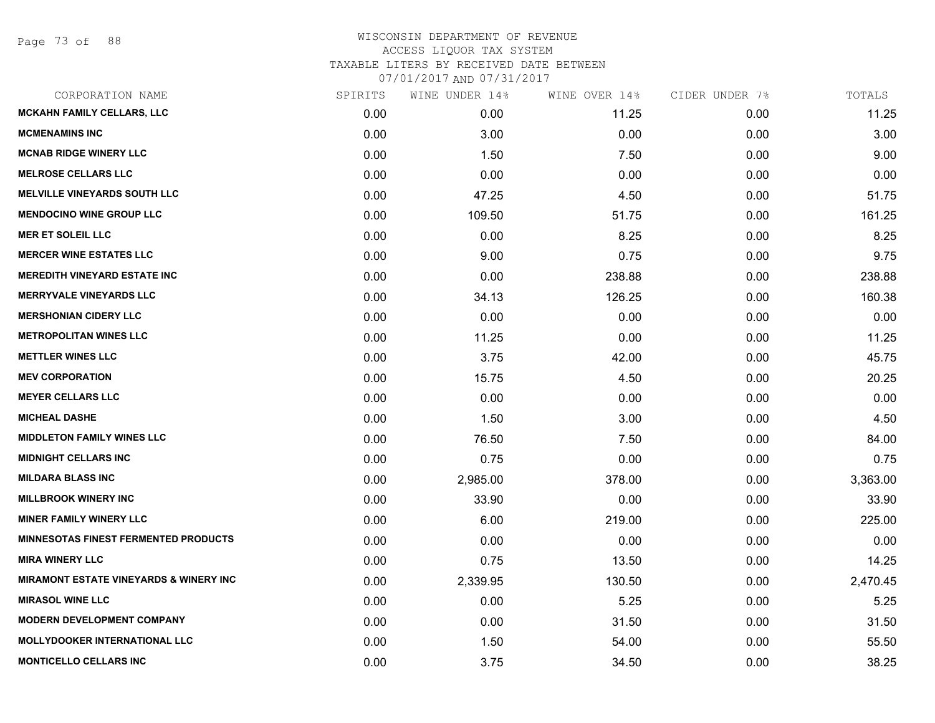| CORPORATION NAME                                  | SPIRITS | WINE UNDER 14% | WINE OVER 14% | CIDER UNDER 7% | TOTALS   |
|---------------------------------------------------|---------|----------------|---------------|----------------|----------|
| <b>MCKAHN FAMILY CELLARS, LLC</b>                 | 0.00    | 0.00           | 11.25         | 0.00           | 11.25    |
| <b>MCMENAMINS INC</b>                             | 0.00    | 3.00           | 0.00          | 0.00           | 3.00     |
| <b>MCNAB RIDGE WINERY LLC</b>                     | 0.00    | 1.50           | 7.50          | 0.00           | 9.00     |
| <b>MELROSE CELLARS LLC</b>                        | 0.00    | 0.00           | 0.00          | 0.00           | 0.00     |
| <b>MELVILLE VINEYARDS SOUTH LLC</b>               | 0.00    | 47.25          | 4.50          | 0.00           | 51.75    |
| <b>MENDOCINO WINE GROUP LLC</b>                   | 0.00    | 109.50         | 51.75         | 0.00           | 161.25   |
| <b>MER ET SOLEIL LLC</b>                          | 0.00    | 0.00           | 8.25          | 0.00           | 8.25     |
| <b>MERCER WINE ESTATES LLC</b>                    | 0.00    | 9.00           | 0.75          | 0.00           | 9.75     |
| <b>MEREDITH VINEYARD ESTATE INC</b>               | 0.00    | 0.00           | 238.88        | 0.00           | 238.88   |
| <b>MERRYVALE VINEYARDS LLC</b>                    | 0.00    | 34.13          | 126.25        | 0.00           | 160.38   |
| <b>MERSHONIAN CIDERY LLC</b>                      | 0.00    | 0.00           | 0.00          | 0.00           | 0.00     |
| <b>METROPOLITAN WINES LLC</b>                     | 0.00    | 11.25          | 0.00          | 0.00           | 11.25    |
| <b>METTLER WINES LLC</b>                          | 0.00    | 3.75           | 42.00         | 0.00           | 45.75    |
| <b>MEV CORPORATION</b>                            | 0.00    | 15.75          | 4.50          | 0.00           | 20.25    |
| <b>MEYER CELLARS LLC</b>                          | 0.00    | 0.00           | 0.00          | 0.00           | 0.00     |
| <b>MICHEAL DASHE</b>                              | 0.00    | 1.50           | 3.00          | 0.00           | 4.50     |
| <b>MIDDLETON FAMILY WINES LLC</b>                 | 0.00    | 76.50          | 7.50          | 0.00           | 84.00    |
| <b>MIDNIGHT CELLARS INC</b>                       | 0.00    | 0.75           | 0.00          | 0.00           | 0.75     |
| <b>MILDARA BLASS INC</b>                          | 0.00    | 2,985.00       | 378.00        | 0.00           | 3,363.00 |
| <b>MILLBROOK WINERY INC</b>                       | 0.00    | 33.90          | 0.00          | 0.00           | 33.90    |
| <b>MINER FAMILY WINERY LLC</b>                    | 0.00    | 6.00           | 219.00        | 0.00           | 225.00   |
| <b>MINNESOTAS FINEST FERMENTED PRODUCTS</b>       | 0.00    | 0.00           | 0.00          | 0.00           | 0.00     |
| <b>MIRA WINERY LLC</b>                            | 0.00    | 0.75           | 13.50         | 0.00           | 14.25    |
| <b>MIRAMONT ESTATE VINEYARDS &amp; WINERY INC</b> | 0.00    | 2,339.95       | 130.50        | 0.00           | 2,470.45 |
| <b>MIRASOL WINE LLC</b>                           | 0.00    | 0.00           | 5.25          | 0.00           | 5.25     |
| <b>MODERN DEVELOPMENT COMPANY</b>                 | 0.00    | 0.00           | 31.50         | 0.00           | 31.50    |
| <b>MOLLYDOOKER INTERNATIONAL LLC</b>              | 0.00    | 1.50           | 54.00         | 0.00           | 55.50    |
| <b>MONTICELLO CELLARS INC</b>                     | 0.00    | 3.75           | 34.50         | 0.00           | 38.25    |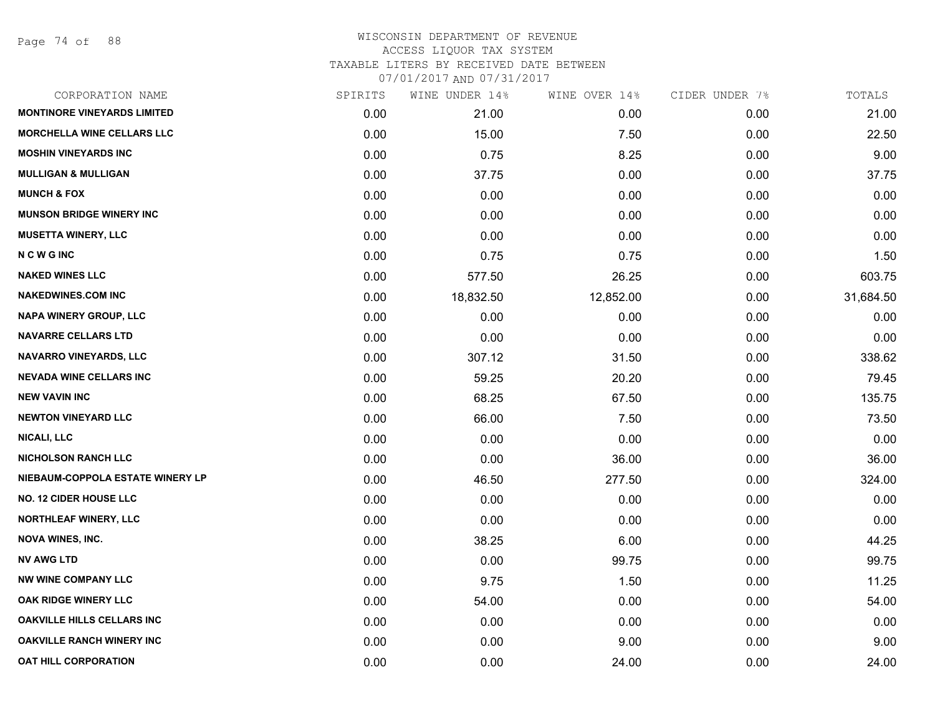Page 74 of 88

| CORPORATION NAME                   | SPIRITS | WINE UNDER 14% | WINE OVER 14% | CIDER UNDER 7% | TOTALS    |
|------------------------------------|---------|----------------|---------------|----------------|-----------|
| <b>MONTINORE VINEYARDS LIMITED</b> | 0.00    | 21.00          | 0.00          | 0.00           | 21.00     |
| <b>MORCHELLA WINE CELLARS LLC</b>  | 0.00    | 15.00          | 7.50          | 0.00           | 22.50     |
| <b>MOSHIN VINEYARDS INC</b>        | 0.00    | 0.75           | 8.25          | 0.00           | 9.00      |
| <b>MULLIGAN &amp; MULLIGAN</b>     | 0.00    | 37.75          | 0.00          | 0.00           | 37.75     |
| <b>MUNCH &amp; FOX</b>             | 0.00    | 0.00           | 0.00          | 0.00           | 0.00      |
| <b>MUNSON BRIDGE WINERY INC</b>    | 0.00    | 0.00           | 0.00          | 0.00           | 0.00      |
| <b>MUSETTA WINERY, LLC</b>         | 0.00    | 0.00           | 0.00          | 0.00           | 0.00      |
| <b>NCWGINC</b>                     | 0.00    | 0.75           | 0.75          | 0.00           | 1.50      |
| <b>NAKED WINES LLC</b>             | 0.00    | 577.50         | 26.25         | 0.00           | 603.75    |
| <b>NAKEDWINES.COM INC</b>          | 0.00    | 18,832.50      | 12,852.00     | 0.00           | 31,684.50 |
| <b>NAPA WINERY GROUP, LLC</b>      | 0.00    | 0.00           | 0.00          | 0.00           | 0.00      |
| <b>NAVARRE CELLARS LTD</b>         | 0.00    | 0.00           | 0.00          | 0.00           | 0.00      |
| <b>NAVARRO VINEYARDS, LLC</b>      | 0.00    | 307.12         | 31.50         | 0.00           | 338.62    |
| <b>NEVADA WINE CELLARS INC</b>     | 0.00    | 59.25          | 20.20         | 0.00           | 79.45     |
| <b>NEW VAVIN INC</b>               | 0.00    | 68.25          | 67.50         | 0.00           | 135.75    |
| <b>NEWTON VINEYARD LLC</b>         | 0.00    | 66.00          | 7.50          | 0.00           | 73.50     |
| <b>NICALI, LLC</b>                 | 0.00    | 0.00           | 0.00          | 0.00           | 0.00      |
| <b>NICHOLSON RANCH LLC</b>         | 0.00    | 0.00           | 36.00         | 0.00           | 36.00     |
| NIEBAUM-COPPOLA ESTATE WINERY LP   | 0.00    | 46.50          | 277.50        | 0.00           | 324.00    |
| <b>NO. 12 CIDER HOUSE LLC</b>      | 0.00    | 0.00           | 0.00          | 0.00           | 0.00      |
| <b>NORTHLEAF WINERY, LLC</b>       | 0.00    | 0.00           | 0.00          | 0.00           | 0.00      |
| <b>NOVA WINES, INC.</b>            | 0.00    | 38.25          | 6.00          | 0.00           | 44.25     |
| <b>NV AWG LTD</b>                  | 0.00    | 0.00           | 99.75         | 0.00           | 99.75     |
| <b>NW WINE COMPANY LLC</b>         | 0.00    | 9.75           | 1.50          | 0.00           | 11.25     |
| OAK RIDGE WINERY LLC               | 0.00    | 54.00          | 0.00          | 0.00           | 54.00     |
| OAKVILLE HILLS CELLARS INC         | 0.00    | 0.00           | 0.00          | 0.00           | 0.00      |
| <b>OAKVILLE RANCH WINERY INC</b>   | 0.00    | 0.00           | 9.00          | 0.00           | 9.00      |
| <b>OAT HILL CORPORATION</b>        | 0.00    | 0.00           | 24.00         | 0.00           | 24.00     |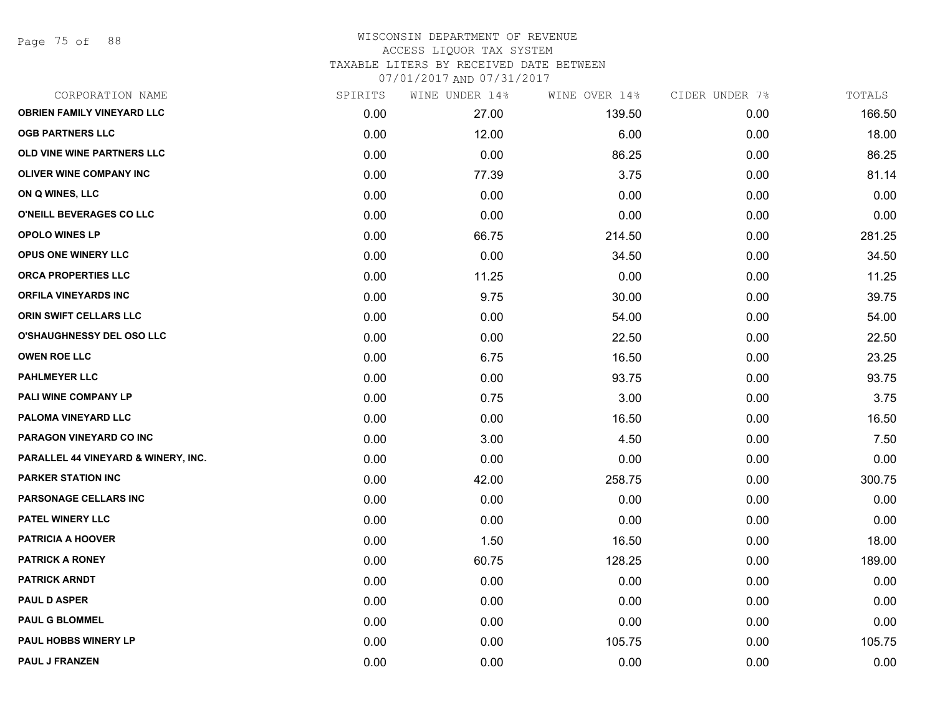Page 75 of 88

| CORPORATION NAME                    | SPIRITS | WINE UNDER 14% | WINE OVER 14% | CIDER UNDER 7% | TOTALS |
|-------------------------------------|---------|----------------|---------------|----------------|--------|
| <b>OBRIEN FAMILY VINEYARD LLC</b>   | 0.00    | 27.00          | 139.50        | 0.00           | 166.50 |
| <b>OGB PARTNERS LLC</b>             | 0.00    | 12.00          | 6.00          | 0.00           | 18.00  |
| OLD VINE WINE PARTNERS LLC          | 0.00    | 0.00           | 86.25         | 0.00           | 86.25  |
| <b>OLIVER WINE COMPANY INC</b>      | 0.00    | 77.39          | 3.75          | 0.00           | 81.14  |
| ON Q WINES, LLC                     | 0.00    | 0.00           | 0.00          | 0.00           | 0.00   |
| O'NEILL BEVERAGES CO LLC            | 0.00    | 0.00           | 0.00          | 0.00           | 0.00   |
| <b>OPOLO WINES LP</b>               | 0.00    | 66.75          | 214.50        | 0.00           | 281.25 |
| <b>OPUS ONE WINERY LLC</b>          | 0.00    | 0.00           | 34.50         | 0.00           | 34.50  |
| ORCA PROPERTIES LLC                 | 0.00    | 11.25          | 0.00          | 0.00           | 11.25  |
| ORFILA VINEYARDS INC                | 0.00    | 9.75           | 30.00         | 0.00           | 39.75  |
| ORIN SWIFT CELLARS LLC              | 0.00    | 0.00           | 54.00         | 0.00           | 54.00  |
| O'SHAUGHNESSY DEL OSO LLC           | 0.00    | 0.00           | 22.50         | 0.00           | 22.50  |
| <b>OWEN ROE LLC</b>                 | 0.00    | 6.75           | 16.50         | 0.00           | 23.25  |
| <b>PAHLMEYER LLC</b>                | 0.00    | 0.00           | 93.75         | 0.00           | 93.75  |
| PALI WINE COMPANY LP                | 0.00    | 0.75           | 3.00          | 0.00           | 3.75   |
| PALOMA VINEYARD LLC                 | 0.00    | 0.00           | 16.50         | 0.00           | 16.50  |
| PARAGON VINEYARD CO INC             | 0.00    | 3.00           | 4.50          | 0.00           | 7.50   |
| PARALLEL 44 VINEYARD & WINERY, INC. | 0.00    | 0.00           | 0.00          | 0.00           | 0.00   |
| <b>PARKER STATION INC</b>           | 0.00    | 42.00          | 258.75        | 0.00           | 300.75 |
| <b>PARSONAGE CELLARS INC</b>        | 0.00    | 0.00           | 0.00          | 0.00           | 0.00   |
| <b>PATEL WINERY LLC</b>             | 0.00    | 0.00           | 0.00          | 0.00           | 0.00   |
| <b>PATRICIA A HOOVER</b>            | 0.00    | 1.50           | 16.50         | 0.00           | 18.00  |
| <b>PATRICK A RONEY</b>              | 0.00    | 60.75          | 128.25        | 0.00           | 189.00 |
| <b>PATRICK ARNDT</b>                | 0.00    | 0.00           | 0.00          | 0.00           | 0.00   |
| <b>PAUL D ASPER</b>                 | 0.00    | 0.00           | 0.00          | 0.00           | 0.00   |
| <b>PAUL G BLOMMEL</b>               | 0.00    | 0.00           | 0.00          | 0.00           | 0.00   |
| <b>PAUL HOBBS WINERY LP</b>         | 0.00    | 0.00           | 105.75        | 0.00           | 105.75 |
| <b>PAUL J FRANZEN</b>               | 0.00    | 0.00           | 0.00          | 0.00           | 0.00   |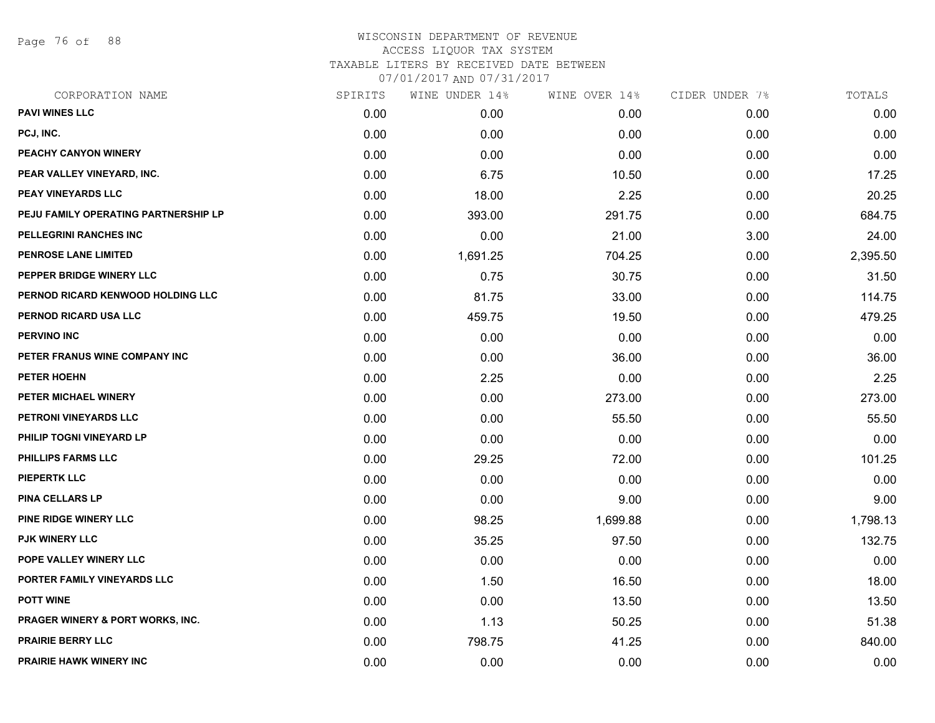Page 76 of 88

| CORPORATION NAME                     | SPIRITS | WINE UNDER 14% | WINE OVER 14% | CIDER UNDER 7% | TOTALS   |
|--------------------------------------|---------|----------------|---------------|----------------|----------|
| <b>PAVI WINES LLC</b>                | 0.00    | 0.00           | 0.00          | 0.00           | 0.00     |
| PCJ, INC.                            | 0.00    | 0.00           | 0.00          | 0.00           | 0.00     |
| PEACHY CANYON WINERY                 | 0.00    | 0.00           | 0.00          | 0.00           | 0.00     |
| PEAR VALLEY VINEYARD, INC.           | 0.00    | 6.75           | 10.50         | 0.00           | 17.25    |
| PEAY VINEYARDS LLC                   | 0.00    | 18.00          | 2.25          | 0.00           | 20.25    |
| PEJU FAMILY OPERATING PARTNERSHIP LP | 0.00    | 393.00         | 291.75        | 0.00           | 684.75   |
| PELLEGRINI RANCHES INC               | 0.00    | 0.00           | 21.00         | 3.00           | 24.00    |
| PENROSE LANE LIMITED                 | 0.00    | 1,691.25       | 704.25        | 0.00           | 2,395.50 |
| PEPPER BRIDGE WINERY LLC             | 0.00    | 0.75           | 30.75         | 0.00           | 31.50    |
| PERNOD RICARD KENWOOD HOLDING LLC    | 0.00    | 81.75          | 33.00         | 0.00           | 114.75   |
| PERNOD RICARD USA LLC                | 0.00    | 459.75         | 19.50         | 0.00           | 479.25   |
| <b>PERVINO INC</b>                   | 0.00    | 0.00           | 0.00          | 0.00           | 0.00     |
| PETER FRANUS WINE COMPANY INC        | 0.00    | 0.00           | 36.00         | 0.00           | 36.00    |
| <b>PETER HOEHN</b>                   | 0.00    | 2.25           | 0.00          | 0.00           | 2.25     |
| PETER MICHAEL WINERY                 | 0.00    | 0.00           | 273.00        | 0.00           | 273.00   |
| PETRONI VINEYARDS LLC                | 0.00    | 0.00           | 55.50         | 0.00           | 55.50    |
| PHILIP TOGNI VINEYARD LP             | 0.00    | 0.00           | 0.00          | 0.00           | 0.00     |
| <b>PHILLIPS FARMS LLC</b>            | 0.00    | 29.25          | 72.00         | 0.00           | 101.25   |
| <b>PIEPERTK LLC</b>                  | 0.00    | 0.00           | 0.00          | 0.00           | 0.00     |
| <b>PINA CELLARS LP</b>               | 0.00    | 0.00           | 9.00          | 0.00           | 9.00     |
| <b>PINE RIDGE WINERY LLC</b>         | 0.00    | 98.25          | 1,699.88      | 0.00           | 1,798.13 |
| PJK WINERY LLC                       | 0.00    | 35.25          | 97.50         | 0.00           | 132.75   |
| POPE VALLEY WINERY LLC               | 0.00    | 0.00           | 0.00          | 0.00           | 0.00     |
| PORTER FAMILY VINEYARDS LLC          | 0.00    | 1.50           | 16.50         | 0.00           | 18.00    |
| <b>POTT WINE</b>                     | 0.00    | 0.00           | 13.50         | 0.00           | 13.50    |
| PRAGER WINERY & PORT WORKS, INC.     | 0.00    | 1.13           | 50.25         | 0.00           | 51.38    |
| <b>PRAIRIE BERRY LLC</b>             | 0.00    | 798.75         | 41.25         | 0.00           | 840.00   |
| <b>PRAIRIE HAWK WINERY INC</b>       | 0.00    | 0.00           | 0.00          | 0.00           | 0.00     |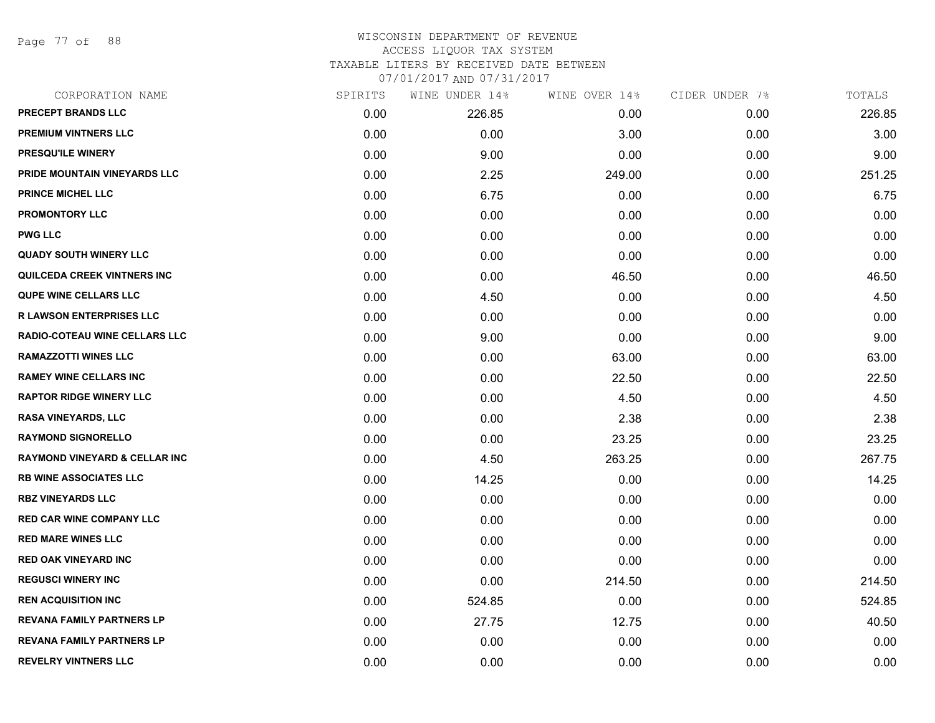Page 77 of 88

# WISCONSIN DEPARTMENT OF REVENUE ACCESS LIQUOR TAX SYSTEM TAXABLE LITERS BY RECEIVED DATE BETWEEN

| CORPORATION NAME                         | SPIRITS | WINE UNDER 14% | WINE OVER 14% | CIDER UNDER 7% | TOTALS |
|------------------------------------------|---------|----------------|---------------|----------------|--------|
| PRECEPT BRANDS LLC                       | 0.00    | 226.85         | 0.00          | 0.00           | 226.85 |
| <b>PREMIUM VINTNERS LLC</b>              | 0.00    | 0.00           | 3.00          | 0.00           | 3.00   |
| <b>PRESQU'ILE WINERY</b>                 | 0.00    | 9.00           | 0.00          | 0.00           | 9.00   |
| PRIDE MOUNTAIN VINEYARDS LLC             | 0.00    | 2.25           | 249.00        | 0.00           | 251.25 |
| <b>PRINCE MICHEL LLC</b>                 | 0.00    | 6.75           | 0.00          | 0.00           | 6.75   |
| <b>PROMONTORY LLC</b>                    | 0.00    | 0.00           | 0.00          | 0.00           | 0.00   |
| <b>PWG LLC</b>                           | 0.00    | 0.00           | 0.00          | 0.00           | 0.00   |
| <b>QUADY SOUTH WINERY LLC</b>            | 0.00    | 0.00           | 0.00          | 0.00           | 0.00   |
| <b>QUILCEDA CREEK VINTNERS INC</b>       | 0.00    | 0.00           | 46.50         | 0.00           | 46.50  |
| <b>QUPE WINE CELLARS LLC</b>             | 0.00    | 4.50           | 0.00          | 0.00           | 4.50   |
| <b>R LAWSON ENTERPRISES LLC</b>          | 0.00    | 0.00           | 0.00          | 0.00           | 0.00   |
| <b>RADIO-COTEAU WINE CELLARS LLC</b>     | 0.00    | 9.00           | 0.00          | 0.00           | 9.00   |
| <b>RAMAZZOTTI WINES LLC</b>              | 0.00    | 0.00           | 63.00         | 0.00           | 63.00  |
| <b>RAMEY WINE CELLARS INC</b>            | 0.00    | 0.00           | 22.50         | 0.00           | 22.50  |
| <b>RAPTOR RIDGE WINERY LLC</b>           | 0.00    | 0.00           | 4.50          | 0.00           | 4.50   |
| RASA VINEYARDS, LLC                      | 0.00    | 0.00           | 2.38          | 0.00           | 2.38   |
| <b>RAYMOND SIGNORELLO</b>                | 0.00    | 0.00           | 23.25         | 0.00           | 23.25  |
| <b>RAYMOND VINEYARD &amp; CELLAR INC</b> | 0.00    | 4.50           | 263.25        | 0.00           | 267.75 |
| <b>RB WINE ASSOCIATES LLC</b>            | 0.00    | 14.25          | 0.00          | 0.00           | 14.25  |
| <b>RBZ VINEYARDS LLC</b>                 | 0.00    | 0.00           | 0.00          | 0.00           | 0.00   |
| <b>RED CAR WINE COMPANY LLC</b>          | 0.00    | 0.00           | 0.00          | 0.00           | 0.00   |
| <b>RED MARE WINES LLC</b>                | 0.00    | 0.00           | 0.00          | 0.00           | 0.00   |
| <b>RED OAK VINEYARD INC</b>              | 0.00    | 0.00           | 0.00          | 0.00           | 0.00   |
| <b>REGUSCI WINERY INC</b>                | 0.00    | 0.00           | 214.50        | 0.00           | 214.50 |
| <b>REN ACQUISITION INC</b>               | 0.00    | 524.85         | 0.00          | 0.00           | 524.85 |
| <b>REVANA FAMILY PARTNERS LP</b>         | 0.00    | 27.75          | 12.75         | 0.00           | 40.50  |
| <b>REVANA FAMILY PARTNERS LP</b>         | 0.00    | 0.00           | 0.00          | 0.00           | 0.00   |
| <b>REVELRY VINTNERS LLC</b>              | 0.00    | 0.00           | 0.00          | 0.00           | 0.00   |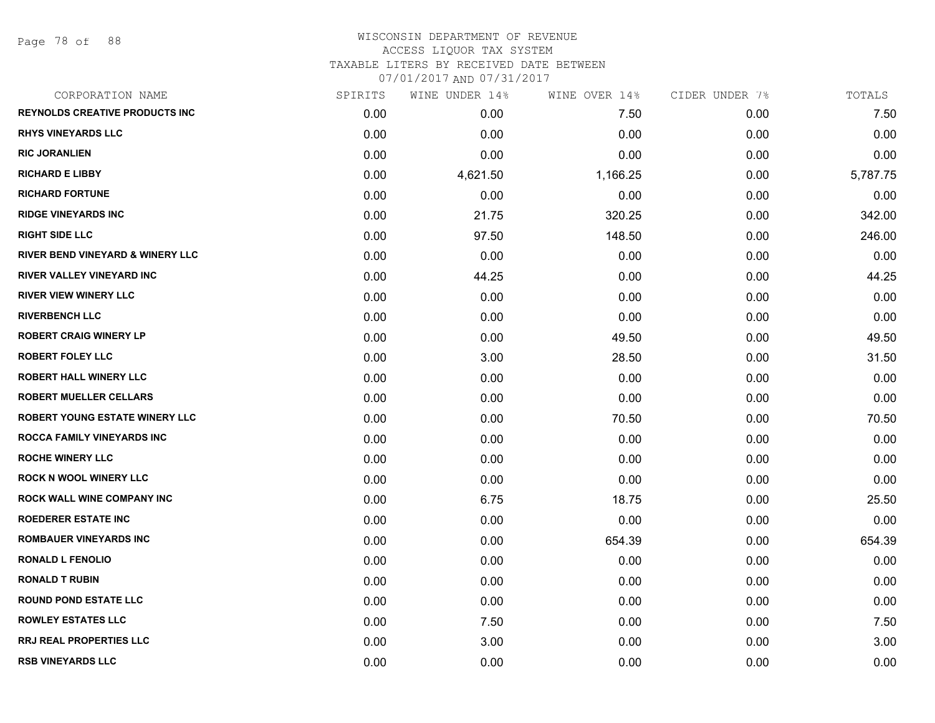Page 78 of 88

# WISCONSIN DEPARTMENT OF REVENUE ACCESS LIQUOR TAX SYSTEM TAXABLE LITERS BY RECEIVED DATE BETWEEN

| CORPORATION NAME                            | SPIRITS | WINE UNDER 14% | WINE OVER 14% | CIDER UNDER 7% | TOTALS   |
|---------------------------------------------|---------|----------------|---------------|----------------|----------|
| <b>REYNOLDS CREATIVE PRODUCTS INC</b>       | 0.00    | 0.00           | 7.50          | 0.00           | 7.50     |
| <b>RHYS VINEYARDS LLC</b>                   | 0.00    | 0.00           | 0.00          | 0.00           | 0.00     |
| <b>RIC JORANLIEN</b>                        | 0.00    | 0.00           | 0.00          | 0.00           | 0.00     |
| <b>RICHARD E LIBBY</b>                      | 0.00    | 4,621.50       | 1,166.25      | 0.00           | 5,787.75 |
| <b>RICHARD FORTUNE</b>                      | 0.00    | 0.00           | 0.00          | 0.00           | 0.00     |
| <b>RIDGE VINEYARDS INC</b>                  | 0.00    | 21.75          | 320.25        | 0.00           | 342.00   |
| <b>RIGHT SIDE LLC</b>                       | 0.00    | 97.50          | 148.50        | 0.00           | 246.00   |
| <b>RIVER BEND VINEYARD &amp; WINERY LLC</b> | 0.00    | 0.00           | 0.00          | 0.00           | 0.00     |
| <b>RIVER VALLEY VINEYARD INC</b>            | 0.00    | 44.25          | 0.00          | 0.00           | 44.25    |
| <b>RIVER VIEW WINERY LLC</b>                | 0.00    | 0.00           | 0.00          | 0.00           | 0.00     |
| <b>RIVERBENCH LLC</b>                       | 0.00    | 0.00           | 0.00          | 0.00           | 0.00     |
| <b>ROBERT CRAIG WINERY LP</b>               | 0.00    | 0.00           | 49.50         | 0.00           | 49.50    |
| <b>ROBERT FOLEY LLC</b>                     | 0.00    | 3.00           | 28.50         | 0.00           | 31.50    |
| <b>ROBERT HALL WINERY LLC</b>               | 0.00    | 0.00           | 0.00          | 0.00           | 0.00     |
| <b>ROBERT MUELLER CELLARS</b>               | 0.00    | 0.00           | 0.00          | 0.00           | 0.00     |
| <b>ROBERT YOUNG ESTATE WINERY LLC</b>       | 0.00    | 0.00           | 70.50         | 0.00           | 70.50    |
| ROCCA FAMILY VINEYARDS INC                  | 0.00    | 0.00           | 0.00          | 0.00           | 0.00     |
| <b>ROCHE WINERY LLC</b>                     | 0.00    | 0.00           | 0.00          | 0.00           | 0.00     |
| <b>ROCK N WOOL WINERY LLC</b>               | 0.00    | 0.00           | 0.00          | 0.00           | 0.00     |
| <b>ROCK WALL WINE COMPANY INC</b>           | 0.00    | 6.75           | 18.75         | 0.00           | 25.50    |
| <b>ROEDERER ESTATE INC</b>                  | 0.00    | 0.00           | 0.00          | 0.00           | 0.00     |
| <b>ROMBAUER VINEYARDS INC</b>               | 0.00    | 0.00           | 654.39        | 0.00           | 654.39   |
| <b>RONALD L FENOLIO</b>                     | 0.00    | 0.00           | 0.00          | 0.00           | 0.00     |
| <b>RONALD T RUBIN</b>                       | 0.00    | 0.00           | 0.00          | 0.00           | 0.00     |
| <b>ROUND POND ESTATE LLC</b>                | 0.00    | 0.00           | 0.00          | 0.00           | 0.00     |
| <b>ROWLEY ESTATES LLC</b>                   | 0.00    | 7.50           | 0.00          | 0.00           | 7.50     |
| <b>RRJ REAL PROPERTIES LLC</b>              | 0.00    | 3.00           | 0.00          | 0.00           | 3.00     |
| <b>RSB VINEYARDS LLC</b>                    | 0.00    | 0.00           | 0.00          | 0.00           | 0.00     |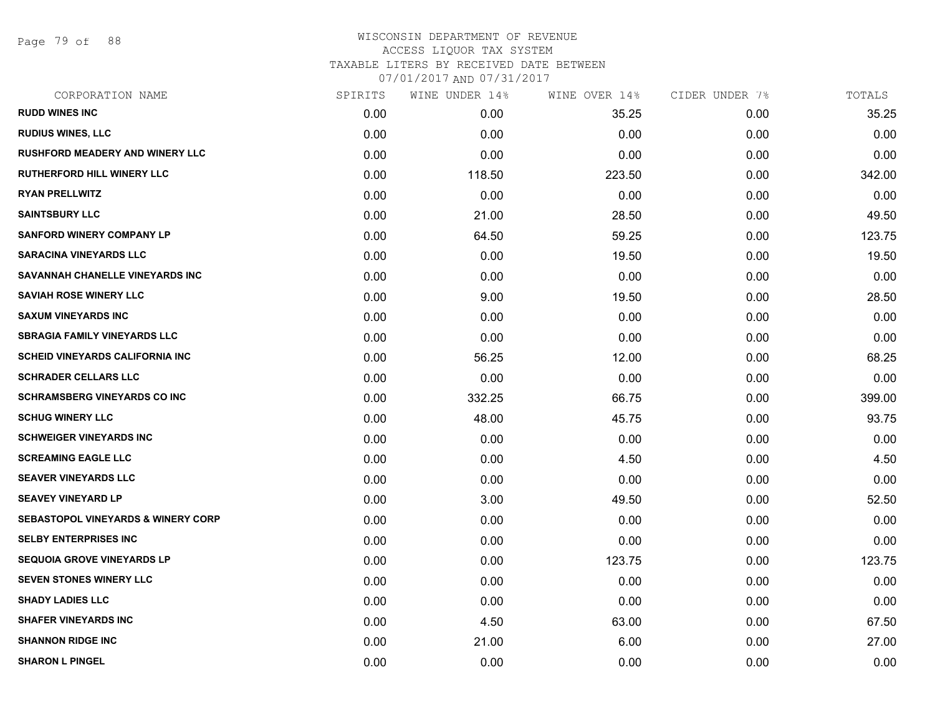Page 79 of 88

| CORPORATION NAME                              | SPIRITS | WINE UNDER 14% | WINE OVER 14% | CIDER UNDER 7% | TOTALS |
|-----------------------------------------------|---------|----------------|---------------|----------------|--------|
| <b>RUDD WINES INC</b>                         | 0.00    | 0.00           | 35.25         | 0.00           | 35.25  |
| <b>RUDIUS WINES, LLC</b>                      | 0.00    | 0.00           | 0.00          | 0.00           | 0.00   |
| <b>RUSHFORD MEADERY AND WINERY LLC</b>        | 0.00    | 0.00           | 0.00          | 0.00           | 0.00   |
| <b>RUTHERFORD HILL WINERY LLC</b>             | 0.00    | 118.50         | 223.50        | 0.00           | 342.00 |
| <b>RYAN PRELLWITZ</b>                         | 0.00    | 0.00           | 0.00          | 0.00           | 0.00   |
| <b>SAINTSBURY LLC</b>                         | 0.00    | 21.00          | 28.50         | 0.00           | 49.50  |
| <b>SANFORD WINERY COMPANY LP</b>              | 0.00    | 64.50          | 59.25         | 0.00           | 123.75 |
| <b>SARACINA VINEYARDS LLC</b>                 | 0.00    | 0.00           | 19.50         | 0.00           | 19.50  |
| SAVANNAH CHANELLE VINEYARDS INC               | 0.00    | 0.00           | 0.00          | 0.00           | 0.00   |
| <b>SAVIAH ROSE WINERY LLC</b>                 | 0.00    | 9.00           | 19.50         | 0.00           | 28.50  |
| <b>SAXUM VINEYARDS INC</b>                    | 0.00    | 0.00           | 0.00          | 0.00           | 0.00   |
| <b>SBRAGIA FAMILY VINEYARDS LLC</b>           | 0.00    | 0.00           | 0.00          | 0.00           | 0.00   |
| SCHEID VINEYARDS CALIFORNIA INC               | 0.00    | 56.25          | 12.00         | 0.00           | 68.25  |
| <b>SCHRADER CELLARS LLC</b>                   | 0.00    | 0.00           | 0.00          | 0.00           | 0.00   |
| <b>SCHRAMSBERG VINEYARDS CO INC</b>           | 0.00    | 332.25         | 66.75         | 0.00           | 399.00 |
| <b>SCHUG WINERY LLC</b>                       | 0.00    | 48.00          | 45.75         | 0.00           | 93.75  |
| <b>SCHWEIGER VINEYARDS INC</b>                | 0.00    | 0.00           | 0.00          | 0.00           | 0.00   |
| <b>SCREAMING EAGLE LLC</b>                    | 0.00    | 0.00           | 4.50          | 0.00           | 4.50   |
| <b>SEAVER VINEYARDS LLC</b>                   | 0.00    | 0.00           | 0.00          | 0.00           | 0.00   |
| <b>SEAVEY VINEYARD LP</b>                     | 0.00    | 3.00           | 49.50         | 0.00           | 52.50  |
| <b>SEBASTOPOL VINEYARDS &amp; WINERY CORP</b> | 0.00    | 0.00           | 0.00          | 0.00           | 0.00   |
| <b>SELBY ENTERPRISES INC</b>                  | 0.00    | 0.00           | 0.00          | 0.00           | 0.00   |
| <b>SEQUOIA GROVE VINEYARDS LP</b>             | 0.00    | 0.00           | 123.75        | 0.00           | 123.75 |
| SEVEN STONES WINERY LLC                       | 0.00    | 0.00           | 0.00          | 0.00           | 0.00   |
| <b>SHADY LADIES LLC</b>                       | 0.00    | 0.00           | 0.00          | 0.00           | 0.00   |
| <b>SHAFER VINEYARDS INC</b>                   | 0.00    | 4.50           | 63.00         | 0.00           | 67.50  |
| <b>SHANNON RIDGE INC</b>                      | 0.00    | 21.00          | 6.00          | 0.00           | 27.00  |
| <b>SHARON L PINGEL</b>                        | 0.00    | 0.00           | 0.00          | 0.00           | 0.00   |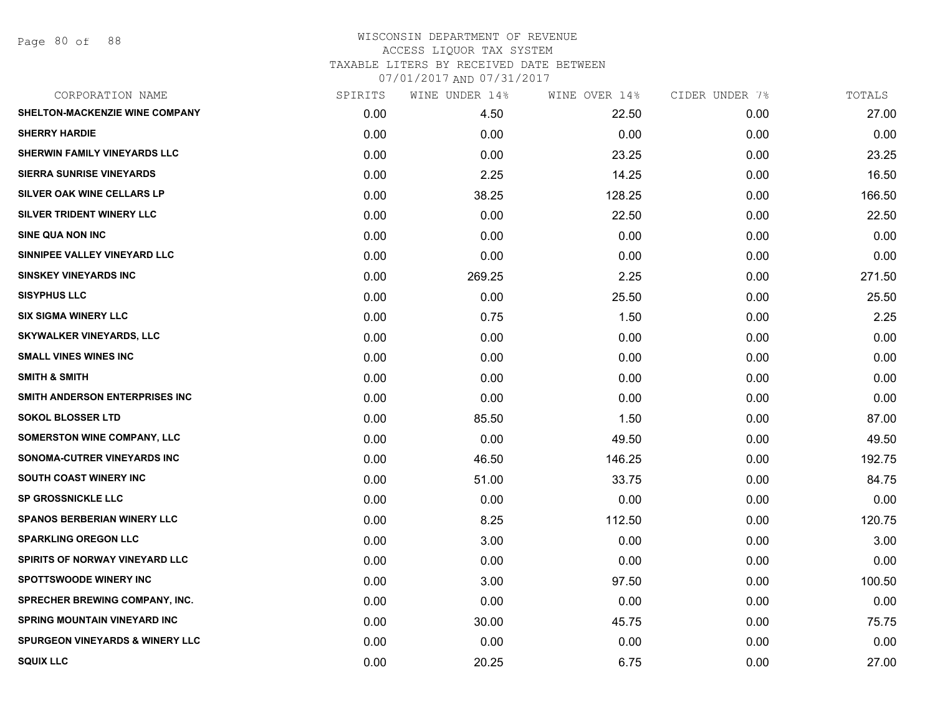Page 80 of 88

| CORPORATION NAME                           | SPIRITS | WINE UNDER 14% | WINE OVER 14% | CIDER UNDER 7% | TOTALS |
|--------------------------------------------|---------|----------------|---------------|----------------|--------|
| SHELTON-MACKENZIE WINE COMPANY             | 0.00    | 4.50           | 22.50         | 0.00           | 27.00  |
| <b>SHERRY HARDIE</b>                       | 0.00    | 0.00           | 0.00          | 0.00           | 0.00   |
| SHERWIN FAMILY VINEYARDS LLC               | 0.00    | 0.00           | 23.25         | 0.00           | 23.25  |
| <b>SIERRA SUNRISE VINEYARDS</b>            | 0.00    | 2.25           | 14.25         | 0.00           | 16.50  |
| SILVER OAK WINE CELLARS LP                 | 0.00    | 38.25          | 128.25        | 0.00           | 166.50 |
| SILVER TRIDENT WINERY LLC                  | 0.00    | 0.00           | 22.50         | 0.00           | 22.50  |
| <b>SINE QUA NON INC</b>                    | 0.00    | 0.00           | 0.00          | 0.00           | 0.00   |
| SINNIPEE VALLEY VINEYARD LLC               | 0.00    | 0.00           | 0.00          | 0.00           | 0.00   |
| <b>SINSKEY VINEYARDS INC</b>               | 0.00    | 269.25         | 2.25          | 0.00           | 271.50 |
| <b>SISYPHUS LLC</b>                        | 0.00    | 0.00           | 25.50         | 0.00           | 25.50  |
| <b>SIX SIGMA WINERY LLC</b>                | 0.00    | 0.75           | 1.50          | 0.00           | 2.25   |
| <b>SKYWALKER VINEYARDS, LLC</b>            | 0.00    | 0.00           | 0.00          | 0.00           | 0.00   |
| <b>SMALL VINES WINES INC</b>               | 0.00    | 0.00           | 0.00          | 0.00           | 0.00   |
| <b>SMITH &amp; SMITH</b>                   | 0.00    | 0.00           | 0.00          | 0.00           | 0.00   |
| SMITH ANDERSON ENTERPRISES INC             | 0.00    | 0.00           | 0.00          | 0.00           | 0.00   |
| <b>SOKOL BLOSSER LTD</b>                   | 0.00    | 85.50          | 1.50          | 0.00           | 87.00  |
| <b>SOMERSTON WINE COMPANY, LLC</b>         | 0.00    | 0.00           | 49.50         | 0.00           | 49.50  |
| SONOMA-CUTRER VINEYARDS INC                | 0.00    | 46.50          | 146.25        | 0.00           | 192.75 |
| SOUTH COAST WINERY INC                     | 0.00    | 51.00          | 33.75         | 0.00           | 84.75  |
| <b>SP GROSSNICKLE LLC</b>                  | 0.00    | 0.00           | 0.00          | 0.00           | 0.00   |
| <b>SPANOS BERBERIAN WINERY LLC</b>         | 0.00    | 8.25           | 112.50        | 0.00           | 120.75 |
| <b>SPARKLING OREGON LLC</b>                | 0.00    | 3.00           | 0.00          | 0.00           | 3.00   |
| SPIRITS OF NORWAY VINEYARD LLC             | 0.00    | 0.00           | 0.00          | 0.00           | 0.00   |
| <b>SPOTTSWOODE WINERY INC</b>              | 0.00    | 3.00           | 97.50         | 0.00           | 100.50 |
| <b>SPRECHER BREWING COMPANY, INC.</b>      | 0.00    | 0.00           | 0.00          | 0.00           | 0.00   |
| <b>SPRING MOUNTAIN VINEYARD INC</b>        | 0.00    | 30.00          | 45.75         | 0.00           | 75.75  |
| <b>SPURGEON VINEYARDS &amp; WINERY LLC</b> | 0.00    | 0.00           | 0.00          | 0.00           | 0.00   |
| <b>SQUIX LLC</b>                           | 0.00    | 20.25          | 6.75          | 0.00           | 27.00  |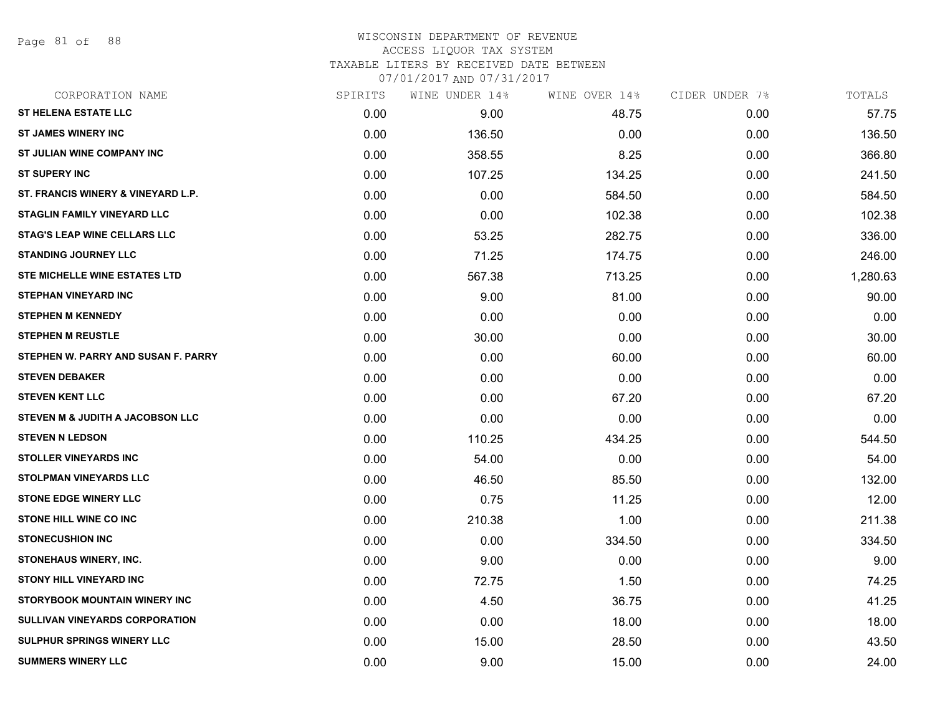Page 81 of 88

#### WISCONSIN DEPARTMENT OF REVENUE ACCESS LIQUOR TAX SYSTEM TAXABLE LITERS BY RECEIVED DATE BETWEEN

| CORPORATION NAME                      | SPIRITS | WINE UNDER 14% | WINE OVER 14% | CIDER UNDER 7% | TOTALS   |
|---------------------------------------|---------|----------------|---------------|----------------|----------|
| <b>ST HELENA ESTATE LLC</b>           | 0.00    | 9.00           | 48.75         | 0.00           | 57.75    |
| <b>ST JAMES WINERY INC</b>            | 0.00    | 136.50         | 0.00          | 0.00           | 136.50   |
| ST JULIAN WINE COMPANY INC            | 0.00    | 358.55         | 8.25          | 0.00           | 366.80   |
| <b>ST SUPERY INC</b>                  | 0.00    | 107.25         | 134.25        | 0.00           | 241.50   |
| ST. FRANCIS WINERY & VINEYARD L.P.    | 0.00    | 0.00           | 584.50        | 0.00           | 584.50   |
| <b>STAGLIN FAMILY VINEYARD LLC</b>    | 0.00    | 0.00           | 102.38        | 0.00           | 102.38   |
| <b>STAG'S LEAP WINE CELLARS LLC</b>   | 0.00    | 53.25          | 282.75        | 0.00           | 336.00   |
| <b>STANDING JOURNEY LLC</b>           | 0.00    | 71.25          | 174.75        | 0.00           | 246.00   |
| <b>STE MICHELLE WINE ESTATES LTD</b>  | 0.00    | 567.38         | 713.25        | 0.00           | 1,280.63 |
| <b>STEPHAN VINEYARD INC</b>           | 0.00    | 9.00           | 81.00         | 0.00           | 90.00    |
| <b>STEPHEN M KENNEDY</b>              | 0.00    | 0.00           | 0.00          | 0.00           | 0.00     |
| <b>STEPHEN M REUSTLE</b>              | 0.00    | 30.00          | 0.00          | 0.00           | 30.00    |
| STEPHEN W. PARRY AND SUSAN F. PARRY   | 0.00    | 0.00           | 60.00         | 0.00           | 60.00    |
| <b>STEVEN DEBAKER</b>                 | 0.00    | 0.00           | 0.00          | 0.00           | 0.00     |
| <b>STEVEN KENT LLC</b>                | 0.00    | 0.00           | 67.20         | 0.00           | 67.20    |
| STEVEN M & JUDITH A JACOBSON LLC      | 0.00    | 0.00           | 0.00          | 0.00           | 0.00     |
| <b>STEVEN N LEDSON</b>                | 0.00    | 110.25         | 434.25        | 0.00           | 544.50   |
| <b>STOLLER VINEYARDS INC</b>          | 0.00    | 54.00          | 0.00          | 0.00           | 54.00    |
| STOLPMAN VINEYARDS LLC                | 0.00    | 46.50          | 85.50         | 0.00           | 132.00   |
| <b>STONE EDGE WINERY LLC</b>          | 0.00    | 0.75           | 11.25         | 0.00           | 12.00    |
| <b>STONE HILL WINE CO INC</b>         | 0.00    | 210.38         | 1.00          | 0.00           | 211.38   |
| <b>STONECUSHION INC</b>               | 0.00    | 0.00           | 334.50        | 0.00           | 334.50   |
| <b>STONEHAUS WINERY, INC.</b>         | 0.00    | 9.00           | 0.00          | 0.00           | 9.00     |
| <b>STONY HILL VINEYARD INC</b>        | 0.00    | 72.75          | 1.50          | 0.00           | 74.25    |
| STORYBOOK MOUNTAIN WINERY INC         | 0.00    | 4.50           | 36.75         | 0.00           | 41.25    |
| <b>SULLIVAN VINEYARDS CORPORATION</b> | 0.00    | 0.00           | 18.00         | 0.00           | 18.00    |
| <b>SULPHUR SPRINGS WINERY LLC</b>     | 0.00    | 15.00          | 28.50         | 0.00           | 43.50    |
| <b>SUMMERS WINERY LLC</b>             | 0.00    | 9.00           | 15.00         | 0.00           | 24.00    |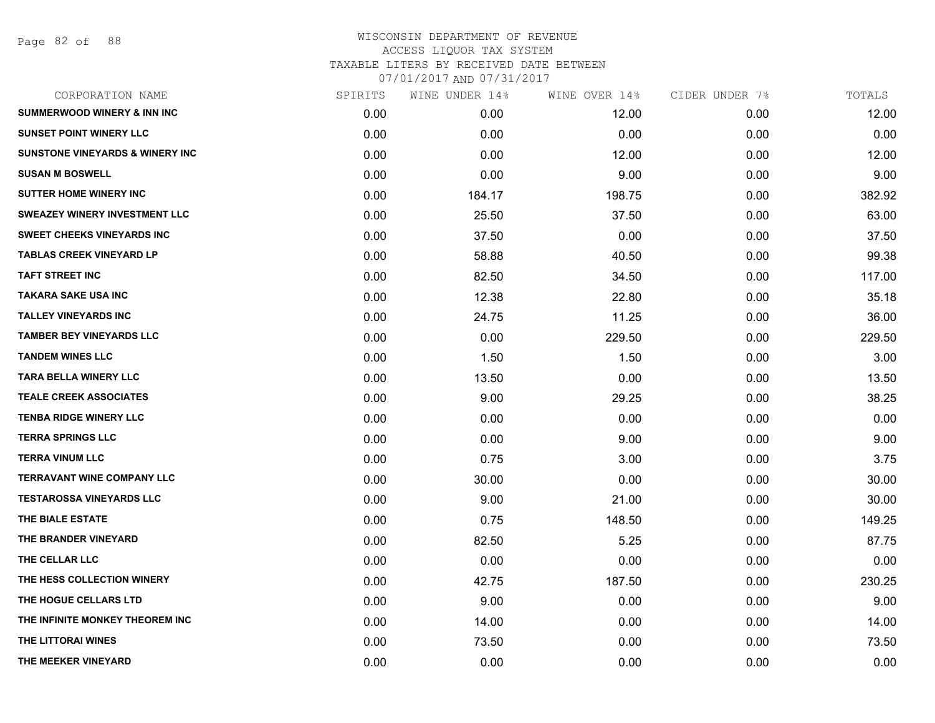Page 82 of 88

| CORPORATION NAME                           | SPIRITS | WINE UNDER 14% | WINE OVER 14% | CIDER UNDER 7% | TOTALS |
|--------------------------------------------|---------|----------------|---------------|----------------|--------|
| <b>SUMMERWOOD WINERY &amp; INN INC</b>     | 0.00    | 0.00           | 12.00         | 0.00           | 12.00  |
| <b>SUNSET POINT WINERY LLC</b>             | 0.00    | 0.00           | 0.00          | 0.00           | 0.00   |
| <b>SUNSTONE VINEYARDS &amp; WINERY INC</b> | 0.00    | 0.00           | 12.00         | 0.00           | 12.00  |
| <b>SUSAN M BOSWELL</b>                     | 0.00    | 0.00           | 9.00          | 0.00           | 9.00   |
| <b>SUTTER HOME WINERY INC</b>              | 0.00    | 184.17         | 198.75        | 0.00           | 382.92 |
| <b>SWEAZEY WINERY INVESTMENT LLC</b>       | 0.00    | 25.50          | 37.50         | 0.00           | 63.00  |
| <b>SWEET CHEEKS VINEYARDS INC</b>          | 0.00    | 37.50          | 0.00          | 0.00           | 37.50  |
| <b>TABLAS CREEK VINEYARD LP</b>            | 0.00    | 58.88          | 40.50         | 0.00           | 99.38  |
| <b>TAFT STREET INC</b>                     | 0.00    | 82.50          | 34.50         | 0.00           | 117.00 |
| <b>TAKARA SAKE USA INC</b>                 | 0.00    | 12.38          | 22.80         | 0.00           | 35.18  |
| <b>TALLEY VINEYARDS INC</b>                | 0.00    | 24.75          | 11.25         | 0.00           | 36.00  |
| <b>TAMBER BEY VINEYARDS LLC</b>            | 0.00    | 0.00           | 229.50        | 0.00           | 229.50 |
| <b>TANDEM WINES LLC</b>                    | 0.00    | 1.50           | 1.50          | 0.00           | 3.00   |
| <b>TARA BELLA WINERY LLC</b>               | 0.00    | 13.50          | 0.00          | 0.00           | 13.50  |
| <b>TEALE CREEK ASSOCIATES</b>              | 0.00    | 9.00           | 29.25         | 0.00           | 38.25  |
| <b>TENBA RIDGE WINERY LLC</b>              | 0.00    | 0.00           | 0.00          | 0.00           | 0.00   |
| <b>TERRA SPRINGS LLC</b>                   | 0.00    | 0.00           | 9.00          | 0.00           | 9.00   |
| <b>TERRA VINUM LLC</b>                     | 0.00    | 0.75           | 3.00          | 0.00           | 3.75   |
| <b>TERRAVANT WINE COMPANY LLC</b>          | 0.00    | 30.00          | 0.00          | 0.00           | 30.00  |
| <b>TESTAROSSA VINEYARDS LLC</b>            | 0.00    | 9.00           | 21.00         | 0.00           | 30.00  |
| THE BIALE ESTATE                           | 0.00    | 0.75           | 148.50        | 0.00           | 149.25 |
| THE BRANDER VINEYARD                       | 0.00    | 82.50          | 5.25          | 0.00           | 87.75  |
| THE CELLAR LLC                             | 0.00    | 0.00           | 0.00          | 0.00           | 0.00   |
| THE HESS COLLECTION WINERY                 | 0.00    | 42.75          | 187.50        | 0.00           | 230.25 |
| THE HOGUE CELLARS LTD                      | 0.00    | 9.00           | 0.00          | 0.00           | 9.00   |
| THE INFINITE MONKEY THEOREM INC            | 0.00    | 14.00          | 0.00          | 0.00           | 14.00  |
| THE LITTORAI WINES                         | 0.00    | 73.50          | 0.00          | 0.00           | 73.50  |
| THE MEEKER VINEYARD                        | 0.00    | 0.00           | 0.00          | 0.00           | 0.00   |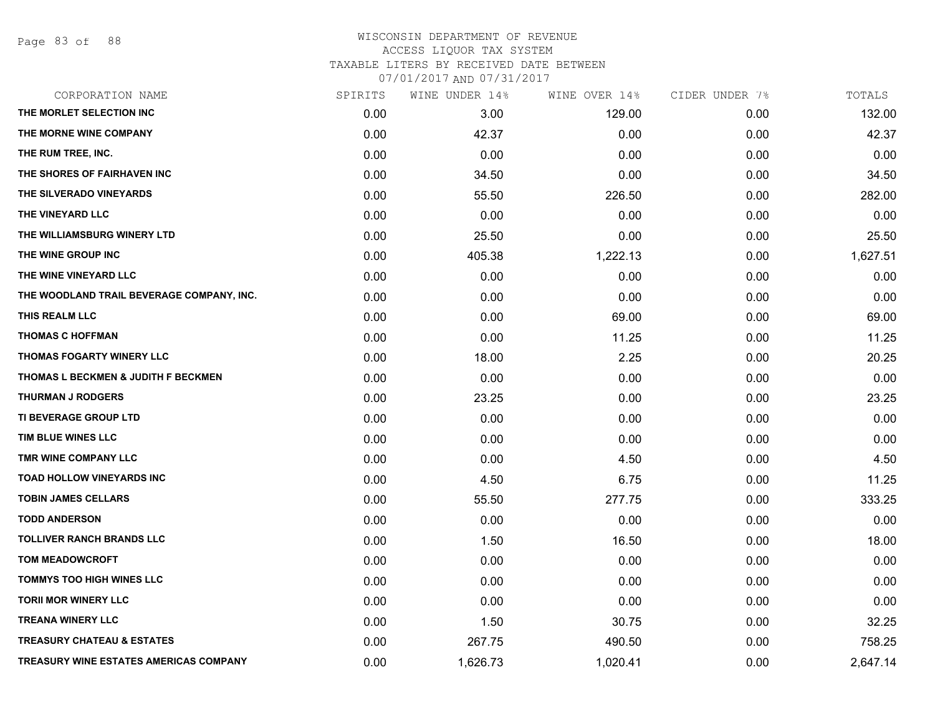| CORPORATION NAME                               | SPIRITS | WINE UNDER 14% | WINE OVER 14% | CIDER UNDER 7% | TOTALS   |
|------------------------------------------------|---------|----------------|---------------|----------------|----------|
| THE MORLET SELECTION INC                       | 0.00    | 3.00           | 129.00        | 0.00           | 132.00   |
| THE MORNE WINE COMPANY                         | 0.00    | 42.37          | 0.00          | 0.00           | 42.37    |
| THE RUM TREE, INC.                             | 0.00    | 0.00           | 0.00          | 0.00           | 0.00     |
| THE SHORES OF FAIRHAVEN INC                    | 0.00    | 34.50          | 0.00          | 0.00           | 34.50    |
| THE SILVERADO VINEYARDS                        | 0.00    | 55.50          | 226.50        | 0.00           | 282.00   |
| THE VINEYARD LLC                               | 0.00    | 0.00           | 0.00          | 0.00           | 0.00     |
| THE WILLIAMSBURG WINERY LTD                    | 0.00    | 25.50          | 0.00          | 0.00           | 25.50    |
| THE WINE GROUP INC                             | 0.00    | 405.38         | 1,222.13      | 0.00           | 1,627.51 |
| THE WINE VINEYARD LLC                          | 0.00    | 0.00           | 0.00          | 0.00           | 0.00     |
| THE WOODLAND TRAIL BEVERAGE COMPANY, INC.      | 0.00    | 0.00           | 0.00          | 0.00           | 0.00     |
| THIS REALM LLC                                 | 0.00    | 0.00           | 69.00         | 0.00           | 69.00    |
| <b>THOMAS C HOFFMAN</b>                        | 0.00    | 0.00           | 11.25         | 0.00           | 11.25    |
| <b>THOMAS FOGARTY WINERY LLC</b>               | 0.00    | 18.00          | 2.25          | 0.00           | 20.25    |
| <b>THOMAS L BECKMEN &amp; JUDITH F BECKMEN</b> | 0.00    | 0.00           | 0.00          | 0.00           | 0.00     |
| <b>THURMAN J RODGERS</b>                       | 0.00    | 23.25          | 0.00          | 0.00           | 23.25    |
| TI BEVERAGE GROUP LTD                          | 0.00    | 0.00           | 0.00          | 0.00           | 0.00     |
| TIM BLUE WINES LLC                             | 0.00    | 0.00           | 0.00          | 0.00           | 0.00     |
| TMR WINE COMPANY LLC                           | 0.00    | 0.00           | 4.50          | 0.00           | 4.50     |
| TOAD HOLLOW VINEYARDS INC                      | 0.00    | 4.50           | 6.75          | 0.00           | 11.25    |
| <b>TOBIN JAMES CELLARS</b>                     | 0.00    | 55.50          | 277.75        | 0.00           | 333.25   |
| <b>TODD ANDERSON</b>                           | 0.00    | 0.00           | 0.00          | 0.00           | 0.00     |
| TOLLIVER RANCH BRANDS LLC                      | 0.00    | 1.50           | 16.50         | 0.00           | 18.00    |
| <b>TOM MEADOWCROFT</b>                         | 0.00    | 0.00           | 0.00          | 0.00           | 0.00     |
| TOMMYS TOO HIGH WINES LLC                      | 0.00    | 0.00           | 0.00          | 0.00           | 0.00     |
| <b>TORII MOR WINERY LLC</b>                    | 0.00    | 0.00           | 0.00          | 0.00           | 0.00     |
| <b>TREANA WINERY LLC</b>                       | 0.00    | 1.50           | 30.75         | 0.00           | 32.25    |
| <b>TREASURY CHATEAU &amp; ESTATES</b>          | 0.00    | 267.75         | 490.50        | 0.00           | 758.25   |
| TREASURY WINE ESTATES AMERICAS COMPANY         | 0.00    | 1,626.73       | 1,020.41      | 0.00           | 2,647.14 |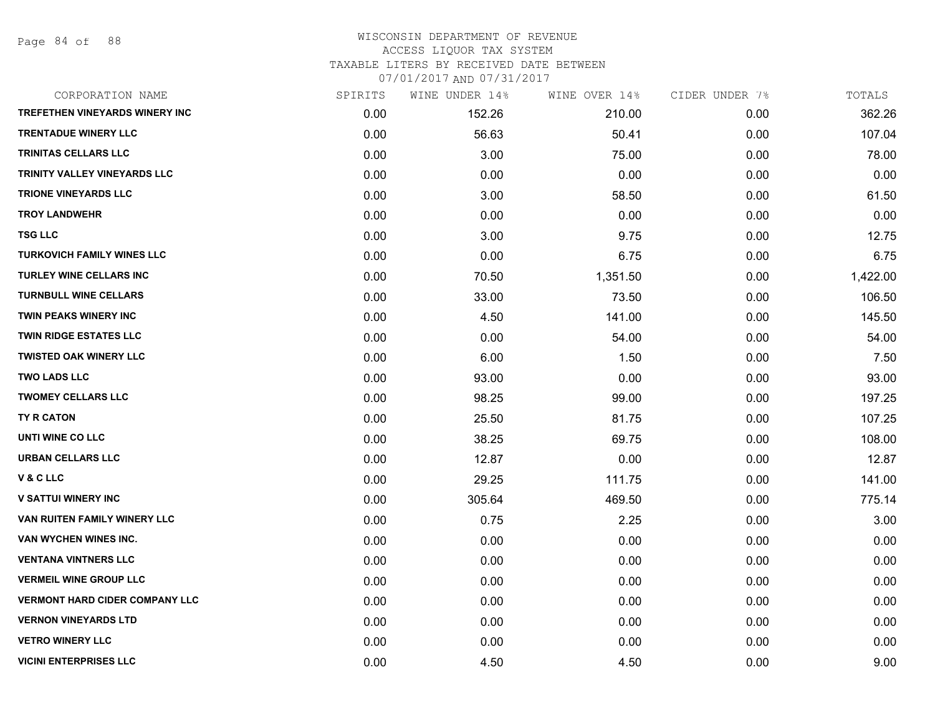Page 84 of 88

| CORPORATION NAME                      | SPIRITS | WINE UNDER 14% | WINE OVER 14% | CIDER UNDER 7% | TOTALS   |
|---------------------------------------|---------|----------------|---------------|----------------|----------|
| TREFETHEN VINEYARDS WINERY INC        | 0.00    | 152.26         | 210.00        | 0.00           | 362.26   |
| TRENTADUE WINERY LLC                  | 0.00    | 56.63          | 50.41         | 0.00           | 107.04   |
| <b>TRINITAS CELLARS LLC</b>           | 0.00    | 3.00           | 75.00         | 0.00           | 78.00    |
| TRINITY VALLEY VINEYARDS LLC          | 0.00    | 0.00           | 0.00          | 0.00           | 0.00     |
| <b>TRIONE VINEYARDS LLC</b>           | 0.00    | 3.00           | 58.50         | 0.00           | 61.50    |
| <b>TROY LANDWEHR</b>                  | 0.00    | 0.00           | 0.00          | 0.00           | 0.00     |
| <b>TSG LLC</b>                        | 0.00    | 3.00           | 9.75          | 0.00           | 12.75    |
| <b>TURKOVICH FAMILY WINES LLC</b>     | 0.00    | 0.00           | 6.75          | 0.00           | 6.75     |
| <b>TURLEY WINE CELLARS INC</b>        | 0.00    | 70.50          | 1,351.50      | 0.00           | 1,422.00 |
| <b>TURNBULL WINE CELLARS</b>          | 0.00    | 33.00          | 73.50         | 0.00           | 106.50   |
| <b>TWIN PEAKS WINERY INC</b>          | 0.00    | 4.50           | 141.00        | 0.00           | 145.50   |
| <b>TWIN RIDGE ESTATES LLC</b>         | 0.00    | 0.00           | 54.00         | 0.00           | 54.00    |
| <b>TWISTED OAK WINERY LLC</b>         | 0.00    | 6.00           | 1.50          | 0.00           | 7.50     |
| <b>TWO LADS LLC</b>                   | 0.00    | 93.00          | 0.00          | 0.00           | 93.00    |
| <b>TWOMEY CELLARS LLC</b>             | 0.00    | 98.25          | 99.00         | 0.00           | 197.25   |
| TY R CATON                            | 0.00    | 25.50          | 81.75         | 0.00           | 107.25   |
| UNTI WINE CO LLC                      | 0.00    | 38.25          | 69.75         | 0.00           | 108.00   |
| <b>URBAN CELLARS LLC</b>              | 0.00    | 12.87          | 0.00          | 0.00           | 12.87    |
| <b>V&amp;CLLC</b>                     | 0.00    | 29.25          | 111.75        | 0.00           | 141.00   |
| <b>V SATTUI WINERY INC</b>            | 0.00    | 305.64         | 469.50        | 0.00           | 775.14   |
| VAN RUITEN FAMILY WINERY LLC          | 0.00    | 0.75           | 2.25          | 0.00           | 3.00     |
| VAN WYCHEN WINES INC.                 | 0.00    | 0.00           | 0.00          | 0.00           | 0.00     |
| <b>VENTANA VINTNERS LLC</b>           | 0.00    | 0.00           | 0.00          | 0.00           | 0.00     |
| <b>VERMEIL WINE GROUP LLC</b>         | 0.00    | 0.00           | 0.00          | 0.00           | 0.00     |
| <b>VERMONT HARD CIDER COMPANY LLC</b> | 0.00    | 0.00           | 0.00          | 0.00           | 0.00     |
| <b>VERNON VINEYARDS LTD</b>           | 0.00    | 0.00           | 0.00          | 0.00           | 0.00     |
| <b>VETRO WINERY LLC</b>               | 0.00    | 0.00           | 0.00          | 0.00           | 0.00     |
| <b>VICINI ENTERPRISES LLC</b>         | 0.00    | 4.50           | 4.50          | 0.00           | 9.00     |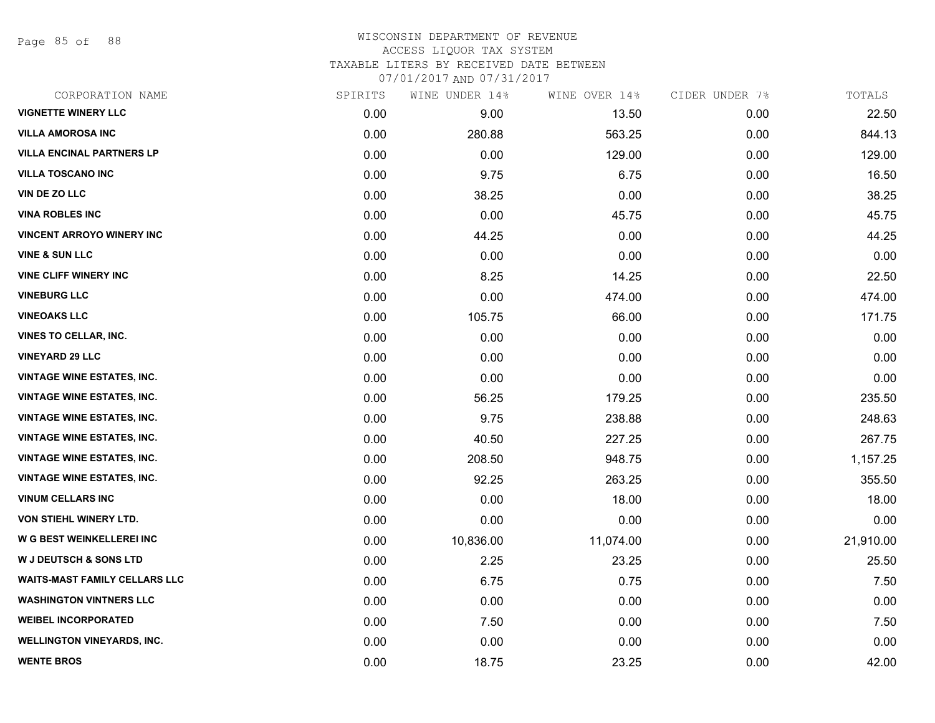Page 85 of 88

| CORPORATION NAME                     | SPIRITS | WINE UNDER 14% | WINE OVER 14% | CIDER UNDER 7% | TOTALS    |
|--------------------------------------|---------|----------------|---------------|----------------|-----------|
| <b>VIGNETTE WINERY LLC</b>           | 0.00    | 9.00           | 13.50         | 0.00           | 22.50     |
| <b>VILLA AMOROSA INC</b>             | 0.00    | 280.88         | 563.25        | 0.00           | 844.13    |
| <b>VILLA ENCINAL PARTNERS LP</b>     | 0.00    | 0.00           | 129.00        | 0.00           | 129.00    |
| <b>VILLA TOSCANO INC</b>             | 0.00    | 9.75           | 6.75          | 0.00           | 16.50     |
| <b>VIN DE ZO LLC</b>                 | 0.00    | 38.25          | 0.00          | 0.00           | 38.25     |
| <b>VINA ROBLES INC</b>               | 0.00    | 0.00           | 45.75         | 0.00           | 45.75     |
| <b>VINCENT ARROYO WINERY INC</b>     | 0.00    | 44.25          | 0.00          | 0.00           | 44.25     |
| <b>VINE &amp; SUN LLC</b>            | 0.00    | 0.00           | 0.00          | 0.00           | 0.00      |
| <b>VINE CLIFF WINERY INC</b>         | 0.00    | 8.25           | 14.25         | 0.00           | 22.50     |
| <b>VINEBURG LLC</b>                  | 0.00    | 0.00           | 474.00        | 0.00           | 474.00    |
| <b>VINEOAKS LLC</b>                  | 0.00    | 105.75         | 66.00         | 0.00           | 171.75    |
| <b>VINES TO CELLAR, INC.</b>         | 0.00    | 0.00           | 0.00          | 0.00           | 0.00      |
| <b>VINEYARD 29 LLC</b>               | 0.00    | 0.00           | 0.00          | 0.00           | 0.00      |
| <b>VINTAGE WINE ESTATES, INC.</b>    | 0.00    | 0.00           | 0.00          | 0.00           | 0.00      |
| <b>VINTAGE WINE ESTATES, INC.</b>    | 0.00    | 56.25          | 179.25        | 0.00           | 235.50    |
| <b>VINTAGE WINE ESTATES, INC.</b>    | 0.00    | 9.75           | 238.88        | 0.00           | 248.63    |
| <b>VINTAGE WINE ESTATES, INC.</b>    | 0.00    | 40.50          | 227.25        | 0.00           | 267.75    |
| <b>VINTAGE WINE ESTATES, INC.</b>    | 0.00    | 208.50         | 948.75        | 0.00           | 1,157.25  |
| <b>VINTAGE WINE ESTATES, INC.</b>    | 0.00    | 92.25          | 263.25        | 0.00           | 355.50    |
| <b>VINUM CELLARS INC</b>             | 0.00    | 0.00           | 18.00         | 0.00           | 18.00     |
| VON STIEHL WINERY LTD.               | 0.00    | 0.00           | 0.00          | 0.00           | 0.00      |
| W G BEST WEINKELLEREI INC            | 0.00    | 10,836.00      | 11,074.00     | 0.00           | 21,910.00 |
| <b>W J DEUTSCH &amp; SONS LTD</b>    | 0.00    | 2.25           | 23.25         | 0.00           | 25.50     |
| <b>WAITS-MAST FAMILY CELLARS LLC</b> | 0.00    | 6.75           | 0.75          | 0.00           | 7.50      |
| <b>WASHINGTON VINTNERS LLC</b>       | 0.00    | 0.00           | 0.00          | 0.00           | 0.00      |
| <b>WEIBEL INCORPORATED</b>           | 0.00    | 7.50           | 0.00          | 0.00           | 7.50      |
| <b>WELLINGTON VINEYARDS, INC.</b>    | 0.00    | 0.00           | 0.00          | 0.00           | 0.00      |
| <b>WENTE BROS</b>                    | 0.00    | 18.75          | 23.25         | 0.00           | 42.00     |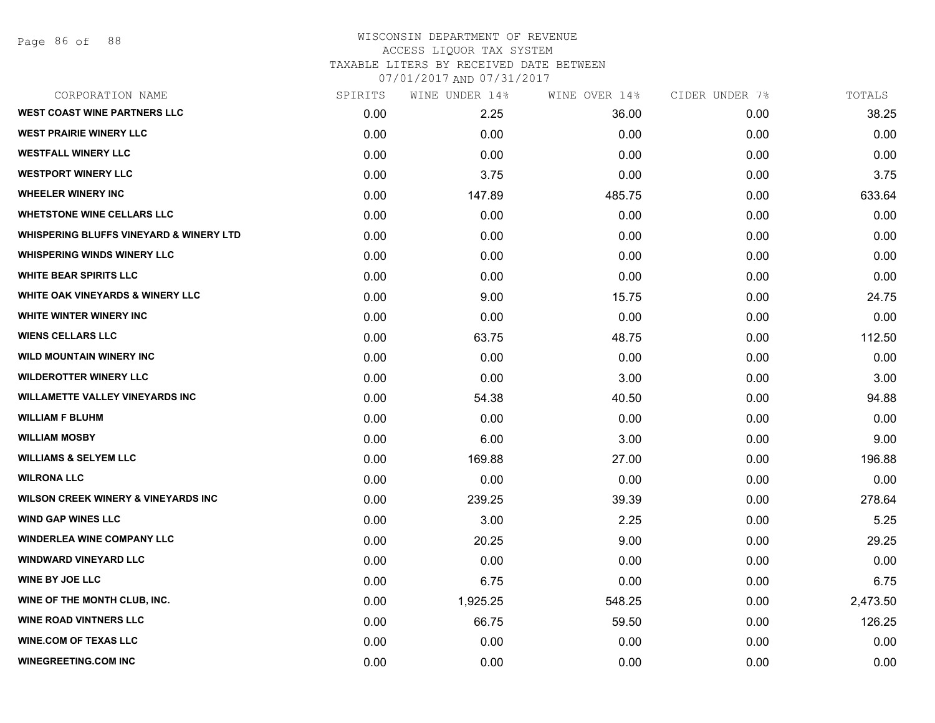#### WISCONSIN DEPARTMENT OF REVENUE ACCESS LIQUOR TAX SYSTEM

TAXABLE LITERS BY RECEIVED DATE BETWEEN

| CORPORATION NAME                                   | SPIRITS | WINE UNDER 14% | WINE OVER 14% | CIDER UNDER 7% | TOTALS   |
|----------------------------------------------------|---------|----------------|---------------|----------------|----------|
| <b>WEST COAST WINE PARTNERS LLC</b>                | 0.00    | 2.25           | 36.00         | 0.00           | 38.25    |
| <b>WEST PRAIRIE WINERY LLC</b>                     | 0.00    | 0.00           | 0.00          | 0.00           | 0.00     |
| <b>WESTFALL WINERY LLC</b>                         | 0.00    | 0.00           | 0.00          | 0.00           | 0.00     |
| <b>WESTPORT WINERY LLC</b>                         | 0.00    | 3.75           | 0.00          | 0.00           | 3.75     |
| <b>WHEELER WINERY INC</b>                          | 0.00    | 147.89         | 485.75        | 0.00           | 633.64   |
| <b>WHETSTONE WINE CELLARS LLC</b>                  | 0.00    | 0.00           | 0.00          | 0.00           | 0.00     |
| <b>WHISPERING BLUFFS VINEYARD &amp; WINERY LTD</b> | 0.00    | 0.00           | 0.00          | 0.00           | 0.00     |
| <b>WHISPERING WINDS WINERY LLC</b>                 | 0.00    | 0.00           | 0.00          | 0.00           | 0.00     |
| <b>WHITE BEAR SPIRITS LLC</b>                      | 0.00    | 0.00           | 0.00          | 0.00           | 0.00     |
| <b>WHITE OAK VINEYARDS &amp; WINERY LLC</b>        | 0.00    | 9.00           | 15.75         | 0.00           | 24.75    |
| WHITE WINTER WINERY INC                            | 0.00    | 0.00           | 0.00          | 0.00           | 0.00     |
| <b>WIENS CELLARS LLC</b>                           | 0.00    | 63.75          | 48.75         | 0.00           | 112.50   |
| <b>WILD MOUNTAIN WINERY INC</b>                    | 0.00    | 0.00           | 0.00          | 0.00           | 0.00     |
| <b>WILDEROTTER WINERY LLC</b>                      | 0.00    | 0.00           | 3.00          | 0.00           | 3.00     |
| <b>WILLAMETTE VALLEY VINEYARDS INC</b>             | 0.00    | 54.38          | 40.50         | 0.00           | 94.88    |
| <b>WILLIAM F BLUHM</b>                             | 0.00    | 0.00           | 0.00          | 0.00           | 0.00     |
| <b>WILLIAM MOSBY</b>                               | 0.00    | 6.00           | 3.00          | 0.00           | 9.00     |
| <b>WILLIAMS &amp; SELYEM LLC</b>                   | 0.00    | 169.88         | 27.00         | 0.00           | 196.88   |
| <b>WILRONA LLC</b>                                 | 0.00    | 0.00           | 0.00          | 0.00           | 0.00     |
| <b>WILSON CREEK WINERY &amp; VINEYARDS INC.</b>    | 0.00    | 239.25         | 39.39         | 0.00           | 278.64   |
| <b>WIND GAP WINES LLC</b>                          | 0.00    | 3.00           | 2.25          | 0.00           | 5.25     |
| <b>WINDERLEA WINE COMPANY LLC</b>                  | 0.00    | 20.25          | 9.00          | 0.00           | 29.25    |
| <b>WINDWARD VINEYARD LLC</b>                       | 0.00    | 0.00           | 0.00          | 0.00           | 0.00     |
| <b>WINE BY JOE LLC</b>                             | 0.00    | 6.75           | 0.00          | 0.00           | 6.75     |
| WINE OF THE MONTH CLUB, INC.                       | 0.00    | 1,925.25       | 548.25        | 0.00           | 2,473.50 |
| <b>WINE ROAD VINTNERS LLC</b>                      | 0.00    | 66.75          | 59.50         | 0.00           | 126.25   |
| <b>WINE.COM OF TEXAS LLC</b>                       | 0.00    | 0.00           | 0.00          | 0.00           | 0.00     |
| <b>WINEGREETING.COM INC</b>                        | 0.00    | 0.00           | 0.00          | 0.00           | 0.00     |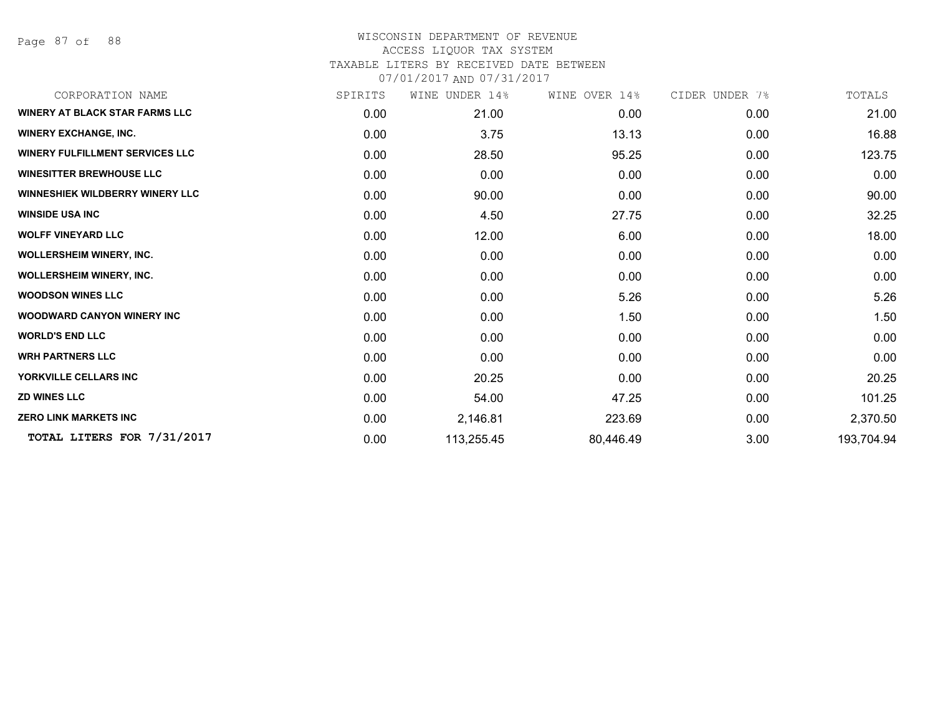Page 87 of 88

| CORPORATION NAME                       | SPIRITS | WINE UNDER 14% | WINE OVER 14% | CIDER UNDER 7% | TOTALS     |
|----------------------------------------|---------|----------------|---------------|----------------|------------|
| <b>WINERY AT BLACK STAR FARMS LLC</b>  | 0.00    | 21.00          | 0.00          | 0.00           | 21.00      |
| <b>WINERY EXCHANGE, INC.</b>           | 0.00    | 3.75           | 13.13         | 0.00           | 16.88      |
| <b>WINERY FULFILLMENT SERVICES LLC</b> | 0.00    | 28.50          | 95.25         | 0.00           | 123.75     |
| <b>WINESITTER BREWHOUSE LLC</b>        | 0.00    | 0.00           | 0.00          | 0.00           | 0.00       |
| <b>WINNESHIEK WILDBERRY WINERY LLC</b> | 0.00    | 90.00          | 0.00          | 0.00           | 90.00      |
| <b>WINSIDE USA INC</b>                 | 0.00    | 4.50           | 27.75         | 0.00           | 32.25      |
| <b>WOLFF VINEYARD LLC</b>              | 0.00    | 12.00          | 6.00          | 0.00           | 18.00      |
| <b>WOLLERSHEIM WINERY, INC.</b>        | 0.00    | 0.00           | 0.00          | 0.00           | 0.00       |
| <b>WOLLERSHEIM WINERY, INC.</b>        | 0.00    | 0.00           | 0.00          | 0.00           | 0.00       |
| <b>WOODSON WINES LLC</b>               | 0.00    | 0.00           | 5.26          | 0.00           | 5.26       |
| <b>WOODWARD CANYON WINERY INC</b>      | 0.00    | 0.00           | 1.50          | 0.00           | 1.50       |
| <b>WORLD'S END LLC</b>                 | 0.00    | 0.00           | 0.00          | 0.00           | 0.00       |
| <b>WRH PARTNERS LLC</b>                | 0.00    | 0.00           | 0.00          | 0.00           | 0.00       |
| YORKVILLE CELLARS INC                  | 0.00    | 20.25          | 0.00          | 0.00           | 20.25      |
| <b>ZD WINES LLC</b>                    | 0.00    | 54.00          | 47.25         | 0.00           | 101.25     |
| <b>ZERO LINK MARKETS INC</b>           | 0.00    | 2,146.81       | 223.69        | 0.00           | 2,370.50   |
| TOTAL LITERS FOR 7/31/2017             | 0.00    | 113,255.45     | 80,446.49     | 3.00           | 193,704.94 |